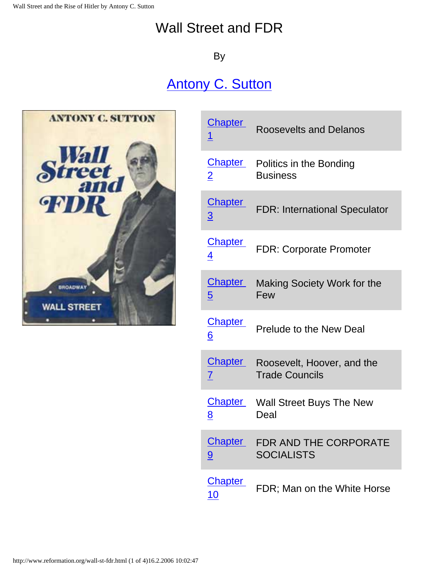# Wall Street and FDR

By

# **[Antony C. Sutton](#page-3-0)**



| <b>Chapter</b><br>1                        | <b>Roosevelts and Delanos</b>                       |
|--------------------------------------------|-----------------------------------------------------|
| <b>Chapter</b><br>$\overline{2}$           | Politics in the Bonding<br><b>Business</b>          |
| <u>Chapter</u><br>3                        | <b>FDR: International Speculator</b>                |
| <b>Chapter</b><br>4                        | <b>FDR: Corporate Promoter</b>                      |
| <u>Chapter</u><br>5                        | Making Society Work for the<br>Few                  |
| <u>Chapter</u><br>6                        | <b>Prelude to the New Deal</b>                      |
|                                            |                                                     |
| <b>Chapter</b><br>$\overline{\mathcal{I}}$ | Roosevelt, Hoover, and the<br><b>Trade Councils</b> |
| Chapter<br>8                               | Wall Street Buys The New<br>Deal                    |
| <u>9</u>                                   | Chapter FDR AND THE CORPORATE<br><b>SOCIALISTS</b>  |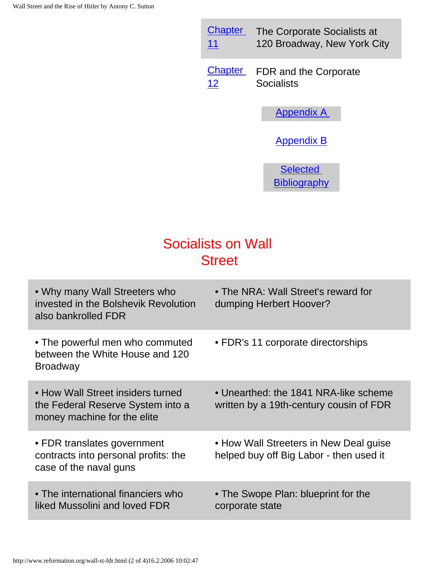| 11 | <b>Chapter</b> The Corporate Socialists at<br>120 Broadway, New York City |
|----|---------------------------------------------------------------------------|
| 12 | Chapter FDR and the Corporate<br>Socialists                               |
|    | <b>Appendix A</b>                                                         |
|    | <b>Appendix B</b>                                                         |
|    | <b>Selected</b><br><b>Bibliography</b>                                    |
|    |                                                                           |

# Socialists on Wall **Street**

| • Why many Wall Streeters who<br>invested in the Bolshevik Revolution<br>also bankrolled FDR          | • The NRA: Wall Street's reward for<br>dumping Herbert Hoover?                    |
|-------------------------------------------------------------------------------------------------------|-----------------------------------------------------------------------------------|
| • The powerful men who commuted<br>between the White House and 120<br><b>Broadway</b>                 | • FDR's 11 corporate directorships                                                |
| • How Wall Street insiders turned<br>the Federal Reserve System into a<br>money machine for the elite | • Unearthed: the 1841 NRA-like scheme<br>written by a 19th-century cousin of FDR  |
| • FDR translates government<br>contracts into personal profits: the<br>case of the naval guns         | • How Wall Streeters in New Deal guise<br>helped buy off Big Labor - then used it |
| • The international financiers who<br>liked Mussolini and loved FDR                                   | • The Swope Plan: blueprint for the<br>corporate state                            |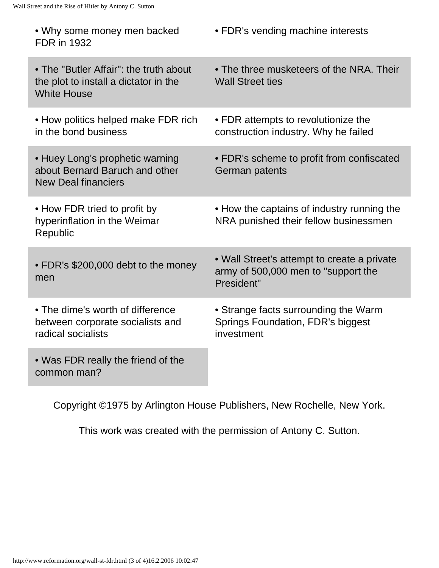| • Why some money men backed<br><b>FDR</b> in 1932                                                     | • FDR's vending machine interests                                                                |
|-------------------------------------------------------------------------------------------------------|--------------------------------------------------------------------------------------------------|
| • The "Butler Affair": the truth about<br>the plot to install a dictator in the<br><b>White House</b> | • The three musketeers of the NRA. Their<br><b>Wall Street ties</b>                              |
| • How politics helped make FDR rich<br>in the bond business                                           | • FDR attempts to revolutionize the<br>construction industry. Why he failed                      |
| • Huey Long's prophetic warning<br>about Bernard Baruch and other<br><b>New Deal financiers</b>       | • FDR's scheme to profit from confiscated<br>German patents                                      |
| • How FDR tried to profit by<br>hyperinflation in the Weimar<br>Republic                              | • How the captains of industry running the<br>NRA punished their fellow businessmen              |
| • FDR's \$200,000 debt to the money<br>men                                                            | • Wall Street's attempt to create a private<br>army of 500,000 men to "support the<br>President" |
| • The dime's worth of difference<br>between corporate socialists and<br>radical socialists            | • Strange facts surrounding the Warm<br><b>Springs Foundation, FDR's biggest</b><br>investment   |
| . Was FDR really the friend of the<br>common man?                                                     |                                                                                                  |

Copyright ©1975 by Arlington House Publishers, New Rochelle, New York.

This work was created with the permission of Antony C. Sutton.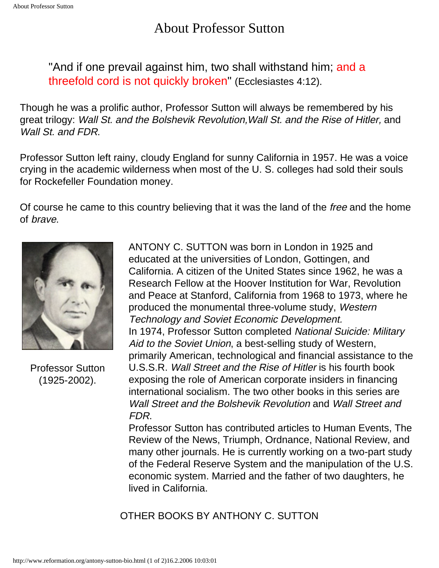# About Professor Sutton

### <span id="page-3-0"></span>"And if one prevail against him, two shall withstand him; and a threefold cord is not quickly broken" (Ecclesiastes 4:12).

Though he was a prolific author, Professor Sutton will always be remembered by his great trilogy: Wall St. and the Bolshevik Revolution,Wall St. and the Rise of Hitler, and Wall St. and FDR.

Professor Sutton left rainy, cloudy England for sunny California in 1957. He was a voice crying in the academic wilderness when most of the U. S. colleges had sold their souls for Rockefeller Foundation money.

Of course he came to this country believing that it was the land of the free and the home of brave.



Professor Sutton (1925-2002).

ANTONY C. SUTTON was born in London in 1925 and educated at the universities of London, Gottingen, and California. A citizen of the United States since 1962, he was a Research Fellow at the Hoover Institution for War, Revolution and Peace at Stanford, California from 1968 to 1973, where he produced the monumental three-volume study, Western Technology and Soviet Economic Development. In 1974, Professor Sutton completed National Suicide: Military Aid to the Soviet Union, a best-selling study of Western, primarily American, technological and financial assistance to the U.S.S.R. Wall Street and the Rise of Hitler is his fourth book exposing the role of American corporate insiders in financing international socialism. The two other books in this series are Wall Street and the Bolshevik Revolution and Wall Street and FDR.

Professor Sutton has contributed articles to Human Events, The Review of the News, Triumph, Ordnance, National Review, and many other journals. He is currently working on a two-part study of the Federal Reserve System and the manipulation of the U.S. economic system. Married and the father of two daughters, he lived in California.

OTHER BOOKS BY ANTHONY C. SUTTON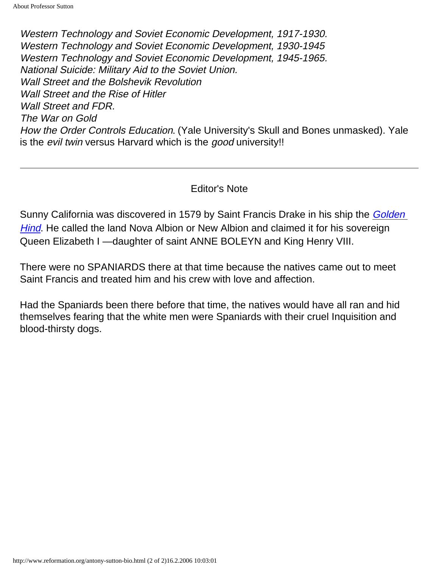Western Technology and Soviet Economic Development, 1917-1930. Western Technology and Soviet Economic Development, 1930-1945 Western Technology and Soviet Economic Development, 1945-1965. National Suicide: Military Aid to the Soviet Union. Wall Street and the Bolshevik Revolution Wall Street and the Rise of Hitler Wall Street and FDR. The War on Gold How the Order Controls Education. (Yale University's Skull and Bones unmasked). Yale is the evil twin versus Harvard which is the good university!!

#### Editor's Note

Sunny California was discovered in 1579 by Saint Francis Drake in his ship the Golden [Hind](http://www.mcn.org/2/oseeler/drake.htm). He called the land Nova Albion or New Albion and claimed it for his sovereign Queen Elizabeth I —daughter of saint ANNE BOLEYN and King Henry VIII.

There were no SPANIARDS there at that time because the natives came out to meet Saint Francis and treated him and his crew with love and affection.

Had the Spaniards been there before that time, the natives would have all ran and hid themselves fearing that the white men were Spaniards with their cruel Inquisition and blood-thirsty dogs.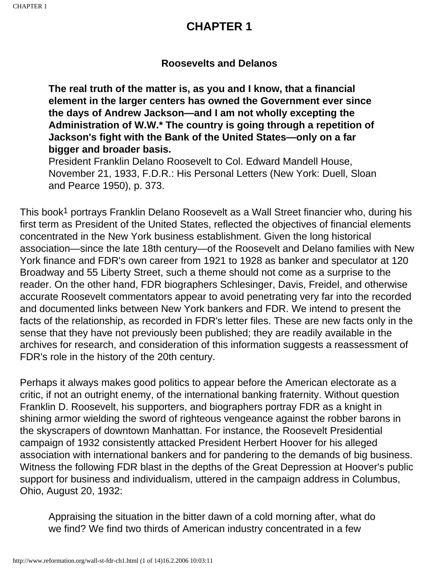#### **Roosevelts and Delanos**

<span id="page-5-0"></span>**The real truth of the matter is, as you and I know, that a financial element in the larger centers has owned the Government ever since the days of Andrew Jackson—and I am not wholly excepting the Administration of W.W.\* The country is going through a repetition of Jackson's fight with the Bank of the United States—only on a far bigger and broader basis.**

President Franklin Delano Roosevelt to Col. Edward Mandell House, November 21, 1933, F.D.R.: His Personal Letters (New York: Duell, Sloan and Pearce 1950), p. 373.

This book<sup>1</sup> portrays Franklin Delano Roosevelt as a Wall Street financier who, during his first term as President of the United States, reflected the objectives of financial elements concentrated in the New York business establishment. Given the long historical association—since the late 18th century—of the Roosevelt and Delano families with New York finance and FDR's own career from 1921 to 1928 as banker and speculator at 120 Broadway and 55 Liberty Street, such a theme should not come as a surprise to the reader. On the other hand, FDR biographers Schlesinger, Davis, Freidel, and otherwise accurate Roosevelt commentators appear to avoid penetrating very far into the recorded and documented links between New York bankers and FDR. We intend to present the facts of the relationship, as recorded in FDR's letter files. These are new facts only in the sense that they have not previously been published; they are readily available in the archives for research, and consideration of this information suggests a reassessment of FDR's role in the history of the 20th century.

Perhaps it always makes good politics to appear before the American electorate as a critic, if not an outright enemy, of the international banking fraternity. Without question Franklin D. Roosevelt, his supporters, and biographers portray FDR as a knight in shining armor wielding the sword of righteous vengeance against the robber barons in the skyscrapers of downtown Manhattan. For instance, the Roosevelt Presidential campaign of 1932 consistently attacked President Herbert Hoover for his alleged association with international bankers and for pandering to the demands of big business. Witness the following FDR blast in the depths of the Great Depression at Hoover's public support for business and individualism, uttered in the campaign address in Columbus, Ohio, August 20, 1932:

Appraising the situation in the bitter dawn of a cold morning after, what do we find? We find two thirds of American industry concentrated in a few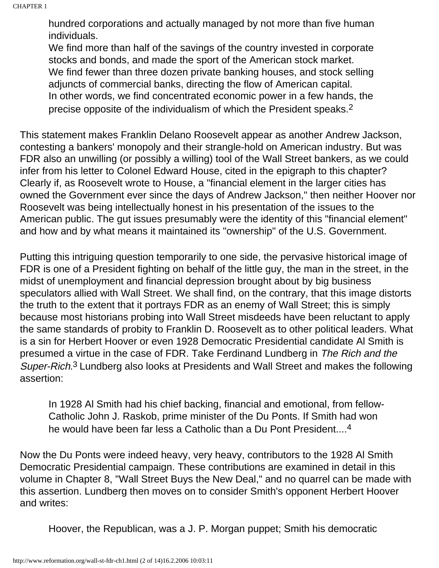hundred corporations and actually managed by not more than five human individuals.

We find more than half of the savings of the country invested in corporate stocks and bonds, and made the sport of the American stock market. We find fewer than three dozen private banking houses, and stock selling adjuncts of commercial banks, directing the flow of American capital. In other words, we find concentrated economic power in a few hands, the precise opposite of the individualism of which the President speaks.2

This statement makes Franklin Delano Roosevelt appear as another Andrew Jackson, contesting a bankers' monopoly and their strangle-hold on American industry. But was FDR also an unwilling (or possibly a willing) tool of the Wall Street bankers, as we could infer from his letter to Colonel Edward House, cited in the epigraph to this chapter? Clearly if, as Roosevelt wrote to House, a "financial element in the larger cities has owned the Government ever since the days of Andrew Jackson," then neither Hoover nor Roosevelt was being intellectually honest in his presentation of the issues to the American public. The gut issues presumably were the identity of this "financial element" and how and by what means it maintained its "ownership" of the U.S. Government.

Putting this intriguing question temporarily to one side, the pervasive historical image of FDR is one of a President fighting on behalf of the little guy, the man in the street, in the midst of unemployment and financial depression brought about by big business speculators allied with Wall Street. We shall find, on the contrary, that this image distorts the truth to the extent that it portrays FDR as an enemy of Wall Street; this is simply because most historians probing into Wall Street misdeeds have been reluctant to apply the same standards of probity to Franklin D. Roosevelt as to other political leaders. What is a sin for Herbert Hoover or even 1928 Democratic Presidential candidate Al Smith is presumed a virtue in the case of FDR. Take Ferdinand Lundberg in The Rich and the Super-Rich.<sup>3</sup> Lundberg also looks at Presidents and Wall Street and makes the following assertion:

In 1928 Al Smith had his chief backing, financial and emotional, from fellow-Catholic John J. Raskob, prime minister of the Du Ponts. If Smith had won he would have been far less a Catholic than a Du Pont President....<sup>4</sup>

Now the Du Ponts were indeed heavy, very heavy, contributors to the 1928 Al Smith Democratic Presidential campaign. These contributions are examined in detail in this volume in Chapter 8, "Wall Street Buys the New Deal," and no quarrel can be made with this assertion. Lundberg then moves on to consider Smith's opponent Herbert Hoover and writes:

Hoover, the Republican, was a J. P. Morgan puppet; Smith his democratic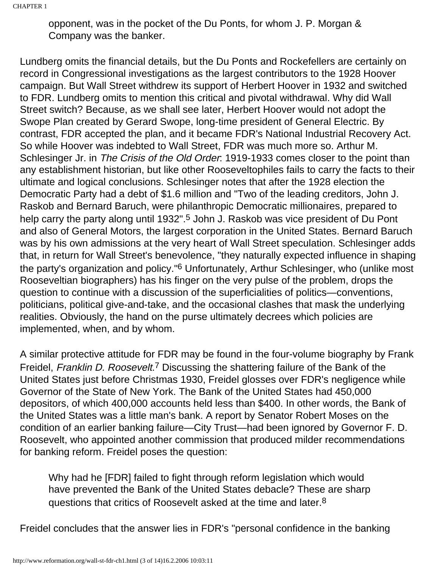opponent, was in the pocket of the Du Ponts, for whom J. P. Morgan & Company was the banker.

Lundberg omits the financial details, but the Du Ponts and Rockefellers are certainly on record in Congressional investigations as the largest contributors to the 1928 Hoover campaign. But Wall Street withdrew its support of Herbert Hoover in 1932 and switched to FDR. Lundberg omits to mention this critical and pivotal withdrawal. Why did Wall Street switch? Because, as we shall see later, Herbert Hoover would not adopt the Swope Plan created by Gerard Swope, long-time president of General Electric. By contrast, FDR accepted the plan, and it became FDR's National Industrial Recovery Act. So while Hoover was indebted to Wall Street, FDR was much more so. Arthur M. Schlesinger Jr. in The Crisis of the Old Order: 1919-1933 comes closer to the point than any establishment historian, but like other Rooseveltophiles fails to carry the facts to their ultimate and logical conclusions. Schlesinger notes that after the 1928 election the Democratic Party had a debt of \$1.6 million and "Two of the leading creditors, John J. Raskob and Bernard Baruch, were philanthropic Democratic millionaires, prepared to help carry the party along until 1932".<sup>5</sup> John J. Raskob was vice president of Du Pont and also of General Motors, the largest corporation in the United States. Bernard Baruch was by his own admissions at the very heart of Wall Street speculation. Schlesinger adds that, in return for Wall Street's benevolence, "they naturally expected influence in shaping the party's organization and policy."6 Unfortunately, Arthur Schlesinger, who (unlike most Rooseveltian biographers) has his finger on the very pulse of the problem, drops the question to continue with a discussion of the superficialities of politics—conventions, politicians, political give-and-take, and the occasional clashes that mask the underlying realities. Obviously, the hand on the purse ultimately decrees which policies are implemented, when, and by whom.

A similar protective attitude for FDR may be found in the four-volume biography by Frank Freidel, Franklin D. Roosevelt.<sup>7</sup> Discussing the shattering failure of the Bank of the United States just before Christmas 1930, Freidel glosses over FDR's negligence while Governor of the State of New York. The Bank of the United States had 450,000 depositors, of which 400,000 accounts held less than \$400. In other words, the Bank of the United States was a little man's bank. A report by Senator Robert Moses on the condition of an earlier banking failure—City Trust—had been ignored by Governor F. D. Roosevelt, who appointed another commission that produced milder recommendations for banking reform. Freidel poses the question:

Why had he [FDR] failed to fight through reform legislation which would have prevented the Bank of the United States debacle? These are sharp questions that critics of Roosevelt asked at the time and later.8

Freidel concludes that the answer lies in FDR's "personal confidence in the banking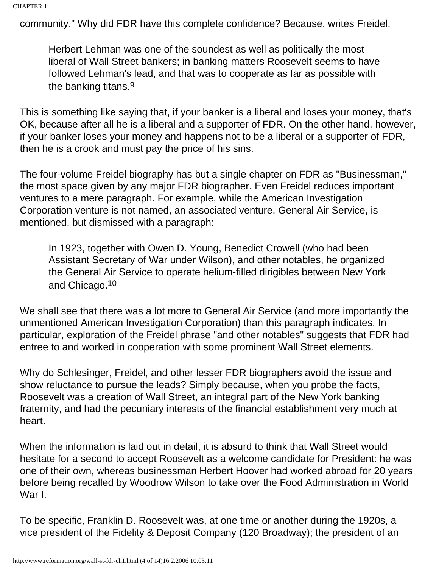community." Why did FDR have this complete confidence? Because, writes Freidel,

Herbert Lehman was one of the soundest as well as politically the most liberal of Wall Street bankers; in banking matters Roosevelt seems to have followed Lehman's lead, and that was to cooperate as far as possible with the banking titans.9

This is something like saying that, if your banker is a liberal and loses your money, that's OK, because after all he is a liberal and a supporter of FDR. On the other hand, however, if your banker loses your money and happens not to be a liberal or a supporter of FDR, then he is a crook and must pay the price of his sins.

The four-volume Freidel biography has but a single chapter on FDR as "Businessman," the most space given by any major FDR biographer. Even Freidel reduces important ventures to a mere paragraph. For example, while the American Investigation Corporation venture is not named, an associated venture, General Air Service, is mentioned, but dismissed with a paragraph:

In 1923, together with Owen D. Young, Benedict Crowell (who had been Assistant Secretary of War under Wilson), and other notables, he organized the General Air Service to operate helium-filled dirigibles between New York and Chicago.10

We shall see that there was a lot more to General Air Service (and more importantly the unmentioned American Investigation Corporation) than this paragraph indicates. In particular, exploration of the Freidel phrase "and other notables" suggests that FDR had entree to and worked in cooperation with some prominent Wall Street elements.

Why do Schlesinger, Freidel, and other lesser FDR biographers avoid the issue and show reluctance to pursue the leads? Simply because, when you probe the facts, Roosevelt was a creation of Wall Street, an integral part of the New York banking fraternity, and had the pecuniary interests of the financial establishment very much at heart.

When the information is laid out in detail, it is absurd to think that Wall Street would hesitate for a second to accept Roosevelt as a welcome candidate for President: he was one of their own, whereas businessman Herbert Hoover had worked abroad for 20 years before being recalled by Woodrow Wilson to take over the Food Administration in World War I.

To be specific, Franklin D. Roosevelt was, at one time or another during the 1920s, a vice president of the Fidelity & Deposit Company (120 Broadway); the president of an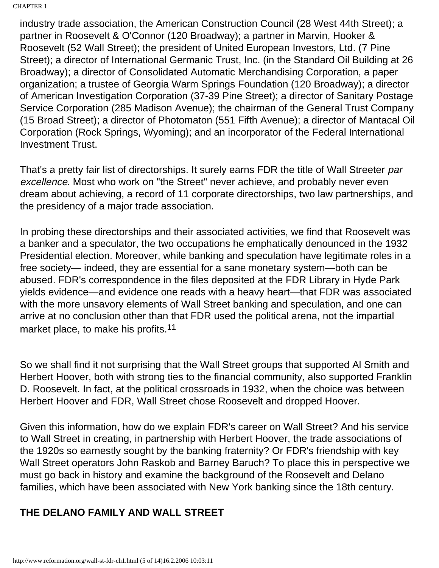industry trade association, the American Construction Council (28 West 44th Street); a partner in Roosevelt & O'Connor (120 Broadway); a partner in Marvin, Hooker & Roosevelt (52 Wall Street); the president of United European Investors, Ltd. (7 Pine Street); a director of International Germanic Trust, Inc. (in the Standard Oil Building at 26 Broadway); a director of Consolidated Automatic Merchandising Corporation, a paper organization; a trustee of Georgia Warm Springs Foundation (120 Broadway); a director of American Investigation Corporation (37-39 Pine Street); a director of Sanitary Postage Service Corporation (285 Madison Avenue); the chairman of the General Trust Company (15 Broad Street); a director of Photomaton (551 Fifth Avenue); a director of Mantacal Oil Corporation (Rock Springs, Wyoming); and an incorporator of the Federal International Investment Trust.

That's a pretty fair list of directorships. It surely earns FDR the title of Wall Streeter par excellence. Most who work on "the Street" never achieve, and probably never even dream about achieving, a record of 11 corporate directorships, two law partnerships, and the presidency of a major trade association.

In probing these directorships and their associated activities, we find that Roosevelt was a banker and a speculator, the two occupations he emphatically denounced in the 1932 Presidential election. Moreover, while banking and speculation have legitimate roles in a free society— indeed, they are essential for a sane monetary system—both can be abused. FDR's correspondence in the files deposited at the FDR Library in Hyde Park yields evidence—and evidence one reads with a heavy heart—that FDR was associated with the more unsavory elements of Wall Street banking and speculation, and one can arrive at no conclusion other than that FDR used the political arena, not the impartial market place, to make his profits.<sup>11</sup>

So we shall find it not surprising that the Wall Street groups that supported Al Smith and Herbert Hoover, both with strong ties to the financial community, also supported Franklin D. Roosevelt. In fact, at the political crossroads in 1932, when the choice was between Herbert Hoover and FDR, Wall Street chose Roosevelt and dropped Hoover.

Given this information, how do we explain FDR's career on Wall Street? And his service to Wall Street in creating, in partnership with Herbert Hoover, the trade associations of the 1920s so earnestly sought by the banking fraternity? Or FDR's friendship with key Wall Street operators John Raskob and Barney Baruch? To place this in perspective we must go back in history and examine the background of the Roosevelt and Delano families, which have been associated with New York banking since the 18th century.

### **THE DELANO FAMILY AND WALL STREET**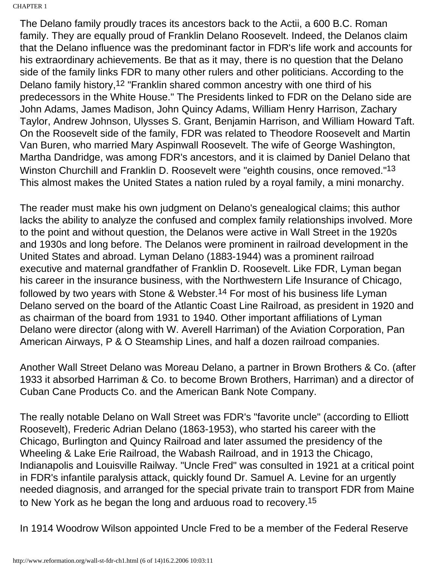The Delano family proudly traces its ancestors back to the Actii, a 600 B.C. Roman family. They are equally proud of Franklin Delano Roosevelt. Indeed, the Delanos claim that the Delano influence was the predominant factor in FDR's life work and accounts for his extraordinary achievements. Be that as it may, there is no question that the Delano side of the family links FDR to many other rulers and other politicians. According to the Delano family history,<sup>12</sup> "Franklin shared common ancestry with one third of his predecessors in the White House." The Presidents linked to FDR on the Delano side are John Adams, James Madison, John Quincy Adams, William Henry Harrison, Zachary Taylor, Andrew Johnson, Ulysses S. Grant, Benjamin Harrison, and William Howard Taft. On the Roosevelt side of the family, FDR was related to Theodore Roosevelt and Martin Van Buren, who married Mary Aspinwall Roosevelt. The wife of George Washington, Martha Dandridge, was among FDR's ancestors, and it is claimed by Daniel Delano that Winston Churchill and Franklin D. Roosevelt were "eighth cousins, once removed."13 This almost makes the United States a nation ruled by a royal family, a mini monarchy.

The reader must make his own judgment on Delano's genealogical claims; this author lacks the ability to analyze the confused and complex family relationships involved. More to the point and without question, the Delanos were active in Wall Street in the 1920s and 1930s and long before. The Delanos were prominent in railroad development in the United States and abroad. Lyman Delano (1883-1944) was a prominent railroad executive and maternal grandfather of Franklin D. Roosevelt. Like FDR, Lyman began his career in the insurance business, with the Northwestern Life Insurance of Chicago, followed by two years with Stone & Webster.14 For most of his business life Lyman Delano served on the board of the Atlantic Coast Line Railroad, as president in 1920 and as chairman of the board from 1931 to 1940. Other important affiliations of Lyman Delano were director (along with W. Averell Harriman) of the Aviation Corporation, Pan American Airways, P & O Steamship Lines, and half a dozen railroad companies.

Another Wall Street Delano was Moreau Delano, a partner in Brown Brothers & Co. (after 1933 it absorbed Harriman & Co. to become Brown Brothers, Harriman) and a director of Cuban Cane Products Co. and the American Bank Note Company.

The really notable Delano on Wall Street was FDR's "favorite uncle" (according to Elliott Roosevelt), Frederic Adrian Delano (1863-1953), who started his career with the Chicago, Burlington and Quincy Railroad and later assumed the presidency of the Wheeling & Lake Erie Railroad, the Wabash Railroad, and in 1913 the Chicago, Indianapolis and Louisville Railway. "Uncle Fred" was consulted in 1921 at a critical point in FDR's infantile paralysis attack, quickly found Dr. Samuel A. Levine for an urgently needed diagnosis, and arranged for the special private train to transport FDR from Maine to New York as he began the long and arduous road to recovery.15

In 1914 Woodrow Wilson appointed Uncle Fred to be a member of the Federal Reserve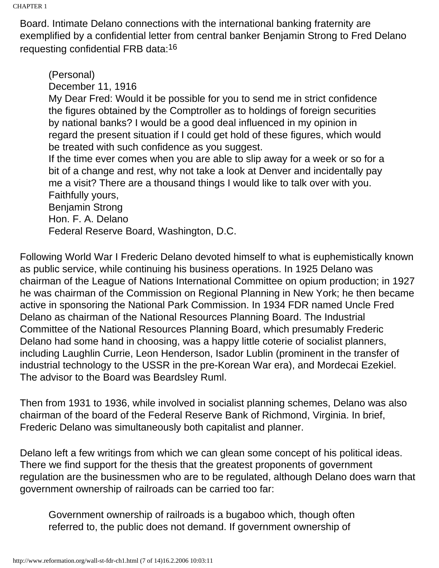Board. Intimate Delano connections with the international banking fraternity are exemplified by a confidential letter from central banker Benjamin Strong to Fred Delano requesting confidential FRB data:16

(Personal) December 11, 1916 My Dear Fred: Would it be possible for you to send me in strict confidence the figures obtained by the Comptroller as to holdings of foreign securities by national banks? I would be a good deal influenced in my opinion in regard the present situation if I could get hold of these figures, which would be treated with such confidence as you suggest. If the time ever comes when you are able to slip away for a week or so for a bit of a change and rest, why not take a look at Denver and incidentally pay me a visit? There are a thousand things I would like to talk over with you. Faithfully yours, Benjamin Strong Hon. F. A. Delano Federal Reserve Board, Washington, D.C.

Following World War I Frederic Delano devoted himself to what is euphemistically known as public service, while continuing his business operations. In 1925 Delano was chairman of the League of Nations International Committee on opium production; in 1927 he was chairman of the Commission on Regional Planning in New York; he then became active in sponsoring the National Park Commission. In 1934 FDR named Uncle Fred Delano as chairman of the National Resources Planning Board. The Industrial Committee of the National Resources Planning Board, which presumably Frederic Delano had some hand in choosing, was a happy little coterie of socialist planners, including Laughlin Currie, Leon Henderson, Isador Lublin (prominent in the transfer of industrial technology to the USSR in the pre-Korean War era), and Mordecai Ezekiel. The advisor to the Board was Beardsley Ruml.

Then from 1931 to 1936, while involved in socialist planning schemes, Delano was also chairman of the board of the Federal Reserve Bank of Richmond, Virginia. In brief, Frederic Delano was simultaneously both capitalist and planner.

Delano left a few writings from which we can glean some concept of his political ideas. There we find support for the thesis that the greatest proponents of government regulation are the businessmen who are to be regulated, although Delano does warn that government ownership of railroads can be carried too far:

Government ownership of railroads is a bugaboo which, though often referred to, the public does not demand. If government ownership of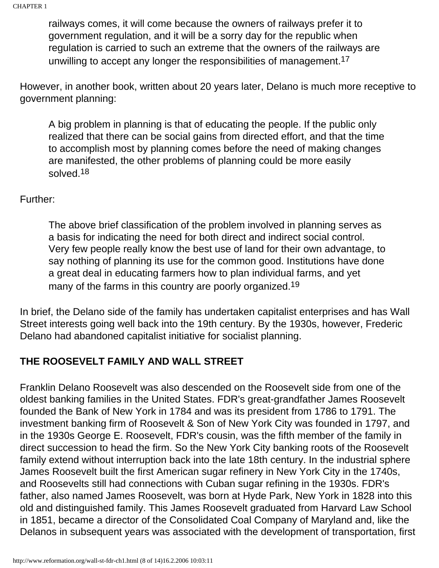railways comes, it will come because the owners of railways prefer it to government regulation, and it will be a sorry day for the republic when regulation is carried to such an extreme that the owners of the railways are unwilling to accept any longer the responsibilities of management.17

However, in another book, written about 20 years later, Delano is much more receptive to government planning:

A big problem in planning is that of educating the people. If the public only realized that there can be social gains from directed effort, and that the time to accomplish most by planning comes before the need of making changes are manifested, the other problems of planning could be more easily solved.18

#### Further:

The above brief classification of the problem involved in planning serves as a basis for indicating the need for both direct and indirect social control. Very few people really know the best use of land for their own advantage, to say nothing of planning its use for the common good. Institutions have done a great deal in educating farmers how to plan individual farms, and yet many of the farms in this country are poorly organized.<sup>19</sup>

In brief, the Delano side of the family has undertaken capitalist enterprises and has Wall Street interests going well back into the 19th century. By the 1930s, however, Frederic Delano had abandoned capitalist initiative for socialist planning.

#### **THE ROOSEVELT FAMILY AND WALL STREET**

Franklin Delano Roosevelt was also descended on the Roosevelt side from one of the oldest banking families in the United States. FDR's great-grandfather James Roosevelt founded the Bank of New York in 1784 and was its president from 1786 to 1791. The investment banking firm of Roosevelt & Son of New York City was founded in 1797, and in the 1930s George E. Roosevelt, FDR's cousin, was the fifth member of the family in direct succession to head the firm. So the New York City banking roots of the Roosevelt family extend without interruption back into the late 18th century. In the industrial sphere James Roosevelt built the first American sugar refinery in New York City in the 1740s, and Roosevelts still had connections with Cuban sugar refining in the 1930s. FDR's father, also named James Roosevelt, was born at Hyde Park, New York in 1828 into this old and distinguished family. This James Roosevelt graduated from Harvard Law School in 1851, became a director of the Consolidated Coal Company of Maryland and, like the Delanos in subsequent years was associated with the development of transportation, first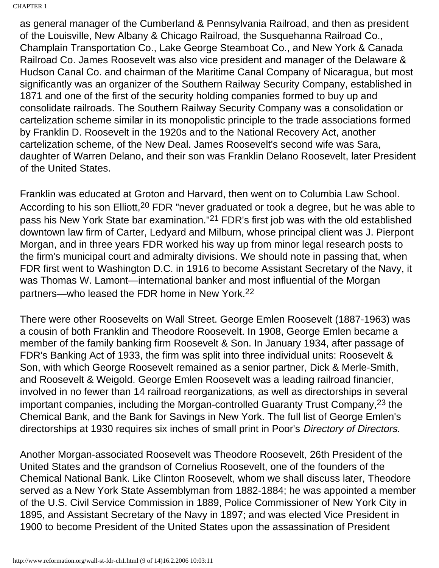as general manager of the Cumberland & Pennsylvania Railroad, and then as president of the Louisville, New Albany & Chicago Railroad, the Susquehanna Railroad Co., Champlain Transportation Co., Lake George Steamboat Co., and New York & Canada Railroad Co. James Roosevelt was also vice president and manager of the Delaware & Hudson Canal Co. and chairman of the Maritime Canal Company of Nicaragua, but most significantly was an organizer of the Southern Railway Security Company, established in 1871 and one of the first of the security holding companies formed to buy up and consolidate railroads. The Southern Railway Security Company was a consolidation or cartelization scheme similar in its monopolistic principle to the trade associations formed by Franklin D. Roosevelt in the 1920s and to the National Recovery Act, another cartelization scheme, of the New Deal. James Roosevelt's second wife was Sara, daughter of Warren Delano, and their son was Franklin Delano Roosevelt, later President of the United States.

Franklin was educated at Groton and Harvard, then went on to Columbia Law School. According to his son Elliott, <sup>20</sup> FDR "never graduated or took a degree, but he was able to pass his New York State bar examination."21 FDR's first job was with the old established downtown law firm of Carter, Ledyard and Milburn, whose principal client was J. Pierpont Morgan, and in three years FDR worked his way up from minor legal research posts to the firm's municipal court and admiralty divisions. We should note in passing that, when FDR first went to Washington D.C. in 1916 to become Assistant Secretary of the Navy, it was Thomas W. Lamont—international banker and most influential of the Morgan partners—who leased the FDR home in New York.22

There were other Roosevelts on Wall Street. George Emlen Roosevelt (1887-1963) was a cousin of both Franklin and Theodore Roosevelt. In 1908, George Emlen became a member of the family banking firm Roosevelt & Son. In January 1934, after passage of FDR's Banking Act of 1933, the firm was split into three individual units: Roosevelt & Son, with which George Roosevelt remained as a senior partner, Dick & Merle-Smith, and Roosevelt & Weigold. George Emlen Roosevelt was a leading railroad financier, involved in no fewer than 14 railroad reorganizations, as well as directorships in several important companies, including the Morgan-controlled Guaranty Trust Company,23 the Chemical Bank, and the Bank for Savings in New York. The full list of George Emlen's directorships at 1930 requires six inches of small print in Poor's Directory of Directors.

Another Morgan-associated Roosevelt was Theodore Roosevelt, 26th President of the United States and the grandson of Cornelius Roosevelt, one of the founders of the Chemical National Bank. Like Clinton Roosevelt, whom we shall discuss later, Theodore served as a New York State Assemblyman from 1882-1884; he was appointed a member of the U.S. Civil Service Commission in 1889, Police Commissioner of New York City in 1895, and Assistant Secretary of the Navy in 1897; and was elected Vice President in 1900 to become President of the United States upon the assassination of President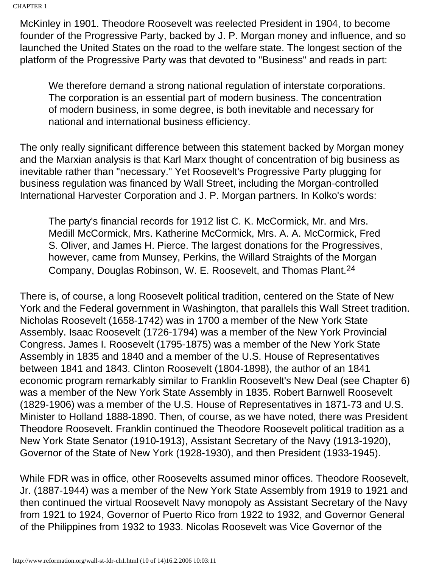McKinley in 1901. Theodore Roosevelt was reelected President in 1904, to become founder of the Progressive Party, backed by J. P. Morgan money and influence, and so launched the United States on the road to the welfare state. The longest section of the platform of the Progressive Party was that devoted to "Business" and reads in part:

We therefore demand a strong national regulation of interstate corporations. The corporation is an essential part of modern business. The concentration of modern business, in some degree, is both inevitable and necessary for national and international business efficiency.

The only really significant difference between this statement backed by Morgan money and the Marxian analysis is that Karl Marx thought of concentration of big business as inevitable rather than "necessary." Yet Roosevelt's Progressive Party plugging for business regulation was financed by Wall Street, including the Morgan-controlled International Harvester Corporation and J. P. Morgan partners. In Kolko's words:

The party's financial records for 1912 list C. K. McCormick, Mr. and Mrs. Medill McCormick, Mrs. Katherine McCormick, Mrs. A. A. McCormick, Fred S. Oliver, and James H. Pierce. The largest donations for the Progressives, however, came from Munsey, Perkins, the Willard Straights of the Morgan Company, Douglas Robinson, W. E. Roosevelt, and Thomas Plant.24

There is, of course, a long Roosevelt political tradition, centered on the State of New York and the Federal government in Washington, that parallels this Wall Street tradition. Nicholas Roosevelt (1658-1742) was in 1700 a member of the New York State Assembly. Isaac Roosevelt (1726-1794) was a member of the New York Provincial Congress. James I. Roosevelt (1795-1875) was a member of the New York State Assembly in 1835 and 1840 and a member of the U.S. House of Representatives between 1841 and 1843. Clinton Roosevelt (1804-1898), the author of an 1841 economic program remarkably similar to Franklin Roosevelt's New Deal (see Chapter 6) was a member of the New York State Assembly in 1835. Robert Barnwell Roosevelt (1829-1906) was a member of the U.S. House of Representatives in 1871-73 and U.S. Minister to Holland 1888-1890. Then, of course, as we have noted, there was President Theodore Roosevelt. Franklin continued the Theodore Roosevelt political tradition as a New York State Senator (1910-1913), Assistant Secretary of the Navy (1913-1920), Governor of the State of New York (1928-1930), and then President (1933-1945).

While FDR was in office, other Roosevelts assumed minor offices. Theodore Roosevelt, Jr. (1887-1944) was a member of the New York State Assembly from 1919 to 1921 and then continued the virtual Roosevelt Navy monopoly as Assistant Secretary of the Navy from 1921 to 1924, Governor of Puerto Rico from 1922 to 1932, and Governor General of the Philippines from 1932 to 1933. Nicolas Roosevelt was Vice Governor of the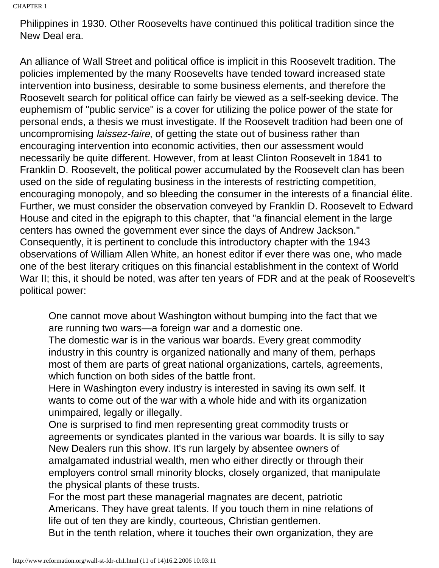Philippines in 1930. Other Roosevelts have continued this political tradition since the New Deal era.

An alliance of Wall Street and political office is implicit in this Roosevelt tradition. The policies implemented by the many Roosevelts have tended toward increased state intervention into business, desirable to some business elements, and therefore the Roosevelt search for political office can fairly be viewed as a self-seeking device. The euphemism of "public service" is a cover for utilizing the police power of the state for personal ends, a thesis we must investigate. If the Roosevelt tradition had been one of uncompromising laissez-faire, of getting the state out of business rather than encouraging intervention into economic activities, then our assessment would necessarily be quite different. However, from at least Clinton Roosevelt in 1841 to Franklin D. Roosevelt, the political power accumulated by the Roosevelt clan has been used on the side of regulating business in the interests of restricting competition, encouraging monopoly, and so bleeding the consumer in the interests of a financial élite. Further, we must consider the observation conveyed by Franklin D. Roosevelt to Edward House and cited in the epigraph to this chapter, that "a financial element in the large centers has owned the government ever since the days of Andrew Jackson." Consequently, it is pertinent to conclude this introductory chapter with the 1943 observations of William Allen White, an honest editor if ever there was one, who made one of the best literary critiques on this financial establishment in the context of World War II; this, it should be noted, was after ten years of FDR and at the peak of Roosevelt's political power:

One cannot move about Washington without bumping into the fact that we are running two wars—a foreign war and a domestic one.

The domestic war is in the various war boards. Every great commodity industry in this country is organized nationally and many of them, perhaps most of them are parts of great national organizations, cartels, agreements, which function on both sides of the battle front.

Here in Washington every industry is interested in saving its own self. It wants to come out of the war with a whole hide and with its organization unimpaired, legally or illegally.

One is surprised to find men representing great commodity trusts or agreements or syndicates planted in the various war boards. It is silly to say New Dealers run this show. It's run largely by absentee owners of amalgamated industrial wealth, men who either directly or through their employers control small minority blocks, closely organized, that manipulate the physical plants of these trusts.

For the most part these managerial magnates are decent, patriotic Americans. They have great talents. If you touch them in nine relations of life out of ten they are kindly, courteous, Christian gentlemen.

But in the tenth relation, where it touches their own organization, they are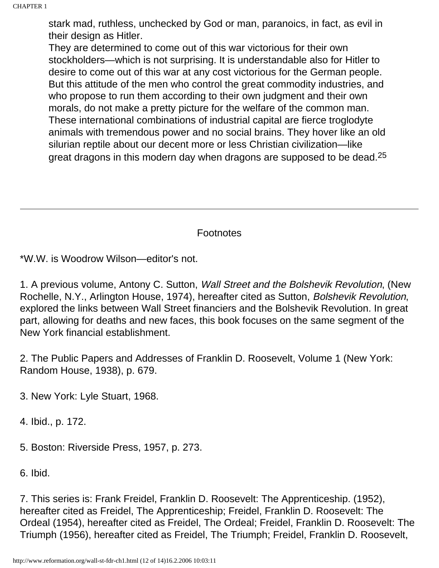stark mad, ruthless, unchecked by God or man, paranoics, in fact, as evil in their design as Hitler.

They are determined to come out of this war victorious for their own stockholders—which is not surprising. It is understandable also for Hitler to desire to come out of this war at any cost victorious for the German people. But this attitude of the men who control the great commodity industries, and who propose to run them according to their own judgment and their own morals, do not make a pretty picture for the welfare of the common man. These international combinations of industrial capital are fierce troglodyte animals with tremendous power and no social brains. They hover like an old silurian reptile about our decent more or less Christian civilization—like great dragons in this modern day when dragons are supposed to be dead.25

#### **Footnotes**

\*W.W. is Woodrow Wilson—editor's not.

1. A previous volume, Antony C. Sutton, Wall Street and the Bolshevik Revolution, (New Rochelle, N.Y., Arlington House, 1974), hereafter cited as Sutton, Bolshevik Revolution, explored the links between Wall Street financiers and the Bolshevik Revolution. In great part, allowing for deaths and new faces, this book focuses on the same segment of the New York financial establishment.

2. The Public Papers and Addresses of Franklin D. Roosevelt, Volume 1 (New York: Random House, 1938), p. 679.

3. New York: Lyle Stuart, 1968.

4. Ibid., p. 172.

5. Boston: Riverside Press, 1957, p. 273.

6. Ibid.

7. This series is: Frank Freidel, Franklin D. Roosevelt: The Apprenticeship. (1952), hereafter cited as Freidel, The Apprenticeship; Freidel, Franklin D. Roosevelt: The Ordeal (1954), hereafter cited as Freidel, The Ordeal; Freidel, Franklin D. Roosevelt: The Triumph (1956), hereafter cited as Freidel, The Triumph; Freidel, Franklin D. Roosevelt,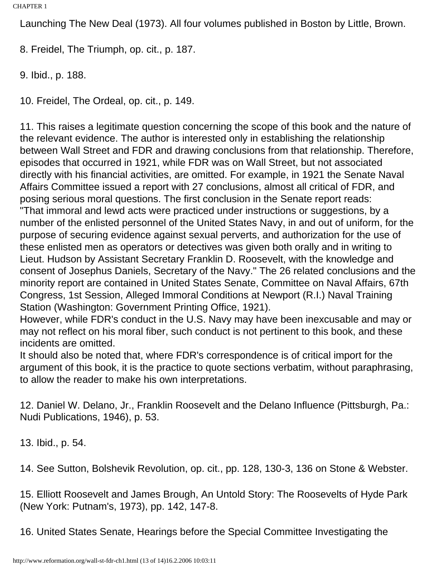Launching The New Deal (1973). All four volumes published in Boston by Little, Brown.

8. Freidel, The Triumph, op. cit., p. 187.

9. Ibid., p. 188.

10. Freidel, The Ordeal, op. cit., p. 149.

11. This raises a legitimate question concerning the scope of this book and the nature of the relevant evidence. The author is interested only in establishing the relationship between Wall Street and FDR and drawing conclusions from that relationship. Therefore, episodes that occurred in 1921, while FDR was on Wall Street, but not associated directly with his financial activities, are omitted. For example, in 1921 the Senate Naval Affairs Committee issued a report with 27 conclusions, almost all critical of FDR, and posing serious moral questions. The first conclusion in the Senate report reads: "That immoral and lewd acts were practiced under instructions or suggestions, by a number of the enlisted personnel of the United States Navy, in and out of uniform, for the purpose of securing evidence against sexual perverts, and authorization for the use of these enlisted men as operators or detectives was given both orally and in writing to Lieut. Hudson by Assistant Secretary Franklin D. Roosevelt, with the knowledge and consent of Josephus Daniels, Secretary of the Navy." The 26 related conclusions and the minority report are contained in United States Senate, Committee on Naval Affairs, 67th Congress, 1st Session, Alleged Immoral Conditions at Newport (R.I.) Naval Training Station (Washington: Government Printing Office, 1921).

However, while FDR's conduct in the U.S. Navy may have been inexcusable and may or may not reflect on his moral fiber, such conduct is not pertinent to this book, and these incidents are omitted.

It should also be noted that, where FDR's correspondence is of critical import for the argument of this book, it is the practice to quote sections verbatim, without paraphrasing, to allow the reader to make his own interpretations.

12. Daniel W. Delano, Jr., Franklin Roosevelt and the Delano Influence (Pittsburgh, Pa.: Nudi Publications, 1946), p. 53.

13. Ibid., p. 54.

14. See Sutton, Bolshevik Revolution, op. cit., pp. 128, 130-3, 136 on Stone & Webster.

15. Elliott Roosevelt and James Brough, An Untold Story: The Roosevelts of Hyde Park (New York: Putnam's, 1973), pp. 142, 147-8.

16. United States Senate, Hearings before the Special Committee Investigating the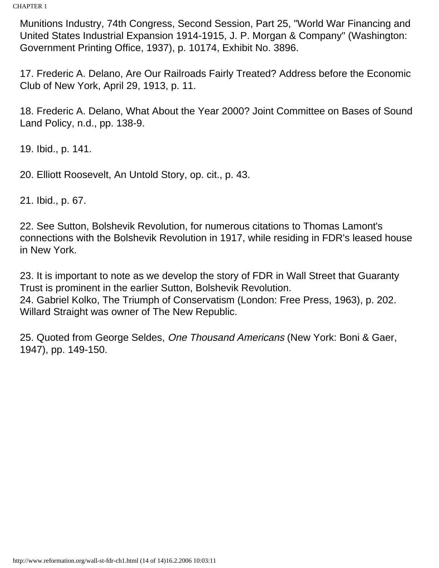Munitions Industry, 74th Congress, Second Session, Part 25, "World War Financing and United States Industrial Expansion 1914-1915, J. P. Morgan & Company" (Washington: Government Printing Office, 1937), p. 10174, Exhibit No. 3896.

17. Frederic A. Delano, Are Our Railroads Fairly Treated? Address before the Economic Club of New York, April 29, 1913, p. 11.

18. Frederic A. Delano, What About the Year 2000? Joint Committee on Bases of Sound Land Policy, n.d., pp. 138-9.

19. Ibid., p. 141.

20. Elliott Roosevelt, An Untold Story, op. cit., p. 43.

21. Ibid., p. 67.

22. See Sutton, Bolshevik Revolution, for numerous citations to Thomas Lamont's connections with the Bolshevik Revolution in 1917, while residing in FDR's leased house in New York.

23. It is important to note as we develop the story of FDR in Wall Street that Guaranty Trust is prominent in the earlier Sutton, Bolshevik Revolution. 24. Gabriel Kolko, The Triumph of Conservatism (London: Free Press, 1963), p. 202. Willard Straight was owner of The New Republic.

25. Quoted from George Seldes, One Thousand Americans (New York: Boni & Gaer, 1947), pp. 149-150.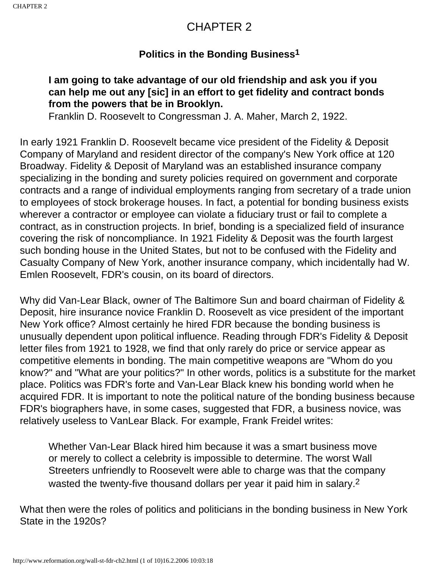### **Politics in the Bonding Business1**

#### <span id="page-19-0"></span>**I am going to take advantage of our old friendship and ask you if you can help me out any [sic] in an effort to get fidelity and contract bonds from the powers that be in Brooklyn.**

Franklin D. Roosevelt to Congressman J. A. Maher, March 2, 1922.

In early 1921 Franklin D. Roosevelt became vice president of the Fidelity & Deposit Company of Maryland and resident director of the company's New York office at 120 Broadway. Fidelity & Deposit of Maryland was an established insurance company specializing in the bonding and surety policies required on government and corporate contracts and a range of individual employments ranging from secretary of a trade union to employees of stock brokerage houses. In fact, a potential for bonding business exists wherever a contractor or employee can violate a fiduciary trust or fail to complete a contract, as in construction projects. In brief, bonding is a specialized field of insurance covering the risk of noncompliance. In 1921 Fidelity & Deposit was the fourth largest such bonding house in the United States, but not to be confused with the Fidelity and Casualty Company of New York, another insurance company, which incidentally had W. Emlen Roosevelt, FDR's cousin, on its board of directors.

Why did Van-Lear Black, owner of The Baltimore Sun and board chairman of Fidelity & Deposit, hire insurance novice Franklin D. Roosevelt as vice president of the important New York office? Almost certainly he hired FDR because the bonding business is unusually dependent upon political influence. Reading through FDR's Fidelity & Deposit letter files from 1921 to 1928, we find that only rarely do price or service appear as competitive elements in bonding. The main competitive weapons are "Whom do you know?" and "What are your politics?" In other words, politics is a substitute for the market place. Politics was FDR's forte and Van-Lear Black knew his bonding world when he acquired FDR. It is important to note the political nature of the bonding business because FDR's biographers have, in some cases, suggested that FDR, a business novice, was relatively useless to VanLear Black. For example, Frank Freidel writes:

Whether Van-Lear Black hired him because it was a smart business move or merely to collect a celebrity is impossible to determine. The worst Wall Streeters unfriendly to Roosevelt were able to charge was that the company wasted the twenty-five thousand dollars per year it paid him in salary.<sup>2</sup>

What then were the roles of politics and politicians in the bonding business in New York State in the 1920s?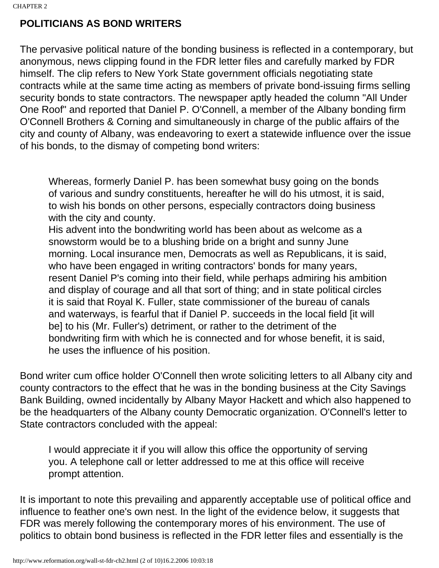#### **POLITICIANS AS BOND WRITERS**

The pervasive political nature of the bonding business is reflected in a contemporary, but anonymous, news clipping found in the FDR letter files and carefully marked by FDR himself. The clip refers to New York State government officials negotiating state contracts while at the same time acting as members of private bond-issuing firms selling security bonds to state contractors. The newspaper aptly headed the column "All Under One Roof" and reported that Daniel P. O'Connell, a member of the Albany bonding firm O'Connell Brothers & Corning and simultaneously in charge of the public affairs of the city and county of Albany, was endeavoring to exert a statewide influence over the issue of his bonds, to the dismay of competing bond writers:

Whereas, formerly Daniel P. has been somewhat busy going on the bonds of various and sundry constituents, hereafter he will do his utmost, it is said, to wish his bonds on other persons, especially contractors doing business with the city and county.

His advent into the bondwriting world has been about as welcome as a snowstorm would be to a blushing bride on a bright and sunny June morning. Local insurance men, Democrats as well as Republicans, it is said, who have been engaged in writing contractors' bonds for many years, resent Daniel P's coming into their field, while perhaps admiring his ambition and display of courage and all that sort of thing; and in state political circles it is said that Royal K. Fuller, state commissioner of the bureau of canals and waterways, is fearful that if Daniel P. succeeds in the local field [it will be] to his (Mr. Fuller's) detriment, or rather to the detriment of the bondwriting firm with which he is connected and for whose benefit, it is said, he uses the influence of his position.

Bond writer cum office holder O'Connell then wrote soliciting letters to all Albany city and county contractors to the effect that he was in the bonding business at the City Savings Bank Building, owned incidentally by Albany Mayor Hackett and which also happened to be the headquarters of the Albany county Democratic organization. O'Connell's letter to State contractors concluded with the appeal:

I would appreciate it if you will allow this office the opportunity of serving you. A telephone call or letter addressed to me at this office will receive prompt attention.

It is important to note this prevailing and apparently acceptable use of political office and influence to feather one's own nest. In the light of the evidence below, it suggests that FDR was merely following the contemporary mores of his environment. The use of politics to obtain bond business is reflected in the FDR letter files and essentially is the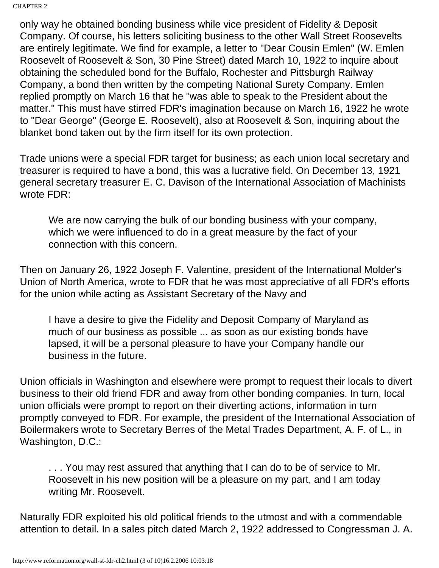only way he obtained bonding business while vice president of Fidelity & Deposit Company. Of course, his letters soliciting business to the other Wall Street Roosevelts are entirely legitimate. We find for example, a letter to "Dear Cousin Emlen" (W. Emlen Roosevelt of Roosevelt & Son, 30 Pine Street) dated March 10, 1922 to inquire about obtaining the scheduled bond for the Buffalo, Rochester and Pittsburgh Railway Company, a bond then written by the competing National Surety Company. Emlen replied promptly on March 16 that he "was able to speak to the President about the matter." This must have stirred FDR's imagination because on March 16, 1922 he wrote to "Dear George" (George E. Roosevelt), also at Roosevelt & Son, inquiring about the blanket bond taken out by the firm itself for its own protection.

Trade unions were a special FDR target for business; as each union local secretary and treasurer is required to have a bond, this was a lucrative field. On December 13, 1921 general secretary treasurer E. C. Davison of the International Association of Machinists wrote FDR:

We are now carrying the bulk of our bonding business with your company, which we were influenced to do in a great measure by the fact of your connection with this concern.

Then on January 26, 1922 Joseph F. Valentine, president of the International Molder's Union of North America, wrote to FDR that he was most appreciative of all FDR's efforts for the union while acting as Assistant Secretary of the Navy and

I have a desire to give the Fidelity and Deposit Company of Maryland as much of our business as possible ... as soon as our existing bonds have lapsed, it will be a personal pleasure to have your Company handle our business in the future.

Union officials in Washington and elsewhere were prompt to request their locals to divert business to their old friend FDR and away from other bonding companies. In turn, local union officials were prompt to report on their diverting actions, information in turn promptly conveyed to FDR. For example, the president of the International Association of Boilermakers wrote to Secretary Berres of the Metal Trades Department, A. F. of L., in Washington, D.C.:

. . . You may rest assured that anything that I can do to be of service to Mr. Roosevelt in his new position will be a pleasure on my part, and I am today writing Mr. Roosevelt.

Naturally FDR exploited his old political friends to the utmost and with a commendable attention to detail. In a sales pitch dated March 2, 1922 addressed to Congressman J. A.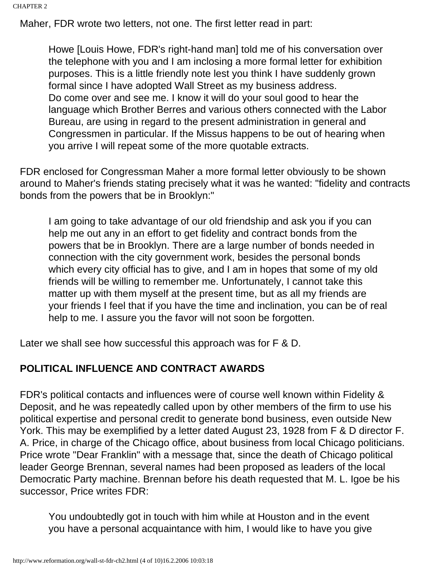Maher, FDR wrote two letters, not one. The first letter read in part:

Howe [Louis Howe, FDR's right-hand man] told me of his conversation over the telephone with you and I am inclosing a more formal letter for exhibition purposes. This is a little friendly note lest you think I have suddenly grown formal since I have adopted Wall Street as my business address. Do come over and see me. I know it will do your soul good to hear the language which Brother Berres and various others connected with the Labor Bureau, are using in regard to the present administration in general and Congressmen in particular. If the Missus happens to be out of hearing when you arrive I will repeat some of the more quotable extracts.

FDR enclosed for Congressman Maher a more formal letter obviously to be shown around to Maher's friends stating precisely what it was he wanted: "fidelity and contracts bonds from the powers that be in Brooklyn:"

I am going to take advantage of our old friendship and ask you if you can help me out any in an effort to get fidelity and contract bonds from the powers that be in Brooklyn. There are a large number of bonds needed in connection with the city government work, besides the personal bonds which every city official has to give, and I am in hopes that some of my old friends will be willing to remember me. Unfortunately, I cannot take this matter up with them myself at the present time, but as all my friends are your friends I feel that if you have the time and inclination, you can be of real help to me. I assure you the favor will not soon be forgotten.

Later we shall see how successful this approach was for F & D.

#### **POLITICAL INFLUENCE AND CONTRACT AWARDS**

FDR's political contacts and influences were of course well known within Fidelity & Deposit, and he was repeatedly called upon by other members of the firm to use his political expertise and personal credit to generate bond business, even outside New York. This may be exemplified by a letter dated August 23, 1928 from F & D director F. A. Price, in charge of the Chicago office, about business from local Chicago politicians. Price wrote "Dear Franklin" with a message that, since the death of Chicago political leader George Brennan, several names had been proposed as leaders of the local Democratic Party machine. Brennan before his death requested that M. L. Igoe be his successor, Price writes FDR:

You undoubtedly got in touch with him while at Houston and in the event you have a personal acquaintance with him, I would like to have you give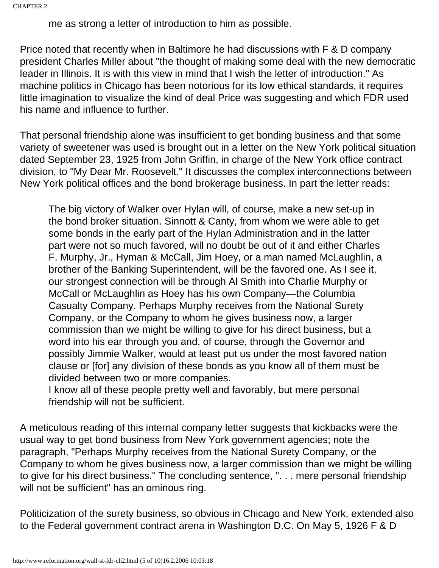me as strong a letter of introduction to him as possible.

Price noted that recently when in Baltimore he had discussions with F & D company president Charles Miller about "the thought of making some deal with the new democratic leader in Illinois. It is with this view in mind that I wish the letter of introduction." As machine politics in Chicago has been notorious for its low ethical standards, it requires little imagination to visualize the kind of deal Price was suggesting and which FDR used his name and influence to further.

That personal friendship alone was insufficient to get bonding business and that some variety of sweetener was used is brought out in a letter on the New York political situation dated September 23, 1925 from John Griffin, in charge of the New York office contract division, to "My Dear Mr. Roosevelt." It discusses the complex interconnections between New York political offices and the bond brokerage business. In part the letter reads:

The big victory of Walker over Hylan will, of course, make a new set-up in the bond broker situation. Sinnott & Canty, from whom we were able to get some bonds in the early part of the Hylan Administration and in the latter part were not so much favored, will no doubt be out of it and either Charles F. Murphy, Jr., Hyman & McCall, Jim Hoey, or a man named McLaughlin, a brother of the Banking Superintendent, will be the favored one. As I see it, our strongest connection will be through Al Smith into Charlie Murphy or McCall or McLaughlin as Hoey has his own Company—the Columbia Casualty Company. Perhaps Murphy receives from the National Surety Company, or the Company to whom he gives business now, a larger commission than we might be willing to give for his direct business, but a word into his ear through you and, of course, through the Governor and possibly Jimmie Walker, would at least put us under the most favored nation clause or [for] any division of these bonds as you know all of them must be divided between two or more companies.

I know all of these people pretty well and favorably, but mere personal friendship will not be sufficient.

A meticulous reading of this internal company letter suggests that kickbacks were the usual way to get bond business from New York government agencies; note the paragraph, "Perhaps Murphy receives from the National Surety Company, or the Company to whom he gives business now, a larger commission than we might be willing to give for his direct business." The concluding sentence, ". . . mere personal friendship will not be sufficient" has an ominous ring.

Politicization of the surety business, so obvious in Chicago and New York, extended also to the Federal government contract arena in Washington D.C. On May 5, 1926 F & D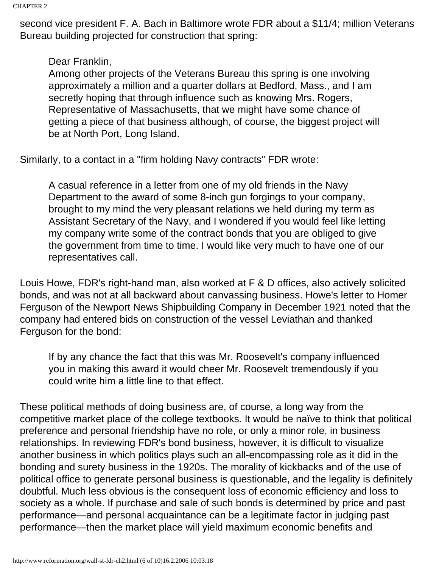second vice president F. A. Bach in Baltimore wrote FDR about a \$11/4; million Veterans Bureau building projected for construction that spring:

#### Dear Franklin,

Among other projects of the Veterans Bureau this spring is one involving approximately a million and a quarter dollars at Bedford, Mass., and I am secretly hoping that through influence such as knowing Mrs. Rogers, Representative of Massachusetts, that we might have some chance of getting a piece of that business although, of course, the biggest project will be at North Port, Long Island.

Similarly, to a contact in a "firm holding Navy contracts" FDR wrote:

A casual reference in a letter from one of my old friends in the Navy Department to the award of some 8-inch gun forgings to your company, brought to my mind the very pleasant relations we held during my term as Assistant Secretary of the Navy, and I wondered if you would feel like letting my company write some of the contract bonds that you are obliged to give the government from time to time. I would like very much to have one of our representatives call.

Louis Howe, FDR's right-hand man, also worked at F & D offices, also actively solicited bonds, and was not at all backward about canvassing business. Howe's letter to Homer Ferguson of the Newport News Shipbuilding Company in December 1921 noted that the company had entered bids on construction of the vessel Leviathan and thanked Ferguson for the bond:

If by any chance the fact that this was Mr. Roosevelt's company influenced you in making this award it would cheer Mr. Roosevelt tremendously if you could write him a little line to that effect.

These political methods of doing business are, of course, a long way from the competitive market place of the college textbooks. It would be naïve to think that political preference and personal friendship have no role, or only a minor role, in business relationships. In reviewing FDR's bond business, however, it is difficult to visualize another business in which politics plays such an all-encompassing role as it did in the bonding and surety business in the 1920s. The morality of kickbacks and of the use of political office to generate personal business is questionable, and the legality is definitely doubtful. Much less obvious is the consequent loss of economic efficiency and loss to society as a whole. If purchase and sale of such bonds is determined by price and past performance—and personal acquaintance can be a legitimate factor in judging past performance—then the market place will yield maximum economic benefits and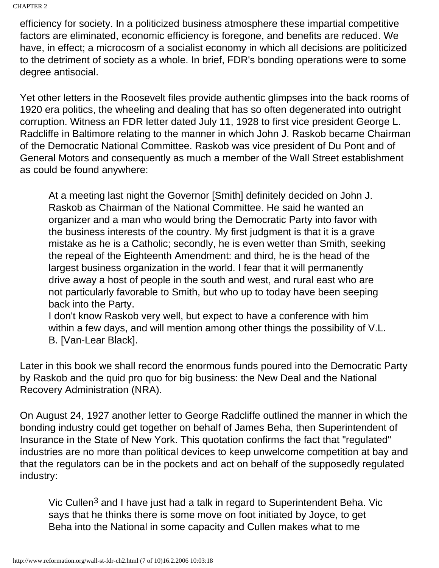efficiency for society. In a politicized business atmosphere these impartial competitive factors are eliminated, economic efficiency is foregone, and benefits are reduced. We have, in effect; a microcosm of a socialist economy in which all decisions are politicized to the detriment of society as a whole. In brief, FDR's bonding operations were to some degree antisocial.

Yet other letters in the Roosevelt files provide authentic glimpses into the back rooms of 1920 era politics, the wheeling and dealing that has so often degenerated into outright corruption. Witness an FDR letter dated July 11, 1928 to first vice president George L. Radcliffe in Baltimore relating to the manner in which John J. Raskob became Chairman of the Democratic National Committee. Raskob was vice president of Du Pont and of General Motors and consequently as much a member of the Wall Street establishment as could be found anywhere:

At a meeting last night the Governor [Smith] definitely decided on John J. Raskob as Chairman of the National Committee. He said he wanted an organizer and a man who would bring the Democratic Party into favor with the business interests of the country. My first judgment is that it is a grave mistake as he is a Catholic; secondly, he is even wetter than Smith, seeking the repeal of the Eighteenth Amendment: and third, he is the head of the largest business organization in the world. I fear that it will permanently drive away a host of people in the south and west, and rural east who are not particularly favorable to Smith, but who up to today have been seeping back into the Party.

I don't know Raskob very well, but expect to have a conference with him within a few days, and will mention among other things the possibility of V.L. B. [Van-Lear Black].

Later in this book we shall record the enormous funds poured into the Democratic Party by Raskob and the quid pro quo for big business: the New Deal and the National Recovery Administration (NRA).

On August 24, 1927 another letter to George Radcliffe outlined the manner in which the bonding industry could get together on behalf of James Beha, then Superintendent of Insurance in the State of New York. This quotation confirms the fact that "regulated" industries are no more than political devices to keep unwelcome competition at bay and that the regulators can be in the pockets and act on behalf of the supposedly regulated industry:

Vic Cullen<sup>3</sup> and I have just had a talk in regard to Superintendent Beha. Vic says that he thinks there is some move on foot initiated by Joyce, to get Beha into the National in some capacity and Cullen makes what to me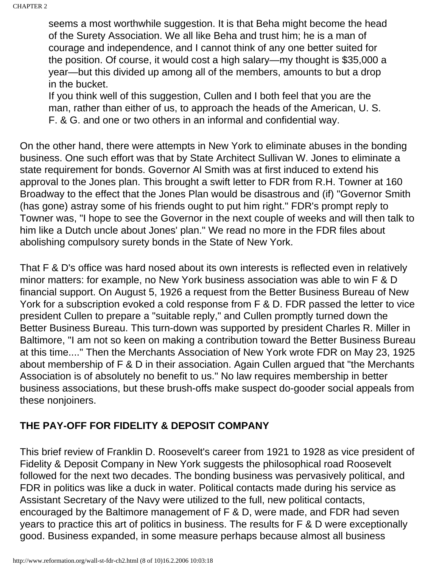seems a most worthwhile suggestion. It is that Beha might become the head of the Surety Association. We all like Beha and trust him; he is a man of courage and independence, and I cannot think of any one better suited for the position. Of course, it would cost a high salary—my thought is \$35,000 a year—but this divided up among all of the members, amounts to but a drop in the bucket.

If you think well of this suggestion, Cullen and I both feel that you are the man, rather than either of us, to approach the heads of the American, U. S. F. & G. and one or two others in an informal and confidential way.

On the other hand, there were attempts in New York to eliminate abuses in the bonding business. One such effort was that by State Architect Sullivan W. Jones to eliminate a state requirement for bonds. Governor Al Smith was at first induced to extend his approval to the Jones plan. This brought a swift letter to FDR from R.H. Towner at 160 Broadway to the effect that the Jones Plan would be disastrous and (if) "Governor Smith (has gone) astray some of his friends ought to put him right." FDR's prompt reply to Towner was, "I hope to see the Governor in the next couple of weeks and will then talk to him like a Dutch uncle about Jones' plan." We read no more in the FDR files about abolishing compulsory surety bonds in the State of New York.

That F & D's office was hard nosed about its own interests is reflected even in relatively minor matters: for example, no New York business association was able to win F & D financial support. On August 5, 1926 a request from the Better Business Bureau of New York for a subscription evoked a cold response from F & D. FDR passed the letter to vice president Cullen to prepare a "suitable reply," and Cullen promptly turned down the Better Business Bureau. This turn-down was supported by president Charles R. Miller in Baltimore, "I am not so keen on making a contribution toward the Better Business Bureau at this time...." Then the Merchants Association of New York wrote FDR on May 23, 1925 about membership of F & D in their association. Again Cullen argued that "the Merchants Association is of absolutely no benefit to us." No law requires membership in better business associations, but these brush-offs make suspect do-gooder social appeals from these nonjoiners.

### **THE PAY-OFF FOR FIDELITY & DEPOSIT COMPANY**

This brief review of Franklin D. Roosevelt's career from 1921 to 1928 as vice president of Fidelity & Deposit Company in New York suggests the philosophical road Roosevelt followed for the next two decades. The bonding business was pervasively political, and FDR in politics was like a duck in water. Political contacts made during his service as Assistant Secretary of the Navy were utilized to the full, new political contacts, encouraged by the Baltimore management of F & D, were made, and FDR had seven years to practice this art of politics in business. The results for F & D were exceptionally good. Business expanded, in some measure perhaps because almost all business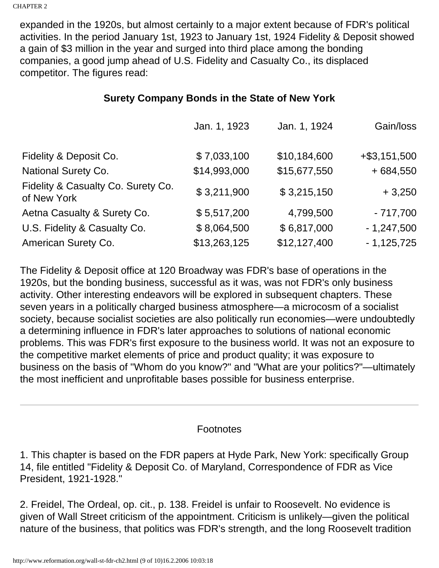expanded in the 1920s, but almost certainly to a major extent because of FDR's political activities. In the period January 1st, 1923 to January 1st, 1924 Fidelity & Deposit showed a gain of \$3 million in the year and surged into third place among the bonding companies, a good jump ahead of U.S. Fidelity and Casualty Co., its displaced competitor. The figures read:

#### **Surety Company Bonds in the State of New York**

|                                                   | Jan. 1, 1923 | Jan. 1, 1924 | Gain/loss       |
|---------------------------------------------------|--------------|--------------|-----------------|
| Fidelity & Deposit Co.                            | \$7,033,100  | \$10,184,600 | $+$ \$3,151,500 |
| <b>National Surety Co.</b>                        | \$14,993,000 | \$15,677,550 | $+684,550$      |
| Fidelity & Casualty Co. Surety Co.<br>of New York | \$3,211,900  | \$3,215,150  | $+3,250$        |
| Aetna Casualty & Surety Co.                       | \$5,517,200  | 4,799,500    | $-717,700$      |
| U.S. Fidelity & Casualty Co.                      | \$8,064,500  | \$6,817,000  | $-1,247,500$    |
| American Surety Co.                               | \$13,263,125 | \$12,127,400 | $-1,125,725$    |

The Fidelity & Deposit office at 120 Broadway was FDR's base of operations in the 1920s, but the bonding business, successful as it was, was not FDR's only business activity. Other interesting endeavors will be explored in subsequent chapters. These seven years in a politically charged business atmosphere—a microcosm of a socialist society, because socialist societies are also politically run economies—were undoubtedly a determining influence in FDR's later approaches to solutions of national economic problems. This was FDR's first exposure to the business world. It was not an exposure to the competitive market elements of price and product quality; it was exposure to business on the basis of "Whom do you know?" and "What are your politics?"—ultimately the most inefficient and unprofitable bases possible for business enterprise.

#### **Footnotes**

1. This chapter is based on the FDR papers at Hyde Park, New York: specifically Group 14, file entitled "Fidelity & Deposit Co. of Maryland, Correspondence of FDR as Vice President, 1921-1928."

2. Freidel, The Ordeal, op. cit., p. 138. Freidel is unfair to Roosevelt. No evidence is given of Wall Street criticism of the appointment. Criticism is unlikely—given the political nature of the business, that politics was FDR's strength, and the long Roosevelt tradition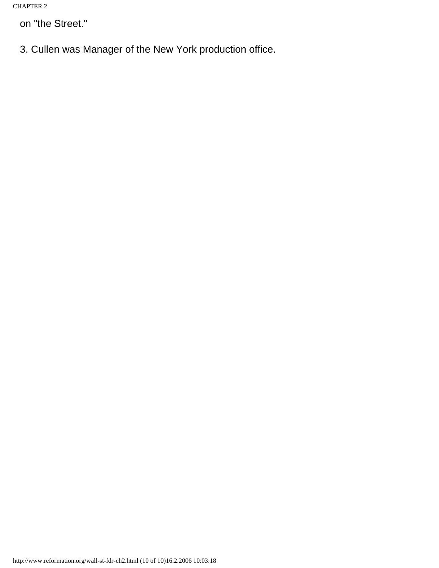on "the Street."

3. Cullen was Manager of the New York production office.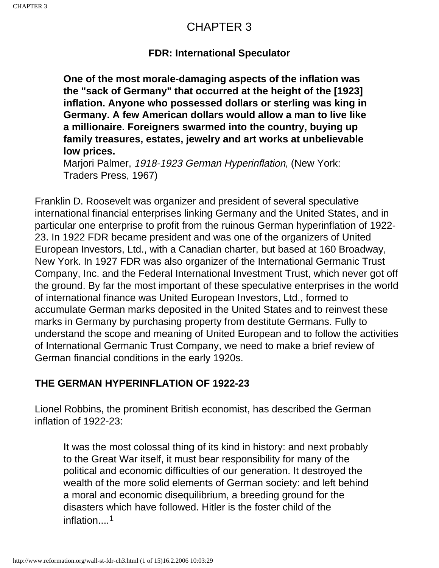#### **FDR: International Speculator**

<span id="page-29-0"></span>**One of the most morale-damaging aspects of the inflation was the "sack of Germany" that occurred at the height of the [1923] inflation. Anyone who possessed dollars or sterling was king in Germany. A few American dollars would allow a man to live like a millionaire. Foreigners swarmed into the country, buying up family treasures, estates, jewelry and art works at unbelievable low prices.**

Marjori Palmer, 1918-1923 German Hyperinflation, (New York: Traders Press, 1967)

Franklin D. Roosevelt was organizer and president of several speculative international financial enterprises linking Germany and the United States, and in particular one enterprise to profit from the ruinous German hyperinflation of 1922- 23. In 1922 FDR became president and was one of the organizers of United European Investors, Ltd., with a Canadian charter, but based at 160 Broadway, New York. In 1927 FDR was also organizer of the International Germanic Trust Company, Inc. and the Federal International Investment Trust, which never got off the ground. By far the most important of these speculative enterprises in the world of international finance was United European Investors, Ltd., formed to accumulate German marks deposited in the United States and to reinvest these marks in Germany by purchasing property from destitute Germans. Fully to understand the scope and meaning of United European and to follow the activities of International Germanic Trust Company, we need to make a brief review of German financial conditions in the early 1920s.

#### **THE GERMAN HYPERINFLATION OF 1922-23**

Lionel Robbins, the prominent British economist, has described the German inflation of 1922-23:

It was the most colossal thing of its kind in history: and next probably to the Great War itself, it must bear responsibility for many of the political and economic difficulties of our generation. It destroyed the wealth of the more solid elements of German society: and left behind a moral and economic disequilibrium, a breeding ground for the disasters which have followed. Hitler is the foster child of the inflation....<sup>1</sup>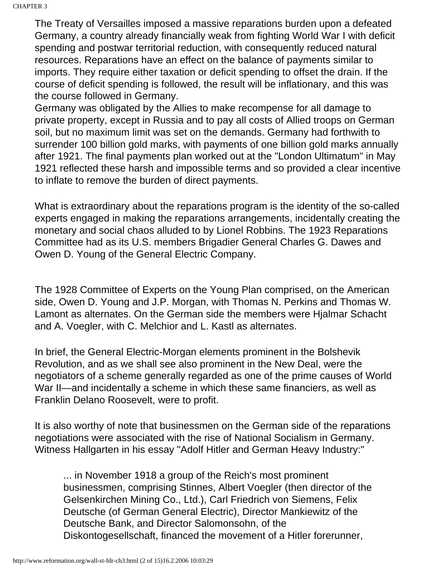The Treaty of Versailles imposed a massive reparations burden upon a defeated Germany, a country already financially weak from fighting World War I with deficit spending and postwar territorial reduction, with consequently reduced natural resources. Reparations have an effect on the balance of payments similar to imports. They require either taxation or deficit spending to offset the drain. If the course of deficit spending is followed, the result will be inflationary, and this was the course followed in Germany.

Germany was obligated by the Allies to make recompense for all damage to private property, except in Russia and to pay all costs of Allied troops on German soil, but no maximum limit was set on the demands. Germany had forthwith to surrender 100 billion gold marks, with payments of one billion gold marks annually after 1921. The final payments plan worked out at the "London Ultimatum" in May 1921 reflected these harsh and impossible terms and so provided a clear incentive to inflate to remove the burden of direct payments.

What is extraordinary about the reparations program is the identity of the so-called experts engaged in making the reparations arrangements, incidentally creating the monetary and social chaos alluded to by Lionel Robbins. The 1923 Reparations Committee had as its U.S. members Brigadier General Charles G. Dawes and Owen D. Young of the General Electric Company.

The 1928 Committee of Experts on the Young Plan comprised, on the American side, Owen D. Young and J.P. Morgan, with Thomas N. Perkins and Thomas W. Lamont as alternates. On the German side the members were Hjalmar Schacht and A. Voegler, with C. Melchior and L. Kastl as alternates.

In brief, the General Electric-Morgan elements prominent in the Bolshevik Revolution, and as we shall see also prominent in the New Deal, were the negotiators of a scheme generally regarded as one of the prime causes of World War II—and incidentally a scheme in which these same financiers, as well as Franklin Delano Roosevelt, were to profit.

It is also worthy of note that businessmen on the German side of the reparations negotiations were associated with the rise of National Socialism in Germany. Witness Hallgarten in his essay "Adolf Hitler and German Heavy Industry:"

... in November 1918 a group of the Reich's most prominent businessmen, comprising Stinnes, Albert Voegler (then director of the Gelsenkirchen Mining Co., Ltd.), Carl Friedrich von Siemens, Felix Deutsche (of German General Electric), Director Mankiewitz of the Deutsche Bank, and Director Salomonsohn, of the Diskontogesellschaft, financed the movement of a Hitler forerunner,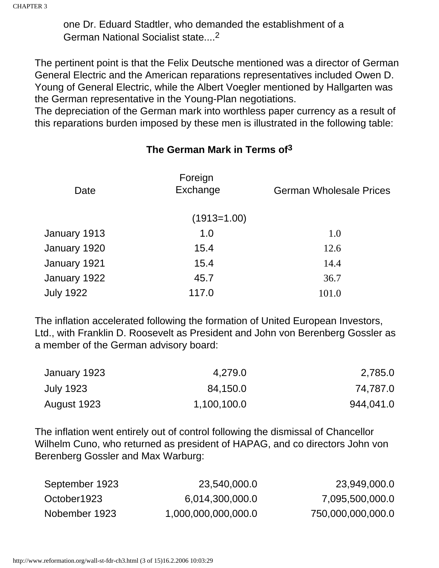one Dr. Eduard Stadtler, who demanded the establishment of a German National Socialist state....2

The pertinent point is that the Felix Deutsche mentioned was a director of German General Electric and the American reparations representatives included Owen D. Young of General Electric, while the Albert Voegler mentioned by Hallgarten was the German representative in the Young-Plan negotiations.

The depreciation of the German mark into worthless paper currency as a result of this reparations burden imposed by these men is illustrated in the following table:

#### **The German Mark in Terms of3**

| Date             | Foreign<br>Exchange | <b>German Wholesale Prices</b> |
|------------------|---------------------|--------------------------------|
|                  | $(1913=1.00)$       |                                |
| January 1913     | 1.0                 | 1.0                            |
| January 1920     | 15.4                | 12.6                           |
| January 1921     | 15.4                | 14.4                           |
| January 1922     | 45.7                | 36.7                           |
| <b>July 1922</b> | 117.0               | 101.0                          |

The inflation accelerated following the formation of United European Investors, Ltd., with Franklin D. Roosevelt as President and John von Berenberg Gossler as a member of the German advisory board:

| January 1923 | 4,279.0     | 2,785.0   |
|--------------|-------------|-----------|
| July 1923    | 84,150.0    | 74,787.0  |
| August 1923  | 1,100,100.0 | 944,041.0 |

The inflation went entirely out of control following the dismissal of Chancellor Wilhelm Cuno, who returned as president of HAPAG, and co directors John von Berenberg Gossler and Max Warburg:

| September 1923 | 23,540,000.0        | 23,949,000.0      |
|----------------|---------------------|-------------------|
| October1923    | 6.014.300.000.0     | 7,095,500,000.0   |
| Nobember 1923  | 1,000,000,000,000.0 | 750,000,000,000.0 |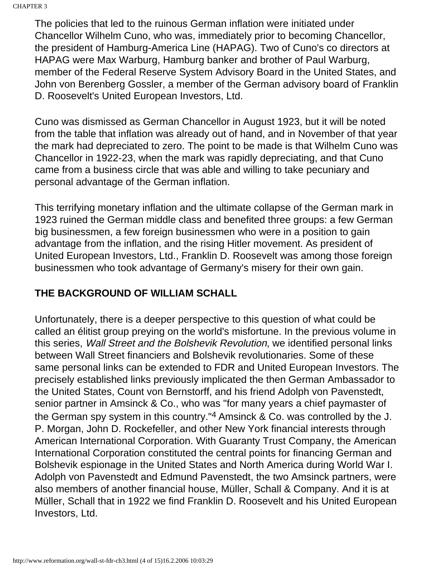The policies that led to the ruinous German inflation were initiated under Chancellor Wilhelm Cuno, who was, immediately prior to becoming Chancellor, the president of Hamburg-America Line (HAPAG). Two of Cuno's co directors at HAPAG were Max Warburg, Hamburg banker and brother of Paul Warburg, member of the Federal Reserve System Advisory Board in the United States, and John von Berenberg Gossler, a member of the German advisory board of Franklin D. Roosevelt's United European Investors, Ltd.

Cuno was dismissed as German Chancellor in August 1923, but it will be noted from the table that inflation was already out of hand, and in November of that year the mark had depreciated to zero. The point to be made is that Wilhelm Cuno was Chancellor in 1922-23, when the mark was rapidly depreciating, and that Cuno came from a business circle that was able and willing to take pecuniary and personal advantage of the German inflation.

This terrifying monetary inflation and the ultimate collapse of the German mark in 1923 ruined the German middle class and benefited three groups: a few German big businessmen, a few foreign businessmen who were in a position to gain advantage from the inflation, and the rising Hitler movement. As president of United European Investors, Ltd., Franklin D. Roosevelt was among those foreign businessmen who took advantage of Germany's misery for their own gain.

### **THE BACKGROUND OF WILLIAM SCHALL**

Unfortunately, there is a deeper perspective to this question of what could be called an élitist group preying on the world's misfortune. In the previous volume in this series, Wall Street and the Bolshevik Revolution, we identified personal links between Wall Street financiers and Bolshevik revolutionaries. Some of these same personal links can be extended to FDR and United European Investors. The precisely established links previously implicated the then German Ambassador to the United States, Count von Bernstorff, and his friend Adolph von Pavenstedt, senior partner in Amsinck & Co., who was "for many years a chief paymaster of the German spy system in this country."4 Amsinck & Co. was controlled by the J. P. Morgan, John D. Rockefeller, and other New York financial interests through American International Corporation. With Guaranty Trust Company, the American International Corporation constituted the central points for financing German and Bolshevik espionage in the United States and North America during World War I. Adolph von Pavenstedt and Edmund Pavenstedt, the two Amsinck partners, were also members of another financial house, Müller, Schall & Company. And it is at Müller, Schall that in 1922 we find Franklin D. Roosevelt and his United European Investors, Ltd.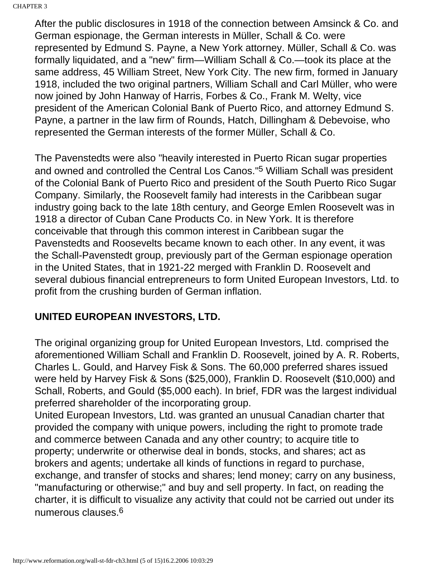After the public disclosures in 1918 of the connection between Amsinck & Co. and German espionage, the German interests in Müller, Schall & Co. were represented by Edmund S. Payne, a New York attorney. Müller, Schall & Co. was formally liquidated, and a "new" firm—William Schall & Co.—took its place at the same address, 45 William Street, New York City. The new firm, formed in January 1918, included the two original partners, William Schall and Carl Müller, who were now joined by John Hanway of Harris, Forbes & Co., Frank M. Welty, vice president of the American Colonial Bank of Puerto Rico, and attorney Edmund S. Payne, a partner in the law firm of Rounds, Hatch, Dillingham & Debevoise, who represented the German interests of the former Müller, Schall & Co.

The Pavenstedts were also "heavily interested in Puerto Rican sugar properties and owned and controlled the Central Los Canos."5 William Schall was president of the Colonial Bank of Puerto Rico and president of the South Puerto Rico Sugar Company. Similarly, the Roosevelt family had interests in the Caribbean sugar industry going back to the late 18th century, and George Emlen Roosevelt was in 1918 a director of Cuban Cane Products Co. in New York. It is therefore conceivable that through this common interest in Caribbean sugar the Pavenstedts and Roosevelts became known to each other. In any event, it was the Schall-Pavenstedt group, previously part of the German espionage operation in the United States, that in 1921-22 merged with Franklin D. Roosevelt and several dubious financial entrepreneurs to form United European Investors, Ltd. to profit from the crushing burden of German inflation.

### **UNITED EUROPEAN INVESTORS, LTD.**

The original organizing group for United European Investors, Ltd. comprised the aforementioned William Schall and Franklin D. Roosevelt, joined by A. R. Roberts, Charles L. Gould, and Harvey Fisk & Sons. The 60,000 preferred shares issued were held by Harvey Fisk & Sons (\$25,000), Franklin D. Roosevelt (\$10,000) and Schall, Roberts, and Gould (\$5,000 each). In brief, FDR was the largest individual preferred shareholder of the incorporating group.

United European Investors, Ltd. was granted an unusual Canadian charter that provided the company with unique powers, including the right to promote trade and commerce between Canada and any other country; to acquire title to property; underwrite or otherwise deal in bonds, stocks, and shares; act as brokers and agents; undertake all kinds of functions in regard to purchase, exchange, and transfer of stocks and shares; lend money; carry on any business, "manufacturing or otherwise;" and buy and sell property. In fact, on reading the charter, it is difficult to visualize any activity that could not be carried out under its numerous clauses.6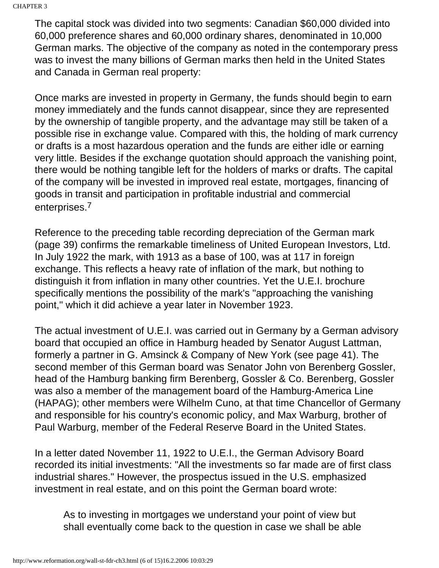The capital stock was divided into two segments: Canadian \$60,000 divided into 60,000 preference shares and 60,000 ordinary shares, denominated in 10,000 German marks. The objective of the company as noted in the contemporary press was to invest the many billions of German marks then held in the United States and Canada in German real property:

Once marks are invested in property in Germany, the funds should begin to earn money immediately and the funds cannot disappear, since they are represented by the ownership of tangible property, and the advantage may still be taken of a possible rise in exchange value. Compared with this, the holding of mark currency or drafts is a most hazardous operation and the funds are either idle or earning very little. Besides if the exchange quotation should approach the vanishing point, there would be nothing tangible left for the holders of marks or drafts. The capital of the company will be invested in improved real estate, mortgages, financing of goods in transit and participation in profitable industrial and commercial enterprises.7

Reference to the preceding table recording depreciation of the German mark (page 39) confirms the remarkable timeliness of United European Investors, Ltd. In July 1922 the mark, with 1913 as a base of 100, was at 117 in foreign exchange. This reflects a heavy rate of inflation of the mark, but nothing to distinguish it from inflation in many other countries. Yet the U.E.I. brochure specifically mentions the possibility of the mark's "approaching the vanishing point," which it did achieve a year later in November 1923.

The actual investment of U.E.I. was carried out in Germany by a German advisory board that occupied an office in Hamburg headed by Senator August Lattman, formerly a partner in G. Amsinck & Company of New York (see page 41). The second member of this German board was Senator John von Berenberg Gossler, head of the Hamburg banking firm Berenberg, Gossler & Co. Berenberg, Gossler was also a member of the management board of the Hamburg-America Line (HAPAG); other members were Wilhelm Cuno, at that time Chancellor of Germany and responsible for his country's economic policy, and Max Warburg, brother of Paul Warburg, member of the Federal Reserve Board in the United States.

In a letter dated November 11, 1922 to U.E.I., the German Advisory Board recorded its initial investments: "All the investments so far made are of first class industrial shares." However, the prospectus issued in the U.S. emphasized investment in real estate, and on this point the German board wrote:

As to investing in mortgages we understand your point of view but shall eventually come back to the question in case we shall be able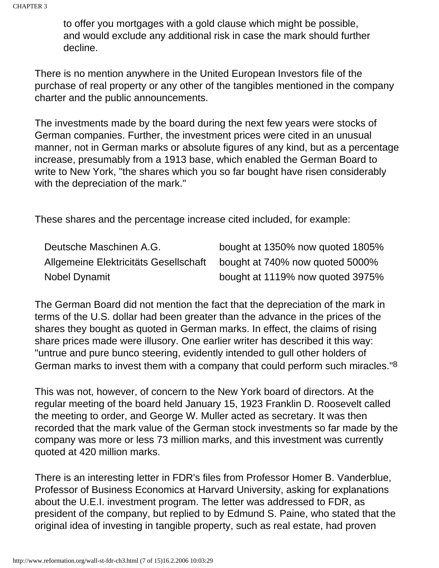to offer you mortgages with a gold clause which might be possible, and would exclude any additional risk in case the mark should further decline.

There is no mention anywhere in the United European Investors file of the purchase of real property or any other of the tangibles mentioned in the company charter and the public announcements.

The investments made by the board during the next few years were stocks of German companies. Further, the investment prices were cited in an unusual manner, not in German marks or absolute figures of any kind, but as a percentage increase, presumably from a 1913 base, which enabled the German Board to write to New York, "the shares which you so far bought have risen considerably with the depreciation of the mark."

These shares and the percentage increase cited included, for example:

Deutsche Maschinen A.G. bought at 1350% now quoted 1805% Allgemeine Elektricitäts Gesellschaft bought at 740% now quoted 5000% Nobel Dynamit bought at 1119% now quoted 3975%

The German Board did not mention the fact that the depreciation of the mark in terms of the U.S. dollar had been greater than the advance in the prices of the shares they bought as quoted in German marks. In effect, the claims of rising share prices made were illusory. One earlier writer has described it this way: "untrue and pure bunco steering, evidently intended to gull other holders of German marks to invest them with a company that could perform such miracles."8

This was not, however, of concern to the New York board of directors. At the regular meeting of the board held January 15, 1923 Franklin D. Roosevelt called the meeting to order, and George W. Muller acted as secretary. It was then recorded that the mark value of the German stock investments so far made by the company was more or less 73 million marks, and this investment was currently quoted at 420 million marks.

There is an interesting letter in FDR's files from Professor Homer B. Vanderblue, Professor of Business Economics at Harvard University, asking for explanations about the U.E.I. investment program. The letter was addressed to FDR, as president of the company, but replied to by Edmund S. Paine, who stated that the original idea of investing in tangible property, such as real estate, had proven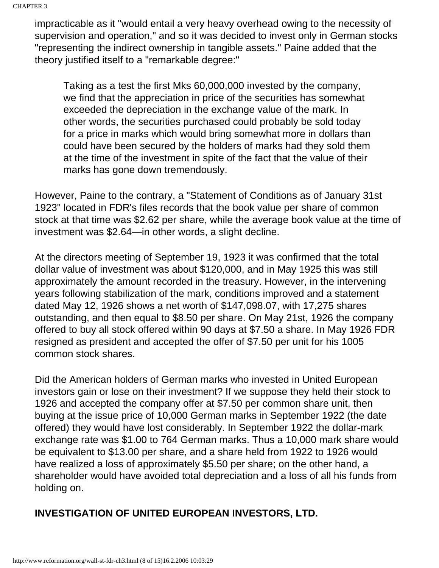impracticable as it "would entail a very heavy overhead owing to the necessity of supervision and operation," and so it was decided to invest only in German stocks "representing the indirect ownership in tangible assets." Paine added that the theory justified itself to a "remarkable degree:"

Taking as a test the first Mks 60,000,000 invested by the company, we find that the appreciation in price of the securities has somewhat exceeded the depreciation in the exchange value of the mark. In other words, the securities purchased could probably be sold today for a price in marks which would bring somewhat more in dollars than could have been secured by the holders of marks had they sold them at the time of the investment in spite of the fact that the value of their marks has gone down tremendously.

However, Paine to the contrary, a "Statement of Conditions as of January 31st 1923" located in FDR's files records that the book value per share of common stock at that time was \$2.62 per share, while the average book value at the time of investment was \$2.64—in other words, a slight decline.

At the directors meeting of September 19, 1923 it was confirmed that the total dollar value of investment was about \$120,000, and in May 1925 this was still approximately the amount recorded in the treasury. However, in the intervening years following stabilization of the mark, conditions improved and a statement dated May 12, 1926 shows a net worth of \$147,098.07, with 17,275 shares outstanding, and then equal to \$8.50 per share. On May 21st, 1926 the company offered to buy all stock offered within 90 days at \$7.50 a share. In May 1926 FDR resigned as president and accepted the offer of \$7.50 per unit for his 1005 common stock shares.

Did the American holders of German marks who invested in United European investors gain or lose on their investment? If we suppose they held their stock to 1926 and accepted the company offer at \$7.50 per common share unit, then buying at the issue price of 10,000 German marks in September 1922 (the date offered) they would have lost considerably. In September 1922 the dollar-mark exchange rate was \$1.00 to 764 German marks. Thus a 10,000 mark share would be equivalent to \$13.00 per share, and a share held from 1922 to 1926 would have realized a loss of approximately \$5.50 per share; on the other hand, a shareholder would have avoided total depreciation and a loss of all his funds from holding on.

## **INVESTIGATION OF UNITED EUROPEAN INVESTORS, LTD.**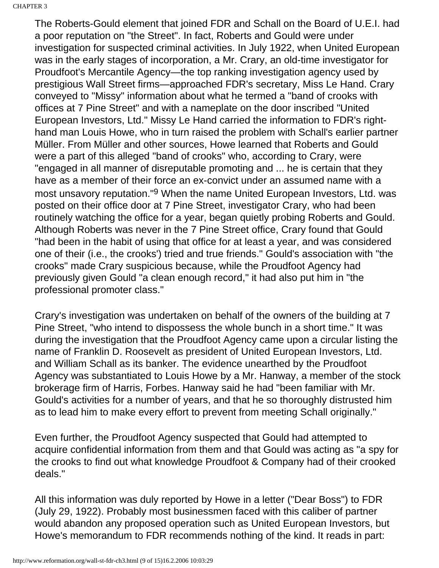The Roberts-Gould element that joined FDR and Schall on the Board of U.E.I. had a poor reputation on "the Street". In fact, Roberts and Gould were under investigation for suspected criminal activities. In July 1922, when United European was in the early stages of incorporation, a Mr. Crary, an old-time investigator for Proudfoot's Mercantile Agency—the top ranking investigation agency used by prestigious Wall Street firms—approached FDR's secretary, Miss Le Hand. Crary conveyed to "Missy" information about what he termed a "band of crooks with offices at 7 Pine Street" and with a nameplate on the door inscribed "United European Investors, Ltd." Missy Le Hand carried the information to FDR's righthand man Louis Howe, who in turn raised the problem with Schall's earlier partner Müller. From Müller and other sources, Howe learned that Roberts and Gould were a part of this alleged "band of crooks" who, according to Crary, were "engaged in all manner of disreputable promoting and ... he is certain that they have as a member of their force an ex-convict under an assumed name with a most unsavory reputation."9 When the name United European Investors, Ltd. was posted on their office door at 7 Pine Street, investigator Crary, who had been routinely watching the office for a year, began quietly probing Roberts and Gould. Although Roberts was never in the 7 Pine Street office, Crary found that Gould "had been in the habit of using that office for at least a year, and was considered one of their (i.e., the crooks') tried and true friends." Gould's association with "the crooks" made Crary suspicious because, while the Proudfoot Agency had previously given Gould "a clean enough record," it had also put him in "the professional promoter class."

Crary's investigation was undertaken on behalf of the owners of the building at 7 Pine Street, "who intend to dispossess the whole bunch in a short time." It was during the investigation that the Proudfoot Agency came upon a circular listing the name of Franklin D. Roosevelt as president of United European Investors, Ltd. and William Schall as its banker. The evidence unearthed by the Proudfoot Agency was substantiated to Louis Howe by a Mr. Hanway, a member of the stock brokerage firm of Harris, Forbes. Hanway said he had "been familiar with Mr. Gould's activities for a number of years, and that he so thoroughly distrusted him as to lead him to make every effort to prevent from meeting Schall originally."

Even further, the Proudfoot Agency suspected that Gould had attempted to acquire confidential information from them and that Gould was acting as "a spy for the crooks to find out what knowledge Proudfoot & Company had of their crooked deals."

All this information was duly reported by Howe in a letter ("Dear Boss") to FDR (July 29, 1922). Probably most businessmen faced with this caliber of partner would abandon any proposed operation such as United European Investors, but Howe's memorandum to FDR recommends nothing of the kind. It reads in part: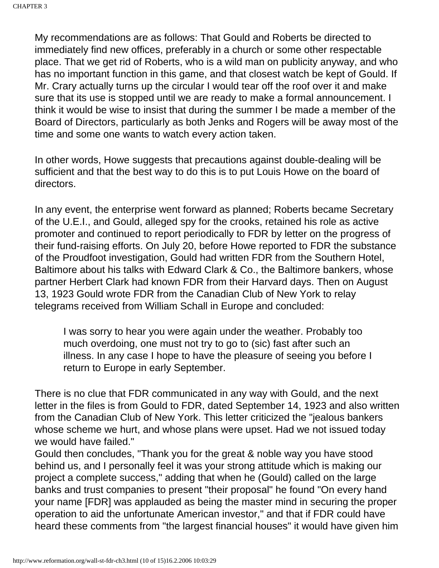My recommendations are as follows: That Gould and Roberts be directed to immediately find new offices, preferably in a church or some other respectable place. That we get rid of Roberts, who is a wild man on publicity anyway, and who has no important function in this game, and that closest watch be kept of Gould. If Mr. Crary actually turns up the circular I would tear off the roof over it and make sure that its use is stopped until we are ready to make a formal announcement. I think it would be wise to insist that during the summer I be made a member of the Board of Directors, particularly as both Jenks and Rogers will be away most of the time and some one wants to watch every action taken.

In other words, Howe suggests that precautions against double-dealing will be sufficient and that the best way to do this is to put Louis Howe on the board of directors.

In any event, the enterprise went forward as planned; Roberts became Secretary of the U.E.I., and Gould, alleged spy for the crooks, retained his role as active promoter and continued to report periodically to FDR by letter on the progress of their fund-raising efforts. On July 20, before Howe reported to FDR the substance of the Proudfoot investigation, Gould had written FDR from the Southern Hotel, Baltimore about his talks with Edward Clark & Co., the Baltimore bankers, whose partner Herbert Clark had known FDR from their Harvard days. Then on August 13, 1923 Gould wrote FDR from the Canadian Club of New York to relay telegrams received from William Schall in Europe and concluded:

I was sorry to hear you were again under the weather. Probably too much overdoing, one must not try to go to (sic) fast after such an illness. In any case I hope to have the pleasure of seeing you before I return to Europe in early September.

There is no clue that FDR communicated in any way with Gould, and the next letter in the files is from Gould to FDR, dated September 14, 1923 and also written from the Canadian Club of New York. This letter criticized the "jealous bankers whose scheme we hurt, and whose plans were upset. Had we not issued today we would have failed."

Gould then concludes, "Thank you for the great & noble way you have stood behind us, and I personally feel it was your strong attitude which is making our project a complete success," adding that when he (Gould) called on the large banks and trust companies to present "their proposal" he found "On every hand your name [FDR] was applauded as being the master mind in securing the proper operation to aid the unfortunate American investor," and that if FDR could have heard these comments from "the largest financial houses" it would have given him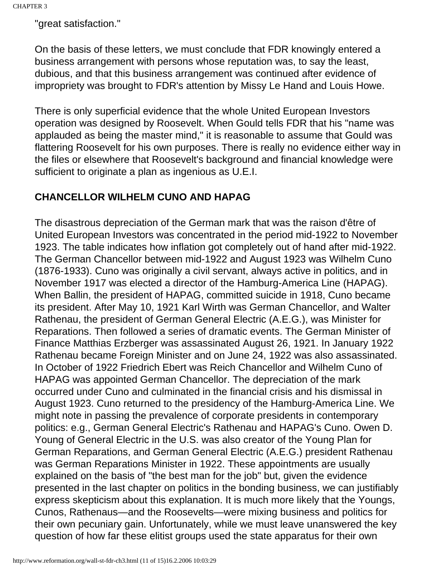"great satisfaction."

On the basis of these letters, we must conclude that FDR knowingly entered a business arrangement with persons whose reputation was, to say the least, dubious, and that this business arrangement was continued after evidence of impropriety was brought to FDR's attention by Missy Le Hand and Louis Howe.

There is only superficial evidence that the whole United European Investors operation was designed by Roosevelt. When Gould tells FDR that his "name was applauded as being the master mind," it is reasonable to assume that Gould was flattering Roosevelt for his own purposes. There is really no evidence either way in the files or elsewhere that Roosevelt's background and financial knowledge were sufficient to originate a plan as ingenious as U.E.I.

### **CHANCELLOR WILHELM CUNO AND HAPAG**

The disastrous depreciation of the German mark that was the raison d'être of United European Investors was concentrated in the period mid-1922 to November 1923. The table indicates how inflation got completely out of hand after mid-1922. The German Chancellor between mid-1922 and August 1923 was Wilhelm Cuno (1876-1933). Cuno was originally a civil servant, always active in politics, and in November 1917 was elected a director of the Hamburg-America Line (HAPAG). When Ballin, the president of HAPAG, committed suicide in 1918, Cuno became its president. After May 10, 1921 Karl Wirth was German Chancellor, and Walter Rathenau, the president of German General Electric (A.E.G.), was Minister for Reparations. Then followed a series of dramatic events. The German Minister of Finance Matthias Erzberger was assassinated August 26, 1921. In January 1922 Rathenau became Foreign Minister and on June 24, 1922 was also assassinated. In October of 1922 Friedrich Ebert was Reich Chancellor and Wilhelm Cuno of HAPAG was appointed German Chancellor. The depreciation of the mark occurred under Cuno and culminated in the financial crisis and his dismissal in August 1923. Cuno returned to the presidency of the Hamburg-America Line. We might note in passing the prevalence of corporate presidents in contemporary politics: e.g., German General Electric's Rathenau and HAPAG's Cuno. Owen D. Young of General Electric in the U.S. was also creator of the Young Plan for German Reparations, and German General Electric (A.E.G.) president Rathenau was German Reparations Minister in 1922. These appointments are usually explained on the basis of "the best man for the job" but, given the evidence presented in the last chapter on politics in the bonding business, we can justifiably express skepticism about this explanation. It is much more likely that the Youngs, Cunos, Rathenaus—and the Roosevelts—were mixing business and politics for their own pecuniary gain. Unfortunately, while we must leave unanswered the key question of how far these elitist groups used the state apparatus for their own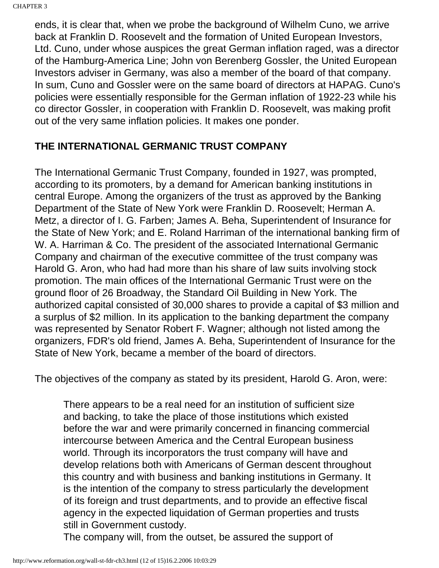ends, it is clear that, when we probe the background of Wilhelm Cuno, we arrive back at Franklin D. Roosevelt and the formation of United European Investors, Ltd. Cuno, under whose auspices the great German inflation raged, was a director of the Hamburg-America Line; John von Berenberg Gossler, the United European Investors adviser in Germany, was also a member of the board of that company. In sum, Cuno and Gossler were on the same board of directors at HAPAG. Cuno's policies were essentially responsible for the German inflation of 1922-23 while his co director Gossler, in cooperation with Franklin D. Roosevelt, was making profit out of the very same inflation policies. It makes one ponder.

## **THE INTERNATIONAL GERMANIC TRUST COMPANY**

The International Germanic Trust Company, founded in 1927, was prompted, according to its promoters, by a demand for American banking institutions in central Europe. Among the organizers of the trust as approved by the Banking Department of the State of New York were Franklin D. Roosevelt; Herman A. Metz, a director of I. G. Farben; James A. Beha, Superintendent of Insurance for the State of New York; and E. Roland Harriman of the international banking firm of W. A. Harriman & Co. The president of the associated International Germanic Company and chairman of the executive committee of the trust company was Harold G. Aron, who had had more than his share of law suits involving stock promotion. The main offices of the International Germanic Trust were on the ground floor of 26 Broadway, the Standard Oil Building in New York. The authorized capital consisted of 30,000 shares to provide a capital of \$3 million and a surplus of \$2 million. In its application to the banking department the company was represented by Senator Robert F. Wagner; although not listed among the organizers, FDR's old friend, James A. Beha, Superintendent of Insurance for the State of New York, became a member of the board of directors.

The objectives of the company as stated by its president, Harold G. Aron, were:

There appears to be a real need for an institution of sufficient size and backing, to take the place of those institutions which existed before the war and were primarily concerned in financing commercial intercourse between America and the Central European business world. Through its incorporators the trust company will have and develop relations both with Americans of German descent throughout this country and with business and banking institutions in Germany. It is the intention of the company to stress particularly the development of its foreign and trust departments, and to provide an effective fiscal agency in the expected liquidation of German properties and trusts still in Government custody.

The company will, from the outset, be assured the support of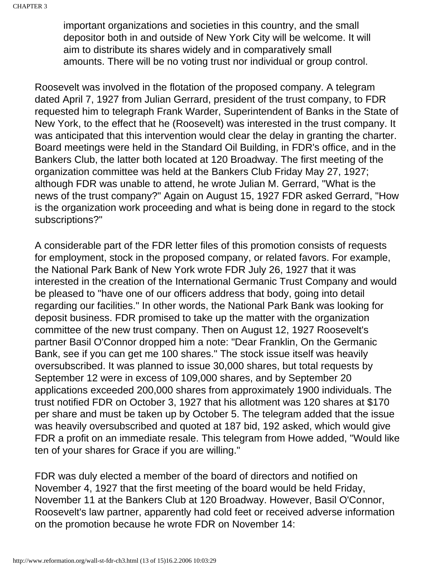important organizations and societies in this country, and the small depositor both in and outside of New York City will be welcome. It will aim to distribute its shares widely and in comparatively small amounts. There will be no voting trust nor individual or group control.

Roosevelt was involved in the flotation of the proposed company. A telegram dated April 7, 1927 from Julian Gerrard, president of the trust company, to FDR requested him to telegraph Frank Warder, Superintendent of Banks in the State of New York, to the effect that he (Roosevelt) was interested in the trust company. It was anticipated that this intervention would clear the delay in granting the charter. Board meetings were held in the Standard Oil Building, in FDR's office, and in the Bankers Club, the latter both located at 120 Broadway. The first meeting of the organization committee was held at the Bankers Club Friday May 27, 1927; although FDR was unable to attend, he wrote Julian M. Gerrard, "What is the news of the trust company?" Again on August 15, 1927 FDR asked Gerrard, "How is the organization work proceeding and what is being done in regard to the stock subscriptions?"

A considerable part of the FDR letter files of this promotion consists of requests for employment, stock in the proposed company, or related favors. For example, the National Park Bank of New York wrote FDR July 26, 1927 that it was interested in the creation of the International Germanic Trust Company and would be pleased to "have one of our officers address that body, going into detail regarding our facilities." In other words, the National Park Bank was looking for deposit business. FDR promised to take up the matter with the organization committee of the new trust company. Then on August 12, 1927 Roosevelt's partner Basil O'Connor dropped him a note: "Dear Franklin, On the Germanic Bank, see if you can get me 100 shares." The stock issue itself was heavily oversubscribed. It was planned to issue 30,000 shares, but total requests by September 12 were in excess of 109,000 shares, and by September 20 applications exceeded 200,000 shares from approximately 1900 individuals. The trust notified FDR on October 3, 1927 that his allotment was 120 shares at \$170 per share and must be taken up by October 5. The telegram added that the issue was heavily oversubscribed and quoted at 187 bid, 192 asked, which would give FDR a profit on an immediate resale. This telegram from Howe added, "Would like ten of your shares for Grace if you are willing."

FDR was duly elected a member of the board of directors and notified on November 4, 1927 that the first meeting of the board would be held Friday, November 11 at the Bankers Club at 120 Broadway. However, Basil O'Connor, Roosevelt's law partner, apparently had cold feet or received adverse information on the promotion because he wrote FDR on November 14: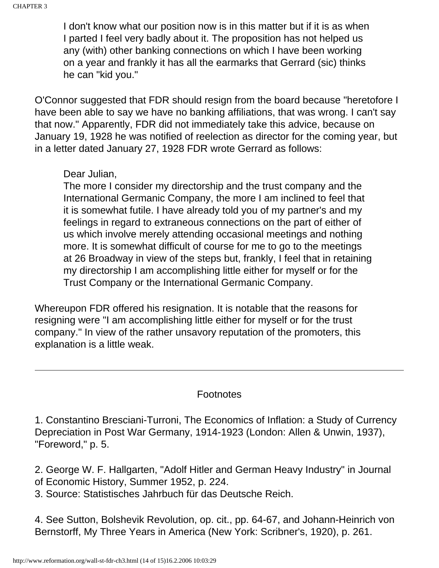I don't know what our position now is in this matter but if it is as when I parted I feel very badly about it. The proposition has not helped us any (with) other banking connections on which I have been working on a year and frankly it has all the earmarks that Gerrard (sic) thinks he can "kid you."

O'Connor suggested that FDR should resign from the board because "heretofore I have been able to say we have no banking affiliations, that was wrong. I can't say that now." Apparently, FDR did not immediately take this advice, because on January 19, 1928 he was notified of reelection as director for the coming year, but in a letter dated January 27, 1928 FDR wrote Gerrard as follows:

#### Dear Julian,

The more I consider my directorship and the trust company and the International Germanic Company, the more I am inclined to feel that it is somewhat futile. I have already told you of my partner's and my feelings in regard to extraneous connections on the part of either of us which involve merely attending occasional meetings and nothing more. It is somewhat difficult of course for me to go to the meetings at 26 Broadway in view of the steps but, frankly, I feel that in retaining my directorship I am accomplishing little either for myself or for the Trust Company or the International Germanic Company.

Whereupon FDR offered his resignation. It is notable that the reasons for resigning were "I am accomplishing little either for myself or for the trust company." In view of the rather unsavory reputation of the promoters, this explanation is a little weak.

#### **Footnotes**

1. Constantino Bresciani-Turroni, The Economics of Inflation: a Study of Currency Depreciation in Post War Germany, 1914-1923 (London: Allen & Unwin, 1937), "Foreword," p. 5.

2. George W. F. Hallgarten, "Adolf Hitler and German Heavy Industry" in Journal of Economic History, Summer 1952, p. 224.

3. Source: Statistisches Jahrbuch für das Deutsche Reich.

4. See Sutton, Bolshevik Revolution, op. cit., pp. 64-67, and Johann-Heinrich von Bernstorff, My Three Years in America (New York: Scribner's, 1920), p. 261.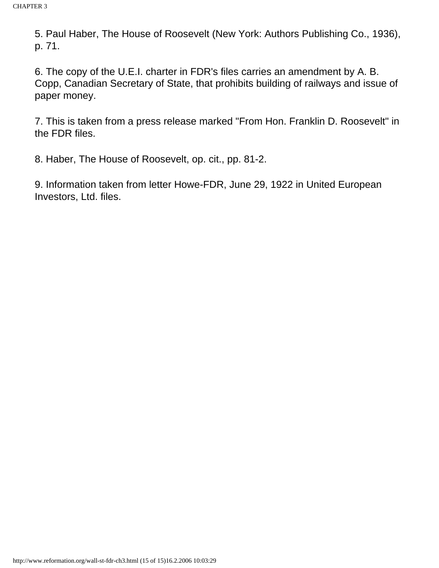5. Paul Haber, The House of Roosevelt (New York: Authors Publishing Co., 1936), p. 71.

6. The copy of the U.E.I. charter in FDR's files carries an amendment by A. B. Copp, Canadian Secretary of State, that prohibits building of railways and issue of paper money.

7. This is taken from a press release marked "From Hon. Franklin D. Roosevelt" in the FDR files.

8. Haber, The House of Roosevelt, op. cit., pp. 81-2.

9. Information taken from letter Howe-FDR, June 29, 1922 in United European Investors, Ltd. files.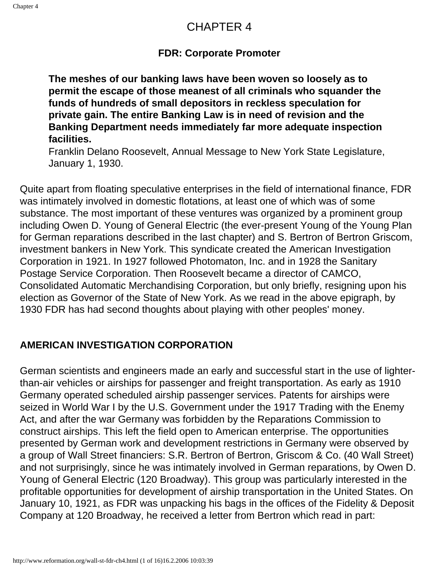# CHAPTER 4

#### **FDR: Corporate Promoter**

**The meshes of our banking laws have been woven so loosely as to permit the escape of those meanest of all criminals who squander the funds of hundreds of small depositors in reckless speculation for private gain. The entire Banking Law is in need of revision and the Banking Department needs immediately far more adequate inspection facilities.**

Franklin Delano Roosevelt, Annual Message to New York State Legislature, January 1, 1930.

Quite apart from floating speculative enterprises in the field of international finance, FDR was intimately involved in domestic flotations, at least one of which was of some substance. The most important of these ventures was organized by a prominent group including Owen D. Young of General Electric (the ever-present Young of the Young Plan for German reparations described in the last chapter) and S. Bertron of Bertron Griscom, investment bankers in New York. This syndicate created the American Investigation Corporation in 1921. In 1927 followed Photomaton, Inc. and in 1928 the Sanitary Postage Service Corporation. Then Roosevelt became a director of CAMCO, Consolidated Automatic Merchandising Corporation, but only briefly, resigning upon his election as Governor of the State of New York. As we read in the above epigraph, by 1930 FDR has had second thoughts about playing with other peoples' money.

#### **AMERICAN INVESTIGATION CORPORATION**

German scientists and engineers made an early and successful start in the use of lighterthan-air vehicles or airships for passenger and freight transportation. As early as 1910 Germany operated scheduled airship passenger services. Patents for airships were seized in World War I by the U.S. Government under the 1917 Trading with the Enemy Act, and after the war Germany was forbidden by the Reparations Commission to construct airships. This left the field open to American enterprise. The opportunities presented by German work and development restrictions in Germany were observed by a group of Wall Street financiers: S.R. Bertron of Bertron, Griscom & Co. (40 Wall Street) and not surprisingly, since he was intimately involved in German reparations, by Owen D. Young of General Electric (120 Broadway). This group was particularly interested in the profitable opportunities for development of airship transportation in the United States. On January 10, 1921, as FDR was unpacking his bags in the offices of the Fidelity & Deposit Company at 120 Broadway, he received a letter from Bertron which read in part: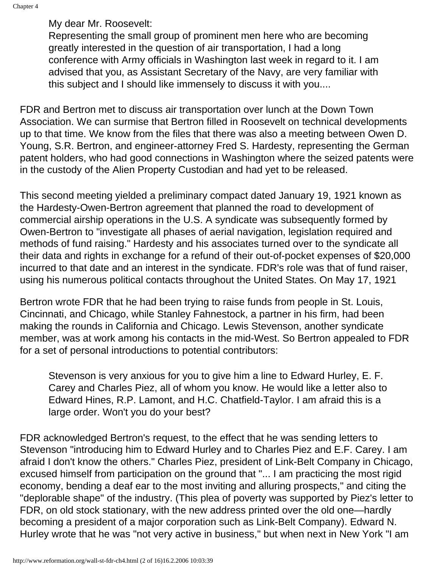My dear Mr. Roosevelt:

Representing the small group of prominent men here who are becoming greatly interested in the question of air transportation, I had a long conference with Army officials in Washington last week in regard to it. I am advised that you, as Assistant Secretary of the Navy, are very familiar with this subject and I should like immensely to discuss it with you....

FDR and Bertron met to discuss air transportation over lunch at the Down Town Association. We can surmise that Bertron filled in Roosevelt on technical developments up to that time. We know from the files that there was also a meeting between Owen D. Young, S.R. Bertron, and engineer-attorney Fred S. Hardesty, representing the German patent holders, who had good connections in Washington where the seized patents were in the custody of the Alien Property Custodian and had yet to be released.

This second meeting yielded a preliminary compact dated January 19, 1921 known as the Hardesty-Owen-Bertron agreement that planned the road to development of commercial airship operations in the U.S. A syndicate was subsequently formed by Owen-Bertron to "investigate all phases of aerial navigation, legislation required and methods of fund raising." Hardesty and his associates turned over to the syndicate all their data and rights in exchange for a refund of their out-of-pocket expenses of \$20,000 incurred to that date and an interest in the syndicate. FDR's role was that of fund raiser, using his numerous political contacts throughout the United States. On May 17, 1921

Bertron wrote FDR that he had been trying to raise funds from people in St. Louis, Cincinnati, and Chicago, while Stanley Fahnestock, a partner in his firm, had been making the rounds in California and Chicago. Lewis Stevenson, another syndicate member, was at work among his contacts in the mid-West. So Bertron appealed to FDR for a set of personal introductions to potential contributors:

Stevenson is very anxious for you to give him a line to Edward Hurley, E. F. Carey and Charles Piez, all of whom you know. He would like a letter also to Edward Hines, R.P. Lamont, and H.C. Chatfield-Taylor. I am afraid this is a large order. Won't you do your best?

FDR acknowledged Bertron's request, to the effect that he was sending letters to Stevenson "introducing him to Edward Hurley and to Charles Piez and E.F. Carey. I am afraid I don't know the others." Charles Piez, president of Link-Belt Company in Chicago, excused himself from participation on the ground that "... I am practicing the most rigid economy, bending a deaf ear to the most inviting and alluring prospects," and citing the "deplorable shape" of the industry. (This plea of poverty was supported by Piez's letter to FDR, on old stock stationary, with the new address printed over the old one—hardly becoming a president of a major corporation such as Link-Belt Company). Edward N. Hurley wrote that he was "not very active in business," but when next in New York "I am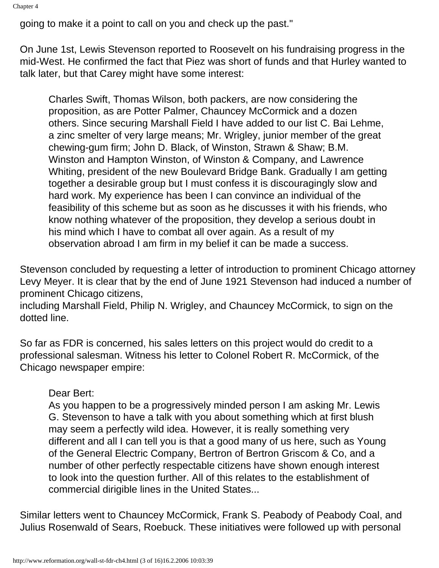going to make it a point to call on you and check up the past."

On June 1st, Lewis Stevenson reported to Roosevelt on his fundraising progress in the mid-West. He confirmed the fact that Piez was short of funds and that Hurley wanted to talk later, but that Carey might have some interest:

Charles Swift, Thomas Wilson, both packers, are now considering the proposition, as are Potter Palmer, Chauncey McCormick and a dozen others. Since securing Marshall Field I have added to our list C. Bai Lehme, a zinc smelter of very large means; Mr. Wrigley, junior member of the great chewing-gum firm; John D. Black, of Winston, Strawn & Shaw; B.M. Winston and Hampton Winston, of Winston & Company, and Lawrence Whiting, president of the new Boulevard Bridge Bank. Gradually I am getting together a desirable group but I must confess it is discouragingly slow and hard work. My experience has been I can convince an individual of the feasibility of this scheme but as soon as he discusses it with his friends, who know nothing whatever of the proposition, they develop a serious doubt in his mind which I have to combat all over again. As a result of my observation abroad I am firm in my belief it can be made a success.

Stevenson concluded by requesting a letter of introduction to prominent Chicago attorney Levy Meyer. It is clear that by the end of June 1921 Stevenson had induced a number of prominent Chicago citizens,

including Marshall Field, Philip N. Wrigley, and Chauncey McCormick, to sign on the dotted line.

So far as FDR is concerned, his sales letters on this project would do credit to a professional salesman. Witness his letter to Colonel Robert R. McCormick, of the Chicago newspaper empire:

#### Dear Bert:

As you happen to be a progressively minded person I am asking Mr. Lewis G. Stevenson to have a talk with you about something which at first blush may seem a perfectly wild idea. However, it is really something very different and all I can tell you is that a good many of us here, such as Young of the General Electric Company, Bertron of Bertron Griscom & Co, and a number of other perfectly respectable citizens have shown enough interest to look into the question further. All of this relates to the establishment of commercial dirigible lines in the United States...

Similar letters went to Chauncey McCormick, Frank S. Peabody of Peabody Coal, and Julius Rosenwald of Sears, Roebuck. These initiatives were followed up with personal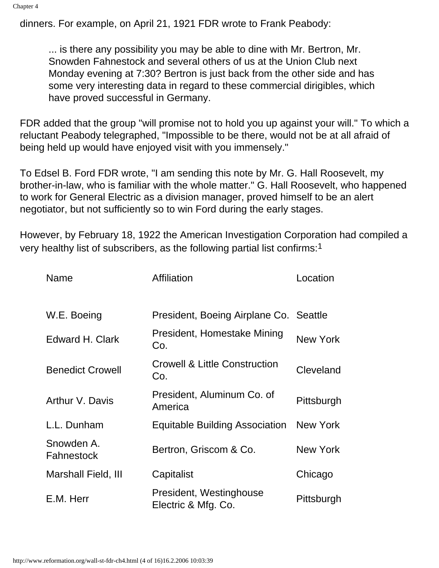dinners. For example, on April 21, 1921 FDR wrote to Frank Peabody:

... is there any possibility you may be able to dine with Mr. Bertron, Mr. Snowden Fahnestock and several others of us at the Union Club next Monday evening at 7:30? Bertron is just back from the other side and has some very interesting data in regard to these commercial dirigibles, which have proved successful in Germany.

FDR added that the group "will promise not to hold you up against your will." To which a reluctant Peabody telegraphed, "Impossible to be there, would not be at all afraid of being held up would have enjoyed visit with you immensely."

To Edsel B. Ford FDR wrote, "I am sending this note by Mr. G. Hall Roosevelt, my brother-in-law, who is familiar with the whole matter." G. Hall Roosevelt, who happened to work for General Electric as a division manager, proved himself to be an alert negotiator, but not sufficiently so to win Ford during the early stages.

However, by February 18, 1922 the American Investigation Corporation had compiled a very healthy list of subscribers, as the following partial list confirms:1

| Name                     | Affiliation                                     | Location   |
|--------------------------|-------------------------------------------------|------------|
| W.E. Boeing              | President, Boeing Airplane Co. Seattle          |            |
| Edward H. Clark          | President, Homestake Mining<br>Co.              | New York   |
| <b>Benedict Crowell</b>  | <b>Crowell &amp; Little Construction</b><br>Co. | Cleveland  |
| <b>Arthur V. Davis</b>   | President, Aluminum Co. of<br>America           | Pittsburgh |
| L.L. Dunham              | <b>Equitable Building Association</b>           | New York   |
| Snowden A.<br>Fahnestock | Bertron, Griscom & Co.                          | New York   |
| Marshall Field, III      | Capitalist                                      | Chicago    |
| E.M. Herr                | President, Westinghouse<br>Electric & Mfg. Co.  | Pittsburgh |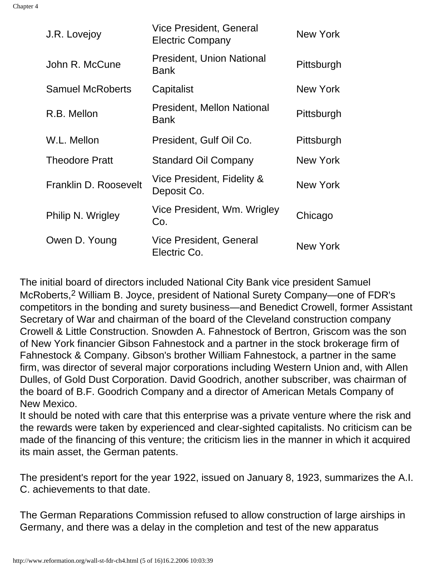| J.R. Lovejoy            | <b>Vice President, General</b><br><b>Electric Company</b> | New York   |
|-------------------------|-----------------------------------------------------------|------------|
| John R. McCune          | <b>President, Union National</b><br><b>Bank</b>           | Pittsburgh |
| <b>Samuel McRoberts</b> | Capitalist                                                | New York   |
| R.B. Mellon             | President, Mellon National<br>Bank                        | Pittsburgh |
| W.L. Mellon             | President, Gulf Oil Co.                                   | Pittsburgh |
| <b>Theodore Pratt</b>   | <b>Standard Oil Company</b>                               | New York   |
| Franklin D. Roosevelt   | Vice President, Fidelity &<br>Deposit Co.                 | New York   |
| Philip N. Wrigley       | Vice President, Wm. Wrigley<br>Co.                        | Chicago    |
| Owen D. Young           | Vice President, General<br>Electric Co.                   | New York   |

The initial board of directors included National City Bank vice president Samuel McRoberts,2 William B. Joyce, president of National Surety Company—one of FDR's competitors in the bonding and surety business—and Benedict Crowell, former Assistant Secretary of War and chairman of the board of the Cleveland construction company Crowell & Little Construction. Snowden A. Fahnestock of Bertron, Griscom was the son of New York financier Gibson Fahnestock and a partner in the stock brokerage firm of Fahnestock & Company. Gibson's brother William Fahnestock, a partner in the same firm, was director of several major corporations including Western Union and, with Allen Dulles, of Gold Dust Corporation. David Goodrich, another subscriber, was chairman of the board of B.F. Goodrich Company and a director of American Metals Company of New Mexico.

It should be noted with care that this enterprise was a private venture where the risk and the rewards were taken by experienced and clear-sighted capitalists. No criticism can be made of the financing of this venture; the criticism lies in the manner in which it acquired its main asset, the German patents.

The president's report for the year 1922, issued on January 8, 1923, summarizes the A.I. C. achievements to that date.

The German Reparations Commission refused to allow construction of large airships in Germany, and there was a delay in the completion and test of the new apparatus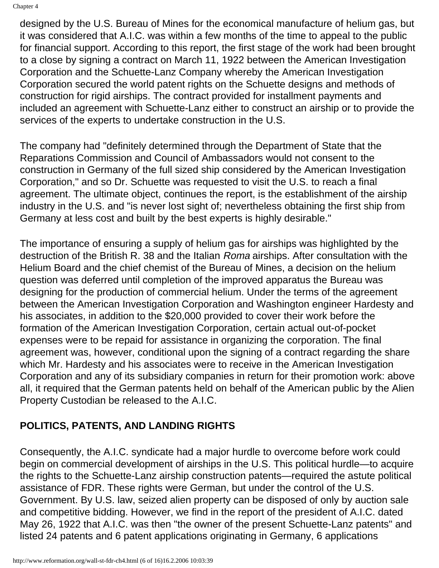designed by the U.S. Bureau of Mines for the economical manufacture of helium gas, but it was considered that A.I.C. was within a few months of the time to appeal to the public for financial support. According to this report, the first stage of the work had been brought to a close by signing a contract on March 11, 1922 between the American Investigation Corporation and the Schuette-Lanz Company whereby the American Investigation Corporation secured the world patent rights on the Schuette designs and methods of construction for rigid airships. The contract provided for installment payments and included an agreement with Schuette-Lanz either to construct an airship or to provide the services of the experts to undertake construction in the U.S.

The company had "definitely determined through the Department of State that the Reparations Commission and Council of Ambassadors would not consent to the construction in Germany of the full sized ship considered by the American Investigation Corporation," and so Dr. Schuette was requested to visit the U.S. to reach a final agreement. The ultimate object, continues the report, is the establishment of the airship industry in the U.S. and "is never lost sight of; nevertheless obtaining the first ship from Germany at less cost and built by the best experts is highly desirable."

The importance of ensuring a supply of helium gas for airships was highlighted by the destruction of the British R. 38 and the Italian Roma airships. After consultation with the Helium Board and the chief chemist of the Bureau of Mines, a decision on the helium question was deferred until completion of the improved apparatus the Bureau was designing for the production of commercial helium. Under the terms of the agreement between the American Investigation Corporation and Washington engineer Hardesty and his associates, in addition to the \$20,000 provided to cover their work before the formation of the American Investigation Corporation, certain actual out-of-pocket expenses were to be repaid for assistance in organizing the corporation. The final agreement was, however, conditional upon the signing of a contract regarding the share which Mr. Hardesty and his associates were to receive in the American Investigation Corporation and any of its subsidiary companies in return for their promotion work: above all, it required that the German patents held on behalf of the American public by the Alien Property Custodian be released to the A.I.C.

# **POLITICS, PATENTS, AND LANDING RIGHTS**

Consequently, the A.I.C. syndicate had a major hurdle to overcome before work could begin on commercial development of airships in the U.S. This political hurdle—to acquire the rights to the Schuette-Lanz airship construction patents—required the astute political assistance of FDR. These rights were German, but under the control of the U.S. Government. By U.S. law, seized alien property can be disposed of only by auction sale and competitive bidding. However, we find in the report of the president of A.I.C. dated May 26, 1922 that A.I.C. was then "the owner of the present Schuette-Lanz patents" and listed 24 patents and 6 patent applications originating in Germany, 6 applications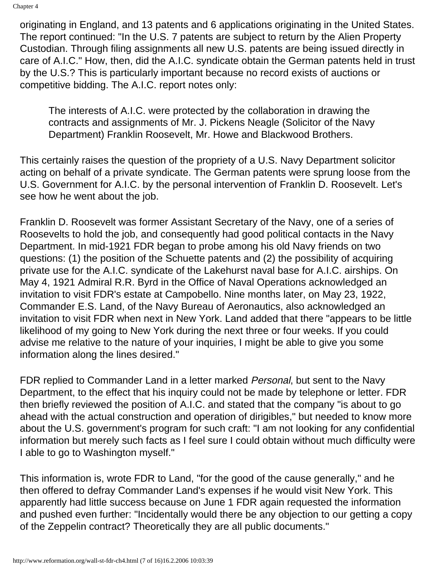originating in England, and 13 patents and 6 applications originating in the United States. The report continued: "In the U.S. 7 patents are subject to return by the Alien Property Custodian. Through filing assignments all new U.S. patents are being issued directly in care of A.I.C." How, then, did the A.I.C. syndicate obtain the German patents held in trust by the U.S.? This is particularly important because no record exists of auctions or competitive bidding. The A.I.C. report notes only:

The interests of A.I.C. were protected by the collaboration in drawing the contracts and assignments of Mr. J. Pickens Neagle (Solicitor of the Navy Department) Franklin Roosevelt, Mr. Howe and Blackwood Brothers.

This certainly raises the question of the propriety of a U.S. Navy Department solicitor acting on behalf of a private syndicate. The German patents were sprung loose from the U.S. Government for A.I.C. by the personal intervention of Franklin D. Roosevelt. Let's see how he went about the job.

Franklin D. Roosevelt was former Assistant Secretary of the Navy, one of a series of Roosevelts to hold the job, and consequently had good political contacts in the Navy Department. In mid-1921 FDR began to probe among his old Navy friends on two questions: (1) the position of the Schuette patents and (2) the possibility of acquiring private use for the A.I.C. syndicate of the Lakehurst naval base for A.I.C. airships. On May 4, 1921 Admiral R.R. Byrd in the Office of Naval Operations acknowledged an invitation to visit FDR's estate at Campobello. Nine months later, on May 23, 1922, Commander E.S. Land, of the Navy Bureau of Aeronautics, also acknowledged an invitation to visit FDR when next in New York. Land added that there "appears to be little likelihood of my going to New York during the next three or four weeks. If you could advise me relative to the nature of your inquiries, I might be able to give you some information along the lines desired."

FDR replied to Commander Land in a letter marked Personal, but sent to the Navy Department, to the effect that his inquiry could not be made by telephone or letter. FDR then briefly reviewed the position of A.I.C. and stated that the company "is about to go ahead with the actual construction and operation of dirigibles," but needed to know more about the U.S. government's program for such craft: "I am not looking for any confidential information but merely such facts as I feel sure I could obtain without much difficulty were I able to go to Washington myself."

This information is, wrote FDR to Land, "for the good of the cause generally," and he then offered to defray Commander Land's expenses if he would visit New York. This apparently had little success because on June 1 FDR again requested the information and pushed even further: "Incidentally would there be any objection to our getting a copy of the Zeppelin contract? Theoretically they are all public documents."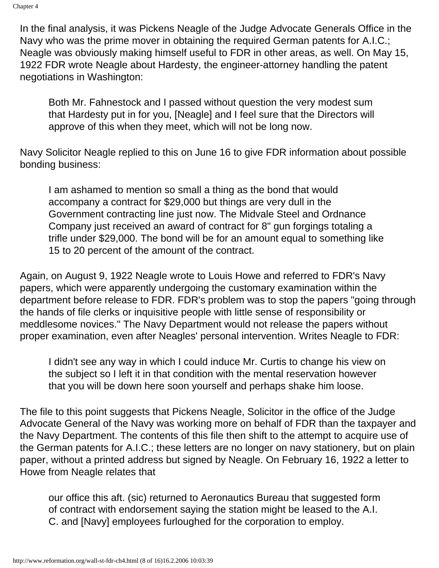In the final analysis, it was Pickens Neagle of the Judge Advocate Generals Office in the Navy who was the prime mover in obtaining the required German patents for A.I.C.; Neagle was obviously making himself useful to FDR in other areas, as well. On May 15, 1922 FDR wrote Neagle about Hardesty, the engineer-attorney handling the patent negotiations in Washington:

Both Mr. Fahnestock and I passed without question the very modest sum that Hardesty put in for you, [Neagle] and I feel sure that the Directors will approve of this when they meet, which will not be long now.

Navy Solicitor Neagle replied to this on June 16 to give FDR information about possible bonding business:

I am ashamed to mention so small a thing as the bond that would accompany a contract for \$29,000 but things are very dull in the Government contracting line just now. The Midvale Steel and Ordnance Company just received an award of contract for 8" gun forgings totaling a trifle under \$29,000. The bond will be for an amount equal to something like 15 to 20 percent of the amount of the contract.

Again, on August 9, 1922 Neagle wrote to Louis Howe and referred to FDR's Navy papers, which were apparently undergoing the customary examination within the department before release to FDR. FDR's problem was to stop the papers "going through the hands of file clerks or inquisitive people with little sense of responsibility or meddlesome novices." The Navy Department would not release the papers without proper examination, even after Neagles' personal intervention. Writes Neagle to FDR:

I didn't see any way in which I could induce Mr. Curtis to change his view on the subject so I left it in that condition with the mental reservation however that you will be down here soon yourself and perhaps shake him loose.

The file to this point suggests that Pickens Neagle, Solicitor in the office of the Judge Advocate General of the Navy was working more on behalf of FDR than the taxpayer and the Navy Department. The contents of this file then shift to the attempt to acquire use of the German patents for A.I.C.; these letters are no longer on navy stationery, but on plain paper, without a printed address but signed by Neagle. On February 16, 1922 a letter to Howe from Neagle relates that

our office this aft. (sic) returned to Aeronautics Bureau that suggested form of contract with endorsement saying the station might be leased to the A.I. C. and [Navy] employees furloughed for the corporation to employ.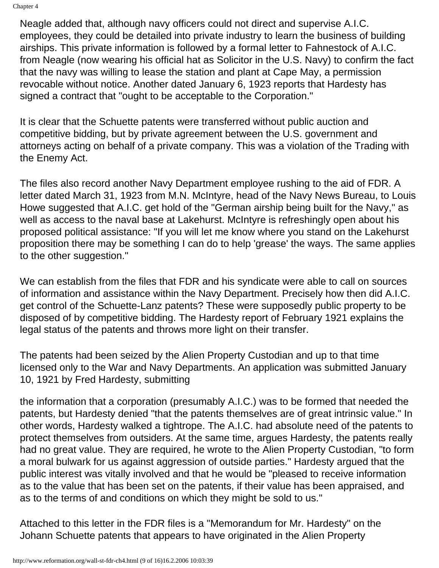Neagle added that, although navy officers could not direct and supervise A.I.C. employees, they could be detailed into private industry to learn the business of building airships. This private information is followed by a formal letter to Fahnestock of A.I.C. from Neagle (now wearing his official hat as Solicitor in the U.S. Navy) to confirm the fact that the navy was willing to lease the station and plant at Cape May, a permission revocable without notice. Another dated January 6, 1923 reports that Hardesty has signed a contract that "ought to be acceptable to the Corporation."

It is clear that the Schuette patents were transferred without public auction and competitive bidding, but by private agreement between the U.S. government and attorneys acting on behalf of a private company. This was a violation of the Trading with the Enemy Act.

The files also record another Navy Department employee rushing to the aid of FDR. A letter dated March 31, 1923 from M.N. McIntyre, head of the Navy News Bureau, to Louis Howe suggested that A.I.C. get hold of the "German airship being built for the Navy," as well as access to the naval base at Lakehurst. McIntyre is refreshingly open about his proposed political assistance: "If you will let me know where you stand on the Lakehurst proposition there may be something I can do to help 'grease' the ways. The same applies to the other suggestion."

We can establish from the files that FDR and his syndicate were able to call on sources of information and assistance within the Navy Department. Precisely how then did A.I.C. get control of the Schuette-Lanz patents? These were supposedly public property to be disposed of by competitive bidding. The Hardesty report of February 1921 explains the legal status of the patents and throws more light on their transfer.

The patents had been seized by the Alien Property Custodian and up to that time licensed only to the War and Navy Departments. An application was submitted January 10, 1921 by Fred Hardesty, submitting

the information that a corporation (presumably A.I.C.) was to be formed that needed the patents, but Hardesty denied "that the patents themselves are of great intrinsic value." In other words, Hardesty walked a tightrope. The A.I.C. had absolute need of the patents to protect themselves from outsiders. At the same time, argues Hardesty, the patents really had no great value. They are required, he wrote to the Alien Property Custodian, "to form a moral bulwark for us against aggression of outside parties." Hardesty argued that the public interest was vitally involved and that he would be "pleased to receive information as to the value that has been set on the patents, if their value has been appraised, and as to the terms of and conditions on which they might be sold to us."

Attached to this letter in the FDR files is a "Memorandum for Mr. Hardesty" on the Johann Schuette patents that appears to have originated in the Alien Property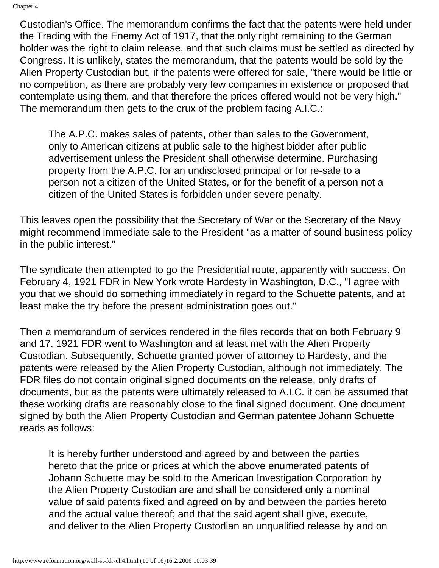Custodian's Office. The memorandum confirms the fact that the patents were held under the Trading with the Enemy Act of 1917, that the only right remaining to the German holder was the right to claim release, and that such claims must be settled as directed by Congress. It is unlikely, states the memorandum, that the patents would be sold by the Alien Property Custodian but, if the patents were offered for sale, "there would be little or no competition, as there are probably very few companies in existence or proposed that contemplate using them, and that therefore the prices offered would not be very high." The memorandum then gets to the crux of the problem facing A.I.C.:

The A.P.C. makes sales of patents, other than sales to the Government, only to American citizens at public sale to the highest bidder after public advertisement unless the President shall otherwise determine. Purchasing property from the A.P.C. for an undisclosed principal or for re-sale to a person not a citizen of the United States, or for the benefit of a person not a citizen of the United States is forbidden under severe penalty.

This leaves open the possibility that the Secretary of War or the Secretary of the Navy might recommend immediate sale to the President "as a matter of sound business policy in the public interest."

The syndicate then attempted to go the Presidential route, apparently with success. On February 4, 1921 FDR in New York wrote Hardesty in Washington, D.C., "I agree with you that we should do something immediately in regard to the Schuette patents, and at least make the try before the present administration goes out."

Then a memorandum of services rendered in the files records that on both February 9 and 17, 1921 FDR went to Washington and at least met with the Alien Property Custodian. Subsequently, Schuette granted power of attorney to Hardesty, and the patents were released by the Alien Property Custodian, although not immediately. The FDR files do not contain original signed documents on the release, only drafts of documents, but as the patents were ultimately released to A.I.C. it can be assumed that these working drafts are reasonably close to the final signed document. One document signed by both the Alien Property Custodian and German patentee Johann Schuette reads as follows:

It is hereby further understood and agreed by and between the parties hereto that the price or prices at which the above enumerated patents of Johann Schuette may be sold to the American Investigation Corporation by the Alien Property Custodian are and shall be considered only a nominal value of said patents fixed and agreed on by and between the parties hereto and the actual value thereof; and that the said agent shall give, execute, and deliver to the Alien Property Custodian an unqualified release by and on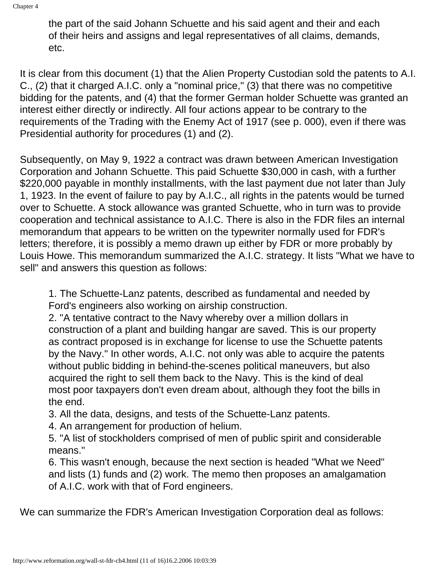the part of the said Johann Schuette and his said agent and their and each of their heirs and assigns and legal representatives of all claims, demands, etc.

It is clear from this document (1) that the Alien Property Custodian sold the patents to A.I. C., (2) that it charged A.I.C. only a "nominal price," (3) that there was no competitive bidding for the patents, and (4) that the former German holder Schuette was granted an interest either directly or indirectly. All four actions appear to be contrary to the requirements of the Trading with the Enemy Act of 1917 (see p. 000), even if there was Presidential authority for procedures (1) and (2).

Subsequently, on May 9, 1922 a contract was drawn between American Investigation Corporation and Johann Schuette. This paid Schuette \$30,000 in cash, with a further \$220,000 payable in monthly installments, with the last payment due not later than July 1, 1923. In the event of failure to pay by A.I.C., all rights in the patents would be turned over to Schuette. A stock allowance was granted Schuette, who in turn was to provide cooperation and technical assistance to A.I.C. There is also in the FDR files an internal memorandum that appears to be written on the typewriter normally used for FDR's letters; therefore, it is possibly a memo drawn up either by FDR or more probably by Louis Howe. This memorandum summarized the A.I.C. strategy. It lists "What we have to sell" and answers this question as follows:

1. The Schuette-Lanz patents, described as fundamental and needed by Ford's engineers also working on airship construction.

2. "A tentative contract to the Navy whereby over a million dollars in construction of a plant and building hangar are saved. This is our property as contract proposed is in exchange for license to use the Schuette patents by the Navy." In other words, A.I.C. not only was able to acquire the patents without public bidding in behind-the-scenes political maneuvers, but also acquired the right to sell them back to the Navy. This is the kind of deal most poor taxpayers don't even dream about, although they foot the bills in the end.

3. All the data, designs, and tests of the Schuette-Lanz patents.

4. An arrangement for production of helium.

5. "A list of stockholders comprised of men of public spirit and considerable means."

6. This wasn't enough, because the next section is headed "What we Need" and lists (1) funds and (2) work. The memo then proposes an amalgamation of A.I.C. work with that of Ford engineers.

We can summarize the FDR's American Investigation Corporation deal as follows: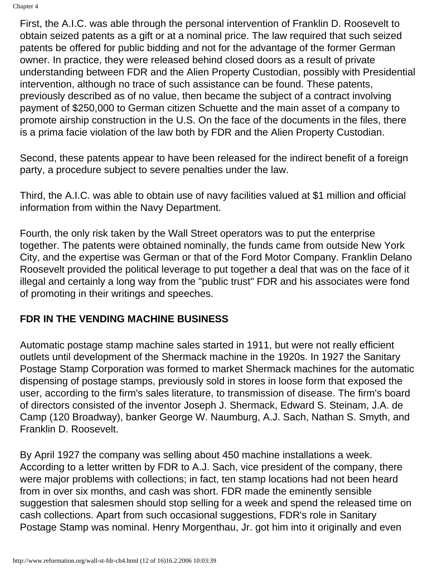First, the A.I.C. was able through the personal intervention of Franklin D. Roosevelt to obtain seized patents as a gift or at a nominal price. The law required that such seized patents be offered for public bidding and not for the advantage of the former German owner. In practice, they were released behind closed doors as a result of private understanding between FDR and the Alien Property Custodian, possibly with Presidential intervention, although no trace of such assistance can be found. These patents, previously described as of no value, then became the subject of a contract involving payment of \$250,000 to German citizen Schuette and the main asset of a company to promote airship construction in the U.S. On the face of the documents in the files, there is a prima facie violation of the law both by FDR and the Alien Property Custodian.

Second, these patents appear to have been released for the indirect benefit of a foreign party, a procedure subject to severe penalties under the law.

Third, the A.I.C. was able to obtain use of navy facilities valued at \$1 million and official information from within the Navy Department.

Fourth, the only risk taken by the Wall Street operators was to put the enterprise together. The patents were obtained nominally, the funds came from outside New York City, and the expertise was German or that of the Ford Motor Company. Franklin Delano Roosevelt provided the political leverage to put together a deal that was on the face of it illegal and certainly a long way from the "public trust" FDR and his associates were fond of promoting in their writings and speeches.

#### **FDR IN THE VENDING MACHINE BUSINESS**

Automatic postage stamp machine sales started in 1911, but were not really efficient outlets until development of the Shermack machine in the 1920s. In 1927 the Sanitary Postage Stamp Corporation was formed to market Shermack machines for the automatic dispensing of postage stamps, previously sold in stores in loose form that exposed the user, according to the firm's sales literature, to transmission of disease. The firm's board of directors consisted of the inventor Joseph J. Shermack, Edward S. Steinam, J.A. de Camp (120 Broadway), banker George W. Naumburg, A.J. Sach, Nathan S. Smyth, and Franklin D. Roosevelt.

By April 1927 the company was selling about 450 machine installations a week. According to a letter written by FDR to A.J. Sach, vice president of the company, there were major problems with collections; in fact, ten stamp locations had not been heard from in over six months, and cash was short. FDR made the eminently sensible suggestion that salesmen should stop selling for a week and spend the released time on cash collections. Apart from such occasional suggestions, FDR's role in Sanitary Postage Stamp was nominal. Henry Morgenthau, Jr. got him into it originally and even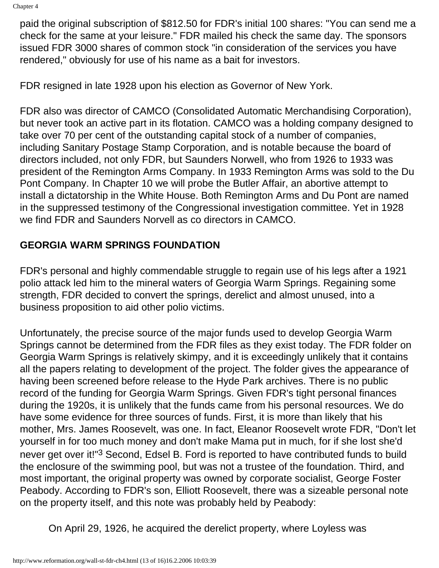paid the original subscription of \$812.50 for FDR's initial 100 shares: "You can send me a check for the same at your leisure." FDR mailed his check the same day. The sponsors issued FDR 3000 shares of common stock "in consideration of the services you have rendered," obviously for use of his name as a bait for investors.

FDR resigned in late 1928 upon his election as Governor of New York.

FDR also was director of CAMCO (Consolidated Automatic Merchandising Corporation), but never took an active part in its flotation. CAMCO was a holding company designed to take over 70 per cent of the outstanding capital stock of a number of companies, including Sanitary Postage Stamp Corporation, and is notable because the board of directors included, not only FDR, but Saunders Norwell, who from 1926 to 1933 was president of the Remington Arms Company. In 1933 Remington Arms was sold to the Du Pont Company. In Chapter 10 we will probe the Butler Affair, an abortive attempt to install a dictatorship in the White House. Both Remington Arms and Du Pont are named in the suppressed testimony of the Congressional investigation committee. Yet in 1928 we find FDR and Saunders Norvell as co directors in CAMCO.

## **GEORGIA WARM SPRINGS FOUNDATION**

FDR's personal and highly commendable struggle to regain use of his legs after a 1921 polio attack led him to the mineral waters of Georgia Warm Springs. Regaining some strength, FDR decided to convert the springs, derelict and almost unused, into a business proposition to aid other polio victims.

Unfortunately, the precise source of the major funds used to develop Georgia Warm Springs cannot be determined from the FDR files as they exist today. The FDR folder on Georgia Warm Springs is relatively skimpy, and it is exceedingly unlikely that it contains all the papers relating to development of the project. The folder gives the appearance of having been screened before release to the Hyde Park archives. There is no public record of the funding for Georgia Warm Springs. Given FDR's tight personal finances during the 1920s, it is unlikely that the funds came from his personal resources. We do have some evidence for three sources of funds. First, it is more than likely that his mother, Mrs. James Roosevelt, was one. In fact, Eleanor Roosevelt wrote FDR, "Don't let yourself in for too much money and don't make Mama put in much, for if she lost she'd never get over it!"3 Second, Edsel B. Ford is reported to have contributed funds to build the enclosure of the swimming pool, but was not a trustee of the foundation. Third, and most important, the original property was owned by corporate socialist, George Foster Peabody. According to FDR's son, Elliott Roosevelt, there was a sizeable personal note on the property itself, and this note was probably held by Peabody:

On April 29, 1926, he acquired the derelict property, where Loyless was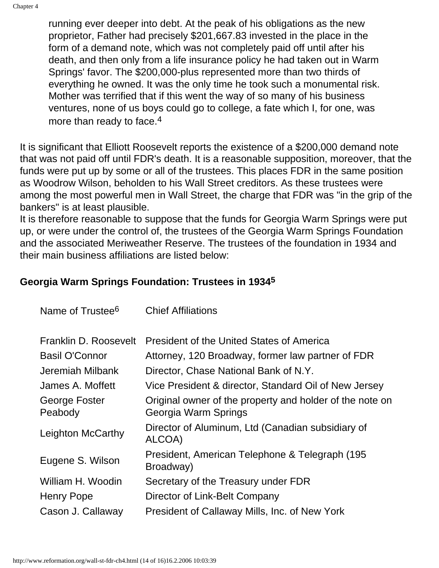running ever deeper into debt. At the peak of his obligations as the new proprietor, Father had precisely \$201,667.83 invested in the place in the form of a demand note, which was not completely paid off until after his death, and then only from a life insurance policy he had taken out in Warm Springs' favor. The \$200,000-plus represented more than two thirds of everything he owned. It was the only time he took such a monumental risk. Mother was terrified that if this went the way of so many of his business ventures, none of us boys could go to college, a fate which I, for one, was more than ready to face.4

It is significant that Elliott Roosevelt reports the existence of a \$200,000 demand note that was not paid off until FDR's death. It is a reasonable supposition, moreover, that the funds were put up by some or all of the trustees. This places FDR in the same position as Woodrow Wilson, beholden to his Wall Street creditors. As these trustees were among the most powerful men in Wall Street, the charge that FDR was "in the grip of the bankers" is at least plausible.

It is therefore reasonable to suppose that the funds for Georgia Warm Springs were put up, or were under the control of, the trustees of the Georgia Warm Springs Foundation and the associated Meriweather Reserve. The trustees of the foundation in 1934 and their main business affiliations are listed below:

#### **Georgia Warm Springs Foundation: Trustees in 19345**

| Name of Trustee <sup>6</sup> | <b>Chief Affiliations</b>                                                        |
|------------------------------|----------------------------------------------------------------------------------|
| Franklin D. Roosevelt        | <b>President of the United States of America</b>                                 |
| <b>Basil O'Connor</b>        | Attorney, 120 Broadway, former law partner of FDR                                |
| Jeremiah Milbank             | Director, Chase National Bank of N.Y.                                            |
| James A. Moffett             | Vice President & director, Standard Oil of New Jersey                            |
| George Foster<br>Peabody     | Original owner of the property and holder of the note on<br>Georgia Warm Springs |
| <b>Leighton McCarthy</b>     | Director of Aluminum, Ltd (Canadian subsidiary of<br>ALCOA)                      |
| Eugene S. Wilson             | President, American Telephone & Telegraph (195<br>Broadway)                      |
| William H. Woodin            | Secretary of the Treasury under FDR                                              |
| Henry Pope                   | Director of Link-Belt Company                                                    |
| Cason J. Callaway            | President of Callaway Mills, Inc. of New York                                    |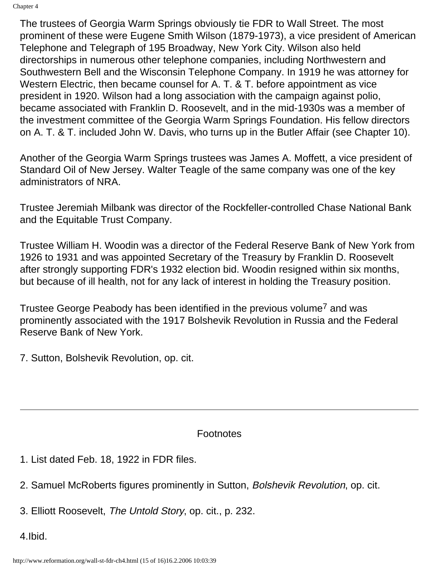The trustees of Georgia Warm Springs obviously tie FDR to Wall Street. The most prominent of these were Eugene Smith Wilson (1879-1973), a vice president of American Telephone and Telegraph of 195 Broadway, New York City. Wilson also held directorships in numerous other telephone companies, including Northwestern and Southwestern Bell and the Wisconsin Telephone Company. In 1919 he was attorney for Western Electric, then became counsel for A. T. & T. before appointment as vice president in 1920. Wilson had a long association with the campaign against polio, became associated with Franklin D. Roosevelt, and in the mid-1930s was a member of the investment committee of the Georgia Warm Springs Foundation. His fellow directors on A. T. & T. included John W. Davis, who turns up in the Butler Affair (see Chapter 10).

Another of the Georgia Warm Springs trustees was James A. Moffett, a vice president of Standard Oil of New Jersey. Walter Teagle of the same company was one of the key administrators of NRA.

Trustee Jeremiah Milbank was director of the Rockfeller-controlled Chase National Bank and the Equitable Trust Company.

Trustee William H. Woodin was a director of the Federal Reserve Bank of New York from 1926 to 1931 and was appointed Secretary of the Treasury by Franklin D. Roosevelt after strongly supporting FDR's 1932 election bid. Woodin resigned within six months, but because of ill health, not for any lack of interest in holding the Treasury position.

Trustee George Peabody has been identified in the previous volume7 and was prominently associated with the 1917 Bolshevik Revolution in Russia and the Federal Reserve Bank of New York.

7. Sutton, Bolshevik Revolution, op. cit.

#### **Footnotes**

- 1. List dated Feb. 18, 1922 in FDR files.
- 2. Samuel McRoberts figures prominently in Sutton, Bolshevik Revolution, op. cit.
- 3. Elliott Roosevelt, The Untold Story, op. cit., p. 232.
- 4.Ibid.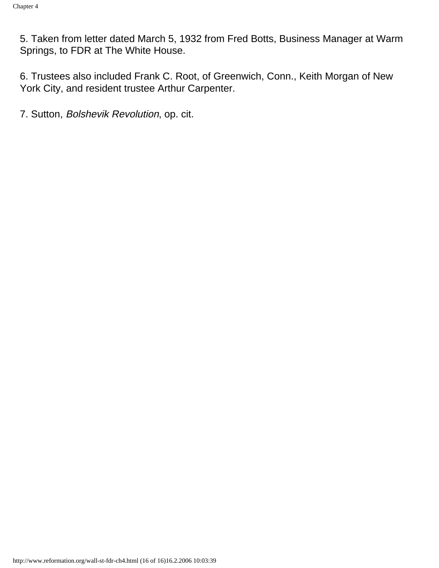5. Taken from letter dated March 5, 1932 from Fred Botts, Business Manager at Warm Springs, to FDR at The White House.

6. Trustees also included Frank C. Root, of Greenwich, Conn., Keith Morgan of New York City, and resident trustee Arthur Carpenter.

7. Sutton, Bolshevik Revolution, op. cit.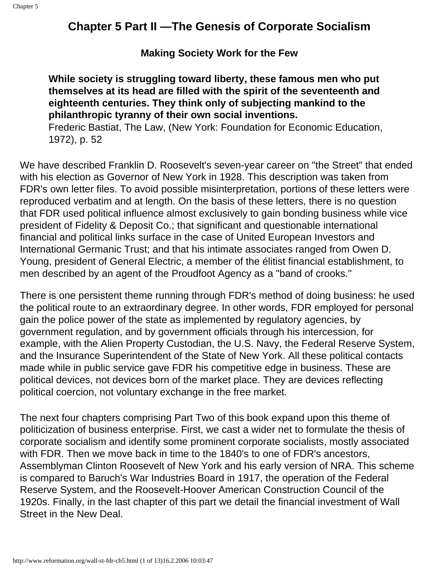# **Chapter 5 Part II —The Genesis of Corporate Socialism**

**Making Society Work for the Few**

**While society is struggling toward liberty, these famous men who put themselves at its head are filled with the spirit of the seventeenth and eighteenth centuries. They think only of subjecting mankind to the philanthropic tyranny of their own social inventions.** 

Frederic Bastiat, The Law, (New York: Foundation for Economic Education, 1972), p. 52

We have described Franklin D. Roosevelt's seven-year career on "the Street" that ended with his election as Governor of New York in 1928. This description was taken from FDR's own letter files. To avoid possible misinterpretation, portions of these letters were reproduced verbatim and at length. On the basis of these letters, there is no question that FDR used political influence almost exclusively to gain bonding business while vice president of Fidelity & Deposit Co.; that significant and questionable international financial and political links surface in the case of United European Investors and International Germanic Trust; and that his intimate associates ranged from Owen D. Young, president of General Electric, a member of the élitist financial establishment, to men described by an agent of the Proudfoot Agency as a "band of crooks."

There is one persistent theme running through FDR's method of doing business: he used the political route to an extraordinary degree. In other words, FDR employed for personal gain the police power of the state as implemented by regulatory agencies, by government regulation, and by government officials through his intercession, for example, with the Alien Property Custodian, the U.S. Navy, the Federal Reserve System, and the Insurance Superintendent of the State of New York. All these political contacts made while in public service gave FDR his competitive edge in business. These are political devices, not devices born of the market place. They are devices reflecting political coercion, not voluntary exchange in the free market.

The next four chapters comprising Part Two of this book expand upon this theme of politicization of business enterprise. First, we cast a wider net to formulate the thesis of corporate socialism and identify some prominent corporate socialists, mostly associated with FDR. Then we move back in time to the 1840's to one of FDR's ancestors, Assemblyman Clinton Roosevelt of New York and his early version of NRA. This scheme is compared to Baruch's War Industries Board in 1917, the operation of the Federal Reserve System, and the Roosevelt-Hoover American Construction Council of the 1920s. Finally, in the last chapter of this part we detail the financial investment of Wall Street in the New Deal.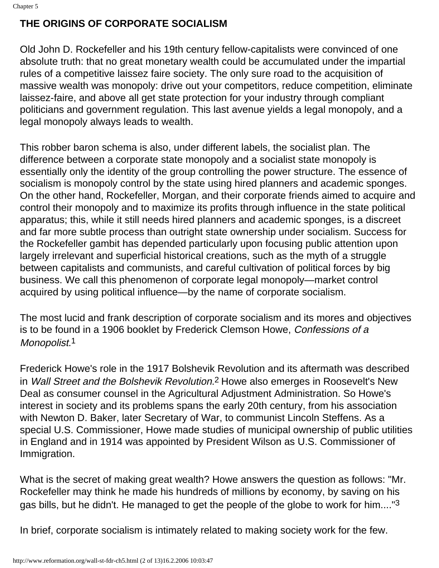## **THE ORIGINS OF CORPORATE SOCIALISM**

Old John D. Rockefeller and his 19th century fellow-capitalists were convinced of one absolute truth: that no great monetary wealth could be accumulated under the impartial rules of a competitive laissez faire society. The only sure road to the acquisition of massive wealth was monopoly: drive out your competitors, reduce competition, eliminate laissez-faire, and above all get state protection for your industry through compliant politicians and government regulation. This last avenue yields a legal monopoly, and a legal monopoly always leads to wealth.

This robber baron schema is also, under different labels, the socialist plan. The difference between a corporate state monopoly and a socialist state monopoly is essentially only the identity of the group controlling the power structure. The essence of socialism is monopoly control by the state using hired planners and academic sponges. On the other hand, Rockefeller, Morgan, and their corporate friends aimed to acquire and control their monopoly and to maximize its profits through influence in the state political apparatus; this, while it still needs hired planners and academic sponges, is a discreet and far more subtle process than outright state ownership under socialism. Success for the Rockefeller gambit has depended particularly upon focusing public attention upon largely irrelevant and superficial historical creations, such as the myth of a struggle between capitalists and communists, and careful cultivation of political forces by big business. We call this phenomenon of corporate legal monopoly—market control acquired by using political influence—by the name of corporate socialism.

The most lucid and frank description of corporate socialism and its mores and objectives is to be found in a 1906 booklet by Frederick Clemson Howe, Confessions of a Monopolist.<sup>1</sup>

Frederick Howe's role in the 1917 Bolshevik Revolution and its aftermath was described in Wall Street and the Bolshevik Revolution.<sup>2</sup> Howe also emerges in Roosevelt's New Deal as consumer counsel in the Agricultural Adjustment Administration. So Howe's interest in society and its problems spans the early 20th century, from his association with Newton D. Baker, later Secretary of War, to communist Lincoln Steffens. As a special U.S. Commissioner, Howe made studies of municipal ownership of public utilities in England and in 1914 was appointed by President Wilson as U.S. Commissioner of Immigration.

What is the secret of making great wealth? Howe answers the question as follows: "Mr. Rockefeller may think he made his hundreds of millions by economy, by saving on his gas bills, but he didn't. He managed to get the people of the globe to work for him...."3

In brief, corporate socialism is intimately related to making society work for the few.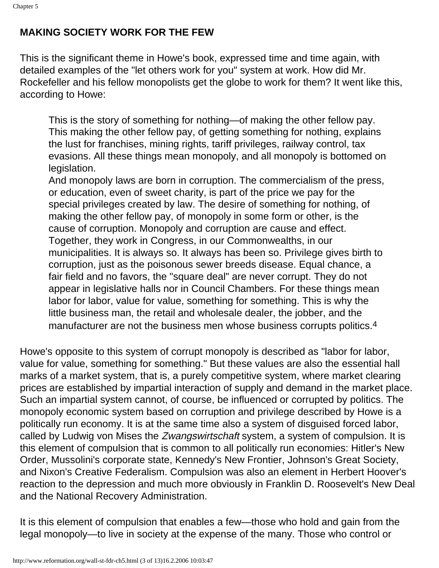#### **MAKING SOCIETY WORK FOR THE FEW**

This is the significant theme in Howe's book, expressed time and time again, with detailed examples of the "let others work for you" system at work. How did Mr. Rockefeller and his fellow monopolists get the globe to work for them? It went like this, according to Howe:

This is the story of something for nothing—of making the other fellow pay. This making the other fellow pay, of getting something for nothing, explains the lust for franchises, mining rights, tariff privileges, railway control, tax evasions. All these things mean monopoly, and all monopoly is bottomed on legislation.

And monopoly laws are born in corruption. The commercialism of the press, or education, even of sweet charity, is part of the price we pay for the special privileges created by law. The desire of something for nothing, of making the other fellow pay, of monopoly in some form or other, is the cause of corruption. Monopoly and corruption are cause and effect. Together, they work in Congress, in our Commonwealths, in our municipalities. It is always so. It always has been so. Privilege gives birth to corruption, just as the poisonous sewer breeds disease. Equal chance, a fair field and no favors, the "square deal" are never corrupt. They do not appear in legislative halls nor in Council Chambers. For these things mean labor for labor, value for value, something for something. This is why the little business man, the retail and wholesale dealer, the jobber, and the manufacturer are not the business men whose business corrupts politics.<sup>4</sup>

Howe's opposite to this system of corrupt monopoly is described as "labor for labor, value for value, something for something." But these values are also the essential hall marks of a market system, that is, a purely competitive system, where market clearing prices are established by impartial interaction of supply and demand in the market place. Such an impartial system cannot, of course, be influenced or corrupted by politics. The monopoly economic system based on corruption and privilege described by Howe is a politically run economy. It is at the same time also a system of disguised forced labor, called by Ludwig von Mises the Zwangswirtschaft system, a system of compulsion. It is this element of compulsion that is common to all politically run economies: Hitler's New Order, Mussolini's corporate state, Kennedy's New Frontier, Johnson's Great Society, and Nixon's Creative Federalism. Compulsion was also an element in Herbert Hoover's reaction to the depression and much more obviously in Franklin D. Roosevelt's New Deal and the National Recovery Administration.

It is this element of compulsion that enables a few—those who hold and gain from the legal monopoly—to live in society at the expense of the many. Those who control or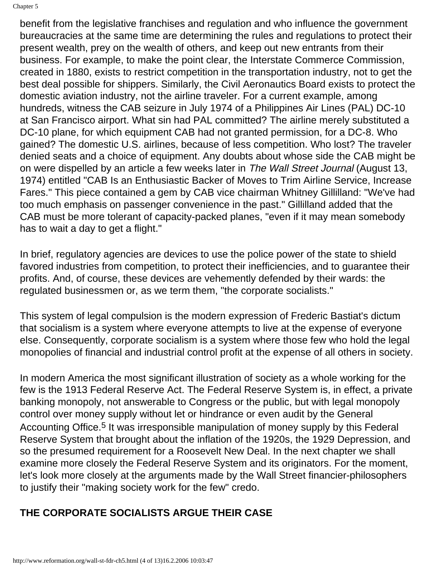benefit from the legislative franchises and regulation and who influence the government bureaucracies at the same time are determining the rules and regulations to protect their present wealth, prey on the wealth of others, and keep out new entrants from their business. For example, to make the point clear, the Interstate Commerce Commission, created in 1880, exists to restrict competition in the transportation industry, not to get the best deal possible for shippers. Similarly, the Civil Aeronautics Board exists to protect the domestic aviation industry, not the airline traveler. For a current example, among hundreds, witness the CAB seizure in July 1974 of a Philippines Air Lines (PAL) DC-10 at San Francisco airport. What sin had PAL committed? The airline merely substituted a DC-10 plane, for which equipment CAB had not granted permission, for a DC-8. Who gained? The domestic U.S. airlines, because of less competition. Who lost? The traveler denied seats and a choice of equipment. Any doubts about whose side the CAB might be on were dispelled by an article a few weeks later in The Wall Street Journal (August 13, 1974) entitled "CAB Is an Enthusiastic Backer of Moves to Trim Airline Service, Increase Fares." This piece contained a gem by CAB vice chairman Whitney Gillilland: "We've had too much emphasis on passenger convenience in the past." Gillilland added that the CAB must be more tolerant of capacity-packed planes, "even if it may mean somebody has to wait a day to get a flight."

In brief, regulatory agencies are devices to use the police power of the state to shield favored industries from competition, to protect their inefficiencies, and to guarantee their profits. And, of course, these devices are vehemently defended by their wards: the regulated businessmen or, as we term them, "the corporate socialists."

This system of legal compulsion is the modern expression of Frederic Bastiat's dictum that socialism is a system where everyone attempts to live at the expense of everyone else. Consequently, corporate socialism is a system where those few who hold the legal monopolies of financial and industrial control profit at the expense of all others in society.

In modern America the most significant illustration of society as a whole working for the few is the 1913 Federal Reserve Act. The Federal Reserve System is, in effect, a private banking monopoly, not answerable to Congress or the public, but with legal monopoly control over money supply without let or hindrance or even audit by the General Accounting Office.<sup>5</sup> It was irresponsible manipulation of money supply by this Federal Reserve System that brought about the inflation of the 1920s, the 1929 Depression, and so the presumed requirement for a Roosevelt New Deal. In the next chapter we shall examine more closely the Federal Reserve System and its originators. For the moment, let's look more closely at the arguments made by the Wall Street financier-philosophers to justify their "making society work for the few" credo.

# **THE CORPORATE SOCIALISTS ARGUE THEIR CASE**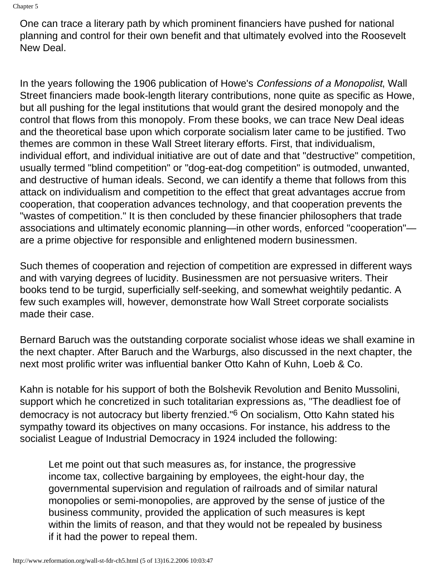One can trace a literary path by which prominent financiers have pushed for national planning and control for their own benefit and that ultimately evolved into the Roosevelt New Deal.

In the years following the 1906 publication of Howe's Confessions of a Monopolist, Wall Street financiers made book-length literary contributions, none quite as specific as Howe, but all pushing for the legal institutions that would grant the desired monopoly and the control that flows from this monopoly. From these books, we can trace New Deal ideas and the theoretical base upon which corporate socialism later came to be justified. Two themes are common in these Wall Street literary efforts. First, that individualism, individual effort, and individual initiative are out of date and that "destructive" competition, usually termed "blind competition" or "dog-eat-dog competition" is outmoded, unwanted, and destructive of human ideals. Second, we can identify a theme that follows from this attack on individualism and competition to the effect that great advantages accrue from cooperation, that cooperation advances technology, and that cooperation prevents the "wastes of competition." It is then concluded by these financier philosophers that trade associations and ultimately economic planning—in other words, enforced "cooperation" are a prime objective for responsible and enlightened modern businessmen.

Such themes of cooperation and rejection of competition are expressed in different ways and with varying degrees of lucidity. Businessmen are not persuasive writers. Their books tend to be turgid, superficially self-seeking, and somewhat weightily pedantic. A few such examples will, however, demonstrate how Wall Street corporate socialists made their case.

Bernard Baruch was the outstanding corporate socialist whose ideas we shall examine in the next chapter. After Baruch and the Warburgs, also discussed in the next chapter, the next most prolific writer was influential banker Otto Kahn of Kuhn, Loeb & Co.

Kahn is notable for his support of both the Bolshevik Revolution and Benito Mussolini, support which he concretized in such totalitarian expressions as, "The deadliest foe of democracy is not autocracy but liberty frenzied."6 On socialism, Otto Kahn stated his sympathy toward its objectives on many occasions. For instance, his address to the socialist League of Industrial Democracy in 1924 included the following:

Let me point out that such measures as, for instance, the progressive income tax, collective bargaining by employees, the eight-hour day, the governmental supervision and regulation of railroads and of similar natural monopolies or semi-monopolies, are approved by the sense of justice of the business community, provided the application of such measures is kept within the limits of reason, and that they would not be repealed by business if it had the power to repeal them.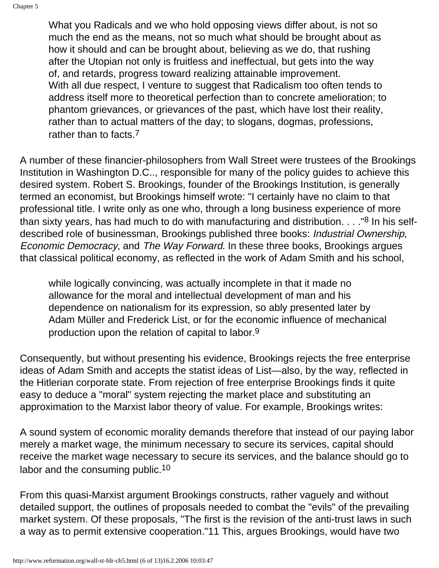What you Radicals and we who hold opposing views differ about, is not so much the end as the means, not so much what should be brought about as how it should and can be brought about, believing as we do, that rushing after the Utopian not only is fruitless and ineffectual, but gets into the way of, and retards, progress toward realizing attainable improvement. With all due respect, I venture to suggest that Radicalism too often tends to address itself more to theoretical perfection than to concrete amelioration; to phantom grievances, or grievances of the past, which have lost their reality, rather than to actual matters of the day; to slogans, dogmas, professions, rather than to facts.7

A number of these financier-philosophers from Wall Street were trustees of the Brookings Institution in Washington D.C.., responsible for many of the policy guides to achieve this desired system. Robert S. Brookings, founder of the Brookings Institution, is generally termed an economist, but Brookings himself wrote: "I certainly have no claim to that professional title. I write only as one who, through a long business experience of more than sixty years, has had much to do with manufacturing and distribution. . . ."8 In his selfdescribed role of businessman, Brookings published three books: Industrial Ownership, Economic Democracy, and The Way Forward. In these three books, Brookings argues that classical political economy, as reflected in the work of Adam Smith and his school,

while logically convincing, was actually incomplete in that it made no allowance for the moral and intellectual development of man and his dependence on nationalism for its expression, so ably presented later by Adam Müller and Frederick List, or for the economic influence of mechanical production upon the relation of capital to labor.9

Consequently, but without presenting his evidence, Brookings rejects the free enterprise ideas of Adam Smith and accepts the statist ideas of List—also, by the way, reflected in the Hitlerian corporate state. From rejection of free enterprise Brookings finds it quite easy to deduce a "moral" system rejecting the market place and substituting an approximation to the Marxist labor theory of value. For example, Brookings writes:

A sound system of economic morality demands therefore that instead of our paying labor merely a market wage, the minimum necessary to secure its services, capital should receive the market wage necessary to secure its services, and the balance should go to labor and the consuming public.<sup>10</sup>

From this quasi-Marxist argument Brookings constructs, rather vaguely and without detailed support, the outlines of proposals needed to combat the "evils" of the prevailing market system. Of these proposals, "The first is the revision of the anti-trust laws in such a way as to permit extensive cooperation."11 This, argues Brookings, would have two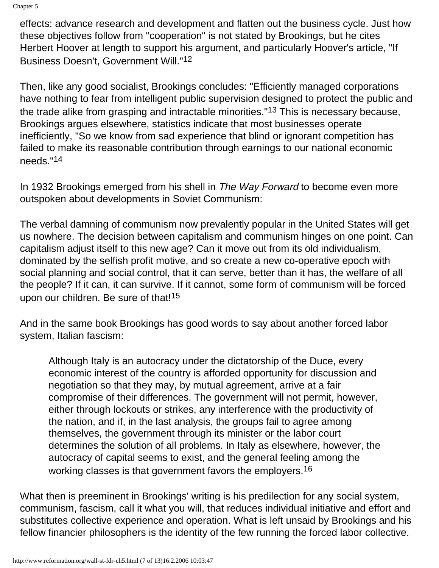effects: advance research and development and flatten out the business cycle. Just how these objectives follow from "cooperation" is not stated by Brookings, but he cites Herbert Hoover at length to support his argument, and particularly Hoover's article, "If Business Doesn't, Government Will."12

Then, like any good socialist, Brookings concludes: "Efficiently managed corporations have nothing to fear from intelligent public supervision designed to protect the public and the trade alike from grasping and intractable minorities."13 This is necessary because, Brookings argues elsewhere, statistics indicate that most businesses operate inefficiently, "So we know from sad experience that blind or ignorant competition has failed to make its reasonable contribution through earnings to our national economic needs."14

In 1932 Brookings emerged from his shell in The Way Forward to become even more outspoken about developments in Soviet Communism:

The verbal damning of communism now prevalently popular in the United States will get us nowhere. The decision between capitalism and communism hinges on one point. Can capitalism adjust itself to this new age? Can it move out from its old individualism, dominated by the selfish profit motive, and so create a new co-operative epoch with social planning and social control, that it can serve, better than it has, the welfare of all the people? If it can, it can survive. If it cannot, some form of communism will be forced upon our children. Be sure of that!<sup>15</sup>

And in the same book Brookings has good words to say about another forced labor system, Italian fascism:

Although Italy is an autocracy under the dictatorship of the Duce, every economic interest of the country is afforded opportunity for discussion and negotiation so that they may, by mutual agreement, arrive at a fair compromise of their differences. The government will not permit, however, either through lockouts or strikes, any interference with the productivity of the nation, and if, in the last analysis, the groups fail to agree among themselves, the government through its minister or the labor court determines the solution of all problems. In Italy as elsewhere, however, the autocracy of capital seems to exist, and the general feeling among the working classes is that government favors the employers.<sup>16</sup>

What then is preeminent in Brookings' writing is his predilection for any social system, communism, fascism, call it what you will, that reduces individual initiative and effort and substitutes collective experience and operation. What is left unsaid by Brookings and his fellow financier philosophers is the identity of the few running the forced labor collective.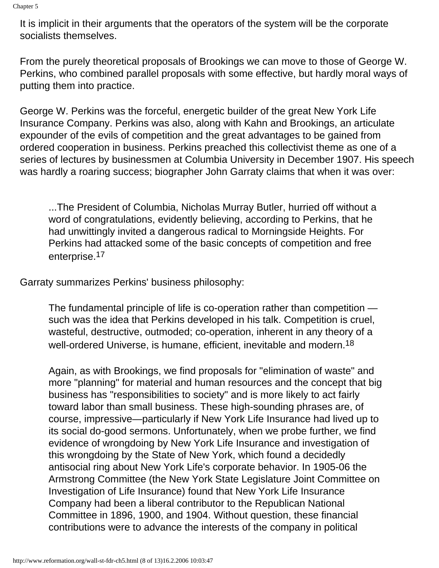It is implicit in their arguments that the operators of the system will be the corporate socialists themselves.

From the purely theoretical proposals of Brookings we can move to those of George W. Perkins, who combined parallel proposals with some effective, but hardly moral ways of putting them into practice.

George W. Perkins was the forceful, energetic builder of the great New York Life Insurance Company. Perkins was also, along with Kahn and Brookings, an articulate expounder of the evils of competition and the great advantages to be gained from ordered cooperation in business. Perkins preached this collectivist theme as one of a series of lectures by businessmen at Columbia University in December 1907. His speech was hardly a roaring success; biographer John Garraty claims that when it was over:

...The President of Columbia, Nicholas Murray Butler, hurried off without a word of congratulations, evidently believing, according to Perkins, that he had unwittingly invited a dangerous radical to Morningside Heights. For Perkins had attacked some of the basic concepts of competition and free enterprise.17

Garraty summarizes Perkins' business philosophy:

The fundamental principle of life is co-operation rather than competition such was the idea that Perkins developed in his talk. Competition is cruel, wasteful, destructive, outmoded; co-operation, inherent in any theory of a well-ordered Universe, is humane, efficient, inevitable and modern.<sup>18</sup>

Again, as with Brookings, we find proposals for "elimination of waste" and more "planning" for material and human resources and the concept that big business has "responsibilities to society" and is more likely to act fairly toward labor than small business. These high-sounding phrases are, of course, impressive—particularly if New York Life Insurance had lived up to its social do-good sermons. Unfortunately, when we probe further, we find evidence of wrongdoing by New York Life Insurance and investigation of this wrongdoing by the State of New York, which found a decidedly antisocial ring about New York Life's corporate behavior. In 1905-06 the Armstrong Committee (the New York State Legislature Joint Committee on Investigation of Life Insurance) found that New York Life Insurance Company had been a liberal contributor to the Republican National Committee in 1896, 1900, and 1904. Without question, these financial contributions were to advance the interests of the company in political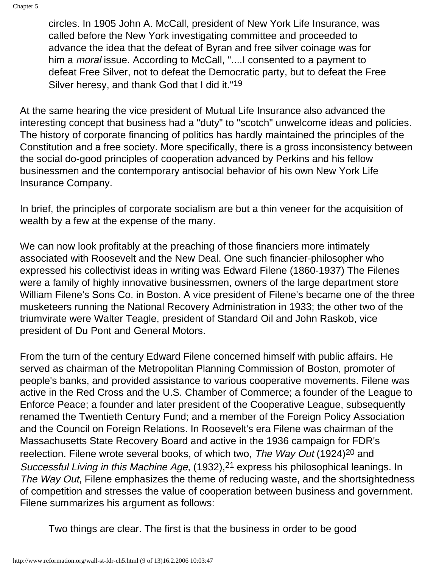circles. In 1905 John A. McCall, president of New York Life Insurance, was called before the New York investigating committee and proceeded to advance the idea that the defeat of Byran and free silver coinage was for him a *moral* issue. According to McCall, "....I consented to a payment to defeat Free Silver, not to defeat the Democratic party, but to defeat the Free Silver heresy, and thank God that I did it."19

At the same hearing the vice president of Mutual Life Insurance also advanced the interesting concept that business had a "duty" to "scotch" unwelcome ideas and policies. The history of corporate financing of politics has hardly maintained the principles of the Constitution and a free society. More specifically, there is a gross inconsistency between the social do-good principles of cooperation advanced by Perkins and his fellow businessmen and the contemporary antisocial behavior of his own New York Life Insurance Company.

In brief, the principles of corporate socialism are but a thin veneer for the acquisition of wealth by a few at the expense of the many.

We can now look profitably at the preaching of those financiers more intimately associated with Roosevelt and the New Deal. One such financier-philosopher who expressed his collectivist ideas in writing was Edward Filene (1860-1937) The Filenes were a family of highly innovative businessmen, owners of the large department store William Filene's Sons Co. in Boston. A vice president of Filene's became one of the three musketeers running the National Recovery Administration in 1933; the other two of the triumvirate were Walter Teagle, president of Standard Oil and John Raskob, vice president of Du Pont and General Motors.

From the turn of the century Edward Filene concerned himself with public affairs. He served as chairman of the Metropolitan Planning Commission of Boston, promoter of people's banks, and provided assistance to various cooperative movements. Filene was active in the Red Cross and the U.S. Chamber of Commerce; a founder of the League to Enforce Peace; a founder and later president of the Cooperative League, subsequently renamed the Twentieth Century Fund; and a member of the Foreign Policy Association and the Council on Foreign Relations. In Roosevelt's era Filene was chairman of the Massachusetts State Recovery Board and active in the 1936 campaign for FDR's reelection. Filene wrote several books, of which two, The Way Out (1924)<sup>20</sup> and Successful Living in this Machine Age, (1932),<sup>21</sup> express his philosophical leanings. In The Way Out, Filene emphasizes the theme of reducing waste, and the shortsightedness of competition and stresses the value of cooperation between business and government. Filene summarizes his argument as follows:

Two things are clear. The first is that the business in order to be good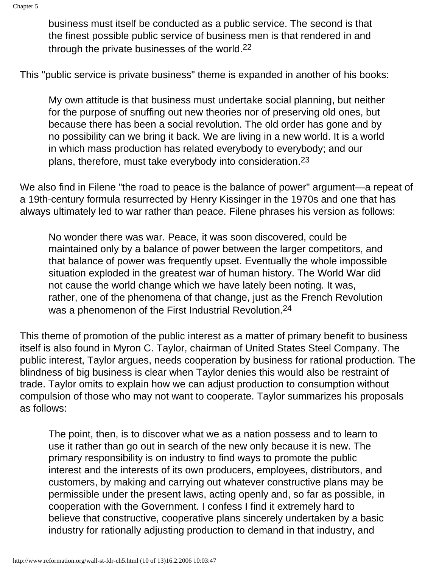business must itself be conducted as a public service. The second is that the finest possible public service of business men is that rendered in and through the private businesses of the world.22

This "public service is private business" theme is expanded in another of his books:

My own attitude is that business must undertake social planning, but neither for the purpose of snuffing out new theories nor of preserving old ones, but because there has been a social revolution. The old order has gone and by no possibility can we bring it back. We are living in a new world. It is a world in which mass production has related everybody to everybody; and our plans, therefore, must take everybody into consideration.23

We also find in Filene "the road to peace is the balance of power" argument—a repeat of a 19th-century formula resurrected by Henry Kissinger in the 1970s and one that has always ultimately led to war rather than peace. Filene phrases his version as follows:

No wonder there was war. Peace, it was soon discovered, could be maintained only by a balance of power between the larger competitors, and that balance of power was frequently upset. Eventually the whole impossible situation exploded in the greatest war of human history. The World War did not cause the world change which we have lately been noting. It was, rather, one of the phenomena of that change, just as the French Revolution was a phenomenon of the First Industrial Revolution.<sup>24</sup>

This theme of promotion of the public interest as a matter of primary benefit to business itself is also found in Myron C. Taylor, chairman of United States Steel Company. The public interest, Taylor argues, needs cooperation by business for rational production. The blindness of big business is clear when Taylor denies this would also be restraint of trade. Taylor omits to explain how we can adjust production to consumption without compulsion of those who may not want to cooperate. Taylor summarizes his proposals as follows:

The point, then, is to discover what we as a nation possess and to learn to use it rather than go out in search of the new only because it is new. The primary responsibility is on industry to find ways to promote the public interest and the interests of its own producers, employees, distributors, and customers, by making and carrying out whatever constructive plans may be permissible under the present laws, acting openly and, so far as possible, in cooperation with the Government. I confess I find it extremely hard to believe that constructive, cooperative plans sincerely undertaken by a basic industry for rationally adjusting production to demand in that industry, and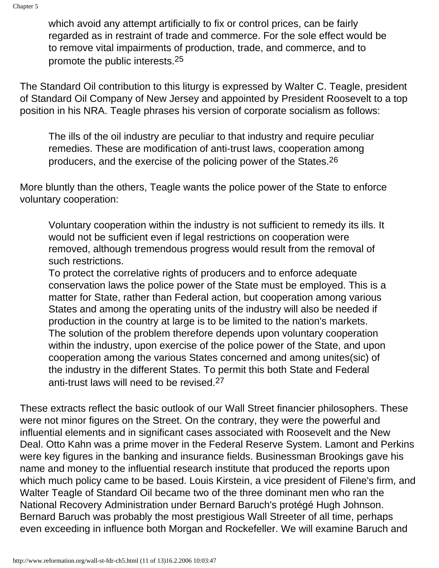which avoid any attempt artificially to fix or control prices, can be fairly regarded as in restraint of trade and commerce. For the sole effect would be to remove vital impairments of production, trade, and commerce, and to promote the public interests.25

The Standard Oil contribution to this liturgy is expressed by Walter C. Teagle, president of Standard Oil Company of New Jersey and appointed by President Roosevelt to a top position in his NRA. Teagle phrases his version of corporate socialism as follows:

The ills of the oil industry are peculiar to that industry and require peculiar remedies. These are modification of anti-trust laws, cooperation among producers, and the exercise of the policing power of the States.26

More bluntly than the others, Teagle wants the police power of the State to enforce voluntary cooperation:

Voluntary cooperation within the industry is not sufficient to remedy its ills. It would not be sufficient even if legal restrictions on cooperation were removed, although tremendous progress would result from the removal of such restrictions.

To protect the correlative rights of producers and to enforce adequate conservation laws the police power of the State must be employed. This is a matter for State, rather than Federal action, but cooperation among various States and among the operating units of the industry will also be needed if production in the country at large is to be limited to the nation's markets. The solution of the problem therefore depends upon voluntary cooperation within the industry, upon exercise of the police power of the State, and upon cooperation among the various States concerned and among unites(sic) of the industry in the different States. To permit this both State and Federal anti-trust laws will need to be revised.27

These extracts reflect the basic outlook of our Wall Street financier philosophers. These were not minor figures on the Street. On the contrary, they were the powerful and influential elements and in significant cases associated with Roosevelt and the New Deal. Otto Kahn was a prime mover in the Federal Reserve System. Lamont and Perkins were key figures in the banking and insurance fields. Businessman Brookings gave his name and money to the influential research institute that produced the reports upon which much policy came to be based. Louis Kirstein, a vice president of Filene's firm, and Walter Teagle of Standard Oil became two of the three dominant men who ran the National Recovery Administration under Bernard Baruch's protégé Hugh Johnson. Bernard Baruch was probably the most prestigious Wall Streeter of all time, perhaps even exceeding in influence both Morgan and Rockefeller. We will examine Baruch and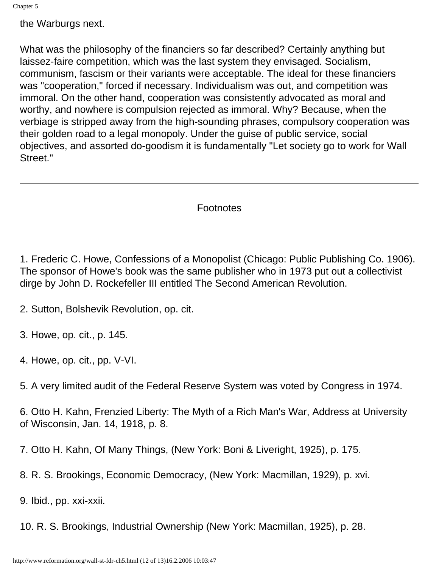the Warburgs next.

What was the philosophy of the financiers so far described? Certainly anything but laissez-faire competition, which was the last system they envisaged. Socialism, communism, fascism or their variants were acceptable. The ideal for these financiers was "cooperation," forced if necessary. Individualism was out, and competition was immoral. On the other hand, cooperation was consistently advocated as moral and worthy, and nowhere is compulsion rejected as immoral. Why? Because, when the verbiage is stripped away from the high-sounding phrases, compulsory cooperation was their golden road to a legal monopoly. Under the guise of public service, social objectives, and assorted do-goodism it is fundamentally "Let society go to work for Wall Street."

#### Footnotes

1. Frederic C. Howe, Confessions of a Monopolist (Chicago: Public Publishing Co. 1906). The sponsor of Howe's book was the same publisher who in 1973 put out a collectivist dirge by John D. Rockefeller III entitled The Second American Revolution.

2. Sutton, Bolshevik Revolution, op. cit.

3. Howe, op. cit., p. 145.

4. Howe, op. cit., pp. V-VI.

5. A very limited audit of the Federal Reserve System was voted by Congress in 1974.

6. Otto H. Kahn, Frenzied Liberty: The Myth of a Rich Man's War, Address at University of Wisconsin, Jan. 14, 1918, p. 8.

7. Otto H. Kahn, Of Many Things, (New York: Boni & Liveright, 1925), p. 175.

8. R. S. Brookings, Economic Democracy, (New York: Macmillan, 1929), p. xvi.

9. Ibid., pp. xxi-xxii.

10. R. S. Brookings, Industrial Ownership (New York: Macmillan, 1925), p. 28.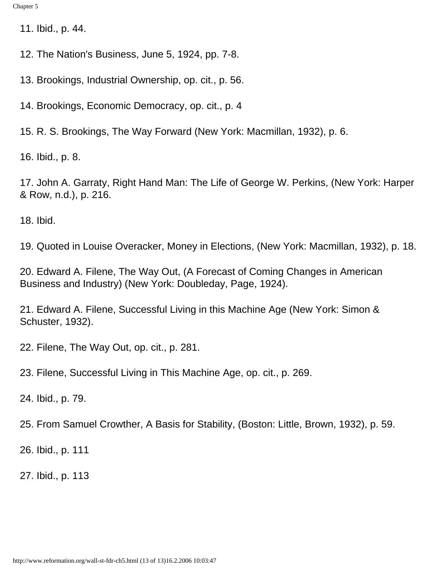11. Ibid., p. 44.

12. The Nation's Business, June 5, 1924, pp. 7-8.

13. Brookings, Industrial Ownership, op. cit., p. 56.

14. Brookings, Economic Democracy, op. cit., p. 4

15. R. S. Brookings, The Way Forward (New York: Macmillan, 1932), p. 6.

16. Ibid., p. 8.

17. John A. Garraty, Right Hand Man: The Life of George W. Perkins, (New York: Harper & Row, n.d.), p. 216.

18. Ibid.

19. Quoted in Louise Overacker, Money in Elections, (New York: Macmillan, 1932), p. 18.

20. Edward A. Filene, The Way Out, (A Forecast of Coming Changes in American Business and Industry) (New York: Doubleday, Page, 1924).

21. Edward A. Filene, Successful Living in this Machine Age (New York: Simon & Schuster, 1932).

22. Filene, The Way Out, op. cit., p. 281.

23. Filene, Successful Living in This Machine Age, op. cit., p. 269.

24. Ibid., p. 79.

25. From Samuel Crowther, A Basis for Stability, (Boston: Little, Brown, 1932), p. 59.

26. Ibid., p. 111

27. Ibid., p. 113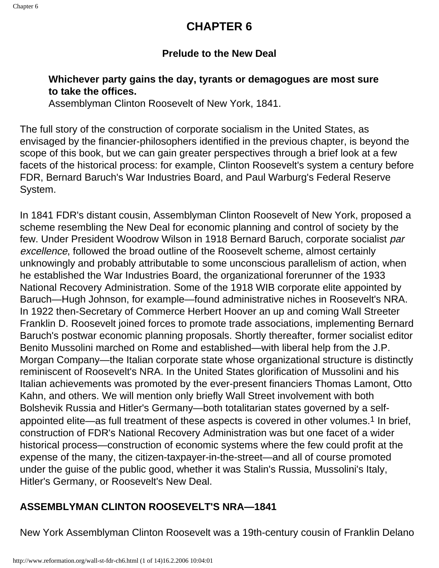# **CHAPTER 6**

### **Prelude to the New Deal**

### **Whichever party gains the day, tyrants or demagogues are most sure to take the offices.**

Assemblyman Clinton Roosevelt of New York, 1841.

The full story of the construction of corporate socialism in the United States, as envisaged by the financier-philosophers identified in the previous chapter, is beyond the scope of this book, but we can gain greater perspectives through a brief look at a few facets of the historical process: for example, Clinton Roosevelt's system a century before FDR, Bernard Baruch's War Industries Board, and Paul Warburg's Federal Reserve System.

In 1841 FDR's distant cousin, Assemblyman Clinton Roosevelt of New York, proposed a scheme resembling the New Deal for economic planning and control of society by the few. Under President Woodrow Wilson in 1918 Bernard Baruch, corporate socialist par excellence, followed the broad outline of the Roosevelt scheme, almost certainly unknowingly and probably attributable to some unconscious parallelism of action, when he established the War Industries Board, the organizational forerunner of the 1933 National Recovery Administration. Some of the 1918 WIB corporate elite appointed by Baruch—Hugh Johnson, for example—found administrative niches in Roosevelt's NRA. In 1922 then-Secretary of Commerce Herbert Hoover an up and coming Wall Streeter Franklin D. Roosevelt joined forces to promote trade associations, implementing Bernard Baruch's postwar economic planning proposals. Shortly thereafter, former socialist editor Benito Mussolini marched on Rome and established—with liberal help from the J.P. Morgan Company—the Italian corporate state whose organizational structure is distinctly reminiscent of Roosevelt's NRA. In the United States glorification of Mussolini and his Italian achievements was promoted by the ever-present financiers Thomas Lamont, Otto Kahn, and others. We will mention only briefly Wall Street involvement with both Bolshevik Russia and Hitler's Germany—both totalitarian states governed by a selfappointed elite—as full treatment of these aspects is covered in other volumes.<sup>1</sup> In brief, construction of FDR's National Recovery Administration was but one facet of a wider historical process—construction of economic systems where the few could profit at the expense of the many, the citizen-taxpayer-in-the-street—and all of course promoted under the guise of the public good, whether it was Stalin's Russia, Mussolini's Italy, Hitler's Germany, or Roosevelt's New Deal.

# **ASSEMBLYMAN CLINTON ROOSEVELT'S NRA—1841**

New York Assemblyman Clinton Roosevelt was a 19th-century cousin of Franklin Delano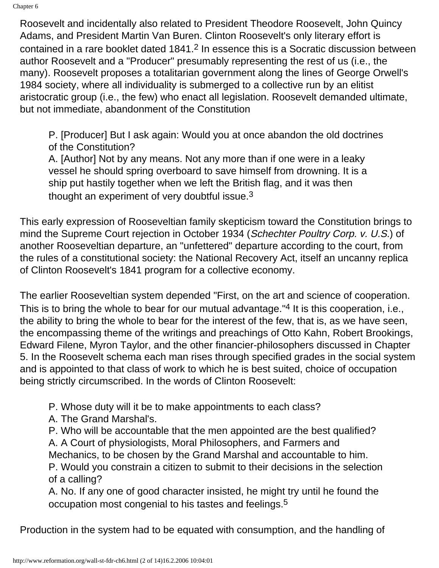Roosevelt and incidentally also related to President Theodore Roosevelt, John Quincy Adams, and President Martin Van Buren. Clinton Roosevelt's only literary effort is contained in a rare booklet dated 1841.2 In essence this is a Socratic discussion between author Roosevelt and a "Producer" presumably representing the rest of us (i.e., the many). Roosevelt proposes a totalitarian government along the lines of George Orwell's 1984 society, where all individuality is submerged to a collective run by an elitist aristocratic group (i.e., the few) who enact all legislation. Roosevelt demanded ultimate, but not immediate, abandonment of the Constitution

P. [Producer] But I ask again: Would you at once abandon the old doctrines of the Constitution?

A. [Author] Not by any means. Not any more than if one were in a leaky vessel he should spring overboard to save himself from drowning. It is a ship put hastily together when we left the British flag, and it was then thought an experiment of very doubtful issue.3

This early expression of Rooseveltian family skepticism toward the Constitution brings to mind the Supreme Court rejection in October 1934 (Schechter Poultry Corp. v. U.S.) of another Rooseveltian departure, an "unfettered" departure according to the court, from the rules of a constitutional society: the National Recovery Act, itself an uncanny replica of Clinton Roosevelt's 1841 program for a collective economy.

The earlier Rooseveltian system depended "First, on the art and science of cooperation. This is to bring the whole to bear for our mutual advantage."<sup>4</sup> It is this cooperation, i.e., the ability to bring the whole to bear for the interest of the few, that is, as we have seen, the encompassing theme of the writings and preachings of Otto Kahn, Robert Brookings, Edward Filene, Myron Taylor, and the other financier-philosophers discussed in Chapter 5. In the Roosevelt schema each man rises through specified grades in the social system and is appointed to that class of work to which he is best suited, choice of occupation being strictly circumscribed. In the words of Clinton Roosevelt:

P. Whose duty will it be to make appointments to each class?

A. The Grand Marshal's.

P. Who will be accountable that the men appointed are the best qualified?

A. A Court of physiologists, Moral Philosophers, and Farmers and Mechanics, to be chosen by the Grand Marshal and accountable to him.

P. Would you constrain a citizen to submit to their decisions in the selection of a calling?

A. No. If any one of good character insisted, he might try until he found the occupation most congenial to his tastes and feelings.5

Production in the system had to be equated with consumption, and the handling of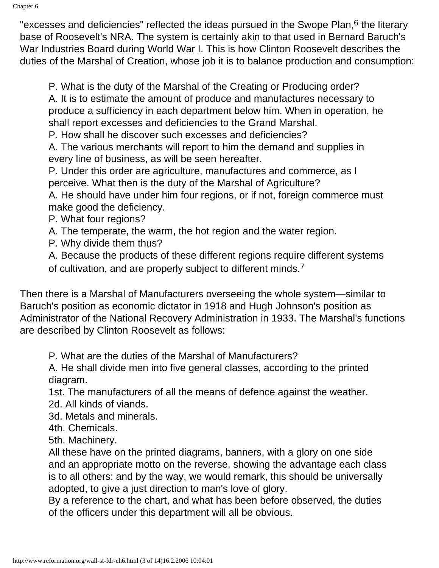"excesses and deficiencies" reflected the ideas pursued in the Swope Plan,<sup>6</sup> the literary base of Roosevelt's NRA. The system is certainly akin to that used in Bernard Baruch's War Industries Board during World War I. This is how Clinton Roosevelt describes the duties of the Marshal of Creation, whose job it is to balance production and consumption:

P. What is the duty of the Marshal of the Creating or Producing order?

A. It is to estimate the amount of produce and manufactures necessary to produce a sufficiency in each department below him. When in operation, he shall report excesses and deficiencies to the Grand Marshal.

P. How shall he discover such excesses and deficiencies?

A. The various merchants will report to him the demand and supplies in every line of business, as will be seen hereafter.

P. Under this order are agriculture, manufactures and commerce, as I perceive. What then is the duty of the Marshal of Agriculture?

A. He should have under him four regions, or if not, foreign commerce must make good the deficiency.

P. What four regions?

A. The temperate, the warm, the hot region and the water region.

P. Why divide them thus?

A. Because the products of these different regions require different systems of cultivation, and are properly subject to different minds.7

Then there is a Marshal of Manufacturers overseeing the whole system—similar to Baruch's position as economic dictator in 1918 and Hugh Johnson's position as Administrator of the National Recovery Administration in 1933. The Marshal's functions are described by Clinton Roosevelt as follows:

P. What are the duties of the Marshal of Manufacturers?

A. He shall divide men into five general classes, according to the printed diagram.

1st. The manufacturers of all the means of defence against the weather.

2d. All kinds of viands.

3d. Metals and minerals.

4th. Chemicals.

5th. Machinery.

All these have on the printed diagrams, banners, with a glory on one side and an appropriate motto on the reverse, showing the advantage each class is to all others: and by the way, we would remark, this should be universally adopted, to give a just direction to man's love of glory.

By a reference to the chart, and what has been before observed, the duties of the officers under this department will all be obvious.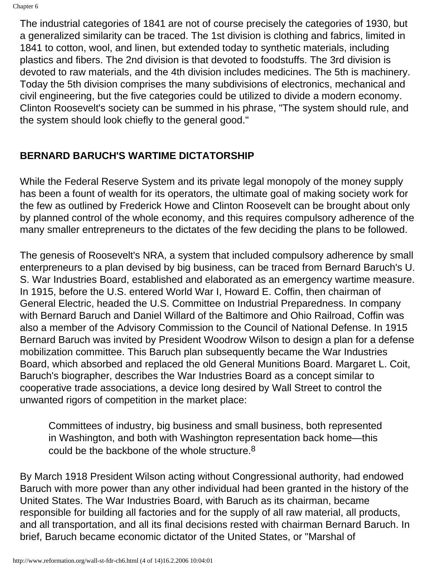The industrial categories of 1841 are not of course precisely the categories of 1930, but a generalized similarity can be traced. The 1st division is clothing and fabrics, limited in 1841 to cotton, wool, and linen, but extended today to synthetic materials, including plastics and fibers. The 2nd division is that devoted to foodstuffs. The 3rd division is devoted to raw materials, and the 4th division includes medicines. The 5th is machinery. Today the 5th division comprises the many subdivisions of electronics, mechanical and civil engineering, but the five categories could be utilized to divide a modern economy. Clinton Roosevelt's society can be summed in his phrase, "The system should rule, and the system should look chiefly to the general good."

## **BERNARD BARUCH'S WARTIME DICTATORSHIP**

While the Federal Reserve System and its private legal monopoly of the money supply has been a fount of wealth for its operators, the ultimate goal of making society work for the few as outlined by Frederick Howe and Clinton Roosevelt can be brought about only by planned control of the whole economy, and this requires compulsory adherence of the many smaller entrepreneurs to the dictates of the few deciding the plans to be followed.

The genesis of Roosevelt's NRA, a system that included compulsory adherence by small enterpreneurs to a plan devised by big business, can be traced from Bernard Baruch's U. S. War Industries Board, established and elaborated as an emergency wartime measure. In 1915, before the U.S. entered World War I, Howard E. Coffin, then chairman of General Electric, headed the U.S. Committee on Industrial Preparedness. In company with Bernard Baruch and Daniel Willard of the Baltimore and Ohio Railroad, Coffin was also a member of the Advisory Commission to the Council of National Defense. In 1915 Bernard Baruch was invited by President Woodrow Wilson to design a plan for a defense mobilization committee. This Baruch plan subsequently became the War Industries Board, which absorbed and replaced the old General Munitions Board. Margaret L. Coit, Baruch's biographer, describes the War Industries Board as a concept similar to cooperative trade associations, a device long desired by Wall Street to control the unwanted rigors of competition in the market place:

Committees of industry, big business and small business, both represented in Washington, and both with Washington representation back home—this could be the backbone of the whole structure.8

By March 1918 President Wilson acting without Congressional authority, had endowed Baruch with more power than any other individual had been granted in the history of the United States. The War Industries Board, with Baruch as its chairman, became responsible for building all factories and for the supply of all raw material, all products, and all transportation, and all its final decisions rested with chairman Bernard Baruch. In brief, Baruch became economic dictator of the United States, or "Marshal of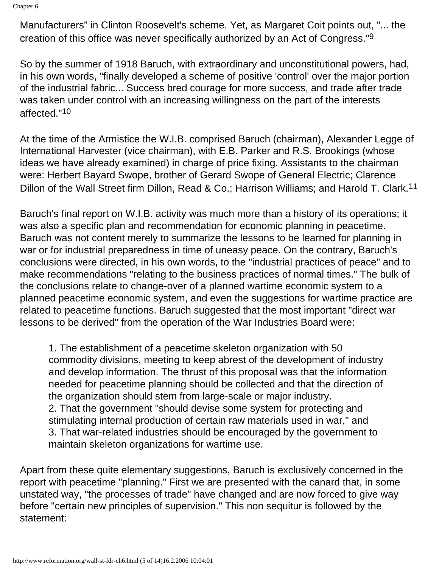Manufacturers" in Clinton Roosevelt's scheme. Yet, as Margaret Coit points out, "... the creation of this office was never specifically authorized by an Act of Congress."9

So by the summer of 1918 Baruch, with extraordinary and unconstitutional powers, had, in his own words, "finally developed a scheme of positive 'control' over the major portion of the industrial fabric... Success bred courage for more success, and trade after trade was taken under control with an increasing willingness on the part of the interests affected."10

At the time of the Armistice the W.I.B. comprised Baruch (chairman), Alexander Legge of International Harvester (vice chairman), with E.B. Parker and R.S. Brookings (whose ideas we have already examined) in charge of price fixing. Assistants to the chairman were: Herbert Bayard Swope, brother of Gerard Swope of General Electric; Clarence Dillon of the Wall Street firm Dillon, Read & Co.; Harrison Williams; and Harold T. Clark.<sup>11</sup>

Baruch's final report on W.I.B. activity was much more than a history of its operations; it was also a specific plan and recommendation for economic planning in peacetime. Baruch was not content merely to summarize the lessons to be learned for planning in war or for industrial preparedness in time of uneasy peace. On the contrary, Baruch's conclusions were directed, in his own words, to the "industrial practices of peace" and to make recommendations "relating to the business practices of normal times." The bulk of the conclusions relate to change-over of a planned wartime economic system to a planned peacetime economic system, and even the suggestions for wartime practice are related to peacetime functions. Baruch suggested that the most important "direct war lessons to be derived" from the operation of the War Industries Board were:

1. The establishment of a peacetime skeleton organization with 50 commodity divisions, meeting to keep abrest of the development of industry and develop information. The thrust of this proposal was that the information needed for peacetime planning should be collected and that the direction of the organization should stem from large-scale or major industry. 2. That the government "should devise some system for protecting and stimulating internal production of certain raw materials used in war," and 3. That war-related industries should be encouraged by the government to maintain skeleton organizations for wartime use.

Apart from these quite elementary suggestions, Baruch is exclusively concerned in the report with peacetime "planning." First we are presented with the canard that, in some unstated way, "the processes of trade" have changed and are now forced to give way before "certain new principles of supervision." This non sequitur is followed by the statement: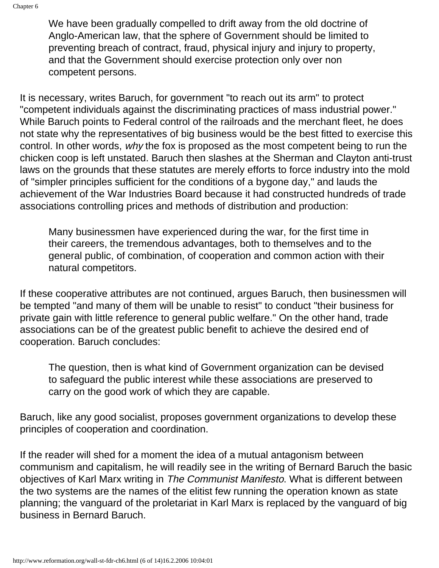We have been gradually compelled to drift away from the old doctrine of Anglo-American law, that the sphere of Government should be limited to preventing breach of contract, fraud, physical injury and injury to property, and that the Government should exercise protection only over non competent persons.

It is necessary, writes Baruch, for government "to reach out its arm" to protect "competent individuals against the discriminating practices of mass industrial power." While Baruch points to Federal control of the railroads and the merchant fleet, he does not state why the representatives of big business would be the best fitted to exercise this control. In other words, why the fox is proposed as the most competent being to run the chicken coop is left unstated. Baruch then slashes at the Sherman and Clayton anti-trust laws on the grounds that these statutes are merely efforts to force industry into the mold of "simpler principles sufficient for the conditions of a bygone day," and lauds the achievement of the War Industries Board because it had constructed hundreds of trade associations controlling prices and methods of distribution and production:

Many businessmen have experienced during the war, for the first time in their careers, the tremendous advantages, both to themselves and to the general public, of combination, of cooperation and common action with their natural competitors.

If these cooperative attributes are not continued, argues Baruch, then businessmen will be tempted "and many of them will be unable to resist" to conduct "their business for private gain with little reference to general public welfare." On the other hand, trade associations can be of the greatest public benefit to achieve the desired end of cooperation. Baruch concludes:

The question, then is what kind of Government organization can be devised to safeguard the public interest while these associations are preserved to carry on the good work of which they are capable.

Baruch, like any good socialist, proposes government organizations to develop these principles of cooperation and coordination.

If the reader will shed for a moment the idea of a mutual antagonism between communism and capitalism, he will readily see in the writing of Bernard Baruch the basic objectives of Karl Marx writing in The Communist Manifesto. What is different between the two systems are the names of the elitist few running the operation known as state planning; the vanguard of the proletariat in Karl Marx is replaced by the vanguard of big business in Bernard Baruch.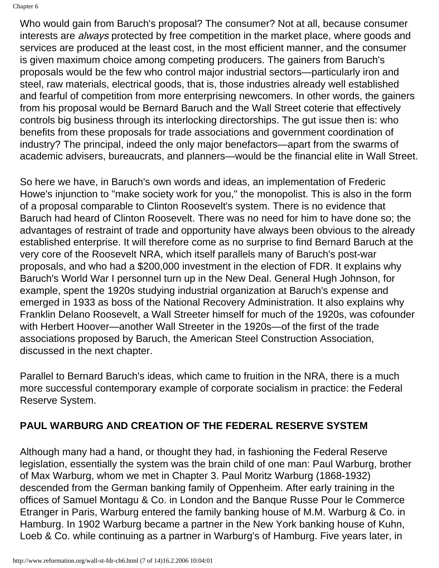Who would gain from Baruch's proposal? The consumer? Not at all, because consumer interests are always protected by free competition in the market place, where goods and services are produced at the least cost, in the most efficient manner, and the consumer is given maximum choice among competing producers. The gainers from Baruch's proposals would be the few who control major industrial sectors—particularly iron and steel, raw materials, electrical goods, that is, those industries already well established and fearful of competition from more enterprising newcomers. In other words, the gainers from his proposal would be Bernard Baruch and the Wall Street coterie that effectively controls big business through its interlocking directorships. The gut issue then is: who benefits from these proposals for trade associations and government coordination of industry? The principal, indeed the only major benefactors—apart from the swarms of academic advisers, bureaucrats, and planners—would be the financial elite in Wall Street.

So here we have, in Baruch's own words and ideas, an implementation of Frederic Howe's injunction to "make society work for you," the monopolist. This is also in the form of a proposal comparable to Clinton Roosevelt's system. There is no evidence that Baruch had heard of Clinton Roosevelt. There was no need for him to have done so; the advantages of restraint of trade and opportunity have always been obvious to the already established enterprise. It will therefore come as no surprise to find Bernard Baruch at the very core of the Roosevelt NRA, which itself parallels many of Baruch's post-war proposals, and who had a \$200,000 investment in the election of FDR. It explains why Baruch's World War I personnel turn up in the New Deal. General Hugh Johnson, for example, spent the 1920s studying industrial organization at Baruch's expense and emerged in 1933 as boss of the National Recovery Administration. It also explains why Franklin Delano Roosevelt, a Wall Streeter himself for much of the 1920s, was cofounder with Herbert Hoover—another Wall Streeter in the 1920s—of the first of the trade associations proposed by Baruch, the American Steel Construction Association, discussed in the next chapter.

Parallel to Bernard Baruch's ideas, which came to fruition in the NRA, there is a much more successful contemporary example of corporate socialism in practice: the Federal Reserve System.

# **PAUL WARBURG AND CREATION OF THE FEDERAL RESERVE SYSTEM**

Although many had a hand, or thought they had, in fashioning the Federal Reserve legislation, essentially the system was the brain child of one man: Paul Warburg, brother of Max Warburg, whom we met in Chapter 3. Paul Moritz Warburg (1868-1932) descended from the German banking family of Oppenheim. After early training in the offices of Samuel Montagu & Co. in London and the Banque Russe Pour le Commerce Etranger in Paris, Warburg entered the family banking house of M.M. Warburg & Co. in Hamburg. In 1902 Warburg became a partner in the New York banking house of Kuhn, Loeb & Co. while continuing as a partner in Warburg's of Hamburg. Five years later, in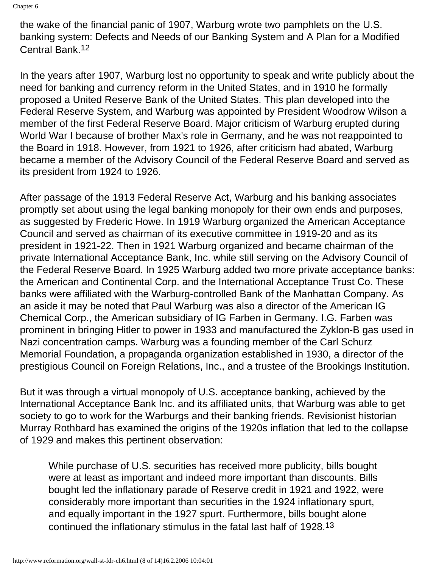the wake of the financial panic of 1907, Warburg wrote two pamphlets on the U.S. banking system: Defects and Needs of our Banking System and A Plan for a Modified Central Bank.12

In the years after 1907, Warburg lost no opportunity to speak and write publicly about the need for banking and currency reform in the United States, and in 1910 he formally proposed a United Reserve Bank of the United States. This plan developed into the Federal Reserve System, and Warburg was appointed by President Woodrow Wilson a member of the first Federal Reserve Board. Major criticism of Warburg erupted during World War I because of brother Max's role in Germany, and he was not reappointed to the Board in 1918. However, from 1921 to 1926, after criticism had abated, Warburg became a member of the Advisory Council of the Federal Reserve Board and served as its president from 1924 to 1926.

After passage of the 1913 Federal Reserve Act, Warburg and his banking associates promptly set about using the legal banking monopoly for their own ends and purposes, as suggested by Frederic Howe. In 1919 Warburg organized the American Acceptance Council and served as chairman of its executive committee in 1919-20 and as its president in 1921-22. Then in 1921 Warburg organized and became chairman of the private International Acceptance Bank, Inc. while still serving on the Advisory Council of the Federal Reserve Board. In 1925 Warburg added two more private acceptance banks: the American and Continental Corp. and the International Acceptance Trust Co. These banks were affiliated with the Warburg-controlled Bank of the Manhattan Company. As an aside it may be noted that Paul Warburg was also a director of the American IG Chemical Corp., the American subsidiary of IG Farben in Germany. I.G. Farben was prominent in bringing Hitler to power in 1933 and manufactured the Zyklon-B gas used in Nazi concentration camps. Warburg was a founding member of the Carl Schurz Memorial Foundation, a propaganda organization established in 1930, a director of the prestigious Council on Foreign Relations, Inc., and a trustee of the Brookings Institution.

But it was through a virtual monopoly of U.S. acceptance banking, achieved by the International Acceptance Bank Inc. and its affiliated units, that Warburg was able to get society to go to work for the Warburgs and their banking friends. Revisionist historian Murray Rothbard has examined the origins of the 1920s inflation that led to the collapse of 1929 and makes this pertinent observation:

While purchase of U.S. securities has received more publicity, bills bought were at least as important and indeed more important than discounts. Bills bought led the inflationary parade of Reserve credit in 1921 and 1922, were considerably more important than securities in the 1924 inflationary spurt, and equally important in the 1927 spurt. Furthermore, bills bought alone continued the inflationary stimulus in the fatal last half of 1928.13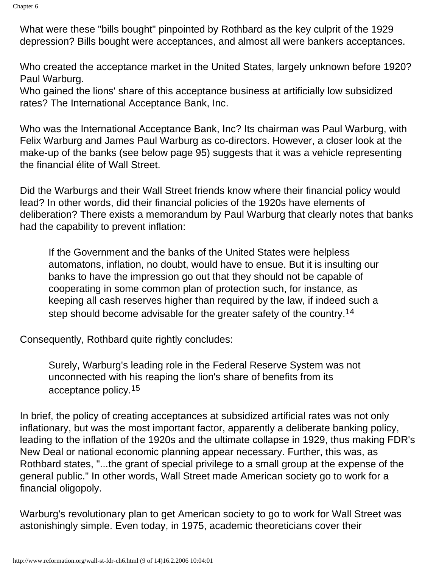What were these "bills bought" pinpointed by Rothbard as the key culprit of the 1929 depression? Bills bought were acceptances, and almost all were bankers acceptances.

Who created the acceptance market in the United States, largely unknown before 1920? Paul Warburg.

Who gained the lions' share of this acceptance business at artificially low subsidized rates? The International Acceptance Bank, Inc.

Who was the International Acceptance Bank, Inc? Its chairman was Paul Warburg, with Felix Warburg and James Paul Warburg as co-directors. However, a closer look at the make-up of the banks (see below page 95) suggests that it was a vehicle representing the financial élite of Wall Street.

Did the Warburgs and their Wall Street friends know where their financial policy would lead? In other words, did their financial policies of the 1920s have elements of deliberation? There exists a memorandum by Paul Warburg that clearly notes that banks had the capability to prevent inflation:

If the Government and the banks of the United States were helpless automatons, inflation, no doubt, would have to ensue. But it is insulting our banks to have the impression go out that they should not be capable of cooperating in some common plan of protection such, for instance, as keeping all cash reserves higher than required by the law, if indeed such a step should become advisable for the greater safety of the country.<sup>14</sup>

Consequently, Rothbard quite rightly concludes:

Surely, Warburg's leading role in the Federal Reserve System was not unconnected with his reaping the lion's share of benefits from its acceptance policy.15

In brief, the policy of creating acceptances at subsidized artificial rates was not only inflationary, but was the most important factor, apparently a deliberate banking policy, leading to the inflation of the 1920s and the ultimate collapse in 1929, thus making FDR's New Deal or national economic planning appear necessary. Further, this was, as Rothbard states, "...the grant of special privilege to a small group at the expense of the general public." In other words, Wall Street made American society go to work for a financial oligopoly.

Warburg's revolutionary plan to get American society to go to work for Wall Street was astonishingly simple. Even today, in 1975, academic theoreticians cover their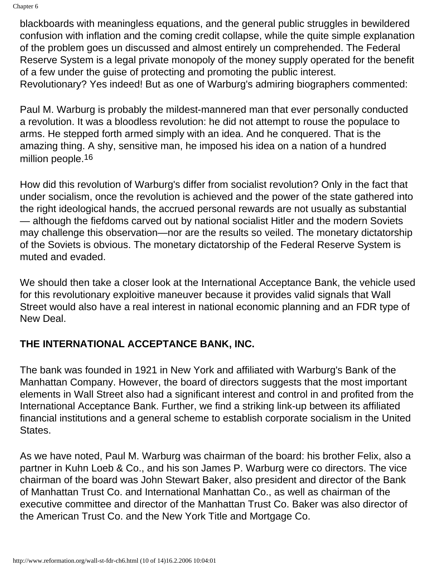blackboards with meaningless equations, and the general public struggles in bewildered confusion with inflation and the coming credit collapse, while the quite simple explanation of the problem goes un discussed and almost entirely un comprehended. The Federal Reserve System is a legal private monopoly of the money supply operated for the benefit of a few under the guise of protecting and promoting the public interest. Revolutionary? Yes indeed! But as one of Warburg's admiring biographers commented:

Paul M. Warburg is probably the mildest-mannered man that ever personally conducted a revolution. It was a bloodless revolution: he did not attempt to rouse the populace to arms. He stepped forth armed simply with an idea. And he conquered. That is the amazing thing. A shy, sensitive man, he imposed his idea on a nation of a hundred million people.<sup>16</sup>

How did this revolution of Warburg's differ from socialist revolution? Only in the fact that under socialism, once the revolution is achieved and the power of the state gathered into the right ideological hands, the accrued personal rewards are not usually as substantial — although the fiefdoms carved out by national socialist Hitler and the modern Soviets may challenge this observation—nor are the results so veiled. The monetary dictatorship of the Soviets is obvious. The monetary dictatorship of the Federal Reserve System is muted and evaded.

We should then take a closer look at the International Acceptance Bank, the vehicle used for this revolutionary exploitive maneuver because it provides valid signals that Wall Street would also have a real interest in national economic planning and an FDR type of New Deal.

# **THE INTERNATIONAL ACCEPTANCE BANK, INC.**

The bank was founded in 1921 in New York and affiliated with Warburg's Bank of the Manhattan Company. However, the board of directors suggests that the most important elements in Wall Street also had a significant interest and control in and profited from the International Acceptance Bank. Further, we find a striking link-up between its affiliated financial institutions and a general scheme to establish corporate socialism in the United States.

As we have noted, Paul M. Warburg was chairman of the board: his brother Felix, also a partner in Kuhn Loeb & Co., and his son James P. Warburg were co directors. The vice chairman of the board was John Stewart Baker, also president and director of the Bank of Manhattan Trust Co. and International Manhattan Co., as well as chairman of the executive committee and director of the Manhattan Trust Co. Baker was also director of the American Trust Co. and the New York Title and Mortgage Co.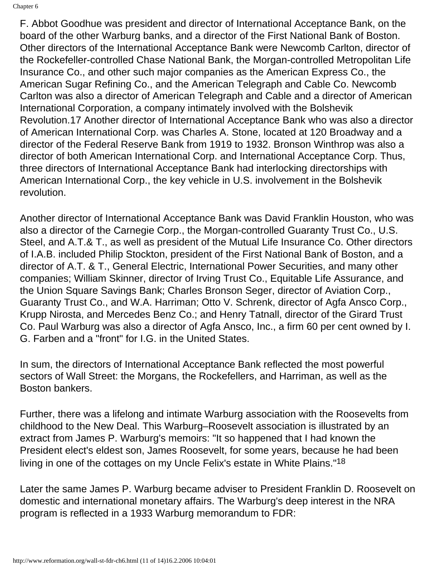F. Abbot Goodhue was president and director of International Acceptance Bank, on the board of the other Warburg banks, and a director of the First National Bank of Boston. Other directors of the International Acceptance Bank were Newcomb Carlton, director of the Rockefeller-controlled Chase National Bank, the Morgan-controlled Metropolitan Life Insurance Co., and other such major companies as the American Express Co., the American Sugar Refining Co., and the American Telegraph and Cable Co. Newcomb Carlton was also a director of American Telegraph and Cable and a director of American International Corporation, a company intimately involved with the Bolshevik Revolution.17 Another director of International Acceptance Bank who was also a director of American International Corp. was Charles A. Stone, located at 120 Broadway and a director of the Federal Reserve Bank from 1919 to 1932. Bronson Winthrop was also a director of both American International Corp. and International Acceptance Corp. Thus, three directors of International Acceptance Bank had interlocking directorships with American International Corp., the key vehicle in U.S. involvement in the Bolshevik revolution.

Another director of International Acceptance Bank was David Franklin Houston, who was also a director of the Carnegie Corp., the Morgan-controlled Guaranty Trust Co., U.S. Steel, and A.T.& T., as well as president of the Mutual Life Insurance Co. Other directors of I.A.B. included Philip Stockton, president of the First National Bank of Boston, and a director of A.T. & T., General Electric, International Power Securities, and many other companies; William Skinner, director of Irving Trust Co., Equitable Life Assurance, and the Union Square Savings Bank; Charles Bronson Seger, director of Aviation Corp., Guaranty Trust Co., and W.A. Harriman; Otto V. Schrenk, director of Agfa Ansco Corp., Krupp Nirosta, and Mercedes Benz Co.; and Henry Tatnall, director of the Girard Trust Co. Paul Warburg was also a director of Agfa Ansco, Inc., a firm 60 per cent owned by I. G. Farben and a "front" for I.G. in the United States.

In sum, the directors of International Acceptance Bank reflected the most powerful sectors of Wall Street: the Morgans, the Rockefellers, and Harriman, as well as the Boston bankers.

Further, there was a lifelong and intimate Warburg association with the Roosevelts from childhood to the New Deal. This Warburg–Roosevelt association is illustrated by an extract from James P. Warburg's memoirs: "It so happened that I had known the President elect's eldest son, James Roosevelt, for some years, because he had been living in one of the cottages on my Uncle Felix's estate in White Plains."18

Later the same James P. Warburg became adviser to President Franklin D. Roosevelt on domestic and international monetary affairs. The Warburg's deep interest in the NRA program is reflected in a 1933 Warburg memorandum to FDR: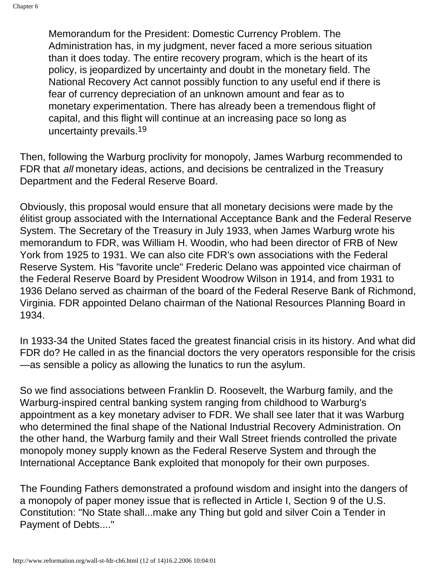Memorandum for the President: Domestic Currency Problem. The Administration has, in my judgment, never faced a more serious situation than it does today. The entire recovery program, which is the heart of its policy, is jeopardized by uncertainty and doubt in the monetary field. The National Recovery Act cannot possibly function to any useful end if there is fear of currency depreciation of an unknown amount and fear as to monetary experimentation. There has already been a tremendous flight of capital, and this flight will continue at an increasing pace so long as uncertainty prevails.19

Then, following the Warburg proclivity for monopoly, James Warburg recommended to FDR that all monetary ideas, actions, and decisions be centralized in the Treasury Department and the Federal Reserve Board.

Obviously, this proposal would ensure that all monetary decisions were made by the élitist group associated with the International Acceptance Bank and the Federal Reserve System. The Secretary of the Treasury in July 1933, when James Warburg wrote his memorandum to FDR, was William H. Woodin, who had been director of FRB of New York from 1925 to 1931. We can also cite FDR's own associations with the Federal Reserve System. His "favorite uncle" Frederic Delano was appointed vice chairman of the Federal Reserve Board by President Woodrow Wilson in 1914, and from 1931 to 1936 Delano served as chairman of the board of the Federal Reserve Bank of Richmond, Virginia. FDR appointed Delano chairman of the National Resources Planning Board in 1934.

In 1933-34 the United States faced the greatest financial crisis in its history. And what did FDR do? He called in as the financial doctors the very operators responsible for the crisis —as sensible a policy as allowing the lunatics to run the asylum.

So we find associations between Franklin D. Roosevelt, the Warburg family, and the Warburg-inspired central banking system ranging from childhood to Warburg's appointment as a key monetary adviser to FDR. We shall see later that it was Warburg who determined the final shape of the National Industrial Recovery Administration. On the other hand, the Warburg family and their Wall Street friends controlled the private monopoly money supply known as the Federal Reserve System and through the International Acceptance Bank exploited that monopoly for their own purposes.

The Founding Fathers demonstrated a profound wisdom and insight into the dangers of a monopoly of paper money issue that is reflected in Article I, Section 9 of the U.S. Constitution: "No State shall...make any Thing but gold and silver Coin a Tender in Payment of Debts...."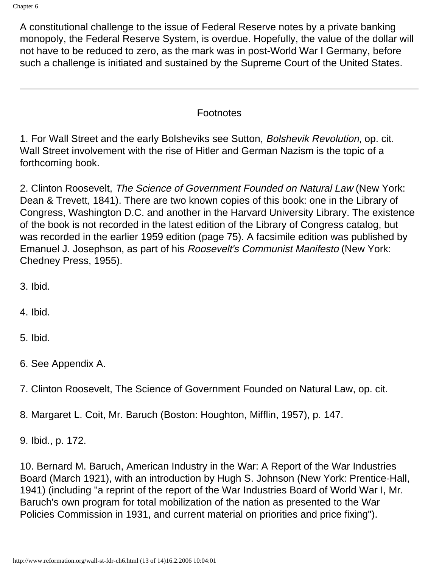A constitutional challenge to the issue of Federal Reserve notes by a private banking monopoly, the Federal Reserve System, is overdue. Hopefully, the value of the dollar will not have to be reduced to zero, as the mark was in post-World War I Germany, before such a challenge is initiated and sustained by the Supreme Court of the United States.

### **Footnotes**

1. For Wall Street and the early Bolsheviks see Sutton, Bolshevik Revolution, op. cit. Wall Street involvement with the rise of Hitler and German Nazism is the topic of a forthcoming book.

2. Clinton Roosevelt, The Science of Government Founded on Natural Law (New York: Dean & Trevett, 1841). There are two known copies of this book: one in the Library of Congress, Washington D.C. and another in the Harvard University Library. The existence of the book is not recorded in the latest edition of the Library of Congress catalog, but was recorded in the earlier 1959 edition (page 75). A facsimile edition was published by Emanuel J. Josephson, as part of his Roosevelt's Communist Manifesto (New York: Chedney Press, 1955).

3. Ibid.

4. Ibid.

5. Ibid.

6. See Appendix A.

7. Clinton Roosevelt, The Science of Government Founded on Natural Law, op. cit.

8. Margaret L. Coit, Mr. Baruch (Boston: Houghton, Mifflin, 1957), p. 147.

9. Ibid., p. 172.

10. Bernard M. Baruch, American Industry in the War: A Report of the War Industries Board (March 1921), with an introduction by Hugh S. Johnson (New York: Prentice-Hall, 1941) (including "a reprint of the report of the War Industries Board of World War I, Mr. Baruch's own program for total mobilization of the nation as presented to the War Policies Commission in 1931, and current material on priorities and price fixing").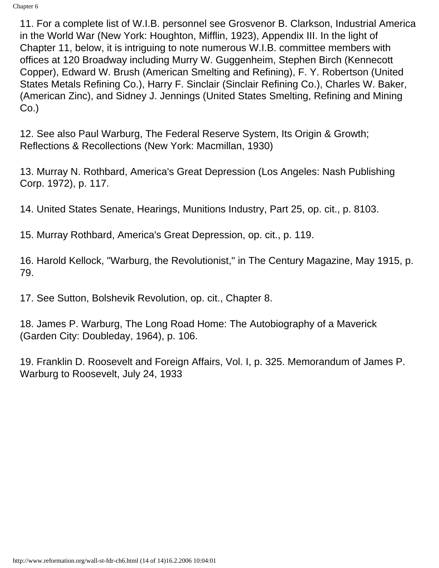11. For a complete list of W.I.B. personnel see Grosvenor B. Clarkson, Industrial America in the World War (New York: Houghton, Mifflin, 1923), Appendix III. In the light of Chapter 11, below, it is intriguing to note numerous W.I.B. committee members with offices at 120 Broadway including Murry W. Guggenheim, Stephen Birch (Kennecott Copper), Edward W. Brush (American Smelting and Refining), F. Y. Robertson (United States Metals Refining Co.), Harry F. Sinclair (Sinclair Refining Co.), Charles W. Baker, (American Zinc), and Sidney J. Jennings (United States Smelting, Refining and Mining Co.)

12. See also Paul Warburg, The Federal Reserve System, Its Origin & Growth; Reflections & Recollections (New York: Macmillan, 1930)

13. Murray N. Rothbard, America's Great Depression (Los Angeles: Nash Publishing Corp. 1972), p. 117.

14. United States Senate, Hearings, Munitions Industry, Part 25, op. cit., p. 8103.

15. Murray Rothbard, America's Great Depression, op. cit., p. 119.

16. Harold Kellock, "Warburg, the Revolutionist," in The Century Magazine, May 1915, p. 79.

17. See Sutton, Bolshevik Revolution, op. cit., Chapter 8.

18. James P. Warburg, The Long Road Home: The Autobiography of a Maverick (Garden City: Doubleday, 1964), p. 106.

19. Franklin D. Roosevelt and Foreign Affairs, Vol. I, p. 325. Memorandum of James P. Warburg to Roosevelt, July 24, 1933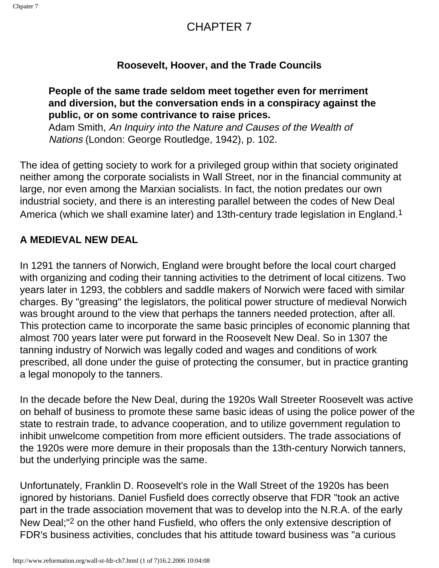# CHAPTER 7

### **Roosevelt, Hoover, and the Trade Councils**

**People of the same trade seldom meet together even for merriment and diversion, but the conversation ends in a conspiracy against the public, or on some contrivance to raise prices.**

Adam Smith, An Inquiry into the Nature and Causes of the Wealth of Nations (London: George Routledge, 1942), p. 102.

The idea of getting society to work for a privileged group within that society originated neither among the corporate socialists in Wall Street, nor in the financial community at large, nor even among the Marxian socialists. In fact, the notion predates our own industrial society, and there is an interesting parallel between the codes of New Deal America (which we shall examine later) and 13th-century trade legislation in England.1

## **A MEDIEVAL NEW DEAL**

In 1291 the tanners of Norwich, England were brought before the local court charged with organizing and coding their tanning activities to the detriment of local citizens. Two years later in 1293, the cobblers and saddle makers of Norwich were faced with similar charges. By "greasing" the legislators, the political power structure of medieval Norwich was brought around to the view that perhaps the tanners needed protection, after all. This protection came to incorporate the same basic principles of economic planning that almost 700 years later were put forward in the Roosevelt New Deal. So in 1307 the tanning industry of Norwich was legally coded and wages and conditions of work prescribed, all done under the guise of protecting the consumer, but in practice granting a legal monopoly to the tanners.

In the decade before the New Deal, during the 1920s Wall Streeter Roosevelt was active on behalf of business to promote these same basic ideas of using the police power of the state to restrain trade, to advance cooperation, and to utilize government regulation to inhibit unwelcome competition from more efficient outsiders. The trade associations of the 1920s were more demure in their proposals than the 13th-century Norwich tanners, but the underlying principle was the same.

Unfortunately, Franklin D. Roosevelt's role in the Wall Street of the 1920s has been ignored by historians. Daniel Fusfield does correctly observe that FDR "took an active part in the trade association movement that was to develop into the N.R.A. of the early New Deal;"2 on the other hand Fusfield, who offers the only extensive description of FDR's business activities, concludes that his attitude toward business was "a curious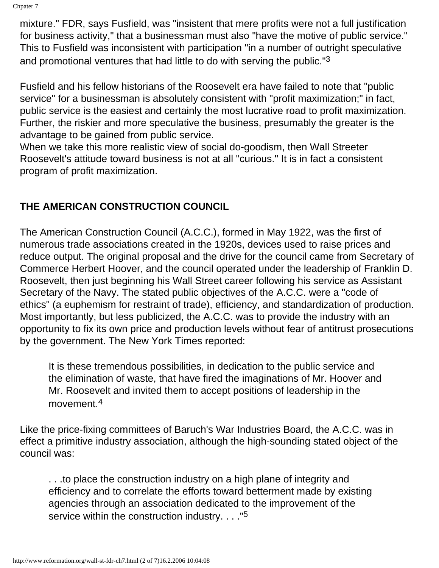mixture." FDR, says Fusfield, was "insistent that mere profits were not a full justification for business activity," that a businessman must also "have the motive of public service." This to Fusfield was inconsistent with participation "in a number of outright speculative and promotional ventures that had little to do with serving the public."3

Fusfield and his fellow historians of the Roosevelt era have failed to note that "public service" for a businessman is absolutely consistent with "profit maximization;" in fact, public service is the easiest and certainly the most lucrative road to profit maximization. Further, the riskier and more speculative the business, presumably the greater is the advantage to be gained from public service.

When we take this more realistic view of social do-goodism, then Wall Streeter Roosevelt's attitude toward business is not at all "curious." It is in fact a consistent program of profit maximization.

# **THE AMERICAN CONSTRUCTION COUNCIL**

The American Construction Council (A.C.C.), formed in May 1922, was the first of numerous trade associations created in the 1920s, devices used to raise prices and reduce output. The original proposal and the drive for the council came from Secretary of Commerce Herbert Hoover, and the council operated under the leadership of Franklin D. Roosevelt, then just beginning his Wall Street career following his service as Assistant Secretary of the Navy. The stated public objectives of the A.C.C. were a "code of ethics" (a euphemism for restraint of trade), efficiency, and standardization of production. Most importantly, but less publicized, the A.C.C. was to provide the industry with an opportunity to fix its own price and production levels without fear of antitrust prosecutions by the government. The New York Times reported:

It is these tremendous possibilities, in dedication to the public service and the elimination of waste, that have fired the imaginations of Mr. Hoover and Mr. Roosevelt and invited them to accept positions of leadership in the movement.4

Like the price-fixing committees of Baruch's War Industries Board, the A.C.C. was in effect a primitive industry association, although the high-sounding stated object of the council was:

. . .to place the construction industry on a high plane of integrity and efficiency and to correlate the efforts toward betterment made by existing agencies through an association dedicated to the improvement of the service within the construction industry. . . ."5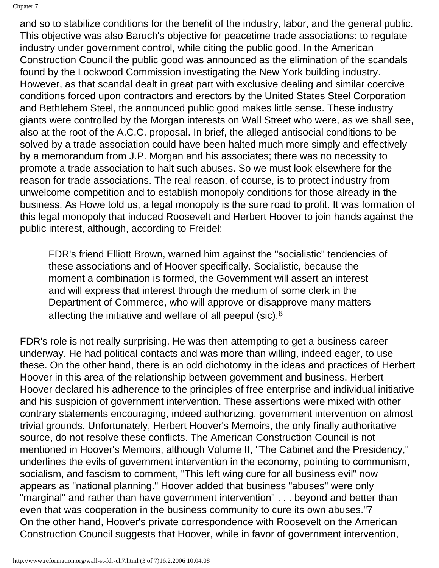and so to stabilize conditions for the benefit of the industry, labor, and the general public. This objective was also Baruch's objective for peacetime trade associations: to regulate industry under government control, while citing the public good. In the American Construction Council the public good was announced as the elimination of the scandals found by the Lockwood Commission investigating the New York building industry. However, as that scandal dealt in great part with exclusive dealing and similar coercive conditions forced upon contractors and erectors by the United States Steel Corporation and Bethlehem Steel, the announced public good makes little sense. These industry giants were controlled by the Morgan interests on Wall Street who were, as we shall see, also at the root of the A.C.C. proposal. In brief, the alleged antisocial conditions to be solved by a trade association could have been halted much more simply and effectively by a memorandum from J.P. Morgan and his associates; there was no necessity to promote a trade association to halt such abuses. So we must look elsewhere for the reason for trade associations. The real reason, of course, is to protect industry from unwelcome competition and to establish monopoly conditions for those already in the business. As Howe told us, a legal monopoly is the sure road to profit. It was formation of this legal monopoly that induced Roosevelt and Herbert Hoover to join hands against the public interest, although, according to Freidel:

FDR's friend Elliott Brown, warned him against the "socialistic" tendencies of these associations and of Hoover specifically. Socialistic, because the moment a combination is formed, the Government will assert an interest and will express that interest through the medium of some clerk in the Department of Commerce, who will approve or disapprove many matters affecting the initiative and welfare of all peepul (sic).6

FDR's role is not really surprising. He was then attempting to get a business career underway. He had political contacts and was more than willing, indeed eager, to use these. On the other hand, there is an odd dichotomy in the ideas and practices of Herbert Hoover in this area of the relationship between government and business. Herbert Hoover declared his adherence to the principles of free enterprise and individual initiative and his suspicion of government intervention. These assertions were mixed with other contrary statements encouraging, indeed authorizing, government intervention on almost trivial grounds. Unfortunately, Herbert Hoover's Memoirs, the only finally authoritative source, do not resolve these conflicts. The American Construction Council is not mentioned in Hoover's Memoirs, although Volume II, "The Cabinet and the Presidency," underlines the evils of government intervention in the economy, pointing to communism, socialism, and fascism to comment, "This left wing cure for all business evil" now appears as "national planning." Hoover added that business "abuses" were only "marginal" and rather than have government intervention" . . . beyond and better than even that was cooperation in the business community to cure its own abuses."7 On the other hand, Hoover's private correspondence with Roosevelt on the American Construction Council suggests that Hoover, while in favor of government intervention,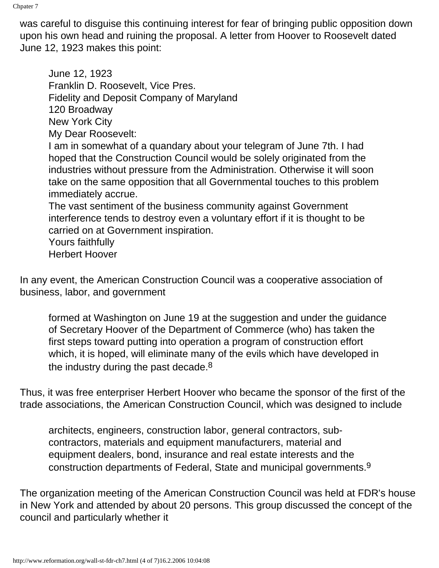was careful to disguise this continuing interest for fear of bringing public opposition down upon his own head and ruining the proposal. A letter from Hoover to Roosevelt dated June 12, 1923 makes this point:

June 12, 1923 Franklin D. Roosevelt, Vice Pres. Fidelity and Deposit Company of Maryland 120 Broadway New York City My Dear Roosevelt: I am in somewhat of a quandary about your telegram of June 7th. I had hoped that the Construction Council would be solely originated from the industries without pressure from the Administration. Otherwise it will soon take on the same opposition that all Governmental touches to this problem immediately accrue. The vast sentiment of the business community against Government interference tends to destroy even a voluntary effort if it is thought to be carried on at Government inspiration.

Yours faithfully

Herbert Hoover

In any event, the American Construction Council was a cooperative association of business, labor, and government

formed at Washington on June 19 at the suggestion and under the guidance of Secretary Hoover of the Department of Commerce (who) has taken the first steps toward putting into operation a program of construction effort which, it is hoped, will eliminate many of the evils which have developed in the industry during the past decade.8

Thus, it was free enterpriser Herbert Hoover who became the sponsor of the first of the trade associations, the American Construction Council, which was designed to include

architects, engineers, construction labor, general contractors, subcontractors, materials and equipment manufacturers, material and equipment dealers, bond, insurance and real estate interests and the construction departments of Federal, State and municipal governments.9

The organization meeting of the American Construction Council was held at FDR's house in New York and attended by about 20 persons. This group discussed the concept of the council and particularly whether it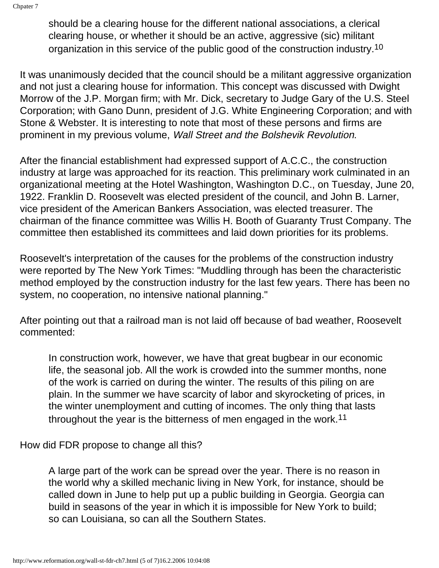should be a clearing house for the different national associations, a clerical clearing house, or whether it should be an active, aggressive (sic) militant organization in this service of the public good of the construction industry.10

It was unanimously decided that the council should be a militant aggressive organization and not just a clearing house for information. This concept was discussed with Dwight Morrow of the J.P. Morgan firm; with Mr. Dick, secretary to Judge Gary of the U.S. Steel Corporation; with Gano Dunn, president of J.G. White Engineering Corporation; and with Stone & Webster. It is interesting to note that most of these persons and firms are prominent in my previous volume, Wall Street and the Bolshevik Revolution.

After the financial establishment had expressed support of A.C.C., the construction industry at large was approached for its reaction. This preliminary work culminated in an organizational meeting at the Hotel Washington, Washington D.C., on Tuesday, June 20, 1922. Franklin D. Roosevelt was elected president of the council, and John B. Larner, vice president of the American Bankers Association, was elected treasurer. The chairman of the finance committee was Willis H. Booth of Guaranty Trust Company. The committee then established its committees and laid down priorities for its problems.

Roosevelt's interpretation of the causes for the problems of the construction industry were reported by The New York Times: "Muddling through has been the characteristic method employed by the construction industry for the last few years. There has been no system, no cooperation, no intensive national planning."

After pointing out that a railroad man is not laid off because of bad weather, Roosevelt commented:

In construction work, however, we have that great bugbear in our economic life, the seasonal job. All the work is crowded into the summer months, none of the work is carried on during the winter. The results of this piling on are plain. In the summer we have scarcity of labor and skyrocketing of prices, in the winter unemployment and cutting of incomes. The only thing that lasts throughout the year is the bitterness of men engaged in the work.<sup>11</sup>

How did FDR propose to change all this?

A large part of the work can be spread over the year. There is no reason in the world why a skilled mechanic living in New York, for instance, should be called down in June to help put up a public building in Georgia. Georgia can build in seasons of the year in which it is impossible for New York to build; so can Louisiana, so can all the Southern States.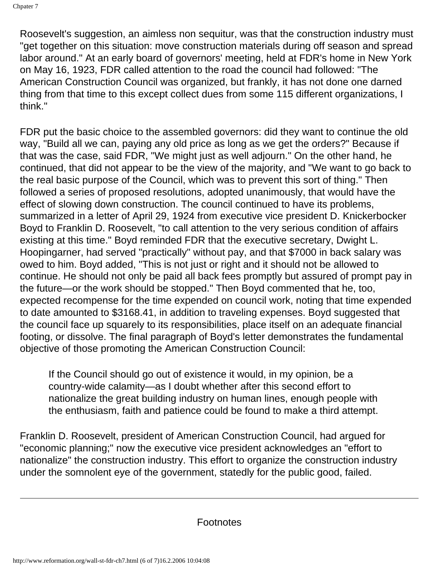Roosevelt's suggestion, an aimless non sequitur, was that the construction industry must "get together on this situation: move construction materials during off season and spread labor around." At an early board of governors' meeting, held at FDR's home in New York on May 16, 1923, FDR called attention to the road the council had followed: "The American Construction Council was organized, but frankly, it has not done one darned thing from that time to this except collect dues from some 115 different organizations, I think."

FDR put the basic choice to the assembled governors: did they want to continue the old way, "Build all we can, paying any old price as long as we get the orders?" Because if that was the case, said FDR, "We might just as well adjourn." On the other hand, he continued, that did not appear to be the view of the majority, and "We want to go back to the real basic purpose of the Council, which was to prevent this sort of thing." Then followed a series of proposed resolutions, adopted unanimously, that would have the effect of slowing down construction. The council continued to have its problems, summarized in a letter of April 29, 1924 from executive vice president D. Knickerbocker Boyd to Franklin D. Roosevelt, "to call attention to the very serious condition of affairs existing at this time." Boyd reminded FDR that the executive secretary, Dwight L. Hoopingarner, had served "practically" without pay, and that \$7000 in back salary was owed to him. Boyd added, "This is not just or right and it should not be allowed to continue. He should not only be paid all back fees promptly but assured of prompt pay in the future—or the work should be stopped." Then Boyd commented that he, too, expected recompense for the time expended on council work, noting that time expended to date amounted to \$3168.41, in addition to traveling expenses. Boyd suggested that the council face up squarely to its responsibilities, place itself on an adequate financial footing, or dissolve. The final paragraph of Boyd's letter demonstrates the fundamental objective of those promoting the American Construction Council:

If the Council should go out of existence it would, in my opinion, be a country-wide calamity—as I doubt whether after this second effort to nationalize the great building industry on human lines, enough people with the enthusiasm, faith and patience could be found to make a third attempt.

Franklin D. Roosevelt, president of American Construction Council, had argued for "economic planning;" now the executive vice president acknowledges an "effort to nationalize" the construction industry. This effort to organize the construction industry under the somnolent eye of the government, statedly for the public good, failed.

Footnotes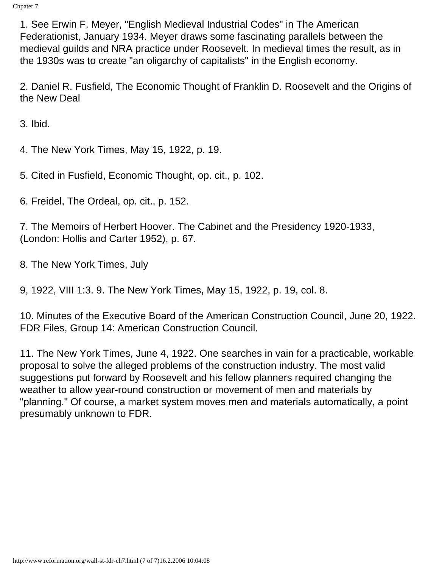1. See Erwin F. Meyer, "English Medieval Industrial Codes" in The American Federationist, January 1934. Meyer draws some fascinating parallels between the medieval guilds and NRA practice under Roosevelt. In medieval times the result, as in the 1930s was to create "an oligarchy of capitalists" in the English economy.

2. Daniel R. Fusfield, The Economic Thought of Franklin D. Roosevelt and the Origins of the New Deal

3. Ibid.

4. The New York Times, May 15, 1922, p. 19.

5. Cited in Fusfield, Economic Thought, op. cit., p. 102.

6. Freidel, The Ordeal, op. cit., p. 152.

7. The Memoirs of Herbert Hoover. The Cabinet and the Presidency 1920-1933, (London: Hollis and Carter 1952), p. 67.

8. The New York Times, July

9, 1922, VIII 1:3. 9. The New York Times, May 15, 1922, p. 19, col. 8.

10. Minutes of the Executive Board of the American Construction Council, June 20, 1922. FDR Files, Group 14: American Construction Council.

11. The New York Times, June 4, 1922. One searches in vain for a practicable, workable proposal to solve the alleged problems of the construction industry. The most valid suggestions put forward by Roosevelt and his fellow planners required changing the weather to allow year-round construction or movement of men and materials by "planning." Of course, a market system moves men and materials automatically, a point presumably unknown to FDR.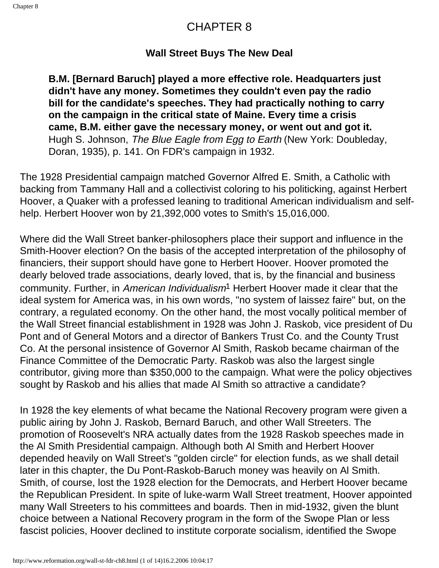# CHAPTER 8

# **Wall Street Buys The New Deal**

**B.M. [Bernard Baruch] played a more effective role. Headquarters just didn't have any money. Sometimes they couldn't even pay the radio bill for the candidate's speeches. They had practically nothing to carry on the campaign in the critical state of Maine. Every time a crisis came, B.M. either gave the necessary money, or went out and got it.** Hugh S. Johnson, The Blue Eagle from Egg to Earth (New York: Doubleday, Doran, 1935), p. 141. On FDR's campaign in 1932.

The 1928 Presidential campaign matched Governor Alfred E. Smith, a Catholic with backing from Tammany Hall and a collectivist coloring to his politicking, against Herbert Hoover, a Quaker with a professed leaning to traditional American individualism and selfhelp. Herbert Hoover won by 21,392,000 votes to Smith's 15,016,000.

Where did the Wall Street banker-philosophers place their support and influence in the Smith-Hoover election? On the basis of the accepted interpretation of the philosophy of financiers, their support should have gone to Herbert Hoover. Hoover promoted the dearly beloved trade associations, dearly loved, that is, by the financial and business community. Further, in American Individualism<sup>1</sup> Herbert Hoover made it clear that the ideal system for America was, in his own words, "no system of laissez faire" but, on the contrary, a regulated economy. On the other hand, the most vocally political member of the Wall Street financial establishment in 1928 was John J. Raskob, vice president of Du Pont and of General Motors and a director of Bankers Trust Co. and the County Trust Co. At the personal insistence of Governor Al Smith, Raskob became chairman of the Finance Committee of the Democratic Party. Raskob was also the largest single contributor, giving more than \$350,000 to the campaign. What were the policy objectives sought by Raskob and his allies that made Al Smith so attractive a candidate?

In 1928 the key elements of what became the National Recovery program were given a public airing by John J. Raskob, Bernard Baruch, and other Wall Streeters. The promotion of Roosevelt's NRA actually dates from the 1928 Raskob speeches made in the Al Smith Presidential campaign. Although both Al Smith and Herbert Hoover depended heavily on Wall Street's "golden circle" for election funds, as we shall detail later in this chapter, the Du Pont-Raskob-Baruch money was heavily on Al Smith. Smith, of course, lost the 1928 election for the Democrats, and Herbert Hoover became the Republican President. In spite of luke-warm Wall Street treatment, Hoover appointed many Wall Streeters to his committees and boards. Then in mid-1932, given the blunt choice between a National Recovery program in the form of the Swope Plan or less fascist policies, Hoover declined to institute corporate socialism, identified the Swope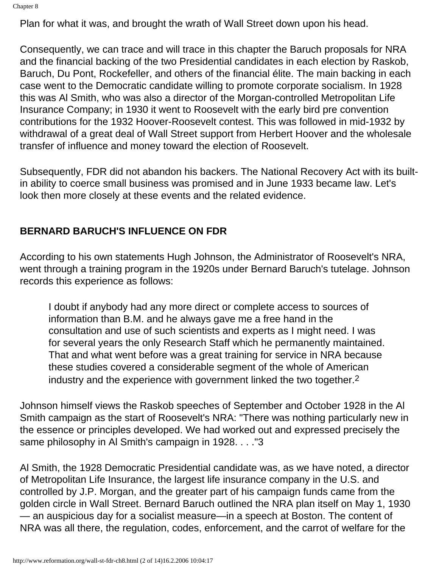Plan for what it was, and brought the wrath of Wall Street down upon his head.

Consequently, we can trace and will trace in this chapter the Baruch proposals for NRA and the financial backing of the two Presidential candidates in each election by Raskob, Baruch, Du Pont, Rockefeller, and others of the financial élite. The main backing in each case went to the Democratic candidate willing to promote corporate socialism. In 1928 this was Al Smith, who was also a director of the Morgan-controlled Metropolitan Life Insurance Company; in 1930 it went to Roosevelt with the early bird pre convention contributions for the 1932 Hoover-Roosevelt contest. This was followed in mid-1932 by withdrawal of a great deal of Wall Street support from Herbert Hoover and the wholesale transfer of influence and money toward the election of Roosevelt.

Subsequently, FDR did not abandon his backers. The National Recovery Act with its builtin ability to coerce small business was promised and in June 1933 became law. Let's look then more closely at these events and the related evidence.

### **BERNARD BARUCH'S INFLUENCE ON FDR**

According to his own statements Hugh Johnson, the Administrator of Roosevelt's NRA, went through a training program in the 1920s under Bernard Baruch's tutelage. Johnson records this experience as follows:

I doubt if anybody had any more direct or complete access to sources of information than B.M. and he always gave me a free hand in the consultation and use of such scientists and experts as I might need. I was for several years the only Research Staff which he permanently maintained. That and what went before was a great training for service in NRA because these studies covered a considerable segment of the whole of American industry and the experience with government linked the two together.2

Johnson himself views the Raskob speeches of September and October 1928 in the Al Smith campaign as the start of Roosevelt's NRA: "There was nothing particularly new in the essence or principles developed. We had worked out and expressed precisely the same philosophy in Al Smith's campaign in 1928. . . ."3

Al Smith, the 1928 Democratic Presidential candidate was, as we have noted, a director of Metropolitan Life Insurance, the largest life insurance company in the U.S. and controlled by J.P. Morgan, and the greater part of his campaign funds came from the golden circle in Wall Street. Bernard Baruch outlined the NRA plan itself on May 1, 1930 — an auspicious day for a socialist measure—in a speech at Boston. The content of NRA was all there, the regulation, codes, enforcement, and the carrot of welfare for the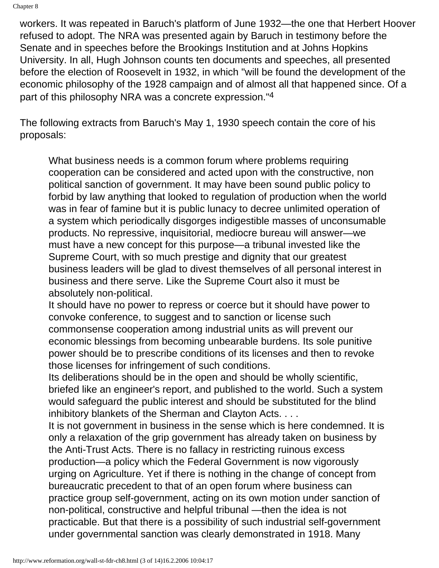workers. It was repeated in Baruch's platform of June 1932—the one that Herbert Hoover refused to adopt. The NRA was presented again by Baruch in testimony before the Senate and in speeches before the Brookings Institution and at Johns Hopkins University. In all, Hugh Johnson counts ten documents and speeches, all presented before the election of Roosevelt in 1932, in which "will be found the development of the economic philosophy of the 1928 campaign and of almost all that happened since. Of a part of this philosophy NRA was a concrete expression."4

The following extracts from Baruch's May 1, 1930 speech contain the core of his proposals:

What business needs is a common forum where problems requiring cooperation can be considered and acted upon with the constructive, non political sanction of government. It may have been sound public policy to forbid by law anything that looked to regulation of production when the world was in fear of famine but it is public lunacy to decree unlimited operation of a system which periodically disgorges indigestible masses of unconsumable products. No repressive, inquisitorial, mediocre bureau will answer—we must have a new concept for this purpose—a tribunal invested like the Supreme Court, with so much prestige and dignity that our greatest business leaders will be glad to divest themselves of all personal interest in business and there serve. Like the Supreme Court also it must be absolutely non-political.

It should have no power to repress or coerce but it should have power to convoke conference, to suggest and to sanction or license such commonsense cooperation among industrial units as will prevent our economic blessings from becoming unbearable burdens. Its sole punitive power should be to prescribe conditions of its licenses and then to revoke those licenses for infringement of such conditions.

Its deliberations should be in the open and should be wholly scientific, briefed like an engineer's report, and published to the world. Such a system would safeguard the public interest and should be substituted for the blind inhibitory blankets of the Sherman and Clayton Acts. . . .

It is not government in business in the sense which is here condemned. It is only a relaxation of the grip government has already taken on business by the Anti-Trust Acts. There is no fallacy in restricting ruinous excess production—a policy which the Federal Government is now vigorously urging on Agriculture. Yet if there is nothing in the change of concept from bureaucratic precedent to that of an open forum where business can practice group self-government, acting on its own motion under sanction of non-political, constructive and helpful tribunal —then the idea is not practicable. But that there is a possibility of such industrial self-government under governmental sanction was clearly demonstrated in 1918. Many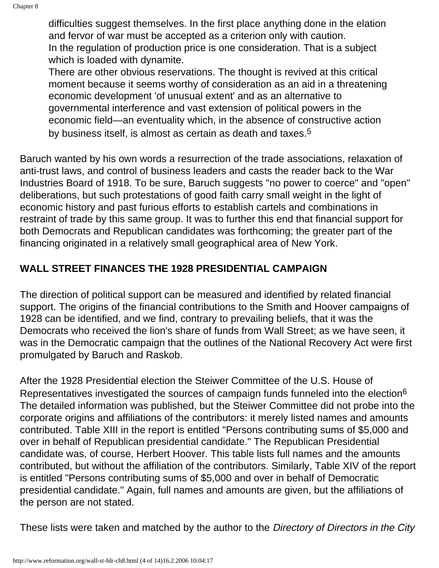difficulties suggest themselves. In the first place anything done in the elation and fervor of war must be accepted as a criterion only with caution. In the regulation of production price is one consideration. That is a subject which is loaded with dynamite.

There are other obvious reservations. The thought is revived at this critical moment because it seems worthy of consideration as an aid in a threatening economic development 'of unusual extent' and as an alternative to governmental interference and vast extension of political powers in the economic field—an eventuality which, in the absence of constructive action by business itself, is almost as certain as death and taxes.<sup>5</sup>

Baruch wanted by his own words a resurrection of the trade associations, relaxation of anti-trust laws, and control of business leaders and casts the reader back to the War Industries Board of 1918. To be sure, Baruch suggests "no power to coerce" and "open" deliberations, but such protestations of good faith carry small weight in the light of economic history and past furious efforts to establish cartels and combinations in restraint of trade by this same group. It was to further this end that financial support for both Democrats and Republican candidates was forthcoming; the greater part of the financing originated in a relatively small geographical area of New York.

## **WALL STREET FINANCES THE 1928 PRESIDENTIAL CAMPAIGN**

The direction of political support can be measured and identified by related financial support. The origins of the financial contributions to the Smith and Hoover campaigns of 1928 can be identified, and we find, contrary to prevailing beliefs, that it was the Democrats who received the lion's share of funds from Wall Street; as we have seen, it was in the Democratic campaign that the outlines of the National Recovery Act were first promulgated by Baruch and Raskob.

After the 1928 Presidential election the Steiwer Committee of the U.S. House of Representatives investigated the sources of campaign funds funneled into the election<sup>6</sup> The detailed information was published, but the Steiwer Committee did not probe into the corporate origins and affiliations of the contributors: it merely listed names and amounts contributed. Table XIII in the report is entitled "Persons contributing sums of \$5,000 and over in behalf of Republican presidential candidate." The Republican Presidential candidate was, of course, Herbert Hoover. This table lists full names and the amounts contributed, but without the affiliation of the contributors. Similarly, Table XIV of the report is entitled "Persons contributing sums of \$5,000 and over in behalf of Democratic presidential candidate." Again, full names and amounts are given, but the affiliations of the person are not stated.

These lists were taken and matched by the author to the Directory of Directors in the City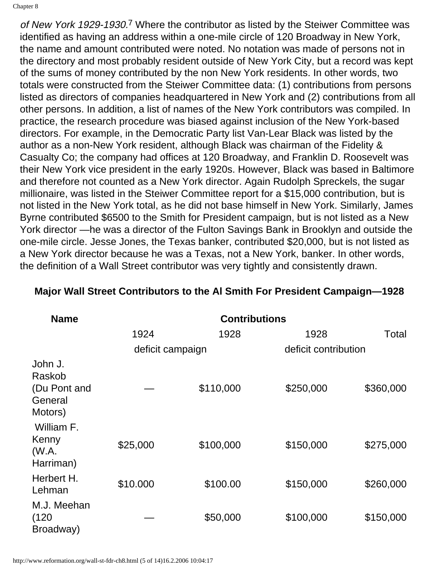of New York 1929-1930.<sup>7</sup> Where the contributor as listed by the Steiwer Committee was identified as having an address within a one-mile circle of 120 Broadway in New York, the name and amount contributed were noted. No notation was made of persons not in the directory and most probably resident outside of New York City, but a record was kept of the sums of money contributed by the non New York residents. In other words, two totals were constructed from the Steiwer Committee data: (1) contributions from persons listed as directors of companies headquartered in New York and (2) contributions from all other persons. In addition, a list of names of the New York contributors was compiled. In practice, the research procedure was biased against inclusion of the New York-based directors. For example, in the Democratic Party list Van-Lear Black was listed by the author as a non-New York resident, although Black was chairman of the Fidelity & Casualty Co; the company had offices at 120 Broadway, and Franklin D. Roosevelt was their New York vice president in the early 1920s. However, Black was based in Baltimore and therefore not counted as a New York director. Again Rudolph Spreckels, the sugar millionaire, was listed in the Steiwer Committee report for a \$15,000 contribution, but is not listed in the New York total, as he did not base himself in New York. Similarly, James Byrne contributed \$6500 to the Smith for President campaign, but is not listed as a New York director —he was a director of the Fulton Savings Bank in Brooklyn and outside the one-mile circle. Jesse Jones, the Texas banker, contributed \$20,000, but is not listed as a New York director because he was a Texas, not a New York, banker. In other words, the definition of a Wall Street contributor was very tightly and consistently drawn.

| <b>Name</b>                                             | <b>Contributions</b> |           |                      |           |
|---------------------------------------------------------|----------------------|-----------|----------------------|-----------|
|                                                         | 1924                 | 1928      | 1928                 | Total     |
|                                                         | deficit campaign     |           | deficit contribution |           |
| John J.<br>Raskob<br>(Du Pont and<br>General<br>Motors) |                      | \$110,000 | \$250,000            | \$360,000 |
| William F.<br>Kenny<br>(W.A.<br>Harriman)               | \$25,000             | \$100,000 | \$150,000            | \$275,000 |
| Herbert H.<br>Lehman                                    | \$10.000             | \$100.00  | \$150,000            | \$260,000 |
| M.J. Meehan<br>(120)<br>Broadway)                       |                      | \$50,000  | \$100,000            | \$150,000 |

### **Major Wall Street Contributors to the Al Smith For President Campaign—1928**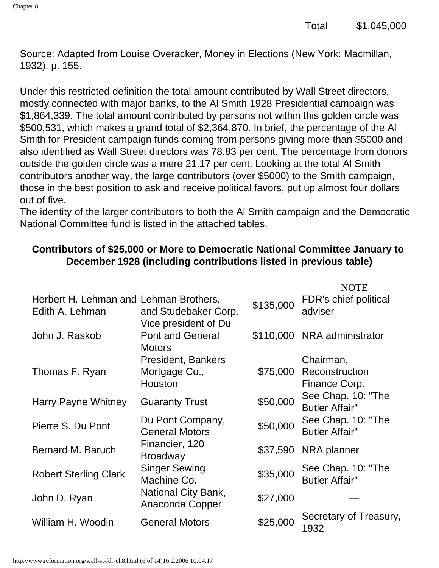Source: Adapted from Louise Overacker, Money in Elections (New York: Macmillan, 1932), p. 155.

Under this restricted definition the total amount contributed by Wall Street directors, mostly connected with major banks, to the Al Smith 1928 Presidential campaign was \$1,864,339. The total amount contributed by persons not within this golden circle was \$500,531, which makes a grand total of \$2,364,870. In brief, the percentage of the Al Smith for President campaign funds coming from persons giving more than \$5000 and also identified as Wall Street directors was 78.83 per cent. The percentage from donors outside the golden circle was a mere 21.17 per cent. Looking at the total Al Smith contributors another way, the large contributors (over \$5000) to the Smith campaign, those in the best position to ask and receive political favors, put up almost four dollars out of five.

The identity of the larger contributors to both the Al Smith campaign and the Democratic National Committee fund is listed in the attached tables.

### **NOTE** Herbert H. Lehman and Lehman Brothers, Edith A. Lehman Lehman Brothers,<br>and Studebaker Corp. \$135,000 adviser adviser John J. Raskob Vice president of Du Pont and General **Motors** \$110,000 NRA administrator Thomas F. Ryan President, Bankers Mortgage Co., Houston \$75,000 Reconstruction Chairman, Finance Corp. Harry Payne Whitney Guaranty Trust  $$50,000$  See Chap. 10: "The Butler Affair" Pierre S. Du Pont Du Pont Company,<br>General Motors  $$50,000$  See Chap. 10: "The Butler Affair" Bernard M. Baruch Financier, 120 \$37,590 NRA planner Robert Sterling Clark Singer Sewing<br>
Machine Co.  $$35,000$  See Chap. 10: "The Butler Affair" John D. Ryan National City Bank, Anaconda Copper \$27,000 William H. Woodin General Motors \$25,000 Secretary of Treasury, 1932

### **Contributors of \$25,000 or More to Democratic National Committee January to December 1928 (including contributions listed in previous table)**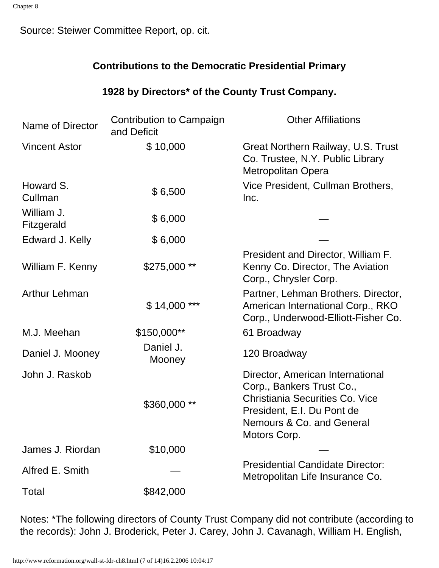Source: Steiwer Committee Report, op. cit.

# **Contributions to the Democratic Presidential Primary**

# **1928 by Directors\* of the County Trust Company.**

| Name of Director         | Contribution to Campaign<br>and Deficit | <b>Other Affiliations</b>                                                                                                                                                   |  |
|--------------------------|-----------------------------------------|-----------------------------------------------------------------------------------------------------------------------------------------------------------------------------|--|
| <b>Vincent Astor</b>     | \$10,000                                | Great Northern Railway, U.S. Trust<br>Co. Trustee, N.Y. Public Library<br><b>Metropolitan Opera</b>                                                                         |  |
| Howard S.<br>Cullman     | \$6,500                                 | Vice President, Cullman Brothers,<br>Inc.                                                                                                                                   |  |
| William J.<br>Fitzgerald | \$6,000                                 |                                                                                                                                                                             |  |
| Edward J. Kelly          | \$6,000                                 |                                                                                                                                                                             |  |
| William F. Kenny         | \$275,000**                             | President and Director, William F.<br>Kenny Co. Director, The Aviation<br>Corp., Chrysler Corp.                                                                             |  |
| <b>Arthur Lehman</b>     | $$14,000$ ***                           | Partner, Lehman Brothers. Director,<br>American International Corp., RKO<br>Corp., Underwood-Elliott-Fisher Co.                                                             |  |
| M.J. Meehan              | \$150,000**                             | 61 Broadway                                                                                                                                                                 |  |
| Daniel J. Mooney         | Daniel J.<br>Mooney                     | 120 Broadway                                                                                                                                                                |  |
| John J. Raskob           | \$360,000                               | Director, American International<br>Corp., Bankers Trust Co.,<br>Christiania Securities Co. Vice<br>President, E.I. Du Pont de<br>Nemours & Co. and General<br>Motors Corp. |  |
| James J. Riordan         | \$10,000                                |                                                                                                                                                                             |  |
| Alfred E. Smith          |                                         | <b>Presidential Candidate Director:</b><br>Metropolitan Life Insurance Co.                                                                                                  |  |
| Total                    | \$842,000                               |                                                                                                                                                                             |  |

Notes: \*The following directors of County Trust Company did not contribute (according to the records): John J. Broderick, Peter J. Carey, John J. Cavanagh, William H. English,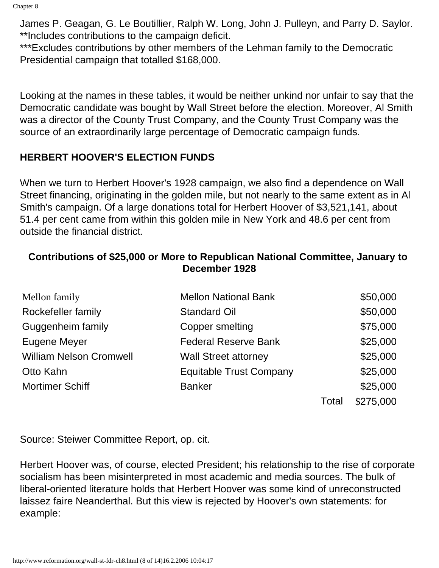James P. Geagan, G. Le Boutillier, Ralph W. Long, John J. Pulleyn, and Parry D. Saylor. \*\*Includes contributions to the campaign deficit.

\*\*\*Excludes contributions by other members of the Lehman family to the Democratic Presidential campaign that totalled \$168,000.

Looking at the names in these tables, it would be neither unkind nor unfair to say that the Democratic candidate was bought by Wall Street before the election. Moreover, Al Smith was a director of the County Trust Company, and the County Trust Company was the source of an extraordinarily large percentage of Democratic campaign funds.

# **HERBERT HOOVER'S ELECTION FUNDS**

When we turn to Herbert Hoover's 1928 campaign, we also find a dependence on Wall Street financing, originating in the golden mile, but not nearly to the same extent as in Al Smith's campaign. Of a large donations total for Herbert Hoover of \$3,521,141, about 51.4 per cent came from within this golden mile in New York and 48.6 per cent from outside the financial district.

### **Contributions of \$25,000 or More to Republican National Committee, January to December 1928**

| <b>Mellon National Bank</b>    |       | \$50,000  |
|--------------------------------|-------|-----------|
| <b>Standard Oil</b>            |       | \$50,000  |
| Copper smelting                |       | \$75,000  |
| <b>Federal Reserve Bank</b>    |       | \$25,000  |
| <b>Wall Street attorney</b>    |       | \$25,000  |
| <b>Equitable Trust Company</b> |       | \$25,000  |
| <b>Banker</b>                  |       | \$25,000  |
|                                | Total | \$275,000 |
|                                |       |           |

Source: Steiwer Committee Report, op. cit.

Herbert Hoover was, of course, elected President; his relationship to the rise of corporate socialism has been misinterpreted in most academic and media sources. The bulk of liberal-oriented literature holds that Herbert Hoover was some kind of unreconstructed laissez faire Neanderthal. But this view is rejected by Hoover's own statements: for example: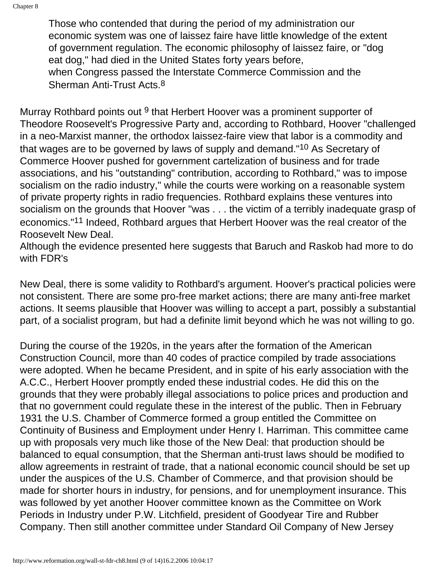Those who contended that during the period of my administration our economic system was one of laissez faire have little knowledge of the extent of government regulation. The economic philosophy of laissez faire, or "dog eat dog," had died in the United States forty years before, when Congress passed the Interstate Commerce Commission and the Sherman Anti-Trust Acts.8

Murray Rothbard points out <sup>9</sup> that Herbert Hoover was a prominent supporter of Theodore Roosevelt's Progressive Party and, according to Rothbard, Hoover "challenged in a neo-Marxist manner, the orthodox laissez-faire view that labor is a commodity and that wages are to be governed by laws of supply and demand."10 As Secretary of Commerce Hoover pushed for government cartelization of business and for trade associations, and his "outstanding" contribution, according to Rothbard," was to impose socialism on the radio industry," while the courts were working on a reasonable system of private property rights in radio frequencies. Rothbard explains these ventures into socialism on the grounds that Hoover "was . . . the victim of a terribly inadequate grasp of economics."11 Indeed, Rothbard argues that Herbert Hoover was the real creator of the Roosevelt New Deal.

Although the evidence presented here suggests that Baruch and Raskob had more to do with FDR's

New Deal, there is some validity to Rothbard's argument. Hoover's practical policies were not consistent. There are some pro-free market actions; there are many anti-free market actions. It seems plausible that Hoover was willing to accept a part, possibly a substantial part, of a socialist program, but had a definite limit beyond which he was not willing to go.

During the course of the 1920s, in the years after the formation of the American Construction Council, more than 40 codes of practice compiled by trade associations were adopted. When he became President, and in spite of his early association with the A.C.C., Herbert Hoover promptly ended these industrial codes. He did this on the grounds that they were probably illegal associations to police prices and production and that no government could regulate these in the interest of the public. Then in February 1931 the U.S. Chamber of Commerce formed a group entitled the Committee on Continuity of Business and Employment under Henry I. Harriman. This committee came up with proposals very much like those of the New Deal: that production should be balanced to equal consumption, that the Sherman anti-trust laws should be modified to allow agreements in restraint of trade, that a national economic council should be set up under the auspices of the U.S. Chamber of Commerce, and that provision should be made for shorter hours in industry, for pensions, and for unemployment insurance. This was followed by yet another Hoover committee known as the Committee on Work Periods in Industry under P.W. Litchfield, president of Goodyear Tire and Rubber Company. Then still another committee under Standard Oil Company of New Jersey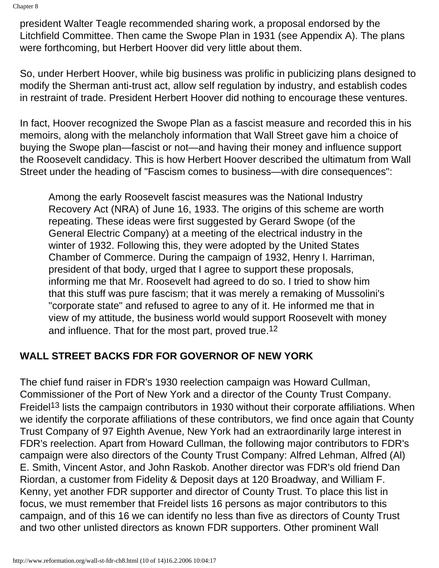president Walter Teagle recommended sharing work, a proposal endorsed by the Litchfield Committee. Then came the Swope Plan in 1931 (see Appendix A). The plans were forthcoming, but Herbert Hoover did very little about them.

So, under Herbert Hoover, while big business was prolific in publicizing plans designed to modify the Sherman anti-trust act, allow self regulation by industry, and establish codes in restraint of trade. President Herbert Hoover did nothing to encourage these ventures.

In fact, Hoover recognized the Swope Plan as a fascist measure and recorded this in his memoirs, along with the melancholy information that Wall Street gave him a choice of buying the Swope plan—fascist or not—and having their money and influence support the Roosevelt candidacy. This is how Herbert Hoover described the ultimatum from Wall Street under the heading of "Fascism comes to business—with dire consequences":

Among the early Roosevelt fascist measures was the National Industry Recovery Act (NRA) of June 16, 1933. The origins of this scheme are worth repeating. These ideas were first suggested by Gerard Swope (of the General Electric Company) at a meeting of the electrical industry in the winter of 1932. Following this, they were adopted by the United States Chamber of Commerce. During the campaign of 1932, Henry I. Harriman, president of that body, urged that I agree to support these proposals, informing me that Mr. Roosevelt had agreed to do so. I tried to show him that this stuff was pure fascism; that it was merely a remaking of Mussolini's "corporate state" and refused to agree to any of it. He informed me that in view of my attitude, the business world would support Roosevelt with money and influence. That for the most part, proved true.<sup>12</sup>

### **WALL STREET BACKS FDR FOR GOVERNOR OF NEW YORK**

The chief fund raiser in FDR's 1930 reelection campaign was Howard Cullman, Commissioner of the Port of New York and a director of the County Trust Company. Freidel<sup>13</sup> lists the campaign contributors in 1930 without their corporate affiliations. When we identify the corporate affiliations of these contributors, we find once again that County Trust Company of 97 Eighth Avenue, New York had an extraordinarily large interest in FDR's reelection. Apart from Howard Cullman, the following major contributors to FDR's campaign were also directors of the County Trust Company: Alfred Lehman, Alfred (Al) E. Smith, Vincent Astor, and John Raskob. Another director was FDR's old friend Dan Riordan, a customer from Fidelity & Deposit days at 120 Broadway, and William F. Kenny, yet another FDR supporter and director of County Trust. To place this list in focus, we must remember that Freidel lists 16 persons as major contributors to this campaign, and of this 16 we can identify no less than five as directors of County Trust and two other unlisted directors as known FDR supporters. Other prominent Wall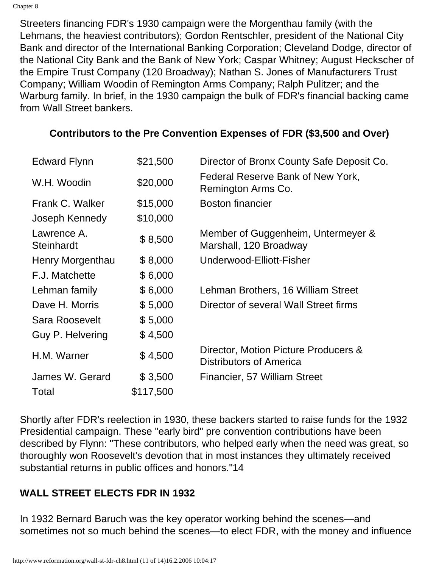Streeters financing FDR's 1930 campaign were the Morgenthau family (with the Lehmans, the heaviest contributors); Gordon Rentschler, president of the National City Bank and director of the International Banking Corporation; Cleveland Dodge, director of the National City Bank and the Bank of New York; Caspar Whitney; August Heckscher of the Empire Trust Company (120 Broadway); Nathan S. Jones of Manufacturers Trust Company; William Woodin of Remington Arms Company; Ralph Pulitzer; and the Warburg family. In brief, in the 1930 campaign the bulk of FDR's financial backing came from Wall Street bankers.

### **Contributors to the Pre Convention Expenses of FDR (\$3,500 and Over)**

| <b>Edward Flynn</b>       | \$21,500  | Director of Bronx County Safe Deposit Co.                              |
|---------------------------|-----------|------------------------------------------------------------------------|
| W.H. Woodin               | \$20,000  | Federal Reserve Bank of New York,<br>Remington Arms Co.                |
| Frank C. Walker           | \$15,000  | <b>Boston financier</b>                                                |
| Joseph Kennedy            | \$10,000  |                                                                        |
| Lawrence A.<br>Steinhardt | \$8,500   | Member of Guggenheim, Untermeyer &<br>Marshall, 120 Broadway           |
| Henry Morgenthau          | \$8,000   | Underwood-Elliott-Fisher                                               |
| F.J. Matchette            | \$6,000   |                                                                        |
| Lehman family             | \$6,000   | Lehman Brothers, 16 William Street                                     |
| Dave H. Morris            | \$5,000   | Director of several Wall Street firms                                  |
| Sara Roosevelt            | \$5,000   |                                                                        |
| Guy P. Helvering          | \$4,500   |                                                                        |
| H.M. Warner               | \$4,500   | Director, Motion Picture Producers &<br><b>Distributors of America</b> |
| James W. Gerard           | \$3,500   | Financier, 57 William Street                                           |
| Total                     | \$117,500 |                                                                        |

Shortly after FDR's reelection in 1930, these backers started to raise funds for the 1932 Presidential campaign. These "early bird" pre convention contributions have been described by Flynn: "These contributors, who helped early when the need was great, so thoroughly won Roosevelt's devotion that in most instances they ultimately received substantial returns in public offices and honors."14

# **WALL STREET ELECTS FDR IN 1932**

In 1932 Bernard Baruch was the key operator working behind the scenes—and sometimes not so much behind the scenes—to elect FDR, with the money and influence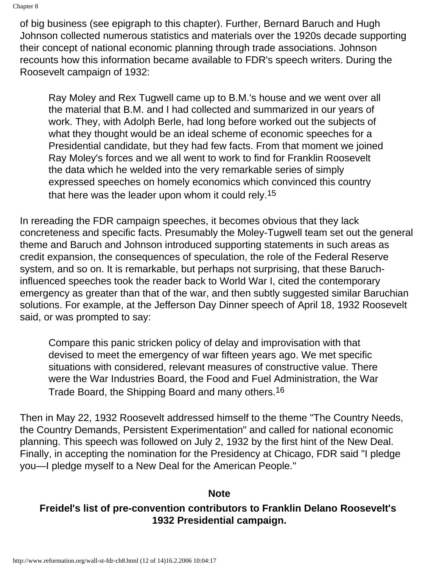of big business (see epigraph to this chapter). Further, Bernard Baruch and Hugh Johnson collected numerous statistics and materials over the 1920s decade supporting their concept of national economic planning through trade associations. Johnson recounts how this information became available to FDR's speech writers. During the Roosevelt campaign of 1932:

Ray Moley and Rex Tugwell came up to B.M.'s house and we went over all the material that B.M. and I had collected and summarized in our years of work. They, with Adolph Berle, had long before worked out the subjects of what they thought would be an ideal scheme of economic speeches for a Presidential candidate, but they had few facts. From that moment we joined Ray Moley's forces and we all went to work to find for Franklin Roosevelt the data which he welded into the very remarkable series of simply expressed speeches on homely economics which convinced this country that here was the leader upon whom it could rely.15

In rereading the FDR campaign speeches, it becomes obvious that they lack concreteness and specific facts. Presumably the Moley-Tugwell team set out the general theme and Baruch and Johnson introduced supporting statements in such areas as credit expansion, the consequences of speculation, the role of the Federal Reserve system, and so on. It is remarkable, but perhaps not surprising, that these Baruchinfluenced speeches took the reader back to World War I, cited the contemporary emergency as greater than that of the war, and then subtly suggested similar Baruchian solutions. For example, at the Jefferson Day Dinner speech of April 18, 1932 Roosevelt said, or was prompted to say:

Compare this panic stricken policy of delay and improvisation with that devised to meet the emergency of war fifteen years ago. We met specific situations with considered, relevant measures of constructive value. There were the War Industries Board, the Food and Fuel Administration, the War Trade Board, the Shipping Board and many others.16

Then in May 22, 1932 Roosevelt addressed himself to the theme "The Country Needs, the Country Demands, Persistent Experimentation" and called for national economic planning. This speech was followed on July 2, 1932 by the first hint of the New Deal. Finally, in accepting the nomination for the Presidency at Chicago, FDR said "I pledge you—I pledge myself to a New Deal for the American People."

### **Note**

### **Freidel's list of pre-convention contributors to Franklin Delano Roosevelt's 1932 Presidential campaign.**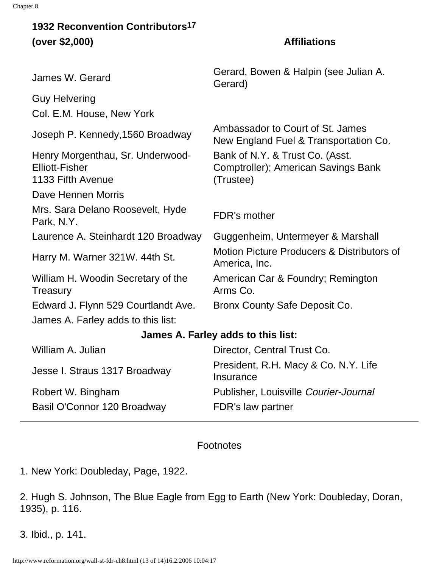# **1932 Reconvention Contributors17 (over \$2,000) Affiliations**

| James W. Gerard                                                                | Gerard, Bowen & Halpin (see Julian A.<br>Gerard)                                    |
|--------------------------------------------------------------------------------|-------------------------------------------------------------------------------------|
| <b>Guy Helvering</b>                                                           |                                                                                     |
| Col. E.M. House, New York                                                      |                                                                                     |
| Joseph P. Kennedy, 1560 Broadway                                               | Ambassador to Court of St. James<br>New England Fuel & Transportation Co.           |
| Henry Morgenthau, Sr. Underwood-<br><b>Elliott-Fisher</b><br>1133 Fifth Avenue | Bank of N.Y. & Trust Co. (Asst.<br>Comptroller); American Savings Bank<br>(Trustee) |
| Dave Hennen Morris                                                             |                                                                                     |
| Mrs. Sara Delano Roosevelt, Hyde<br>Park, N.Y.                                 | FDR's mother                                                                        |
| Laurence A. Steinhardt 120 Broadway                                            | Guggenheim, Untermeyer & Marshall                                                   |
| Harry M. Warner 321W. 44th St.                                                 | Motion Picture Producers & Distributors of<br>America, Inc.                         |
| William H. Woodin Secretary of the<br><b>Treasury</b>                          | American Car & Foundry; Remington<br>Arms Co.                                       |
| Edward J. Flynn 529 Courtlandt Ave.                                            | Bronx County Safe Deposit Co.                                                       |
| James A. Farley adds to this list:                                             |                                                                                     |
|                                                                                | James A. Farley adds to this list:                                                  |
| William A. Julian                                                              | Director, Central Trust Co.                                                         |
| Jesse I. Straus 1317 Broadway                                                  | President, R.H. Macy & Co. N.Y. Life<br>Insurance                                   |
| Robert W. Bingham                                                              | Publisher, Louisville Courier-Journal                                               |
| Basil O'Connor 120 Broadway                                                    | FDR's law partner                                                                   |

### **Footnotes**

1. New York: Doubleday, Page, 1922.

2. Hugh S. Johnson, The Blue Eagle from Egg to Earth (New York: Doubleday, Doran, 1935), p. 116.

3. Ibid., p. 141.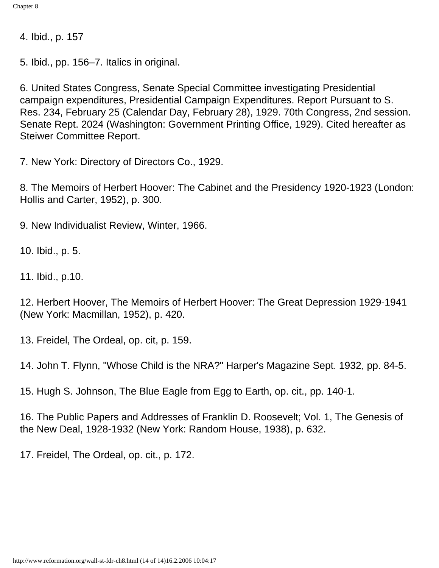4. Ibid., p. 157

5. Ibid., pp. 156–7. Italics in original.

6. United States Congress, Senate Special Committee investigating Presidential campaign expenditures, Presidential Campaign Expenditures. Report Pursuant to S. Res. 234, February 25 (Calendar Day, February 28), 1929. 70th Congress, 2nd session. Senate Rept. 2024 (Washington: Government Printing Office, 1929). Cited hereafter as Steiwer Committee Report.

7. New York: Directory of Directors Co., 1929.

8. The Memoirs of Herbert Hoover: The Cabinet and the Presidency 1920-1923 (London: Hollis and Carter, 1952), p. 300.

9. New Individualist Review, Winter, 1966.

10. Ibid., p. 5.

11. Ibid., p.10.

12. Herbert Hoover, The Memoirs of Herbert Hoover: The Great Depression 1929-1941 (New York: Macmillan, 1952), p. 420.

13. Freidel, The Ordeal, op. cit, p. 159.

14. John T. Flynn, "Whose Child is the NRA?" Harper's Magazine Sept. 1932, pp. 84-5.

15. Hugh S. Johnson, The Blue Eagle from Egg to Earth, op. cit., pp. 140-1.

16. The Public Papers and Addresses of Franklin D. Roosevelt; Vol. 1, The Genesis of the New Deal, 1928-1932 (New York: Random House, 1938), p. 632.

17. Freidel, The Ordeal, op. cit., p. 172.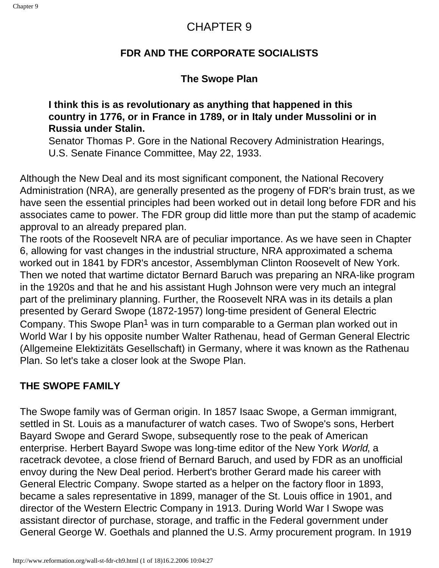# CHAPTER 9

## **FDR AND THE CORPORATE SOCIALISTS**

## **The Swope Plan**

**I think this is as revolutionary as anything that happened in this country in 1776, or in France in 1789, or in Italy under Mussolini or in Russia under Stalin.**

Senator Thomas P. Gore in the National Recovery Administration Hearings, U.S. Senate Finance Committee, May 22, 1933.

Although the New Deal and its most significant component, the National Recovery Administration (NRA), are generally presented as the progeny of FDR's brain trust, as we have seen the essential principles had been worked out in detail long before FDR and his associates came to power. The FDR group did little more than put the stamp of academic approval to an already prepared plan.

The roots of the Roosevelt NRA are of peculiar importance. As we have seen in Chapter 6, allowing for vast changes in the industrial structure, NRA approximated a schema worked out in 1841 by FDR's ancestor, Assemblyman Clinton Roosevelt of New York. Then we noted that wartime dictator Bernard Baruch was preparing an NRA-like program in the 1920s and that he and his assistant Hugh Johnson were very much an integral part of the preliminary planning. Further, the Roosevelt NRA was in its details a plan presented by Gerard Swope (1872-1957) long-time president of General Electric Company. This Swope Plan<sup>1</sup> was in turn comparable to a German plan worked out in World War I by his opposite number Walter Rathenau, head of German General Electric (Allgemeine Elektizitäts Gesellschaft) in Germany, where it was known as the Rathenau Plan. So let's take a closer look at the Swope Plan.

## **THE SWOPE FAMILY**

The Swope family was of German origin. In 1857 Isaac Swope, a German immigrant, settled in St. Louis as a manufacturer of watch cases. Two of Swope's sons, Herbert Bayard Swope and Gerard Swope, subsequently rose to the peak of American enterprise. Herbert Bayard Swope was long-time editor of the New York World, a racetrack devotee, a close friend of Bernard Baruch, and used by FDR as an unofficial envoy during the New Deal period. Herbert's brother Gerard made his career with General Electric Company. Swope started as a helper on the factory floor in 1893, became a sales representative in 1899, manager of the St. Louis office in 1901, and director of the Western Electric Company in 1913. During World War I Swope was assistant director of purchase, storage, and traffic in the Federal government under General George W. Goethals and planned the U.S. Army procurement program. In 1919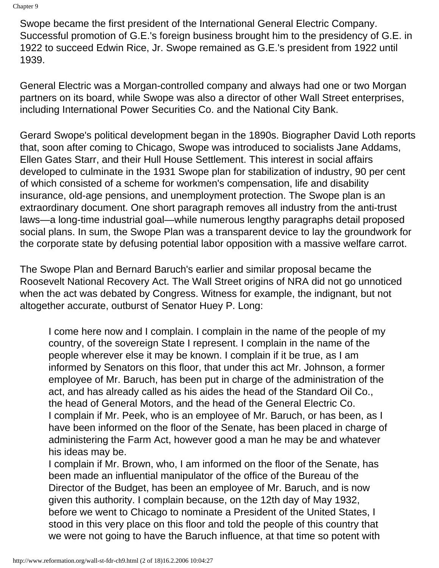Swope became the first president of the International General Electric Company. Successful promotion of G.E.'s foreign business brought him to the presidency of G.E. in 1922 to succeed Edwin Rice, Jr. Swope remained as G.E.'s president from 1922 until 1939.

General Electric was a Morgan-controlled company and always had one or two Morgan partners on its board, while Swope was also a director of other Wall Street enterprises, including International Power Securities Co. and the National City Bank.

Gerard Swope's political development began in the 1890s. Biographer David Loth reports that, soon after coming to Chicago, Swope was introduced to socialists Jane Addams, Ellen Gates Starr, and their Hull House Settlement. This interest in social affairs developed to culminate in the 1931 Swope plan for stabilization of industry, 90 per cent of which consisted of a scheme for workmen's compensation, life and disability insurance, old-age pensions, and unemployment protection. The Swope plan is an extraordinary document. One short paragraph removes all industry from the anti-trust laws—a long-time industrial goal—while numerous lengthy paragraphs detail proposed social plans. In sum, the Swope Plan was a transparent device to lay the groundwork for the corporate state by defusing potential labor opposition with a massive welfare carrot.

The Swope Plan and Bernard Baruch's earlier and similar proposal became the Roosevelt National Recovery Act. The Wall Street origins of NRA did not go unnoticed when the act was debated by Congress. Witness for example, the indignant, but not altogether accurate, outburst of Senator Huey P. Long:

I come here now and I complain. I complain in the name of the people of my country, of the sovereign State I represent. I complain in the name of the people wherever else it may be known. I complain if it be true, as I am informed by Senators on this floor, that under this act Mr. Johnson, a former employee of Mr. Baruch, has been put in charge of the administration of the act, and has already called as his aides the head of the Standard Oil Co., the head of General Motors, and the head of the General Electric Co. I complain if Mr. Peek, who is an employee of Mr. Baruch, or has been, as I have been informed on the floor of the Senate, has been placed in charge of administering the Farm Act, however good a man he may be and whatever his ideas may be.

I complain if Mr. Brown, who, I am informed on the floor of the Senate, has been made an influential manipulator of the office of the Bureau of the Director of the Budget, has been an employee of Mr. Baruch, and is now given this authority. I complain because, on the 12th day of May 1932, before we went to Chicago to nominate a President of the United States, I stood in this very place on this floor and told the people of this country that we were not going to have the Baruch influence, at that time so potent with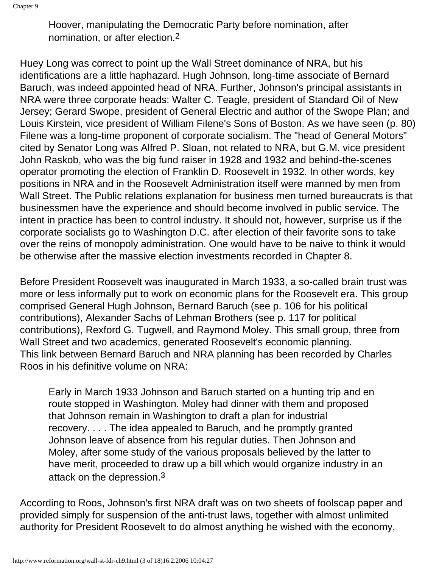Hoover, manipulating the Democratic Party before nomination, after nomination, or after election.2

Huey Long was correct to point up the Wall Street dominance of NRA, but his identifications are a little haphazard. Hugh Johnson, long-time associate of Bernard Baruch, was indeed appointed head of NRA. Further, Johnson's principal assistants in NRA were three corporate heads: Walter C. Teagle, president of Standard Oil of New Jersey; Gerard Swope, president of General Electric and author of the Swope Plan; and Louis Kirstein, vice president of William Filene's Sons of Boston. As we have seen (p. 80) Filene was a long-time proponent of corporate socialism. The "head of General Motors" cited by Senator Long was Alfred P. Sloan, not related to NRA, but G.M. vice president John Raskob, who was the big fund raiser in 1928 and 1932 and behind-the-scenes operator promoting the election of Franklin D. Roosevelt in 1932. In other words, key positions in NRA and in the Roosevelt Administration itself were manned by men from Wall Street. The Public relations explanation for business men turned bureaucrats is that businessmen have the experience and should become involved in public service. The intent in practice has been to control industry. It should not, however, surprise us if the corporate socialists go to Washington D.C. after election of their favorite sons to take over the reins of monopoly administration. One would have to be naive to think it would be otherwise after the massive election investments recorded in Chapter 8.

Before President Roosevelt was inaugurated in March 1933, a so-called brain trust was more or less informally put to work on economic plans for the Roosevelt era. This group comprised General Hugh Johnson, Bernard Baruch (see p. 106 for his political contributions), Alexander Sachs of Lehman Brothers (see p. 117 for political contributions), Rexford G. Tugwell, and Raymond Moley. This small group, three from Wall Street and two academics, generated Roosevelt's economic planning. This link between Bernard Baruch and NRA planning has been recorded by Charles Roos in his definitive volume on NRA:

Early in March 1933 Johnson and Baruch started on a hunting trip and en route stopped in Washington. Moley had dinner with them and proposed that Johnson remain in Washington to draft a plan for industrial recovery. . . . The idea appealed to Baruch, and he promptly granted Johnson leave of absence from his regular duties. Then Johnson and Moley, after some study of the various proposals believed by the latter to have merit, proceeded to draw up a bill which would organize industry in an attack on the depression.3

According to Roos, Johnson's first NRA draft was on two sheets of foolscap paper and provided simply for suspension of the anti-trust laws, together with almost unlimited authority for President Roosevelt to do almost anything he wished with the economy,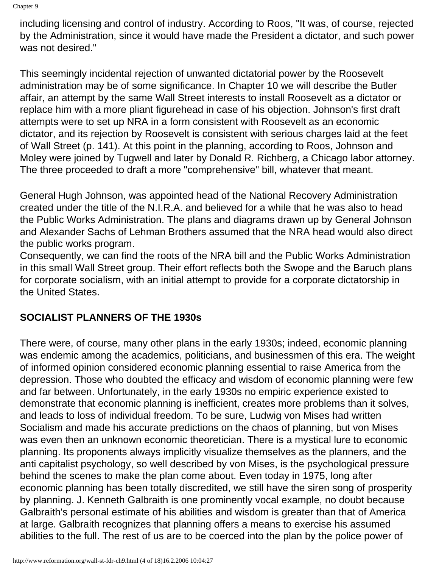including licensing and control of industry. According to Roos, "It was, of course, rejected by the Administration, since it would have made the President a dictator, and such power was not desired."

This seemingly incidental rejection of unwanted dictatorial power by the Roosevelt administration may be of some significance. In Chapter 10 we will describe the Butler affair, an attempt by the same Wall Street interests to install Roosevelt as a dictator or replace him with a more pliant figurehead in case of his objection. Johnson's first draft attempts were to set up NRA in a form consistent with Roosevelt as an economic dictator, and its rejection by Roosevelt is consistent with serious charges laid at the feet of Wall Street (p. 141). At this point in the planning, according to Roos, Johnson and Moley were joined by Tugwell and later by Donald R. Richberg, a Chicago labor attorney. The three proceeded to draft a more "comprehensive" bill, whatever that meant.

General Hugh Johnson, was appointed head of the National Recovery Administration created under the title of the N.I.R.A. and believed for a while that he was also to head the Public Works Administration. The plans and diagrams drawn up by General Johnson and Alexander Sachs of Lehman Brothers assumed that the NRA head would also direct the public works program.

Consequently, we can find the roots of the NRA bill and the Public Works Administration in this small Wall Street group. Their effort reflects both the Swope and the Baruch plans for corporate socialism, with an initial attempt to provide for a corporate dictatorship in the United States.

## **SOCIALIST PLANNERS OF THE 1930s**

There were, of course, many other plans in the early 1930s; indeed, economic planning was endemic among the academics, politicians, and businessmen of this era. The weight of informed opinion considered economic planning essential to raise America from the depression. Those who doubted the efficacy and wisdom of economic planning were few and far between. Unfortunately, in the early 1930s no empiric experience existed to demonstrate that economic planning is inefficient, creates more problems than it solves, and leads to loss of individual freedom. To be sure, Ludwig von Mises had written Socialism and made his accurate predictions on the chaos of planning, but von Mises was even then an unknown economic theoretician. There is a mystical lure to economic planning. Its proponents always implicitly visualize themselves as the planners, and the anti capitalist psychology, so well described by von Mises, is the psychological pressure behind the scenes to make the plan come about. Even today in 1975, long after economic planning has been totally discredited, we still have the siren song of prosperity by planning. J. Kenneth Galbraith is one prominently vocal example, no doubt because Galbraith's personal estimate of his abilities and wisdom is greater than that of America at large. Galbraith recognizes that planning offers a means to exercise his assumed abilities to the full. The rest of us are to be coerced into the plan by the police power of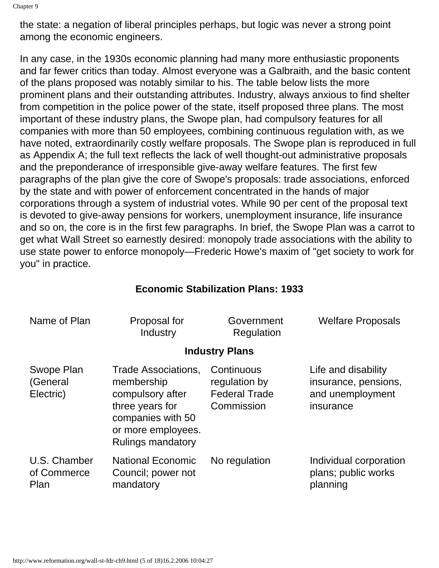the state: a negation of liberal principles perhaps, but logic was never a strong point among the economic engineers.

In any case, in the 1930s economic planning had many more enthusiastic proponents and far fewer critics than today. Almost everyone was a Galbraith, and the basic content of the plans proposed was notably similar to his. The table below lists the more prominent plans and their outstanding attributes. Industry, always anxious to find shelter from competition in the police power of the state, itself proposed three plans. The most important of these industry plans, the Swope plan, had compulsory features for all companies with more than 50 employees, combining continuous regulation with, as we have noted, extraordinarily costly welfare proposals. The Swope plan is reproduced in full as Appendix A; the full text reflects the lack of well thought-out administrative proposals and the preponderance of irresponsible give-away welfare features. The first few paragraphs of the plan give the core of Swope's proposals: trade associations, enforced by the state and with power of enforcement concentrated in the hands of major corporations through a system of industrial votes. While 90 per cent of the proposal text is devoted to give-away pensions for workers, unemployment insurance, life insurance and so on, the core is in the first few paragraphs. In brief, the Swope Plan was a carrot to get what Wall Street so earnestly desired: monopoly trade associations with the ability to use state power to enforce monopoly—Frederic Howe's maxim of "get society to work for you" in practice.

### **Economic Stabilization Plans: 1933**

| Name of Plan                        | Proposal for<br>Industry                                                                                                                        | Government<br>Regulation                                          | <b>Welfare Proposals</b>                                                     |
|-------------------------------------|-------------------------------------------------------------------------------------------------------------------------------------------------|-------------------------------------------------------------------|------------------------------------------------------------------------------|
|                                     |                                                                                                                                                 | <b>Industry Plans</b>                                             |                                                                              |
| Swope Plan<br>(General<br>Electric) | Trade Associations.<br>membership<br>compulsory after<br>three years for<br>companies with 50<br>or more employees.<br><b>Rulings mandatory</b> | Continuous<br>regulation by<br><b>Federal Trade</b><br>Commission | Life and disability<br>insurance, pensions,<br>and unemployment<br>insurance |
| U.S. Chamber<br>of Commerce<br>Plan | <b>National Economic</b><br>Council; power not<br>mandatory                                                                                     | No regulation                                                     | Individual corporation<br>plans; public works<br>planning                    |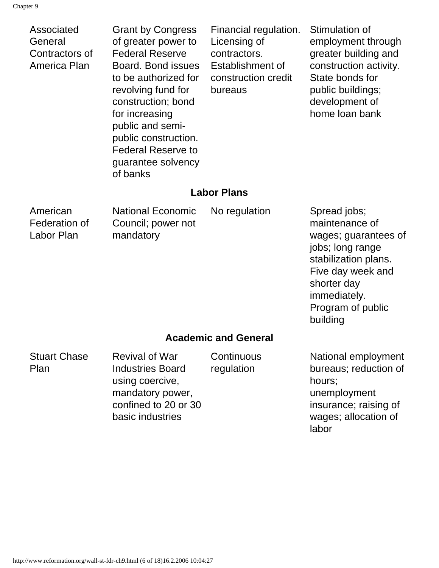Chapter 9

| Associated<br>General<br>Contractors of<br>America Plan | <b>Grant by Congress</b><br>of greater power to<br><b>Federal Reserve</b><br>Board. Bond issues<br>to be authorized for<br>revolving fund for<br>construction; bond<br>for increasing<br>public and semi-<br>public construction.<br><b>Federal Reserve to</b><br>guarantee solvency<br>of banks | Financial regulation.<br>Licensing of<br>contractors.<br>Establishment of<br>construction credit<br>bureaus | Stimulation o<br>employment<br>greater buildi<br>construction<br>State bonds<br>public buildin<br>development<br>home loan ba |
|---------------------------------------------------------|--------------------------------------------------------------------------------------------------------------------------------------------------------------------------------------------------------------------------------------------------------------------------------------------------|-------------------------------------------------------------------------------------------------------------|-------------------------------------------------------------------------------------------------------------------------------|
|                                                         |                                                                                                                                                                                                                                                                                                  | <b>Labor Plans</b>                                                                                          |                                                                                                                               |
| American<br><b>Federation of</b><br>Labor Plan          | <b>National Economic</b><br>Council; power not<br>mandatory                                                                                                                                                                                                                                      | No regulation                                                                                               | Spread jobs;<br>maintenance<br>wages; guara<br>jobs; long rar<br>stabilization p<br>Five day wee<br>shorter dav               |

Stimulation of employment through greater building and construction activity. State bonds for public buildings; development of home loan bank

maintenance of

jobs; long range stabilization plans. Five day week and

Program of public

shorter day immediately.

building

wages; guarantees of

# **Academic and General**

| <b>Stuart Chase</b><br>Plan | <b>Revival of War</b><br><b>Industries Board</b><br>using coercive,<br>mandatory power,<br>confined to 20 or 30<br>basic industries | Continuous<br>regulation | National employment<br>bureaus; reduction of<br>hours;<br>unemployment<br>insurance; raising of<br>wages; allocation of<br>labor |
|-----------------------------|-------------------------------------------------------------------------------------------------------------------------------------|--------------------------|----------------------------------------------------------------------------------------------------------------------------------|
|                             |                                                                                                                                     |                          |                                                                                                                                  |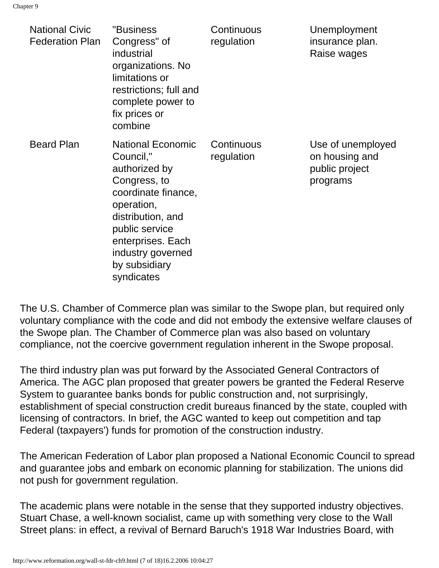| <b>National Civic</b><br><b>Federation Plan</b> | "Business<br>Congress" of<br>industrial<br>organizations. No<br>limitations or<br>restrictions; full and<br>complete power to<br>fix prices or<br>combine                                                                   | Continuous<br>regulation | Unemployment<br>insurance plan.<br>Raise wages                    |
|-------------------------------------------------|-----------------------------------------------------------------------------------------------------------------------------------------------------------------------------------------------------------------------------|--------------------------|-------------------------------------------------------------------|
| <b>Beard Plan</b>                               | <b>National Economic</b><br>Council,"<br>authorized by<br>Congress, to<br>coordinate finance,<br>operation,<br>distribution, and<br>public service<br>enterprises. Each<br>industry governed<br>by subsidiary<br>syndicates | Continuous<br>regulation | Use of unemployed<br>on housing and<br>public project<br>programs |

The U.S. Chamber of Commerce plan was similar to the Swope plan, but required only voluntary compliance with the code and did not embody the extensive welfare clauses of the Swope plan. The Chamber of Commerce plan was also based on voluntary compliance, not the coercive government regulation inherent in the Swope proposal.

The third industry plan was put forward by the Associated General Contractors of America. The AGC plan proposed that greater powers be granted the Federal Reserve System to guarantee banks bonds for public construction and, not surprisingly, establishment of special construction credit bureaus financed by the state, coupled with licensing of contractors. In brief, the AGC wanted to keep out competition and tap Federal (taxpayers') funds for promotion of the construction industry.

The American Federation of Labor plan proposed a National Economic Council to spread and guarantee jobs and embark on economic planning for stabilization. The unions did not push for government regulation.

The academic plans were notable in the sense that they supported industry objectives. Stuart Chase, a well-known socialist, came up with something very close to the Wall Street plans: in effect, a revival of Bernard Baruch's 1918 War Industries Board, with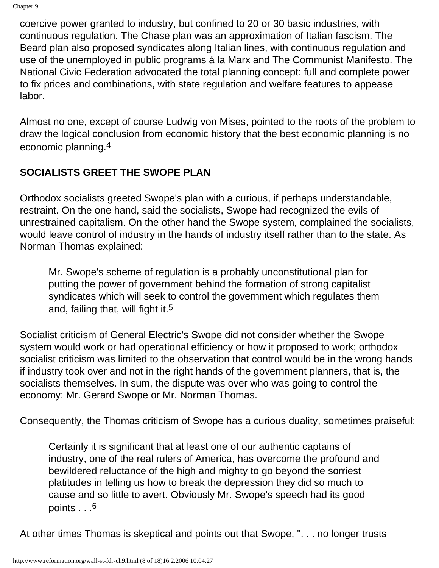Chapter 9

coercive power granted to industry, but confined to 20 or 30 basic industries, with continuous regulation. The Chase plan was an approximation of Italian fascism. The Beard plan also proposed syndicates along Italian lines, with continuous regulation and use of the unemployed in public programs á la Marx and The Communist Manifesto. The National Civic Federation advocated the total planning concept: full and complete power to fix prices and combinations, with state regulation and welfare features to appease labor.

Almost no one, except of course Ludwig von Mises, pointed to the roots of the problem to draw the logical conclusion from economic history that the best economic planning is no economic planning.4

## **SOCIALISTS GREET THE SWOPE PLAN**

Orthodox socialists greeted Swope's plan with a curious, if perhaps understandable, restraint. On the one hand, said the socialists, Swope had recognized the evils of unrestrained capitalism. On the other hand the Swope system, complained the socialists, would leave control of industry in the hands of industry itself rather than to the state. As Norman Thomas explained:

Mr. Swope's scheme of regulation is a probably unconstitutional plan for putting the power of government behind the formation of strong capitalist syndicates which will seek to control the government which regulates them and, failing that, will fight it.5

Socialist criticism of General Electric's Swope did not consider whether the Swope system would work or had operational efficiency or how it proposed to work; orthodox socialist criticism was limited to the observation that control would be in the wrong hands if industry took over and not in the right hands of the government planners, that is, the socialists themselves. In sum, the dispute was over who was going to control the economy: Mr. Gerard Swope or Mr. Norman Thomas.

Consequently, the Thomas criticism of Swope has a curious duality, sometimes praiseful:

Certainly it is significant that at least one of our authentic captains of industry, one of the real rulers of America, has overcome the profound and bewildered reluctance of the high and mighty to go beyond the sorriest platitudes in telling us how to break the depression they did so much to cause and so little to avert. Obviously Mr. Swope's speech had its good points . . .6

At other times Thomas is skeptical and points out that Swope, ". . . no longer trusts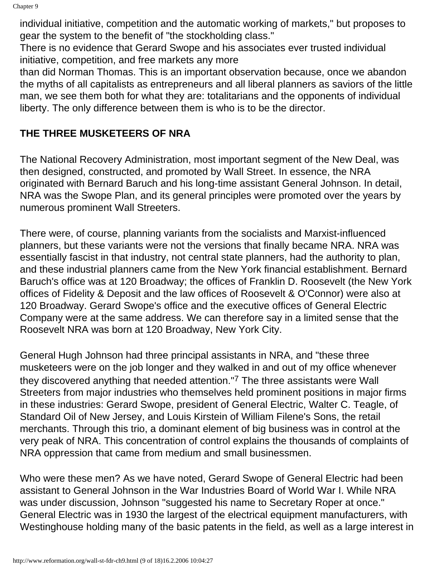individual initiative, competition and the automatic working of markets," but proposes to gear the system to the benefit of "the stockholding class."

There is no evidence that Gerard Swope and his associates ever trusted individual initiative, competition, and free markets any more

than did Norman Thomas. This is an important observation because, once we abandon the myths of all capitalists as entrepreneurs and all liberal planners as saviors of the little man, we see them both for what they are: totalitarians and the opponents of individual liberty. The only difference between them is who is to be the director.

## **THE THREE MUSKETEERS OF NRA**

The National Recovery Administration, most important segment of the New Deal, was then designed, constructed, and promoted by Wall Street. In essence, the NRA originated with Bernard Baruch and his long-time assistant General Johnson. In detail, NRA was the Swope Plan, and its general principles were promoted over the years by numerous prominent Wall Streeters.

There were, of course, planning variants from the socialists and Marxist-influenced planners, but these variants were not the versions that finally became NRA. NRA was essentially fascist in that industry, not central state planners, had the authority to plan, and these industrial planners came from the New York financial establishment. Bernard Baruch's office was at 120 Broadway; the offices of Franklin D. Roosevelt (the New York offices of Fidelity & Deposit and the law offices of Roosevelt & O'Connor) were also at 120 Broadway. Gerard Swope's office and the executive offices of General Electric Company were at the same address. We can therefore say in a limited sense that the Roosevelt NRA was born at 120 Broadway, New York City.

General Hugh Johnson had three principal assistants in NRA, and "these three musketeers were on the job longer and they walked in and out of my office whenever they discovered anything that needed attention."7 The three assistants were Wall Streeters from major industries who themselves held prominent positions in major firms in these industries: Gerard Swope, president of General Electric, Walter C. Teagle, of Standard Oil of New Jersey, and Louis Kirstein of William Filene's Sons, the retail merchants. Through this trio, a dominant element of big business was in control at the very peak of NRA. This concentration of control explains the thousands of complaints of NRA oppression that came from medium and small businessmen.

Who were these men? As we have noted, Gerard Swope of General Electric had been assistant to General Johnson in the War Industries Board of World War I. While NRA was under discussion, Johnson "suggested his name to Secretary Roper at once." General Electric was in 1930 the largest of the electrical equipment manufacturers, with Westinghouse holding many of the basic patents in the field, as well as a large interest in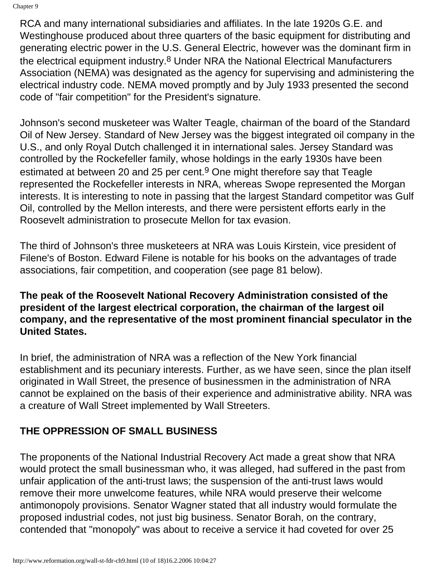Chapter 9

RCA and many international subsidiaries and affiliates. In the late 1920s G.E. and Westinghouse produced about three quarters of the basic equipment for distributing and generating electric power in the U.S. General Electric, however was the dominant firm in the electrical equipment industry.8 Under NRA the National Electrical Manufacturers Association (NEMA) was designated as the agency for supervising and administering the electrical industry code. NEMA moved promptly and by July 1933 presented the second code of "fair competition" for the President's signature.

Johnson's second musketeer was Walter Teagle, chairman of the board of the Standard Oil of New Jersey. Standard of New Jersey was the biggest integrated oil company in the U.S., and only Royal Dutch challenged it in international sales. Jersey Standard was controlled by the Rockefeller family, whose holdings in the early 1930s have been estimated at between 20 and 25 per cent.<sup>9</sup> One might therefore say that Teagle represented the Rockefeller interests in NRA, whereas Swope represented the Morgan interests. It is interesting to note in passing that the largest Standard competitor was Gulf Oil, controlled by the Mellon interests, and there were persistent efforts early in the Roosevelt administration to prosecute Mellon for tax evasion.

The third of Johnson's three musketeers at NRA was Louis Kirstein, vice president of Filene's of Boston. Edward Filene is notable for his books on the advantages of trade associations, fair competition, and cooperation (see page 81 below).

**The peak of the Roosevelt National Recovery Administration consisted of the president of the largest electrical corporation, the chairman of the largest oil company, and the representative of the most prominent financial speculator in the United States.**

In brief, the administration of NRA was a reflection of the New York financial establishment and its pecuniary interests. Further, as we have seen, since the plan itself originated in Wall Street, the presence of businessmen in the administration of NRA cannot be explained on the basis of their experience and administrative ability. NRA was a creature of Wall Street implemented by Wall Streeters.

## **THE OPPRESSION OF SMALL BUSINESS**

The proponents of the National Industrial Recovery Act made a great show that NRA would protect the small businessman who, it was alleged, had suffered in the past from unfair application of the anti-trust laws; the suspension of the anti-trust laws would remove their more unwelcome features, while NRA would preserve their welcome antimonopoly provisions. Senator Wagner stated that all industry would formulate the proposed industrial codes, not just big business. Senator Borah, on the contrary, contended that "monopoly" was about to receive a service it had coveted for over 25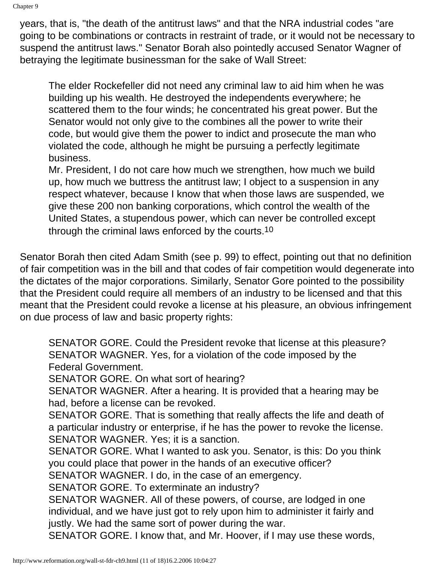years, that is, "the death of the antitrust laws" and that the NRA industrial codes "are going to be combinations or contracts in restraint of trade, or it would not be necessary to suspend the antitrust laws." Senator Borah also pointedly accused Senator Wagner of betraying the legitimate businessman for the sake of Wall Street:

The elder Rockefeller did not need any criminal law to aid him when he was building up his wealth. He destroyed the independents everywhere; he scattered them to the four winds; he concentrated his great power. But the Senator would not only give to the combines all the power to write their code, but would give them the power to indict and prosecute the man who violated the code, although he might be pursuing a perfectly legitimate business.

Mr. President, I do not care how much we strengthen, how much we build up, how much we buttress the antitrust law; I object to a suspension in any respect whatever, because I know that when those laws are suspended, we give these 200 non banking corporations, which control the wealth of the United States, a stupendous power, which can never be controlled except through the criminal laws enforced by the courts.10

Senator Borah then cited Adam Smith (see p. 99) to effect, pointing out that no definition of fair competition was in the bill and that codes of fair competition would degenerate into the dictates of the major corporations. Similarly, Senator Gore pointed to the possibility that the President could require all members of an industry to be licensed and that this meant that the President could revoke a license at his pleasure, an obvious infringement on due process of law and basic property rights:

SENATOR GORE. Could the President revoke that license at this pleasure? SENATOR WAGNER. Yes, for a violation of the code imposed by the Federal Government.

SENATOR GORE. On what sort of hearing?

SENATOR WAGNER. After a hearing. It is provided that a hearing may be had, before a license can be revoked.

SENATOR GORE. That is something that really affects the life and death of a particular industry or enterprise, if he has the power to revoke the license. SENATOR WAGNER. Yes; it is a sanction.

SENATOR GORE. What I wanted to ask you. Senator, is this: Do you think you could place that power in the hands of an executive officer?

SENATOR WAGNER. I do, in the case of an emergency.

SENATOR GORE. To exterminate an industry?

SENATOR WAGNER. All of these powers, of course, are lodged in one individual, and we have just got to rely upon him to administer it fairly and justly. We had the same sort of power during the war.

SENATOR GORE. I know that, and Mr. Hoover, if I may use these words,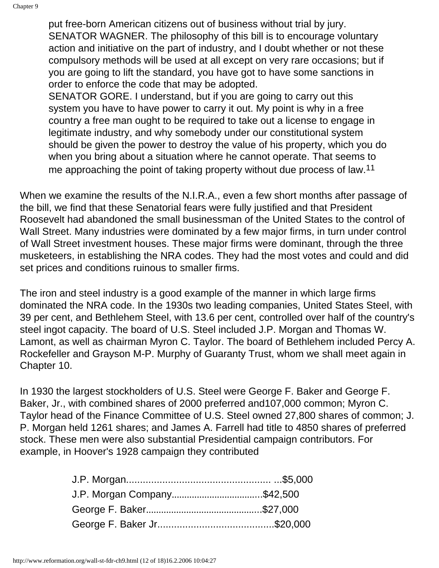put free-born American citizens out of business without trial by jury. SENATOR WAGNER. The philosophy of this bill is to encourage voluntary action and initiative on the part of industry, and I doubt whether or not these compulsory methods will be used at all except on very rare occasions; but if you are going to lift the standard, you have got to have some sanctions in order to enforce the code that may be adopted.

SENATOR GORE. I understand, but if you are going to carry out this system you have to have power to carry it out. My point is why in a free country a free man ought to be required to take out a license to engage in legitimate industry, and why somebody under our constitutional system should be given the power to destroy the value of his property, which you do when you bring about a situation where he cannot operate. That seems to me approaching the point of taking property without due process of law.<sup>11</sup>

When we examine the results of the N.I.R.A., even a few short months after passage of the bill, we find that these Senatorial fears were fully justified and that President Roosevelt had abandoned the small businessman of the United States to the control of Wall Street. Many industries were dominated by a few major firms, in turn under control of Wall Street investment houses. These major firms were dominant, through the three musketeers, in establishing the NRA codes. They had the most votes and could and did set prices and conditions ruinous to smaller firms.

The iron and steel industry is a good example of the manner in which large firms dominated the NRA code. In the 1930s two leading companies, United States Steel, with 39 per cent, and Bethlehem Steel, with 13.6 per cent, controlled over half of the country's steel ingot capacity. The board of U.S. Steel included J.P. Morgan and Thomas W. Lamont, as well as chairman Myron C. Taylor. The board of Bethlehem included Percy A. Rockefeller and Grayson M-P. Murphy of Guaranty Trust, whom we shall meet again in Chapter 10.

In 1930 the largest stockholders of U.S. Steel were George F. Baker and George F. Baker, Jr., with combined shares of 2000 preferred and107,000 common; Myron C. Taylor head of the Finance Committee of U.S. Steel owned 27,800 shares of common; J. P. Morgan held 1261 shares; and James A. Farrell had title to 4850 shares of preferred stock. These men were also substantial Presidential campaign contributors. For example, in Hoover's 1928 campaign they contributed

| J.P. Morgan Company\$42,500 |  |
|-----------------------------|--|
|                             |  |
|                             |  |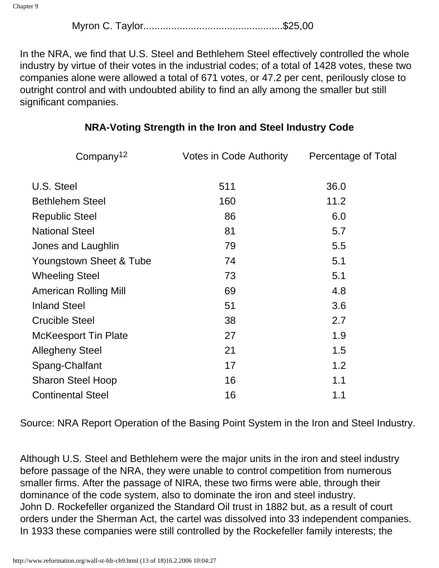Myron C. Taylor..................................................\$25,00

In the NRA, we find that U.S. Steel and Bethlehem Steel effectively controlled the whole industry by virtue of their votes in the industrial codes; of a total of 1428 votes, these two companies alone were allowed a total of 671 votes, or 47.2 per cent, perilously close to outright control and with undoubted ability to find an ally among the smaller but still significant companies.

| Company <sup>12</sup>        | Votes in Code Authority | Percentage of Total |
|------------------------------|-------------------------|---------------------|
| U.S. Steel                   | 511                     | 36.0                |
| <b>Bethlehem Steel</b>       | 160                     | 11.2                |
| <b>Republic Steel</b>        | 86                      | 6.0                 |
| <b>National Steel</b>        | 81                      | 5.7                 |
| Jones and Laughlin           | 79                      | 5.5                 |
| Youngstown Sheet & Tube      | 74                      | 5.1                 |
| <b>Wheeling Steel</b>        | 73                      | 5.1                 |
| <b>American Rolling Mill</b> | 69                      | 4.8                 |
| <b>Inland Steel</b>          | 51                      | 3.6                 |
| <b>Crucible Steel</b>        | 38                      | 2.7                 |
| <b>McKeesport Tin Plate</b>  | 27                      | 1.9                 |
| <b>Allegheny Steel</b>       | 21                      | 1.5                 |
| Spang-Chalfant               | 17                      | 1.2                 |
| <b>Sharon Steel Hoop</b>     | 16                      | 1.1                 |
| <b>Continental Steel</b>     | 16                      | 1.1                 |

## **NRA-Voting Strength in the Iron and Steel Industry Code**

Source: NRA Report Operation of the Basing Point System in the Iron and Steel Industry.

Although U.S. Steel and Bethlehem were the major units in the iron and steel industry before passage of the NRA, they were unable to control competition from numerous smaller firms. After the passage of NIRA, these two firms were able, through their dominance of the code system, also to dominate the iron and steel industry. John D. Rockefeller organized the Standard Oil trust in 1882 but, as a result of court orders under the Sherman Act, the cartel was dissolved into 33 independent companies. In 1933 these companies were still controlled by the Rockefeller family interests; the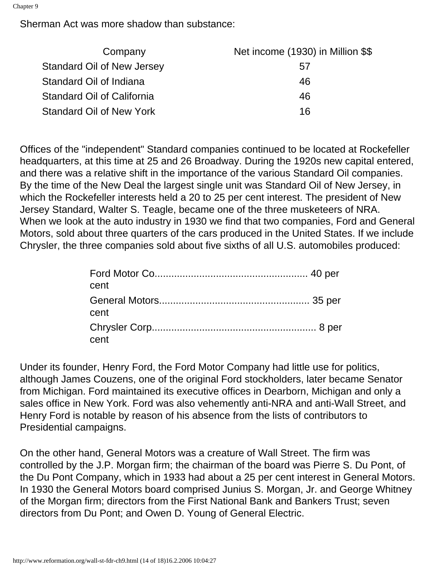Sherman Act was more shadow than substance:

| Company                           | Net income (1930) in Million \$\$ |
|-----------------------------------|-----------------------------------|
| <b>Standard Oil of New Jersey</b> | 5/                                |
| Standard Oil of Indiana           | 46                                |
| Standard Oil of California        | 46                                |
| Standard Oil of New York          | 16                                |

Offices of the "independent" Standard companies continued to be located at Rockefeller headquarters, at this time at 25 and 26 Broadway. During the 1920s new capital entered, and there was a relative shift in the importance of the various Standard Oil companies. By the time of the New Deal the largest single unit was Standard Oil of New Jersey, in which the Rockefeller interests held a 20 to 25 per cent interest. The president of New Jersey Standard, Walter S. Teagle, became one of the three musketeers of NRA. When we look at the auto industry in 1930 we find that two companies, Ford and General Motors, sold about three quarters of the cars produced in the United States. If we include Chrysler, the three companies sold about five sixths of all U.S. automobiles produced:

| cent |  |
|------|--|
| cent |  |
| cent |  |

Under its founder, Henry Ford, the Ford Motor Company had little use for politics, although James Couzens, one of the original Ford stockholders, later became Senator from Michigan. Ford maintained its executive offices in Dearborn, Michigan and only a sales office in New York. Ford was also vehemently anti-NRA and anti-Wall Street, and Henry Ford is notable by reason of his absence from the lists of contributors to Presidential campaigns.

On the other hand, General Motors was a creature of Wall Street. The firm was controlled by the J.P. Morgan firm; the chairman of the board was Pierre S. Du Pont, of the Du Pont Company, which in 1933 had about a 25 per cent interest in General Motors. In 1930 the General Motors board comprised Junius S. Morgan, Jr. and George Whitney of the Morgan firm; directors from the First National Bank and Bankers Trust; seven directors from Du Pont; and Owen D. Young of General Electric.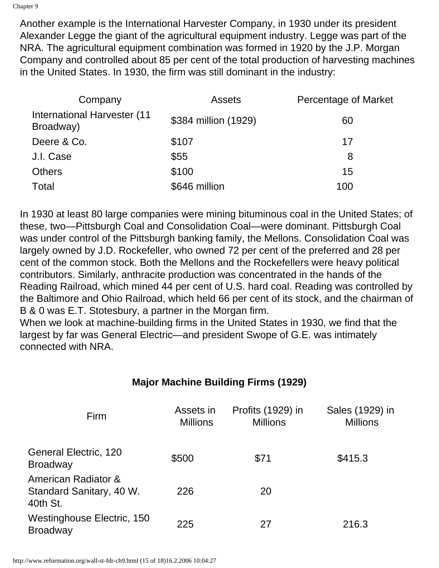Chapter 9

Another example is the International Harvester Company, in 1930 under its president Alexander Legge the giant of the agricultural equipment industry. Legge was part of the NRA. The agricultural equipment combination was formed in 1920 by the J.P. Morgan Company and controlled about 85 per cent of the total production of harvesting machines in the United States. In 1930, the firm was still dominant in the industry:

| Company                                  | <b>Assets</b>        | Percentage of Market |
|------------------------------------------|----------------------|----------------------|
| International Harvester (11<br>Broadway) | \$384 million (1929) | 60                   |
| Deere & Co.                              | \$107                | 17                   |
| J.I. Case                                | \$55                 | 8                    |
| <b>Others</b>                            | \$100                | 15                   |
| <b>Total</b>                             | \$646 million        | 100                  |

In 1930 at least 80 large companies were mining bituminous coal in the United States; of these, two—Pittsburgh Coal and Consolidation Coal—were dominant. Pittsburgh Coal was under control of the Pittsburgh banking family, the Mellons. Consolidation Coal was largely owned by J.D. Rockefeller, who owned 72 per cent of the preferred and 28 per cent of the common stock. Both the Mellons and the Rockefellers were heavy political contributors. Similarly, anthracite production was concentrated in the hands of the Reading Railroad, which mined 44 per cent of U.S. hard coal. Reading was controlled by the Baltimore and Ohio Railroad, which held 66 per cent of its stock, and the chairman of B & 0 was E.T. Stotesbury, a partner in the Morgan firm.

When we look at machine-building firms in the United States in 1930, we find that the largest by far was General Electric—and president Swope of G.E. was intimately connected with NRA.

## **Major Machine Building Firms (1929)**

| Firm                                                                   | Assets in<br><b>Millions</b> | Profits (1929) in<br><b>Millions</b> | Sales (1929) in<br><b>Millions</b> |
|------------------------------------------------------------------------|------------------------------|--------------------------------------|------------------------------------|
| General Electric, 120<br><b>Broadway</b>                               | \$500                        | \$71                                 | \$415.3                            |
| <b>American Radiator &amp;</b><br>Standard Sanitary, 40 W.<br>40th St. | 226                          | 20                                   |                                    |
| Westinghouse Electric, 150<br><b>Broadway</b>                          | 225                          | 27                                   | 216.3                              |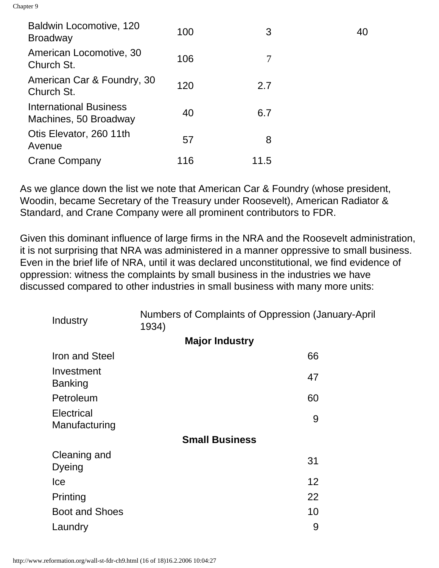| Baldwin Locomotive, 120<br><b>Broadway</b>             | 100 | 3    | 40 |
|--------------------------------------------------------|-----|------|----|
| American Locomotive, 30<br>Church St.                  | 106 | 7    |    |
| American Car & Foundry, 30<br>Church St.               | 120 | 2.7  |    |
| <b>International Business</b><br>Machines, 50 Broadway | 40  | 6.7  |    |
| Otis Elevator, 260 11th<br>Avenue                      | 57  | 8    |    |
| <b>Crane Company</b>                                   | 116 | 11.5 |    |

As we glance down the list we note that American Car & Foundry (whose president, Woodin, became Secretary of the Treasury under Roosevelt), American Radiator & Standard, and Crane Company were all prominent contributors to FDR.

Given this dominant influence of large firms in the NRA and the Roosevelt administration, it is not surprising that NRA was administered in a manner oppressive to small business. Even in the brief life of NRA, until it was declared unconstitutional, we find evidence of oppression: witness the complaints by small business in the industries we have discussed compared to other industries in small business with many more units:

| Industry                           | Numbers of Complaints of Oppression (January-April<br>1934) |  |
|------------------------------------|-------------------------------------------------------------|--|
|                                    | <b>Major Industry</b>                                       |  |
| Iron and Steel                     | 66                                                          |  |
| Investment<br><b>Banking</b>       | 47                                                          |  |
| Petroleum                          | 60                                                          |  |
| <b>Electrical</b><br>Manufacturing | 9                                                           |  |
|                                    | <b>Small Business</b>                                       |  |
| Cleaning and<br><b>Dyeing</b>      | 31                                                          |  |
| <b>Ice</b>                         | 12                                                          |  |
| Printing                           | 22                                                          |  |
| <b>Boot and Shoes</b>              | 10                                                          |  |
| Laundry                            | 9                                                           |  |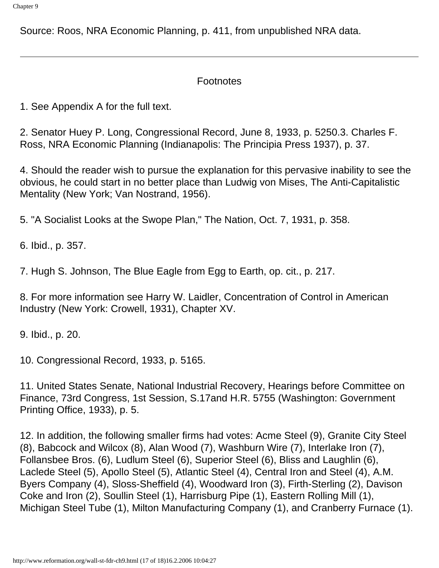Source: Roos, NRA Economic Planning, p. 411, from unpublished NRA data.

### Footnotes

1. See Appendix A for the full text.

2. Senator Huey P. Long, Congressional Record, June 8, 1933, p. 5250.3. Charles F. Ross, NRA Economic Planning (Indianapolis: The Principia Press 1937), p. 37.

4. Should the reader wish to pursue the explanation for this pervasive inability to see the obvious, he could start in no better place than Ludwig von Mises, The Anti-Capitalistic Mentality (New York; Van Nostrand, 1956).

5. "A Socialist Looks at the Swope Plan," The Nation, Oct. 7, 1931, p. 358.

6. Ibid., p. 357.

7. Hugh S. Johnson, The Blue Eagle from Egg to Earth, op. cit., p. 217.

8. For more information see Harry W. Laidler, Concentration of Control in American Industry (New York: Crowell, 1931), Chapter XV.

9. Ibid., p. 20.

10. Congressional Record, 1933, p. 5165.

11. United States Senate, National Industrial Recovery, Hearings before Committee on Finance, 73rd Congress, 1st Session, S.17and H.R. 5755 (Washington: Government Printing Office, 1933), p. 5.

12. In addition, the following smaller firms had votes: Acme Steel (9), Granite City Steel (8), Babcock and Wilcox (8), Alan Wood (7), Washburn Wire (7), Interlake Iron (7), Follansbee Bros. (6), Ludlum Steel (6), Superior Steel (6), Bliss and Laughlin (6), Laclede Steel (5), Apollo Steel (5), Atlantic Steel (4), Central Iron and Steel (4), A.M. Byers Company (4), Sloss-Sheffield (4), Woodward Iron (3), Firth-Sterling (2), Davison Coke and Iron (2), Soullin Steel (1), Harrisburg Pipe (1), Eastern Rolling Mill (1), Michigan Steel Tube (1), Milton Manufacturing Company (1), and Cranberry Furnace (1).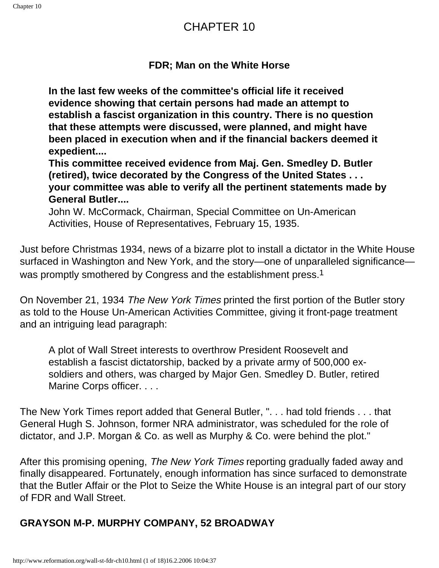# CHAPTER 10

### **FDR; Man on the White Horse**

**In the last few weeks of the committee's official life it received evidence showing that certain persons had made an attempt to establish a fascist organization in this country. There is no question that these attempts were discussed, were planned, and might have been placed in execution when and if the financial backers deemed it expedient....** 

**This committee received evidence from Maj. Gen. Smedley D. Butler (retired), twice decorated by the Congress of the United States . . . your committee was able to verify all the pertinent statements made by General Butler....**

John W. McCormack, Chairman, Special Committee on Un-American Activities, House of Representatives, February 15, 1935.

Just before Christmas 1934, news of a bizarre plot to install a dictator in the White House surfaced in Washington and New York, and the story—one of unparalleled significance was promptly smothered by Congress and the establishment press.<sup>1</sup>

On November 21, 1934 The New York Times printed the first portion of the Butler story as told to the House Un-American Activities Committee, giving it front-page treatment and an intriguing lead paragraph:

A plot of Wall Street interests to overthrow President Roosevelt and establish a fascist dictatorship, backed by a private army of 500,000 exsoldiers and others, was charged by Major Gen. Smedley D. Butler, retired Marine Corps officer. . . .

The New York Times report added that General Butler, ". . . had told friends . . . that General Hugh S. Johnson, former NRA administrator, was scheduled for the role of dictator, and J.P. Morgan & Co. as well as Murphy & Co. were behind the plot."

After this promising opening, The New York Times reporting gradually faded away and finally disappeared. Fortunately, enough information has since surfaced to demonstrate that the Butler Affair or the Plot to Seize the White House is an integral part of our story of FDR and Wall Street.

## **GRAYSON M-P. MURPHY COMPANY, 52 BROADWAY**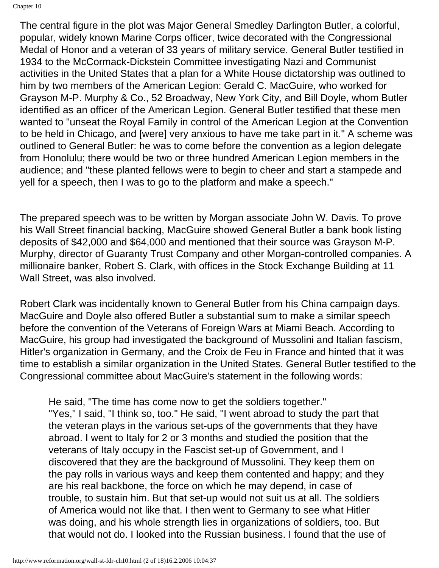Chapter 10

The central figure in the plot was Major General Smedley Darlington Butler, a colorful, popular, widely known Marine Corps officer, twice decorated with the Congressional Medal of Honor and a veteran of 33 years of military service. General Butler testified in 1934 to the McCormack-Dickstein Committee investigating Nazi and Communist activities in the United States that a plan for a White House dictatorship was outlined to him by two members of the American Legion: Gerald C. MacGuire, who worked for Grayson M-P. Murphy & Co., 52 Broadway, New York City, and Bill Doyle, whom Butler identified as an officer of the American Legion. General Butler testified that these men wanted to "unseat the Royal Family in control of the American Legion at the Convention to be held in Chicago, and [were] very anxious to have me take part in it." A scheme was outlined to General Butler: he was to come before the convention as a legion delegate from Honolulu; there would be two or three hundred American Legion members in the audience; and "these planted fellows were to begin to cheer and start a stampede and yell for a speech, then I was to go to the platform and make a speech."

The prepared speech was to be written by Morgan associate John W. Davis. To prove his Wall Street financial backing, MacGuire showed General Butler a bank book listing deposits of \$42,000 and \$64,000 and mentioned that their source was Grayson M-P. Murphy, director of Guaranty Trust Company and other Morgan-controlled companies. A millionaire banker, Robert S. Clark, with offices in the Stock Exchange Building at 11 Wall Street, was also involved.

Robert Clark was incidentally known to General Butler from his China campaign days. MacGuire and Doyle also offered Butler a substantial sum to make a similar speech before the convention of the Veterans of Foreign Wars at Miami Beach. According to MacGuire, his group had investigated the background of Mussolini and Italian fascism, Hitler's organization in Germany, and the Croix de Feu in France and hinted that it was time to establish a similar organization in the United States. General Butler testified to the Congressional committee about MacGuire's statement in the following words:

He said, "The time has come now to get the soldiers together." "Yes," I said, "I think so, too." He said, "I went abroad to study the part that the veteran plays in the various set-ups of the governments that they have abroad. I went to Italy for 2 or 3 months and studied the position that the veterans of Italy occupy in the Fascist set-up of Government, and I discovered that they are the background of Mussolini. They keep them on the pay rolls in various ways and keep them contented and happy; and they are his real backbone, the force on which he may depend, in case of trouble, to sustain him. But that set-up would not suit us at all. The soldiers of America would not like that. I then went to Germany to see what Hitler was doing, and his whole strength lies in organizations of soldiers, too. But that would not do. I looked into the Russian business. I found that the use of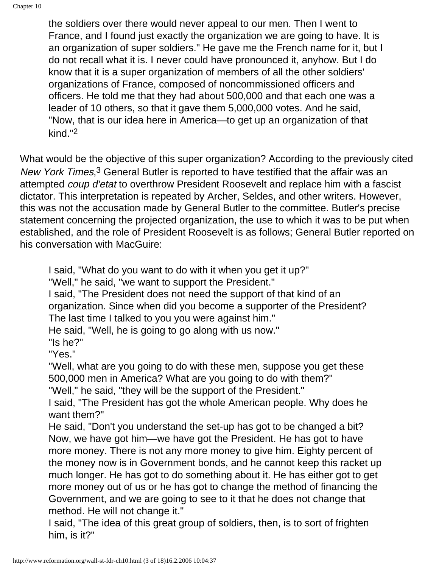the soldiers over there would never appeal to our men. Then I went to France, and I found just exactly the organization we are going to have. It is an organization of super soldiers." He gave me the French name for it, but I do not recall what it is. I never could have pronounced it, anyhow. But I do know that it is a super organization of members of all the other soldiers' organizations of France, composed of noncommissioned officers and officers. He told me that they had about 500,000 and that each one was a leader of 10 others, so that it gave them 5,000,000 votes. And he said, "Now, that is our idea here in America—to get up an organization of that kind."2

What would be the objective of this super organization? According to the previously cited New York Times,<sup>3</sup> General Butler is reported to have testified that the affair was an attempted coup d'etat to overthrow President Roosevelt and replace him with a fascist dictator. This interpretation is repeated by Archer, Seldes, and other writers. However, this was not the accusation made by General Butler to the committee. Butler's precise statement concerning the projected organization, the use to which it was to be put when established, and the role of President Roosevelt is as follows; General Butler reported on his conversation with MacGuire:

I said, "What do you want to do with it when you get it up?"

"Well," he said, "we want to support the President."

I said, "The President does not need the support of that kind of an organization. Since when did you become a supporter of the President? The last time I talked to you you were against him."

He said, "Well, he is going to go along with us now."

"Is he?"

"Yes."

"Well, what are you going to do with these men, suppose you get these 500,000 men in America? What are you going to do with them?" "Well," he said, "they will be the support of the President."

I said, "The President has got the whole American people. Why does he want them?"

He said, "Don't you understand the set-up has got to be changed a bit? Now, we have got him—we have got the President. He has got to have more money. There is not any more money to give him. Eighty percent of the money now is in Government bonds, and he cannot keep this racket up much longer. He has got to do something about it. He has either got to get more money out of us or he has got to change the method of financing the Government, and we are going to see to it that he does not change that method. He will not change it."

I said, "The idea of this great group of soldiers, then, is to sort of frighten him, is it?"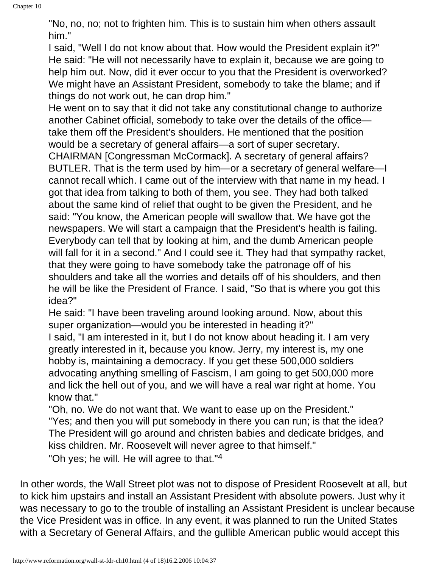"No, no, no; not to frighten him. This is to sustain him when others assault him."

I said, "Well I do not know about that. How would the President explain it?" He said: "He will not necessarily have to explain it, because we are going to help him out. Now, did it ever occur to you that the President is overworked? We might have an Assistant President, somebody to take the blame; and if things do not work out, he can drop him."

He went on to say that it did not take any constitutional change to authorize another Cabinet official, somebody to take over the details of the office take them off the President's shoulders. He mentioned that the position would be a secretary of general affairs—a sort of super secretary. CHAIRMAN [Congressman McCormack]. A secretary of general affairs? BUTLER. That is the term used by him—or a secretary of general welfare—I cannot recall which. I came out of the interview with that name in my head. I got that idea from talking to both of them, you see. They had both talked about the same kind of relief that ought to be given the President, and he said: "You know, the American people will swallow that. We have got the newspapers. We will start a campaign that the President's health is failing. Everybody can tell that by looking at him, and the dumb American people will fall for it in a second." And I could see it. They had that sympathy racket, that they were going to have somebody take the patronage off of his shoulders and take all the worries and details off of his shoulders, and then he will be like the President of France. I said, "So that is where you got this idea?"

He said: "I have been traveling around looking around. Now, about this super organization—would you be interested in heading it?"

I said, "I am interested in it, but I do not know about heading it. I am very greatly interested in it, because you know. Jerry, my interest is, my one hobby is, maintaining a democracy. If you get these 500,000 soldiers advocating anything smelling of Fascism, I am going to get 500,000 more and lick the hell out of you, and we will have a real war right at home. You know that."

"Oh, no. We do not want that. We want to ease up on the President." "Yes; and then you will put somebody in there you can run; is that the idea? The President will go around and christen babies and dedicate bridges, and kiss children. Mr. Roosevelt will never agree to that himself."

"Oh yes; he will. He will agree to that."<sup>4</sup>

In other words, the Wall Street plot was not to dispose of President Roosevelt at all, but to kick him upstairs and install an Assistant President with absolute powers. Just why it was necessary to go to the trouble of installing an Assistant President is unclear because the Vice President was in office. In any event, it was planned to run the United States with a Secretary of General Affairs, and the gullible American public would accept this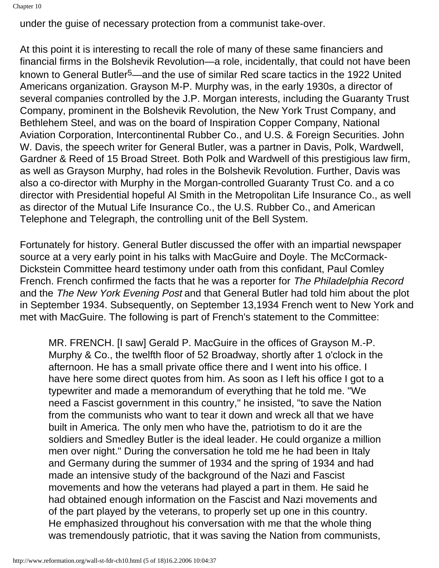Chapter 10

under the guise of necessary protection from a communist take-over.

At this point it is interesting to recall the role of many of these same financiers and financial firms in the Bolshevik Revolution—a role, incidentally, that could not have been known to General Butler5—and the use of similar Red scare tactics in the 1922 United Americans organization. Grayson M-P. Murphy was, in the early 1930s, a director of several companies controlled by the J.P. Morgan interests, including the Guaranty Trust Company, prominent in the Bolshevik Revolution, the New York Trust Company, and Bethlehem Steel, and was on the board of Inspiration Copper Company, National Aviation Corporation, Intercontinental Rubber Co., and U.S. & Foreign Securities. John W. Davis, the speech writer for General Butler, was a partner in Davis, Polk, Wardwell, Gardner & Reed of 15 Broad Street. Both Polk and Wardwell of this prestigious law firm, as well as Grayson Murphy, had roles in the Bolshevik Revolution. Further, Davis was also a co-director with Murphy in the Morgan-controlled Guaranty Trust Co. and a co director with Presidential hopeful Al Smith in the Metropolitan Life Insurance Co., as well as director of the Mutual Life Insurance Co., the U.S. Rubber Co., and American Telephone and Telegraph, the controlling unit of the Bell System.

Fortunately for history. General Butler discussed the offer with an impartial newspaper source at a very early point in his talks with MacGuire and Doyle. The McCormack-Dickstein Committee heard testimony under oath from this confidant, Paul Comley French. French confirmed the facts that he was a reporter for The Philadelphia Record and the The New York Evening Post and that General Butler had told him about the plot in September 1934. Subsequently, on September 13,1934 French went to New York and met with MacGuire. The following is part of French's statement to the Committee:

MR. FRENCH. [I saw] Gerald P. MacGuire in the offices of Grayson M.-P. Murphy & Co., the twelfth floor of 52 Broadway, shortly after 1 o'clock in the afternoon. He has a small private office there and I went into his office. I have here some direct quotes from him. As soon as I left his office I got to a typewriter and made a memorandum of everything that he told me. "We need a Fascist government in this country," he insisted, "to save the Nation from the communists who want to tear it down and wreck all that we have built in America. The only men who have the, patriotism to do it are the soldiers and Smedley Butler is the ideal leader. He could organize a million men over night." During the conversation he told me he had been in Italy and Germany during the summer of 1934 and the spring of 1934 and had made an intensive study of the background of the Nazi and Fascist movements and how the veterans had played a part in them. He said he had obtained enough information on the Fascist and Nazi movements and of the part played by the veterans, to properly set up one in this country. He emphasized throughout his conversation with me that the whole thing was tremendously patriotic, that it was saving the Nation from communists,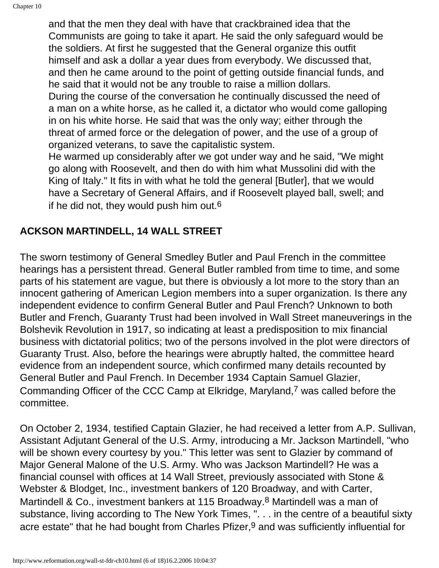and that the men they deal with have that crackbrained idea that the Communists are going to take it apart. He said the only safeguard would be the soldiers. At first he suggested that the General organize this outfit himself and ask a dollar a year dues from everybody. We discussed that, and then he came around to the point of getting outside financial funds, and he said that it would not be any trouble to raise a million dollars. During the course of the conversation he continually discussed the need of a man on a white horse, as he called it, a dictator who would come galloping in on his white horse. He said that was the only way; either through the threat of armed force or the delegation of power, and the use of a group of organized veterans, to save the capitalistic system.

He warmed up considerably after we got under way and he said, "We might go along with Roosevelt, and then do with him what Mussolini did with the King of Italy." It fits in with what he told the general [Butler], that we would have a Secretary of General Affairs, and if Roosevelt played ball, swell; and if he did not, they would push him out.6

## **ACKSON MARTINDELL, 14 WALL STREET**

The sworn testimony of General Smedley Butler and Paul French in the committee hearings has a persistent thread. General Butler rambled from time to time, and some parts of his statement are vague, but there is obviously a lot more to the story than an innocent gathering of American Legion members into a super organization. Is there any independent evidence to confirm General Butler and Paul French? Unknown to both Butler and French, Guaranty Trust had been involved in Wall Street maneuverings in the Bolshevik Revolution in 1917, so indicating at least a predisposition to mix financial business with dictatorial politics; two of the persons involved in the plot were directors of Guaranty Trust. Also, before the hearings were abruptly halted, the committee heard evidence from an independent source, which confirmed many details recounted by General Butler and Paul French. In December 1934 Captain Samuel Glazier, Commanding Officer of the CCC Camp at Elkridge, Maryland,7 was called before the committee.

On October 2, 1934, testified Captain Glazier, he had received a letter from A.P. Sullivan, Assistant Adjutant General of the U.S. Army, introducing a Mr. Jackson Martindell, "who will be shown every courtesy by you." This letter was sent to Glazier by command of Major General Malone of the U.S. Army. Who was Jackson Martindell? He was a financial counsel with offices at 14 Wall Street, previously associated with Stone & Webster & Blodget, Inc., investment bankers of 120 Broadway, and with Carter, Martindell & Co., investment bankers at 115 Broadway.<sup>8</sup> Martindell was a man of substance, living according to The New York Times, ". . . in the centre of a beautiful sixty acre estate" that he had bought from Charles Pfizer,<sup>9</sup> and was sufficiently influential for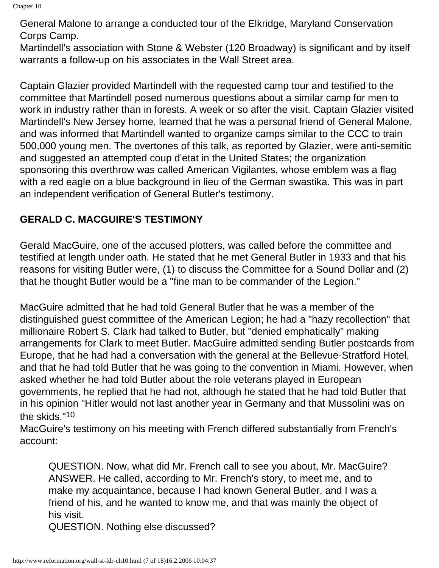General Malone to arrange a conducted tour of the Elkridge, Maryland Conservation Corps Camp.

Martindell's association with Stone & Webster (120 Broadway) is significant and by itself warrants a follow-up on his associates in the Wall Street area.

Captain Glazier provided Martindell with the requested camp tour and testified to the committee that Martindell posed numerous questions about a similar camp for men to work in industry rather than in forests. A week or so after the visit. Captain Glazier visited Martindell's New Jersey home, learned that he was a personal friend of General Malone, and was informed that Martindell wanted to organize camps similar to the CCC to train 500,000 young men. The overtones of this talk, as reported by Glazier, were anti-semitic and suggested an attempted coup d'etat in the United States; the organization sponsoring this overthrow was called American Vigilantes, whose emblem was a flag with a red eagle on a blue background in lieu of the German swastika. This was in part an independent verification of General Butler's testimony.

## **GERALD C. MACGUIRE'S TESTIMONY**

Gerald MacGuire, one of the accused plotters, was called before the committee and testified at length under oath. He stated that he met General Butler in 1933 and that his reasons for visiting Butler were, (1) to discuss the Committee for a Sound Dollar and (2) that he thought Butler would be a "fine man to be commander of the Legion."

MacGuire admitted that he had told General Butler that he was a member of the distinguished guest committee of the American Legion; he had a "hazy recollection" that millionaire Robert S. Clark had talked to Butler, but "denied emphatically" making arrangements for Clark to meet Butler. MacGuire admitted sending Butler postcards from Europe, that he had had a conversation with the general at the Bellevue-Stratford Hotel, and that he had told Butler that he was going to the convention in Miami. However, when asked whether he had told Butler about the role veterans played in European governments, he replied that he had not, although he stated that he had told Butler that in his opinion "Hitler would not last another year in Germany and that Mussolini was on the skids."10

MacGuire's testimony on his meeting with French differed substantially from French's account:

QUESTION. Now, what did Mr. French call to see you about, Mr. MacGuire? ANSWER. He called, according to Mr. French's story, to meet me, and to make my acquaintance, because I had known General Butler, and I was a friend of his, and he wanted to know me, and that was mainly the object of his visit.

QUESTION. Nothing else discussed?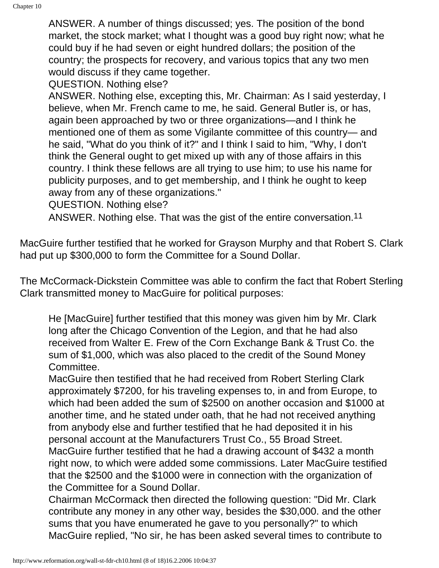ANSWER. A number of things discussed; yes. The position of the bond market, the stock market; what I thought was a good buy right now; what he could buy if he had seven or eight hundred dollars; the position of the country; the prospects for recovery, and various topics that any two men would discuss if they came together.

QUESTION. Nothing else?

ANSWER. Nothing else, excepting this, Mr. Chairman: As I said yesterday, I believe, when Mr. French came to me, he said. General Butler is, or has, again been approached by two or three organizations—and I think he mentioned one of them as some Vigilante committee of this country— and he said, "What do you think of it?" and I think I said to him, "Why, I don't think the General ought to get mixed up with any of those affairs in this country. I think these fellows are all trying to use him; to use his name for publicity purposes, and to get membership, and I think he ought to keep away from any of these organizations."

QUESTION. Nothing else?

ANSWER. Nothing else. That was the gist of the entire conversation.11

MacGuire further testified that he worked for Grayson Murphy and that Robert S. Clark had put up \$300,000 to form the Committee for a Sound Dollar.

The McCormack-Dickstein Committee was able to confirm the fact that Robert Sterling Clark transmitted money to MacGuire for political purposes:

He [MacGuire] further testified that this money was given him by Mr. Clark long after the Chicago Convention of the Legion, and that he had also received from Walter E. Frew of the Corn Exchange Bank & Trust Co. the sum of \$1,000, which was also placed to the credit of the Sound Money Committee.

MacGuire then testified that he had received from Robert Sterling Clark approximately \$7200, for his traveling expenses to, in and from Europe, to which had been added the sum of \$2500 on another occasion and \$1000 at another time, and he stated under oath, that he had not received anything from anybody else and further testified that he had deposited it in his personal account at the Manufacturers Trust Co., 55 Broad Street. MacGuire further testified that he had a drawing account of \$432 a month right now, to which were added some commissions. Later MacGuire testified that the \$2500 and the \$1000 were in connection with the organization of the Committee for a Sound Dollar.

Chairman McCormack then directed the following question: "Did Mr. Clark contribute any money in any other way, besides the \$30,000. and the other sums that you have enumerated he gave to you personally?" to which MacGuire replied, "No sir, he has been asked several times to contribute to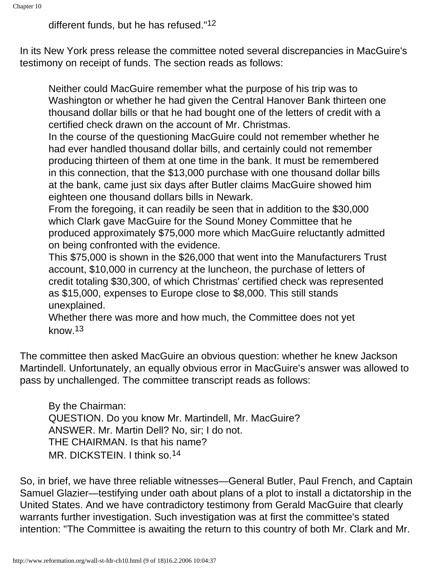different funds, but he has refused."12

In its New York press release the committee noted several discrepancies in MacGuire's testimony on receipt of funds. The section reads as follows:

Neither could MacGuire remember what the purpose of his trip was to Washington or whether he had given the Central Hanover Bank thirteen one thousand dollar bills or that he had bought one of the letters of credit with a certified check drawn on the account of Mr. Christmas.

In the course of the questioning MacGuire could not remember whether he had ever handled thousand dollar bills, and certainly could not remember producing thirteen of them at one time in the bank. It must be remembered in this connection, that the \$13,000 purchase with one thousand dollar bills at the bank, came just six days after Butler claims MacGuire showed him eighteen one thousand dollars bills in Newark.

From the foregoing, it can readily be seen that in addition to the \$30,000 which Clark gave MacGuire for the Sound Money Committee that he produced approximately \$75,000 more which MacGuire reluctantly admitted on being confronted with the evidence.

This \$75,000 is shown in the \$26,000 that went into the Manufacturers Trust account, \$10,000 in currency at the luncheon, the purchase of letters of credit totaling \$30,300, of which Christmas' certified check was represented as \$15,000, expenses to Europe close to \$8,000. This still stands unexplained.

Whether there was more and how much, the Committee does not yet know.13

The committee then asked MacGuire an obvious question: whether he knew Jackson Martindell. Unfortunately, an equally obvious error in MacGuire's answer was allowed to pass by unchallenged. The committee transcript reads as follows:

By the Chairman: QUESTION. Do you know Mr. Martindell, Mr. MacGuire? ANSWER. Mr. Martin Dell? No, sir; I do not. THE CHAIRMAN. Is that his name? MR. DICKSTEIN. I think so.<sup>14</sup>

So, in brief, we have three reliable witnesses—General Butler, Paul French, and Captain Samuel Glazier—testifying under oath about plans of a plot to install a dictatorship in the United States. And we have contradictory testimony from Gerald MacGuire that clearly warrants further investigation. Such investigation was at first the committee's stated intention: "The Committee is awaiting the return to this country of both Mr. Clark and Mr.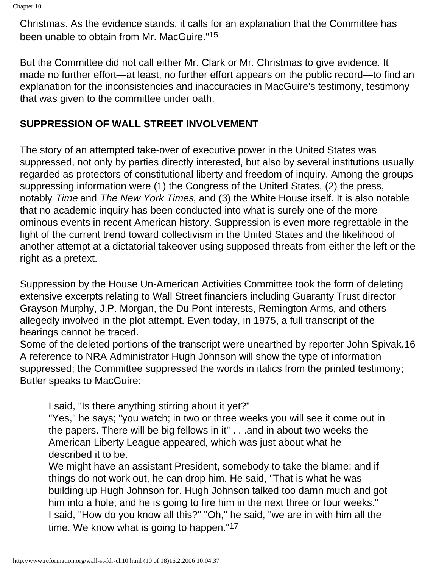Christmas. As the evidence stands, it calls for an explanation that the Committee has been unable to obtain from Mr. MacGuire."15

But the Committee did not call either Mr. Clark or Mr. Christmas to give evidence. It made no further effort—at least, no further effort appears on the public record—to find an explanation for the inconsistencies and inaccuracies in MacGuire's testimony, testimony that was given to the committee under oath.

## **SUPPRESSION OF WALL STREET INVOLVEMENT**

The story of an attempted take-over of executive power in the United States was suppressed, not only by parties directly interested, but also by several institutions usually regarded as protectors of constitutional liberty and freedom of inquiry. Among the groups suppressing information were (1) the Congress of the United States, (2) the press, notably Time and The New York Times, and (3) the White House itself. It is also notable that no academic inquiry has been conducted into what is surely one of the more ominous events in recent American history. Suppression is even more regrettable in the light of the current trend toward collectivism in the United States and the likelihood of another attempt at a dictatorial takeover using supposed threats from either the left or the right as a pretext.

Suppression by the House Un-American Activities Committee took the form of deleting extensive excerpts relating to Wall Street financiers including Guaranty Trust director Grayson Murphy, J.P. Morgan, the Du Pont interests, Remington Arms, and others allegedly involved in the plot attempt. Even today, in 1975, a full transcript of the hearings cannot be traced.

Some of the deleted portions of the transcript were unearthed by reporter John Spivak.16 A reference to NRA Administrator Hugh Johnson will show the type of information suppressed; the Committee suppressed the words in italics from the printed testimony; Butler speaks to MacGuire:

I said, "Is there anything stirring about it yet?"

"Yes," he says; "you watch; in two or three weeks you will see it come out in the papers. There will be big fellows in it" . . .and in about two weeks the American Liberty League appeared, which was just about what he described it to be.

We might have an assistant President, somebody to take the blame; and if things do not work out, he can drop him. He said, "That is what he was building up Hugh Johnson for. Hugh Johnson talked too damn much and got him into a hole, and he is going to fire him in the next three or four weeks." I said, "How do you know all this?" "Oh," he said, "we are in with him all the time. We know what is going to happen."17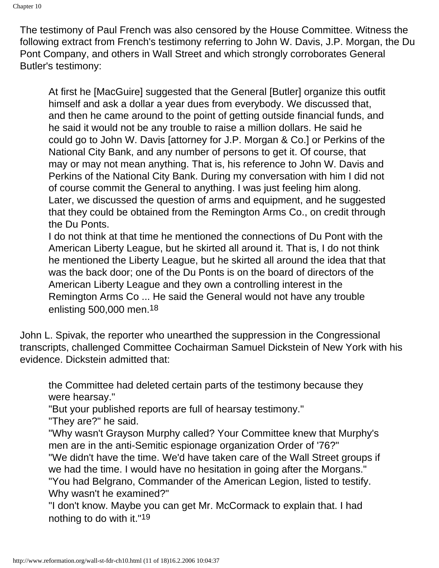The testimony of Paul French was also censored by the House Committee. Witness the following extract from French's testimony referring to John W. Davis, J.P. Morgan, the Du Pont Company, and others in Wall Street and which strongly corroborates General Butler's testimony:

At first he [MacGuire] suggested that the General [Butler] organize this outfit himself and ask a dollar a year dues from everybody. We discussed that, and then he came around to the point of getting outside financial funds, and he said it would not be any trouble to raise a million dollars. He said he could go to John W. Davis [attorney for J.P. Morgan & Co.] or Perkins of the National City Bank, and any number of persons to get it. Of course, that may or may not mean anything. That is, his reference to John W. Davis and Perkins of the National City Bank. During my conversation with him I did not of course commit the General to anything. I was just feeling him along. Later, we discussed the question of arms and equipment, and he suggested that they could be obtained from the Remington Arms Co., on credit through the Du Ponts.

I do not think at that time he mentioned the connections of Du Pont with the American Liberty League, but he skirted all around it. That is, I do not think he mentioned the Liberty League, but he skirted all around the idea that that was the back door; one of the Du Ponts is on the board of directors of the American Liberty League and they own a controlling interest in the Remington Arms Co ... He said the General would not have any trouble enlisting 500,000 men.18

John L. Spivak, the reporter who unearthed the suppression in the Congressional transcripts, challenged Committee Cochairman Samuel Dickstein of New York with his evidence. Dickstein admitted that:

the Committee had deleted certain parts of the testimony because they were hearsay."

"But your published reports are full of hearsay testimony."

"They are?" he said.

"Why wasn't Grayson Murphy called? Your Committee knew that Murphy's men are in the anti-Semitic espionage organization Order of '76?"

"We didn't have the time. We'd have taken care of the Wall Street groups if we had the time. I would have no hesitation in going after the Morgans."

"You had Belgrano, Commander of the American Legion, listed to testify. Why wasn't he examined?"

"I don't know. Maybe you can get Mr. McCormack to explain that. I had nothing to do with it."19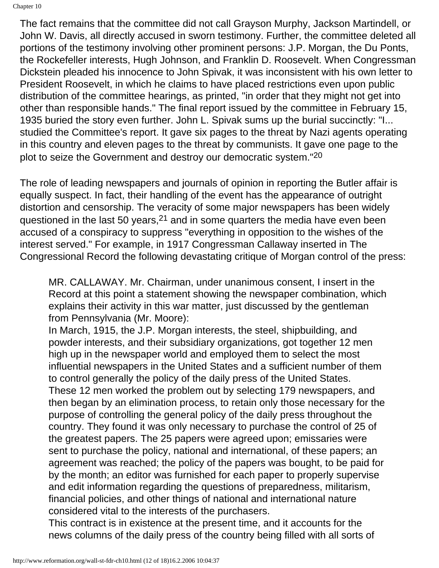The fact remains that the committee did not call Grayson Murphy, Jackson Martindell, or John W. Davis, all directly accused in sworn testimony. Further, the committee deleted all portions of the testimony involving other prominent persons: J.P. Morgan, the Du Ponts, the Rockefeller interests, Hugh Johnson, and Franklin D. Roosevelt. When Congressman Dickstein pleaded his innocence to John Spivak, it was inconsistent with his own letter to President Roosevelt, in which he claims to have placed restrictions even upon public distribution of the committee hearings, as printed, "in order that they might not get into other than responsible hands." The final report issued by the committee in February 15, 1935 buried the story even further. John L. Spivak sums up the burial succinctly: "I... studied the Committee's report. It gave six pages to the threat by Nazi agents operating in this country and eleven pages to the threat by communists. It gave one page to the plot to seize the Government and destroy our democratic system."20

The role of leading newspapers and journals of opinion in reporting the Butler affair is equally suspect. In fact, their handling of the event has the appearance of outright distortion and censorship. The veracity of some major newspapers has been widely questioned in the last 50 years,  $21$  and in some quarters the media have even been accused of a conspiracy to suppress "everything in opposition to the wishes of the interest served." For example, in 1917 Congressman Callaway inserted in The Congressional Record the following devastating critique of Morgan control of the press:

MR. CALLAWAY. Mr. Chairman, under unanimous consent, I insert in the Record at this point a statement showing the newspaper combination, which explains their activity in this war matter, just discussed by the gentleman from Pennsylvania (Mr. Moore):

In March, 1915, the J.P. Morgan interests, the steel, shipbuilding, and powder interests, and their subsidiary organizations, got together 12 men high up in the newspaper world and employed them to select the most influential newspapers in the United States and a sufficient number of them to control generally the policy of the daily press of the United States. These 12 men worked the problem out by selecting 179 newspapers, and then began by an elimination process, to retain only those necessary for the purpose of controlling the general policy of the daily press throughout the country. They found it was only necessary to purchase the control of 25 of the greatest papers. The 25 papers were agreed upon; emissaries were sent to purchase the policy, national and international, of these papers; an agreement was reached; the policy of the papers was bought, to be paid for by the month; an editor was furnished for each paper to properly supervise and edit information regarding the questions of preparedness, militarism, financial policies, and other things of national and international nature considered vital to the interests of the purchasers.

This contract is in existence at the present time, and it accounts for the news columns of the daily press of the country being filled with all sorts of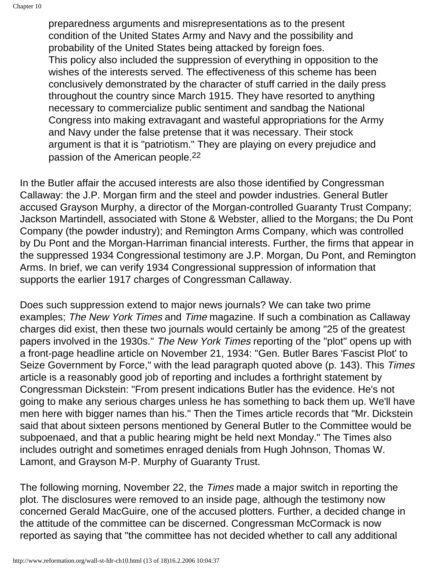preparedness arguments and misrepresentations as to the present condition of the United States Army and Navy and the possibility and probability of the United States being attacked by foreign foes. This policy also included the suppression of everything in opposition to the wishes of the interests served. The effectiveness of this scheme has been conclusively demonstrated by the character of stuff carried in the daily press throughout the country since March 1915. They have resorted to anything necessary to commercialize public sentiment and sandbag the National Congress into making extravagant and wasteful appropriations for the Army and Navy under the false pretense that it was necessary. Their stock argument is that it is "patriotism." They are playing on every prejudice and passion of the American people.22

In the Butler affair the accused interests are also those identified by Congressman Callaway: the J.P. Morgan firm and the steel and powder industries. General Butler accused Grayson Murphy, a director of the Morgan-controlled Guaranty Trust Company; Jackson Martindell, associated with Stone & Webster, allied to the Morgans; the Du Pont Company (the powder industry); and Remington Arms Company, which was controlled by Du Pont and the Morgan-Harriman financial interests. Further, the firms that appear in the suppressed 1934 Congressional testimony are J.P. Morgan, Du Pont, and Remington Arms. In brief, we can verify 1934 Congressional suppression of information that supports the earlier 1917 charges of Congressman Callaway.

Does such suppression extend to major news journals? We can take two prime examples; The New York Times and Time magazine. If such a combination as Callaway charges did exist, then these two journals would certainly be among "25 of the greatest papers involved in the 1930s." The New York Times reporting of the "plot" opens up with a front-page headline article on November 21, 1934: "Gen. Butler Bares 'Fascist Plot' to Seize Government by Force," with the lead paragraph quoted above (p. 143). This Times article is a reasonably good job of reporting and includes a forthright statement by Congressman Dickstein: "From present indications Butler has the evidence. He's not going to make any serious charges unless he has something to back them up. We'll have men here with bigger names than his." Then the Times article records that "Mr. Dickstein said that about sixteen persons mentioned by General Butler to the Committee would be subpoenaed, and that a public hearing might be held next Monday." The Times also includes outright and sometimes enraged denials from Hugh Johnson, Thomas W. Lamont, and Grayson M-P. Murphy of Guaranty Trust.

The following morning, November 22, the Times made a major switch in reporting the plot. The disclosures were removed to an inside page, although the testimony now concerned Gerald MacGuire, one of the accused plotters. Further, a decided change in the attitude of the committee can be discerned. Congressman McCormack is now reported as saying that "the committee has not decided whether to call any additional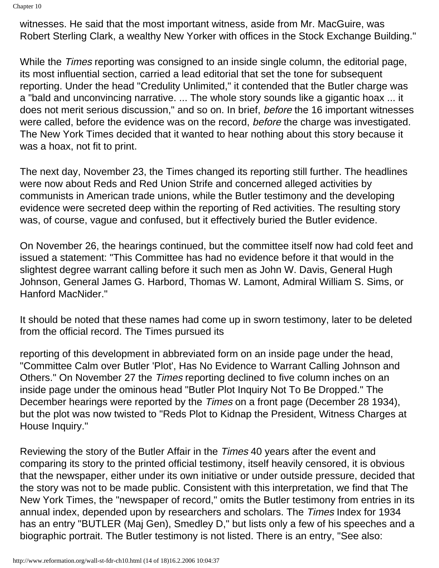Chapter 10

witnesses. He said that the most important witness, aside from Mr. MacGuire, was Robert Sterling Clark, a wealthy New Yorker with offices in the Stock Exchange Building."

While the *Times* reporting was consigned to an inside single column, the editorial page, its most influential section, carried a lead editorial that set the tone for subsequent reporting. Under the head "Credulity Unlimited," it contended that the Butler charge was a "bald and unconvincing narrative. ... The whole story sounds like a gigantic hoax ... it does not merit serious discussion," and so on. In brief, before the 16 important witnesses were called, before the evidence was on the record, before the charge was investigated. The New York Times decided that it wanted to hear nothing about this story because it was a hoax, not fit to print.

The next day, November 23, the Times changed its reporting still further. The headlines were now about Reds and Red Union Strife and concerned alleged activities by communists in American trade unions, while the Butler testimony and the developing evidence were secreted deep within the reporting of Red activities. The resulting story was, of course, vague and confused, but it effectively buried the Butler evidence.

On November 26, the hearings continued, but the committee itself now had cold feet and issued a statement: "This Committee has had no evidence before it that would in the slightest degree warrant calling before it such men as John W. Davis, General Hugh Johnson, General James G. Harbord, Thomas W. Lamont, Admiral William S. Sims, or Hanford MacNider."

It should be noted that these names had come up in sworn testimony, later to be deleted from the official record. The Times pursued its

reporting of this development in abbreviated form on an inside page under the head, "Committee Calm over Butler 'Plot', Has No Evidence to Warrant Calling Johnson and Others." On November 27 the Times reporting declined to five column inches on an inside page under the ominous head "Butler Plot Inquiry Not To Be Dropped." The December hearings were reported by the Times on a front page (December 28 1934), but the plot was now twisted to "Reds Plot to Kidnap the President, Witness Charges at House Inquiry."

Reviewing the story of the Butler Affair in the Times 40 years after the event and comparing its story to the printed official testimony, itself heavily censored, it is obvious that the newspaper, either under its own initiative or under outside pressure, decided that the story was not to be made public. Consistent with this interpretation, we find that The New York Times, the "newspaper of record," omits the Butler testimony from entries in its annual index, depended upon by researchers and scholars. The Times Index for 1934 has an entry "BUTLER (Maj Gen), Smedley D," but lists only a few of his speeches and a biographic portrait. The Butler testimony is not listed. There is an entry, "See also: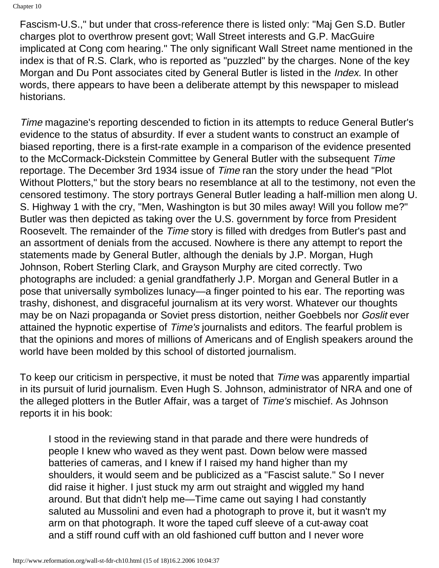Fascism-U.S.," but under that cross-reference there is listed only: "Maj Gen S.D. Butler charges plot to overthrow present govt; Wall Street interests and G.P. MacGuire implicated at Cong com hearing." The only significant Wall Street name mentioned in the index is that of R.S. Clark, who is reported as "puzzled" by the charges. None of the key Morgan and Du Pont associates cited by General Butler is listed in the Index. In other words, there appears to have been a deliberate attempt by this newspaper to mislead historians.

Time magazine's reporting descended to fiction in its attempts to reduce General Butler's evidence to the status of absurdity. If ever a student wants to construct an example of biased reporting, there is a first-rate example in a comparison of the evidence presented to the McCormack-Dickstein Committee by General Butler with the subsequent Time reportage. The December 3rd 1934 issue of Time ran the story under the head "Plot Without Plotters," but the story bears no resemblance at all to the testimony, not even the censored testimony. The story portrays General Butler leading a half-million men along U. S. Highway 1 with the cry, "Men, Washington is but 30 miles away! Will you follow me?" Butler was then depicted as taking over the U.S. government by force from President Roosevelt. The remainder of the Time story is filled with dredges from Butler's past and an assortment of denials from the accused. Nowhere is there any attempt to report the statements made by General Butler, although the denials by J.P. Morgan, Hugh Johnson, Robert Sterling Clark, and Grayson Murphy are cited correctly. Two photographs are included: a genial grandfatherly J.P. Morgan and General Butler in a pose that universally symbolizes lunacy—a finger pointed to his ear. The reporting was trashy, dishonest, and disgraceful journalism at its very worst. Whatever our thoughts may be on Nazi propaganda or Soviet press distortion, neither Goebbels nor Goslit ever attained the hypnotic expertise of Time's journalists and editors. The fearful problem is that the opinions and mores of millions of Americans and of English speakers around the world have been molded by this school of distorted journalism.

To keep our criticism in perspective, it must be noted that *Time* was apparently impartial in its pursuit of lurid journalism. Even Hugh S. Johnson, administrator of NRA and one of the alleged plotters in the Butler Affair, was a target of Time's mischief. As Johnson reports it in his book:

I stood in the reviewing stand in that parade and there were hundreds of people I knew who waved as they went past. Down below were massed batteries of cameras, and I knew if I raised my hand higher than my shoulders, it would seem and be publicized as a "Fascist salute." So I never did raise it higher. I just stuck my arm out straight and wiggled my hand around. But that didn't help me—Time came out saying I had constantly saluted au Mussolini and even had a photograph to prove it, but it wasn't my arm on that photograph. It wore the taped cuff sleeve of a cut-away coat and a stiff round cuff with an old fashioned cuff button and I never wore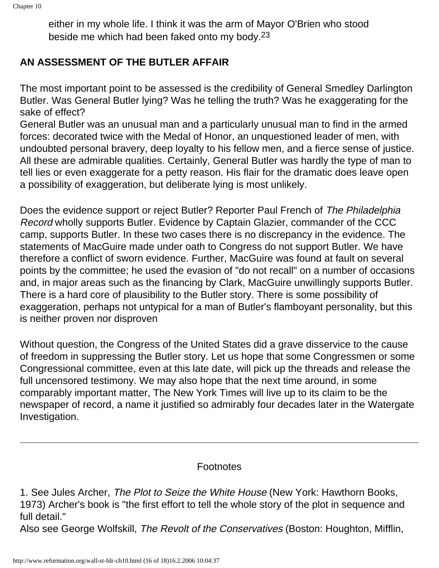either in my whole life. I think it was the arm of Mayor O'Brien who stood beside me which had been faked onto my body.23

## **AN ASSESSMENT OF THE BUTLER AFFAIR**

The most important point to be assessed is the credibility of General Smedley Darlington Butler. Was General Butler lying? Was he telling the truth? Was he exaggerating for the sake of effect?

General Butler was an unusual man and a particularly unusual man to find in the armed forces: decorated twice with the Medal of Honor, an unquestioned leader of men, with undoubted personal bravery, deep loyalty to his fellow men, and a fierce sense of justice. All these are admirable qualities. Certainly, General Butler was hardly the type of man to tell lies or even exaggerate for a petty reason. His flair for the dramatic does leave open a possibility of exaggeration, but deliberate lying is most unlikely.

Does the evidence support or reject Butler? Reporter Paul French of The Philadelphia Record wholly supports Butler. Evidence by Captain Glazier, commander of the CCC camp, supports Butler. In these two cases there is no discrepancy in the evidence. The statements of MacGuire made under oath to Congress do not support Butler. We have therefore a conflict of sworn evidence. Further, MacGuire was found at fault on several points by the committee; he used the evasion of "do not recall" on a number of occasions and, in major areas such as the financing by Clark, MacGuire unwillingly supports Butler. There is a hard core of plausibility to the Butler story. There is some possibility of exaggeration, perhaps not untypical for a man of Butler's flamboyant personality, but this is neither proven nor disproven

Without question, the Congress of the United States did a grave disservice to the cause of freedom in suppressing the Butler story. Let us hope that some Congressmen or some Congressional committee, even at this late date, will pick up the threads and release the full uncensored testimony. We may also hope that the next time around, in some comparably important matter, The New York Times will live up to its claim to be the newspaper of record, a name it justified so admirably four decades later in the Watergate Investigation.

#### Footnotes

1. See Jules Archer, The Plot to Seize the White House (New York: Hawthorn Books, 1973) Archer's book is "the first effort to tell the whole story of the plot in sequence and full detail."

Also see George Wolfskill, The Revolt of the Conservatives (Boston: Houghton, Mifflin,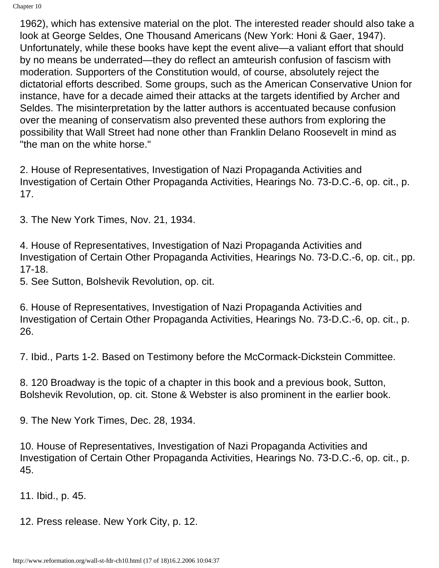1962), which has extensive material on the plot. The interested reader should also take a look at George Seldes, One Thousand Americans (New York: Honi & Gaer, 1947). Unfortunately, while these books have kept the event alive—a valiant effort that should by no means be underrated—they do reflect an amteurish confusion of fascism with moderation. Supporters of the Constitution would, of course, absolutely reject the dictatorial efforts described. Some groups, such as the American Conservative Union for instance, have for a decade aimed their attacks at the targets identified by Archer and Seldes. The misinterpretation by the latter authors is accentuated because confusion over the meaning of conservatism also prevented these authors from exploring the possibility that Wall Street had none other than Franklin Delano Roosevelt in mind as "the man on the white horse."

2. House of Representatives, Investigation of Nazi Propaganda Activities and Investigation of Certain Other Propaganda Activities, Hearings No. 73-D.C.-6, op. cit., p. 17.

3. The New York Times, Nov. 21, 1934.

4. House of Representatives, Investigation of Nazi Propaganda Activities and Investigation of Certain Other Propaganda Activities, Hearings No. 73-D.C.-6, op. cit., pp. 17-18.

5. See Sutton, Bolshevik Revolution, op. cit.

6. House of Representatives, Investigation of Nazi Propaganda Activities and Investigation of Certain Other Propaganda Activities, Hearings No. 73-D.C.-6, op. cit., p. 26.

7. Ibid., Parts 1-2. Based on Testimony before the McCormack-Dickstein Committee.

8. 120 Broadway is the topic of a chapter in this book and a previous book, Sutton, Bolshevik Revolution, op. cit. Stone & Webster is also prominent in the earlier book.

9. The New York Times, Dec. 28, 1934.

10. House of Representatives, Investigation of Nazi Propaganda Activities and Investigation of Certain Other Propaganda Activities, Hearings No. 73-D.C.-6, op. cit., p. 45.

11. Ibid., p. 45.

12. Press release. New York City, p. 12.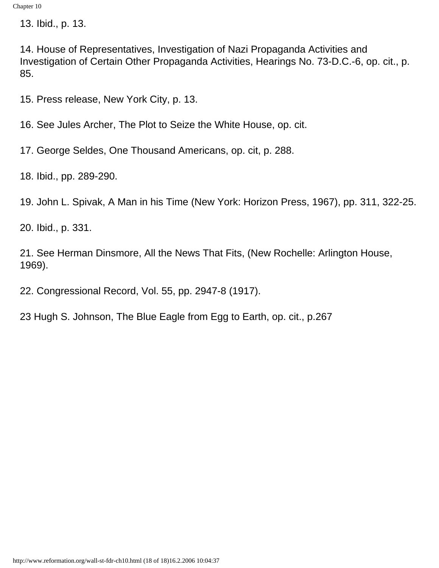13. Ibid., p. 13.

14. House of Representatives, Investigation of Nazi Propaganda Activities and Investigation of Certain Other Propaganda Activities, Hearings No. 73-D.C.-6, op. cit., p. 85.

15. Press release, New York City, p. 13.

16. See Jules Archer, The Plot to Seize the White House, op. cit.

17. George Seldes, One Thousand Americans, op. cit, p. 288.

18. Ibid., pp. 289-290.

19. John L. Spivak, A Man in his Time (New York: Horizon Press, 1967), pp. 311, 322-25.

20. Ibid., p. 331.

21. See Herman Dinsmore, All the News That Fits, (New Rochelle: Arlington House, 1969).

22. Congressional Record, Vol. 55, pp. 2947-8 (1917).

23 Hugh S. Johnson, The Blue Eagle from Egg to Earth, op. cit., p.267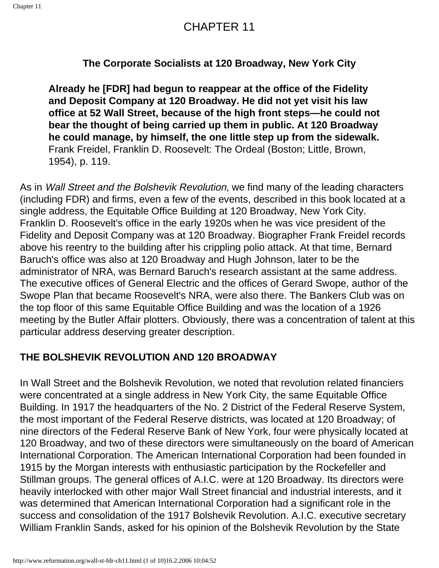# CHAPTER 11

## **The Corporate Socialists at 120 Broadway, New York City**

**Already he [FDR] had begun to reappear at the office of the Fidelity and Deposit Company at 120 Broadway. He did not yet visit his law office at 52 Wall Street, because of the high front steps—he could not bear the thought of being carried up them in public. At 120 Broadway he could manage, by himself, the one little step up from the sidewalk.** Frank Freidel, Franklin D. Roosevelt: The Ordeal (Boston; Little, Brown, 1954), p. 119.

As in Wall Street and the Bolshevik Revolution, we find many of the leading characters (including FDR) and firms, even a few of the events, described in this book located at a single address, the Equitable Office Building at 120 Broadway, New York City. Franklin D. Roosevelt's office in the early 1920s when he was vice president of the Fidelity and Deposit Company was at 120 Broadway. Biographer Frank Freidel records above his reentry to the building after his crippling polio attack. At that time, Bernard Baruch's office was also at 120 Broadway and Hugh Johnson, later to be the administrator of NRA, was Bernard Baruch's research assistant at the same address. The executive offices of General Electric and the offices of Gerard Swope, author of the Swope Plan that became Roosevelt's NRA, were also there. The Bankers Club was on the top floor of this same Equitable Office Building and was the location of a 1926 meeting by the Butler Affair plotters. Obviously, there was a concentration of talent at this particular address deserving greater description.

## **THE BOLSHEVIK REVOLUTION AND 120 BROADWAY**

In Wall Street and the Bolshevik Revolution, we noted that revolution related financiers were concentrated at a single address in New York City, the same Equitable Office Building. In 1917 the headquarters of the No. 2 District of the Federal Reserve System, the most important of the Federal Reserve districts, was located at 120 Broadway; of nine directors of the Federal Reserve Bank of New York, four were physically located at 120 Broadway, and two of these directors were simultaneously on the board of American International Corporation. The American International Corporation had been founded in 1915 by the Morgan interests with enthusiastic participation by the Rockefeller and Stillman groups. The general offices of A.I.C. were at 120 Broadway. Its directors were heavily interlocked with other major Wall Street financial and industrial interests, and it was determined that American International Corporation had a significant role in the success and consolidation of the 1917 Bolshevik Revolution. A.I.C. executive secretary William Franklin Sands, asked for his opinion of the Bolshevik Revolution by the State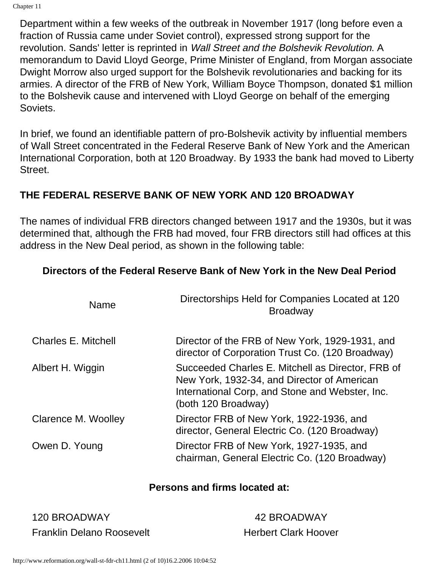Department within a few weeks of the outbreak in November 1917 (long before even a fraction of Russia came under Soviet control), expressed strong support for the revolution. Sands' letter is reprinted in Wall Street and the Bolshevik Revolution. A memorandum to David Lloyd George, Prime Minister of England, from Morgan associate Dwight Morrow also urged support for the Bolshevik revolutionaries and backing for its armies. A director of the FRB of New York, William Boyce Thompson, donated \$1 million to the Bolshevik cause and intervened with Lloyd George on behalf of the emerging Soviets.

In brief, we found an identifiable pattern of pro-Bolshevik activity by influential members of Wall Street concentrated in the Federal Reserve Bank of New York and the American International Corporation, both at 120 Broadway. By 1933 the bank had moved to Liberty Street.

### **THE FEDERAL RESERVE BANK OF NEW YORK AND 120 BROADWAY**

The names of individual FRB directors changed between 1917 and the 1930s, but it was determined that, although the FRB had moved, four FRB directors still had offices at this address in the New Deal period, as shown in the following table:

### **Directors of the Federal Reserve Bank of New York in the New Deal Period**

| <b>Name</b>                | Directorships Held for Companies Located at 120<br><b>Broadway</b>                                                                                                         |
|----------------------------|----------------------------------------------------------------------------------------------------------------------------------------------------------------------------|
| <b>Charles E. Mitchell</b> | Director of the FRB of New York, 1929-1931, and<br>director of Corporation Trust Co. (120 Broadway)                                                                        |
| Albert H. Wiggin           | Succeeded Charles E. Mitchell as Director, FRB of<br>New York, 1932-34, and Director of American<br>International Corp, and Stone and Webster, Inc.<br>(both 120 Broadway) |
| Clarence M. Woolley        | Director FRB of New York, 1922-1936, and<br>director, General Electric Co. (120 Broadway)                                                                                  |
| Owen D. Young              | Director FRB of New York, 1927-1935, and<br>chairman, General Electric Co. (120 Broadway)                                                                                  |

### **Persons and firms located at:**

| 120 BROADWAY                     | 42 BROADWAY                 |
|----------------------------------|-----------------------------|
| <b>Franklin Delano Roosevelt</b> | <b>Herbert Clark Hoover</b> |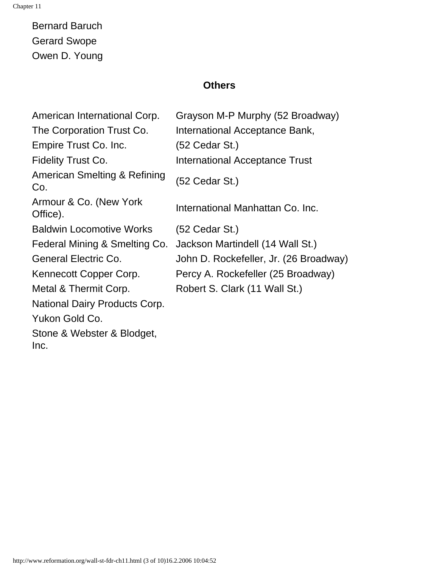Bernard Baruch Gerard Swope Owen D. Young

## **Others**

| American International Corp.        | Grayson M-P Murphy (52 Broadway)       |
|-------------------------------------|----------------------------------------|
| The Corporation Trust Co.           | International Acceptance Bank,         |
| Empire Trust Co. Inc.               | $(52$ Cedar St.)                       |
| <b>Fidelity Trust Co.</b>           | International Acceptance Trust         |
| American Smelting & Refining<br>Co. | (52 Cedar St.)                         |
| Armour & Co. (New York<br>Office).  | International Manhattan Co. Inc.       |
| <b>Baldwin Locomotive Works</b>     | (52 Cedar St.)                         |
| Federal Mining & Smelting Co.       | Jackson Martindell (14 Wall St.)       |
| General Electric Co.                | John D. Rockefeller, Jr. (26 Broadway) |
| Kennecott Copper Corp.              | Percy A. Rockefeller (25 Broadway)     |
| Metal & Thermit Corp.               | Robert S. Clark (11 Wall St.)          |
| National Dairy Products Corp.       |                                        |
| Yukon Gold Co.                      |                                        |
| Stone & Webster & Blodget,<br>Inc.  |                                        |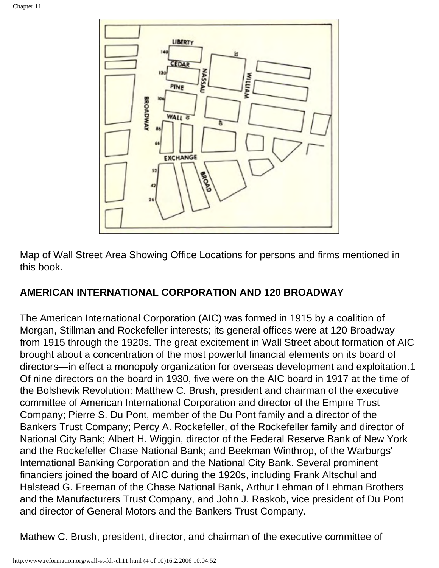

Map of Wall Street Area Showing Office Locations for persons and firms mentioned in this book.

# **AMERICAN INTERNATIONAL CORPORATION AND 120 BROADWAY**

The American International Corporation (AIC) was formed in 1915 by a coalition of Morgan, Stillman and Rockefeller interests; its general offices were at 120 Broadway from 1915 through the 1920s. The great excitement in Wall Street about formation of AIC brought about a concentration of the most powerful financial elements on its board of directors—in effect a monopoly organization for overseas development and exploitation.1 Of nine directors on the board in 1930, five were on the AIC board in 1917 at the time of the Bolshevik Revolution: Matthew C. Brush, president and chairman of the executive committee of American International Corporation and director of the Empire Trust Company; Pierre S. Du Pont, member of the Du Pont family and a director of the Bankers Trust Company; Percy A. Rockefeller, of the Rockefeller family and director of National City Bank; Albert H. Wiggin, director of the Federal Reserve Bank of New York and the Rockefeller Chase National Bank; and Beekman Winthrop, of the Warburgs' International Banking Corporation and the National City Bank. Several prominent financiers joined the board of AIC during the 1920s, including Frank Altschul and Halstead G. Freeman of the Chase National Bank, Arthur Lehman of Lehman Brothers and the Manufacturers Trust Company, and John J. Raskob, vice president of Du Pont and director of General Motors and the Bankers Trust Company.

Mathew C. Brush, president, director, and chairman of the executive committee of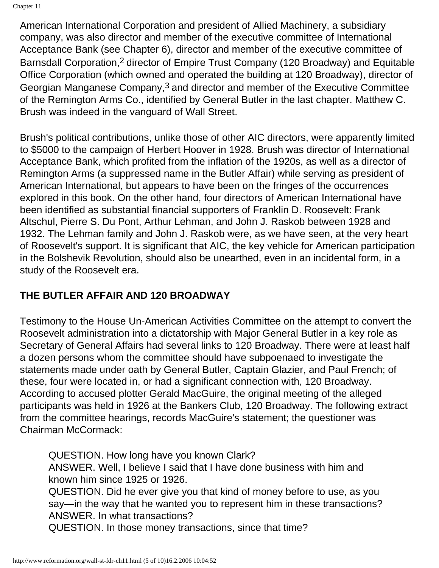American International Corporation and president of Allied Machinery, a subsidiary company, was also director and member of the executive committee of International Acceptance Bank (see Chapter 6), director and member of the executive committee of Barnsdall Corporation,2 director of Empire Trust Company (120 Broadway) and Equitable Office Corporation (which owned and operated the building at 120 Broadway), director of Georgian Manganese Company,<sup>3</sup> and director and member of the Executive Committee of the Remington Arms Co., identified by General Butler in the last chapter. Matthew C. Brush was indeed in the vanguard of Wall Street.

Brush's political contributions, unlike those of other AIC directors, were apparently limited to \$5000 to the campaign of Herbert Hoover in 1928. Brush was director of International Acceptance Bank, which profited from the inflation of the 1920s, as well as a director of Remington Arms (a suppressed name in the Butler Affair) while serving as president of American International, but appears to have been on the fringes of the occurrences explored in this book. On the other hand, four directors of American International have been identified as substantial financial supporters of Franklin D. Roosevelt: Frank Altschul, Pierre S. Du Pont, Arthur Lehman, and John J. Raskob between 1928 and 1932. The Lehman family and John J. Raskob were, as we have seen, at the very heart of Roosevelt's support. It is significant that AIC, the key vehicle for American participation in the Bolshevik Revolution, should also be unearthed, even in an incidental form, in a study of the Roosevelt era.

## **THE BUTLER AFFAIR AND 120 BROADWAY**

Testimony to the House Un-American Activities Committee on the attempt to convert the Roosevelt administration into a dictatorship with Major General Butler in a key role as Secretary of General Affairs had several links to 120 Broadway. There were at least half a dozen persons whom the committee should have subpoenaed to investigate the statements made under oath by General Butler, Captain Glazier, and Paul French; of these, four were located in, or had a significant connection with, 120 Broadway. According to accused plotter Gerald MacGuire, the original meeting of the alleged participants was held in 1926 at the Bankers Club, 120 Broadway. The following extract from the committee hearings, records MacGuire's statement; the questioner was Chairman McCormack:

QUESTION. How long have you known Clark? ANSWER. Well, I believe I said that I have done business with him and known him since 1925 or 1926. QUESTION. Did he ever give you that kind of money before to use, as you say—in the way that he wanted you to represent him in these transactions? ANSWER. In what transactions? QUESTION. In those money transactions, since that time?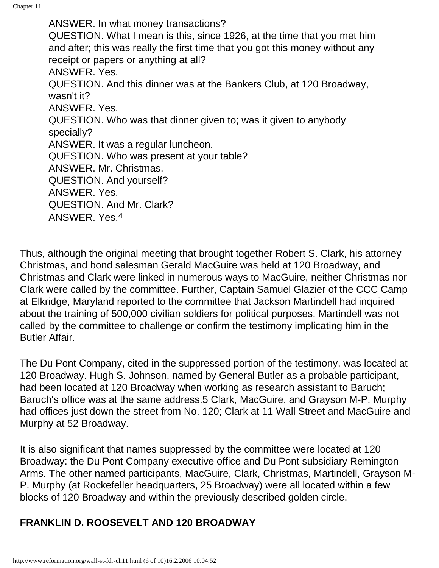ANSWER. In what money transactions? QUESTION. What I mean is this, since 1926, at the time that you met him and after; this was really the first time that you got this money without any receipt or papers or anything at all? ANSWER. Yes. QUESTION. And this dinner was at the Bankers Club, at 120 Broadway, wasn't it? ANSWER. Yes. QUESTION. Who was that dinner given to; was it given to anybody specially? ANSWER. It was a regular luncheon. QUESTION. Who was present at your table? ANSWER. Mr. Christmas. QUESTION. And yourself? ANSWER. Yes. QUESTION. And Mr. Clark? ANSWER. Yes.4

Thus, although the original meeting that brought together Robert S. Clark, his attorney Christmas, and bond salesman Gerald MacGuire was held at 120 Broadway, and Christmas and Clark were linked in numerous ways to MacGuire, neither Christmas nor Clark were called by the committee. Further, Captain Samuel Glazier of the CCC Camp at Elkridge, Maryland reported to the committee that Jackson Martindell had inquired about the training of 500,000 civilian soldiers for political purposes. Martindell was not called by the committee to challenge or confirm the testimony implicating him in the Butler Affair.

The Du Pont Company, cited in the suppressed portion of the testimony, was located at 120 Broadway. Hugh S. Johnson, named by General Butler as a probable participant, had been located at 120 Broadway when working as research assistant to Baruch; Baruch's office was at the same address.5 Clark, MacGuire, and Grayson M-P. Murphy had offices just down the street from No. 120; Clark at 11 Wall Street and MacGuire and Murphy at 52 Broadway.

It is also significant that names suppressed by the committee were located at 120 Broadway: the Du Pont Company executive office and Du Pont subsidiary Remington Arms. The other named participants, MacGuire, Clark, Christmas, Martindell, Grayson M-P. Murphy (at Rockefeller headquarters, 25 Broadway) were all located within a few blocks of 120 Broadway and within the previously described golden circle.

### **FRANKLIN D. ROOSEVELT AND 120 BROADWAY**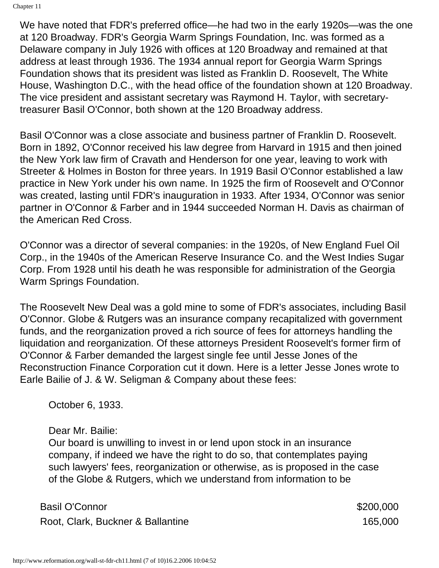We have noted that FDR's preferred office—he had two in the early 1920s—was the one at 120 Broadway. FDR's Georgia Warm Springs Foundation, Inc. was formed as a Delaware company in July 1926 with offices at 120 Broadway and remained at that address at least through 1936. The 1934 annual report for Georgia Warm Springs Foundation shows that its president was listed as Franklin D. Roosevelt, The White House, Washington D.C., with the head office of the foundation shown at 120 Broadway. The vice president and assistant secretary was Raymond H. Taylor, with secretarytreasurer Basil O'Connor, both shown at the 120 Broadway address.

Basil O'Connor was a close associate and business partner of Franklin D. Roosevelt. Born in 1892, O'Connor received his law degree from Harvard in 1915 and then joined the New York law firm of Cravath and Henderson for one year, leaving to work with Streeter & Holmes in Boston for three years. In 1919 Basil O'Connor established a law practice in New York under his own name. In 1925 the firm of Roosevelt and O'Connor was created, lasting until FDR's inauguration in 1933. After 1934, O'Connor was senior partner in O'Connor & Farber and in 1944 succeeded Norman H. Davis as chairman of the American Red Cross.

O'Connor was a director of several companies: in the 1920s, of New England Fuel Oil Corp., in the 1940s of the American Reserve Insurance Co. and the West Indies Sugar Corp. From 1928 until his death he was responsible for administration of the Georgia Warm Springs Foundation.

The Roosevelt New Deal was a gold mine to some of FDR's associates, including Basil O'Connor. Globe & Rutgers was an insurance company recapitalized with government funds, and the reorganization proved a rich source of fees for attorneys handling the liquidation and reorganization. Of these attorneys President Roosevelt's former firm of O'Connor & Farber demanded the largest single fee until Jesse Jones of the Reconstruction Finance Corporation cut it down. Here is a letter Jesse Jones wrote to Earle Bailie of J. & W. Seligman & Company about these fees:

October 6, 1933.

#### Dear Mr. Bailie:

Our board is unwilling to invest in or lend upon stock in an insurance company, if indeed we have the right to do so, that contemplates paying such lawyers' fees, reorganization or otherwise, as is proposed in the case of the Globe & Rutgers, which we understand from information to be

Basil O'Connor \$200,000 Root, Clark, Buckner & Ballantine 165,000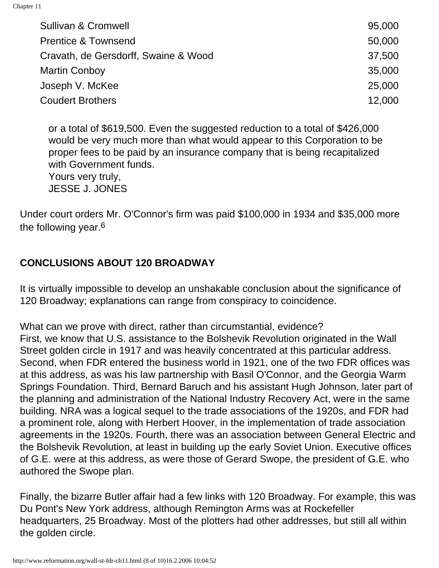| <b>Sullivan &amp; Cromwell</b>       | 95,000 |
|--------------------------------------|--------|
| <b>Prentice &amp; Townsend</b>       | 50,000 |
| Cravath, de Gersdorff, Swaine & Wood | 37,500 |
| <b>Martin Conboy</b>                 | 35,000 |
| Joseph V. McKee                      | 25,000 |
| <b>Coudert Brothers</b>              | 12,000 |

or a total of \$619,500. Even the suggested reduction to a total of \$426,000 would be very much more than what would appear to this Corporation to be proper fees to be paid by an insurance company that is being recapitalized with Government funds.

Yours very truly, JESSE J. JONES

Under court orders Mr. O'Connor's firm was paid \$100,000 in 1934 and \$35,000 more the following year.6

## **CONCLUSIONS ABOUT 120 BROADWAY**

It is virtually impossible to develop an unshakable conclusion about the significance of 120 Broadway; explanations can range from conspiracy to coincidence.

What can we prove with direct, rather than circumstantial, evidence? First, we know that U.S. assistance to the Bolshevik Revolution originated in the Wall Street golden circle in 1917 and was heavily concentrated at this particular address. Second, when FDR entered the business world in 1921, one of the two FDR offices was at this address, as was his law partnership with Basil O'Connor, and the Georgia Warm Springs Foundation. Third, Bernard Baruch and his assistant Hugh Johnson, later part of the planning and administration of the National Industry Recovery Act, were in the same building. NRA was a logical sequel to the trade associations of the 1920s, and FDR had a prominent role, along with Herbert Hoover, in the implementation of trade association agreements in the 1920s. Fourth, there was an association between General Electric and the Bolshevik Revolution, at least in building up the early Soviet Union. Executive offices of G.E. were at this address, as were those of Gerard Swope, the president of G.E. who authored the Swope plan.

Finally, the bizarre Butler affair had a few links with 120 Broadway. For example, this was Du Pont's New York address, although Remington Arms was at Rockefeller headquarters, 25 Broadway. Most of the plotters had other addresses, but still all within the golden circle.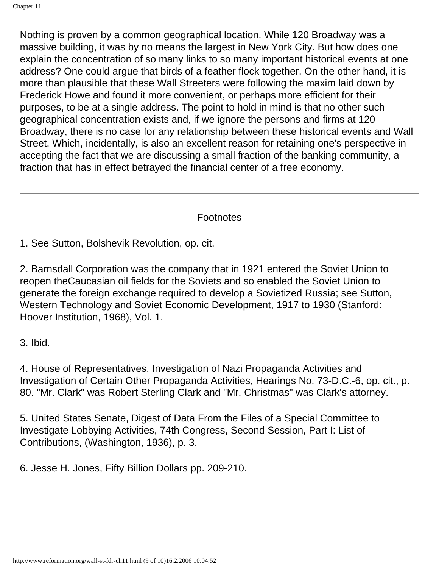Nothing is proven by a common geographical location. While 120 Broadway was a massive building, it was by no means the largest in New York City. But how does one explain the concentration of so many links to so many important historical events at one address? One could argue that birds of a feather flock together. On the other hand, it is more than plausible that these Wall Streeters were following the maxim laid down by Frederick Howe and found it more convenient, or perhaps more efficient for their purposes, to be at a single address. The point to hold in mind is that no other such geographical concentration exists and, if we ignore the persons and firms at 120 Broadway, there is no case for any relationship between these historical events and Wall Street. Which, incidentally, is also an excellent reason for retaining one's perspective in accepting the fact that we are discussing a small fraction of the banking community, a fraction that has in effect betrayed the financial center of a free economy.

Footnotes

1. See Sutton, Bolshevik Revolution, op. cit.

2. Barnsdall Corporation was the company that in 1921 entered the Soviet Union to reopen theCaucasian oil fields for the Soviets and so enabled the Soviet Union to generate the foreign exchange required to develop a Sovietized Russia; see Sutton, Western Technology and Soviet Economic Development, 1917 to 1930 (Stanford: Hoover Institution, 1968), Vol. 1.

#### 3. Ibid.

4. House of Representatives, Investigation of Nazi Propaganda Activities and Investigation of Certain Other Propaganda Activities, Hearings No. 73-D.C.-6, op. cit., p. 80. "Mr. Clark" was Robert Sterling Clark and "Mr. Christmas" was Clark's attorney.

5. United States Senate, Digest of Data From the Files of a Special Committee to Investigate Lobbying Activities, 74th Congress, Second Session, Part I: List of Contributions, (Washington, 1936), p. 3.

6. Jesse H. Jones, Fifty Billion Dollars pp. 209-210.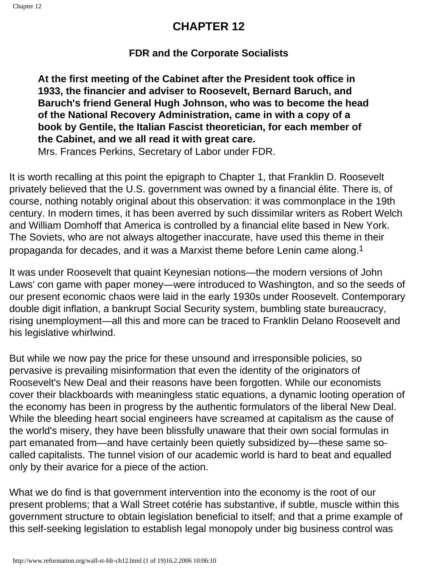# **CHAPTER 12**

## **FDR and the Corporate Socialists**

**At the first meeting of the Cabinet after the President took office in 1933, the financier and adviser to Roosevelt, Bernard Baruch, and Baruch's friend General Hugh Johnson, who was to become the head of the National Recovery Administration, came in with a copy of a book by Gentile, the Italian Fascist theoretician, for each member of the Cabinet, and we all read it with great care.**

Mrs. Frances Perkins, Secretary of Labor under FDR.

It is worth recalling at this point the epigraph to Chapter 1, that Franklin D. Roosevelt privately believed that the U.S. government was owned by a financial élite. There is, of course, nothing notably original about this observation: it was commonplace in the 19th century. In modern times, it has been averred by such dissimilar writers as Robert Welch and William Domhoff that America is controlled by a financial elite based in New York. The Soviets, who are not always altogether inaccurate, have used this theme in their propaganda for decades, and it was a Marxist theme before Lenin came along.1

It was under Roosevelt that quaint Keynesian notions—the modern versions of John Laws' con game with paper money—were introduced to Washington, and so the seeds of our present economic chaos were laid in the early 1930s under Roosevelt. Contemporary double digit inflation, a bankrupt Social Security system, bumbling state bureaucracy, rising unemployment—all this and more can be traced to Franklin Delano Roosevelt and his legislative whirlwind.

But while we now pay the price for these unsound and irresponsible policies, so pervasive is prevailing misinformation that even the identity of the originators of Roosevelt's New Deal and their reasons have been forgotten. While our economists cover their blackboards with meaningless static equations, a dynamic looting operation of the economy has been in progress by the authentic formulators of the liberal New Deal. While the bleeding heart social engineers have screamed at capitalism as the cause of the world's misery, they have been blissfully unaware that their own social formulas in part emanated from—and have certainly been quietly subsidized by—these same socalled capitalists. The tunnel vision of our academic world is hard to beat and equalled only by their avarice for a piece of the action.

What we do find is that government intervention into the economy is the root of our present problems; that a Wall Street cotérie has substantive, if subtle, muscle within this government structure to obtain legislation beneficial to itself; and that a prime example of this self-seeking legislation to establish legal monopoly under big business control was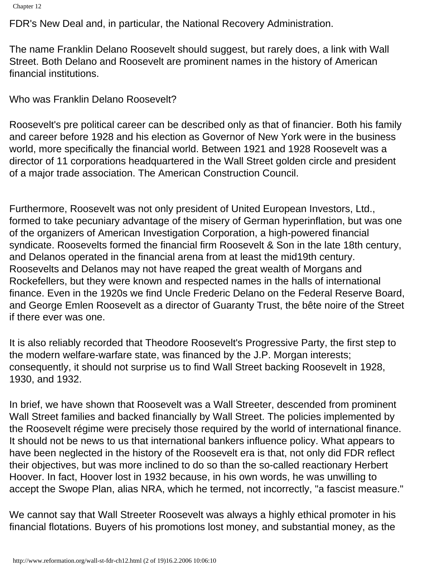FDR's New Deal and, in particular, the National Recovery Administration.

The name Franklin Delano Roosevelt should suggest, but rarely does, a link with Wall Street. Both Delano and Roosevelt are prominent names in the history of American financial institutions.

Who was Franklin Delano Roosevelt?

Roosevelt's pre political career can be described only as that of financier. Both his family and career before 1928 and his election as Governor of New York were in the business world, more specifically the financial world. Between 1921 and 1928 Roosevelt was a director of 11 corporations headquartered in the Wall Street golden circle and president of a major trade association. The American Construction Council.

Furthermore, Roosevelt was not only president of United European Investors, Ltd., formed to take pecuniary advantage of the misery of German hyperinflation, but was one of the organizers of American Investigation Corporation, a high-powered financial syndicate. Roosevelts formed the financial firm Roosevelt & Son in the late 18th century, and Delanos operated in the financial arena from at least the mid19th century. Roosevelts and Delanos may not have reaped the great wealth of Morgans and Rockefellers, but they were known and respected names in the halls of international finance. Even in the 1920s we find Uncle Frederic Delano on the Federal Reserve Board, and George Emlen Roosevelt as a director of Guaranty Trust, the bête noire of the Street if there ever was one.

It is also reliably recorded that Theodore Roosevelt's Progressive Party, the first step to the modern welfare-warfare state, was financed by the J.P. Morgan interests; consequently, it should not surprise us to find Wall Street backing Roosevelt in 1928, 1930, and 1932.

In brief, we have shown that Roosevelt was a Wall Streeter, descended from prominent Wall Street families and backed financially by Wall Street. The policies implemented by the Roosevelt régime were precisely those required by the world of international finance. It should not be news to us that international bankers influence policy. What appears to have been neglected in the history of the Roosevelt era is that, not only did FDR reflect their objectives, but was more inclined to do so than the so-called reactionary Herbert Hoover. In fact, Hoover lost in 1932 because, in his own words, he was unwilling to accept the Swope Plan, alias NRA, which he termed, not incorrectly, "a fascist measure."

We cannot say that Wall Streeter Roosevelt was always a highly ethical promoter in his financial flotations. Buyers of his promotions lost money, and substantial money, as the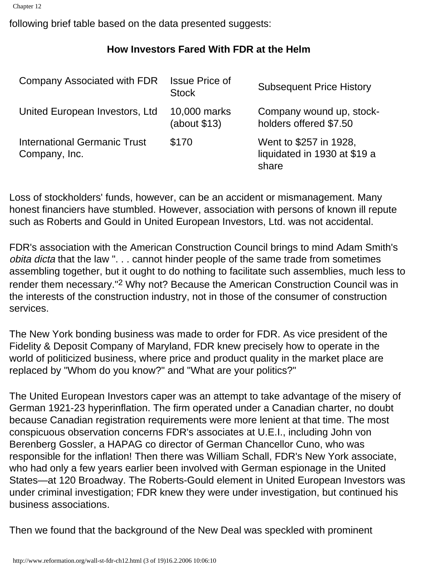following brief table based on the data presented suggests:

### **How Investors Fared With FDR at the Helm**

| Company Associated with FDR                          | <b>Issue Price of</b><br><b>Stock</b> | <b>Subsequent Price History</b>                                 |
|------------------------------------------------------|---------------------------------------|-----------------------------------------------------------------|
| United European Investors, Ltd                       | 10,000 marks<br>(about \$13)          | Company wound up, stock-<br>holders offered \$7.50              |
| <b>International Germanic Trust</b><br>Company, Inc. | \$170                                 | Went to \$257 in 1928,<br>liquidated in 1930 at \$19 a<br>share |

Loss of stockholders' funds, however, can be an accident or mismanagement. Many honest financiers have stumbled. However, association with persons of known ill repute such as Roberts and Gould in United European Investors, Ltd. was not accidental.

FDR's association with the American Construction Council brings to mind Adam Smith's obita dicta that the law ". . . cannot hinder people of the same trade from sometimes assembling together, but it ought to do nothing to facilitate such assemblies, much less to render them necessary."2 Why not? Because the American Construction Council was in the interests of the construction industry, not in those of the consumer of construction services.

The New York bonding business was made to order for FDR. As vice president of the Fidelity & Deposit Company of Maryland, FDR knew precisely how to operate in the world of politicized business, where price and product quality in the market place are replaced by "Whom do you know?" and "What are your politics?"

The United European Investors caper was an attempt to take advantage of the misery of German 1921-23 hyperinflation. The firm operated under a Canadian charter, no doubt because Canadian registration requirements were more lenient at that time. The most conspicuous observation concerns FDR's associates at U.E.I., including John von Berenberg Gossler, a HAPAG co director of German Chancellor Cuno, who was responsible for the inflation! Then there was William Schall, FDR's New York associate, who had only a few years earlier been involved with German espionage in the United States—at 120 Broadway. The Roberts-Gould element in United European Investors was under criminal investigation; FDR knew they were under investigation, but continued his business associations.

Then we found that the background of the New Deal was speckled with prominent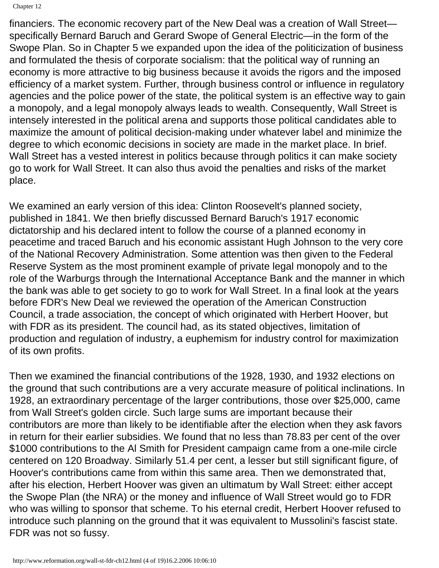financiers. The economic recovery part of the New Deal was a creation of Wall Street specifically Bernard Baruch and Gerard Swope of General Electric—in the form of the Swope Plan. So in Chapter 5 we expanded upon the idea of the politicization of business and formulated the thesis of corporate socialism: that the political way of running an economy is more attractive to big business because it avoids the rigors and the imposed efficiency of a market system. Further, through business control or influence in regulatory agencies and the police power of the state, the political system is an effective way to gain a monopoly, and a legal monopoly always leads to wealth. Consequently, Wall Street is intensely interested in the political arena and supports those political candidates able to maximize the amount of political decision-making under whatever label and minimize the degree to which economic decisions in society are made in the market place. In brief. Wall Street has a vested interest in politics because through politics it can make society go to work for Wall Street. It can also thus avoid the penalties and risks of the market place.

We examined an early version of this idea: Clinton Roosevelt's planned society, published in 1841. We then briefly discussed Bernard Baruch's 1917 economic dictatorship and his declared intent to follow the course of a planned economy in peacetime and traced Baruch and his economic assistant Hugh Johnson to the very core of the National Recovery Administration. Some attention was then given to the Federal Reserve System as the most prominent example of private legal monopoly and to the role of the Warburgs through the International Acceptance Bank and the manner in which the bank was able to get society to go to work for Wall Street. In a final look at the years before FDR's New Deal we reviewed the operation of the American Construction Council, a trade association, the concept of which originated with Herbert Hoover, but with FDR as its president. The council had, as its stated objectives, limitation of production and regulation of industry, a euphemism for industry control for maximization of its own profits.

Then we examined the financial contributions of the 1928, 1930, and 1932 elections on the ground that such contributions are a very accurate measure of political inclinations. In 1928, an extraordinary percentage of the larger contributions, those over \$25,000, came from Wall Street's golden circle. Such large sums are important because their contributors are more than likely to be identifiable after the election when they ask favors in return for their earlier subsidies. We found that no less than 78.83 per cent of the over \$1000 contributions to the Al Smith for President campaign came from a one-mile circle centered on 120 Broadway. Similarly 51.4 per cent, a lesser but still significant figure, of Hoover's contributions came from within this same area. Then we demonstrated that, after his election, Herbert Hoover was given an ultimatum by Wall Street: either accept the Swope Plan (the NRA) or the money and influence of Wall Street would go to FDR who was willing to sponsor that scheme. To his eternal credit, Herbert Hoover refused to introduce such planning on the ground that it was equivalent to Mussolini's fascist state. FDR was not so fussy.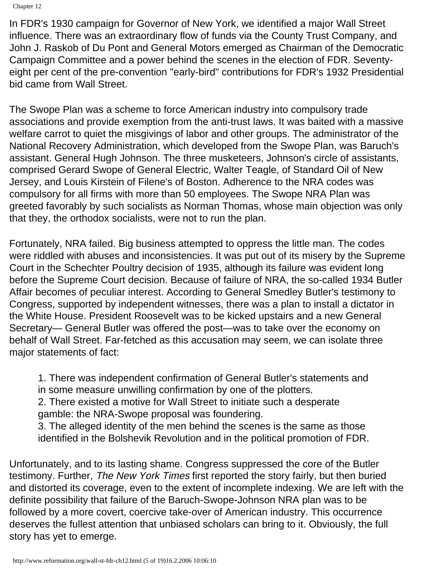```
Chapter 12
```
In FDR's 1930 campaign for Governor of New York, we identified a major Wall Street influence. There was an extraordinary flow of funds via the County Trust Company, and John J. Raskob of Du Pont and General Motors emerged as Chairman of the Democratic Campaign Committee and a power behind the scenes in the election of FDR. Seventyeight per cent of the pre-convention "early-bird" contributions for FDR's 1932 Presidential bid came from Wall Street.

The Swope Plan was a scheme to force American industry into compulsory trade associations and provide exemption from the anti-trust laws. It was baited with a massive welfare carrot to quiet the misgivings of labor and other groups. The administrator of the National Recovery Administration, which developed from the Swope Plan, was Baruch's assistant. General Hugh Johnson. The three musketeers, Johnson's circle of assistants, comprised Gerard Swope of General Electric, Walter Teagle, of Standard Oil of New Jersey, and Louis Kirstein of Filene's of Boston. Adherence to the NRA codes was compulsory for all firms with more than 50 employees. The Swope NRA Plan was greeted favorably by such socialists as Norman Thomas, whose main objection was only that they, the orthodox socialists, were not to run the plan.

Fortunately, NRA failed. Big business attempted to oppress the little man. The codes were riddled with abuses and inconsistencies. It was put out of its misery by the Supreme Court in the Schechter Poultry decision of 1935, although its failure was evident long before the Supreme Court decision. Because of failure of NRA, the so-called 1934 Butler Affair becomes of peculiar interest. According to General Smedley Butler's testimony to Congress, supported by independent witnesses, there was a plan to install a dictator in the White House. President Roosevelt was to be kicked upstairs and a new General Secretary— General Butler was offered the post—was to take over the economy on behalf of Wall Street. Far-fetched as this accusation may seem, we can isolate three major statements of fact:

1. There was independent confirmation of General Butler's statements and in some measure unwilling confirmation by one of the plotters.

2. There existed a motive for Wall Street to initiate such a desperate gamble: the NRA-Swope proposal was foundering.

3. The alleged identity of the men behind the scenes is the same as those identified in the Bolshevik Revolution and in the political promotion of FDR.

Unfortunately, and to its lasting shame. Congress suppressed the core of the Butler testimony. Further, The New York Times first reported the story fairly, but then buried and distorted its coverage, even to the extent of incomplete indexing. We are left with the definite possibility that failure of the Baruch-Swope-Johnson NRA plan was to be followed by a more covert, coercive take-over of American industry. This occurrence deserves the fullest attention that unbiased scholars can bring to it. Obviously, the full story has yet to emerge.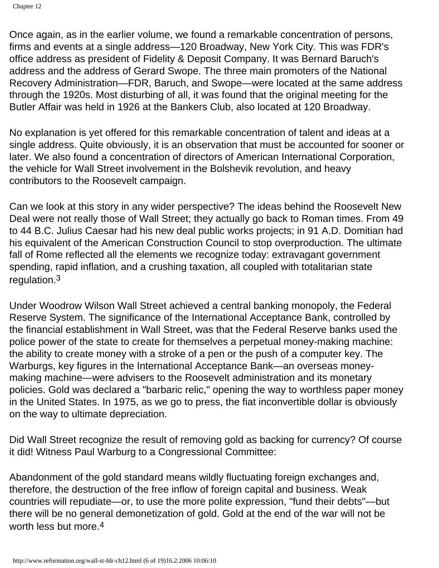Once again, as in the earlier volume, we found a remarkable concentration of persons, firms and events at a single address—120 Broadway, New York City. This was FDR's office address as president of Fidelity & Deposit Company. It was Bernard Baruch's address and the address of Gerard Swope. The three main promoters of the National Recovery Administration—FDR, Baruch, and Swope—were located at the same address through the 1920s. Most disturbing of all, it was found that the original meeting for the Butler Affair was held in 1926 at the Bankers Club, also located at 120 Broadway.

No explanation is yet offered for this remarkable concentration of talent and ideas at a single address. Quite obviously, it is an observation that must be accounted for sooner or later. We also found a concentration of directors of American International Corporation, the vehicle for Wall Street involvement in the Bolshevik revolution, and heavy contributors to the Roosevelt campaign.

Can we look at this story in any wider perspective? The ideas behind the Roosevelt New Deal were not really those of Wall Street; they actually go back to Roman times. From 49 to 44 B.C. Julius Caesar had his new deal public works projects; in 91 A.D. Domitian had his equivalent of the American Construction Council to stop overproduction. The ultimate fall of Rome reflected all the elements we recognize today: extravagant government spending, rapid inflation, and a crushing taxation, all coupled with totalitarian state regulation.3

Under Woodrow Wilson Wall Street achieved a central banking monopoly, the Federal Reserve System. The significance of the International Acceptance Bank, controlled by the financial establishment in Wall Street, was that the Federal Reserve banks used the police power of the state to create for themselves a perpetual money-making machine: the ability to create money with a stroke of a pen or the push of a computer key. The Warburgs, key figures in the International Acceptance Bank—an overseas moneymaking machine—were advisers to the Roosevelt administration and its monetary policies. Gold was declared a "barbaric relic," opening the way to worthless paper money in the United States. In 1975, as we go to press, the fiat inconvertible dollar is obviously on the way to ultimate depreciation.

Did Wall Street recognize the result of removing gold as backing for currency? Of course it did! Witness Paul Warburg to a Congressional Committee:

Abandonment of the gold standard means wildly fluctuating foreign exchanges and, therefore, the destruction of the free inflow of foreign capital and business. Weak countries will repudiate—or, to use the more polite expression, "fund their debts"—but there will be no general demonetization of gold. Gold at the end of the war will not be worth less but more.4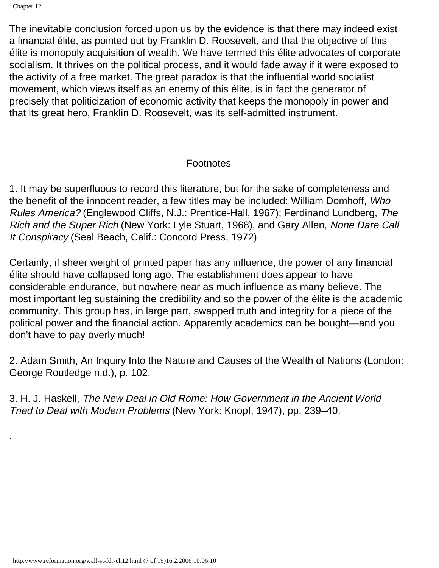.

The inevitable conclusion forced upon us by the evidence is that there may indeed exist a financial élite, as pointed out by Franklin D. Roosevelt, and that the objective of this élite is monopoly acquisition of wealth. We have termed this élite advocates of corporate socialism. It thrives on the political process, and it would fade away if it were exposed to the activity of a free market. The great paradox is that the influential world socialist movement, which views itself as an enemy of this élite, is in fact the generator of precisely that politicization of economic activity that keeps the monopoly in power and that its great hero, Franklin D. Roosevelt, was its self-admitted instrument.

### **Footnotes**

1. It may be superfluous to record this literature, but for the sake of completeness and the benefit of the innocent reader, a few titles may be included: William Domhoff, Who Rules America? (Englewood Cliffs, N.J.: Prentice-Hall, 1967); Ferdinand Lundberg, The Rich and the Super Rich (New York: Lyle Stuart, 1968), and Gary Allen, None Dare Call It Conspiracy (Seal Beach, Calif.: Concord Press, 1972)

Certainly, if sheer weight of printed paper has any influence, the power of any financial élite should have collapsed long ago. The establishment does appear to have considerable endurance, but nowhere near as much influence as many believe. The most important leg sustaining the credibility and so the power of the élite is the academic community. This group has, in large part, swapped truth and integrity for a piece of the political power and the financial action. Apparently academics can be bought—and you don't have to pay overly much!

2. Adam Smith, An Inquiry Into the Nature and Causes of the Wealth of Nations (London: George Routledge n.d.), p. 102.

3. H. J. Haskell, The New Deal in Old Rome: How Government in the Ancient World Tried to Deal with Modern Problems (New York: Knopf, 1947), pp. 239–40.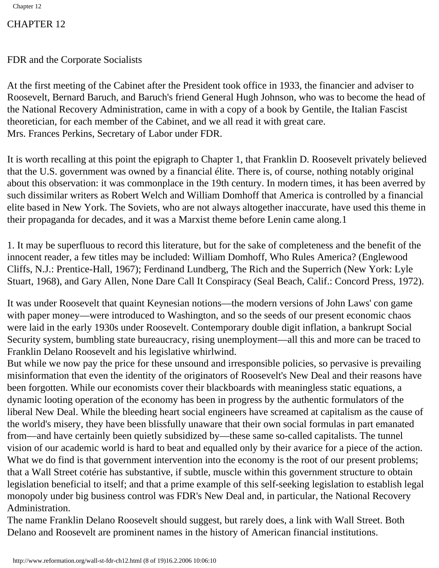CHAPTER 12

FDR and the Corporate Socialists

At the first meeting of the Cabinet after the President took office in 1933, the financier and adviser to Roosevelt, Bernard Baruch, and Baruch's friend General Hugh Johnson, who was to become the head of the National Recovery Administration, came in with a copy of a book by Gentile, the Italian Fascist theoretician, for each member of the Cabinet, and we all read it with great care. Mrs. Frances Perkins, Secretary of Labor under FDR.

It is worth recalling at this point the epigraph to Chapter 1, that Franklin D. Roosevelt privately believed that the U.S. government was owned by a financial élite. There is, of course, nothing notably original about this observation: it was commonplace in the 19th century. In modern times, it has been averred by such dissimilar writers as Robert Welch and William Domhoff that America is controlled by a financial elite based in New York. The Soviets, who are not always altogether inaccurate, have used this theme in their propaganda for decades, and it was a Marxist theme before Lenin came along.1

1. It may be superfluous to record this literature, but for the sake of completeness and the benefit of the innocent reader, a few titles may be included: William Domhoff, Who Rules America? (Englewood Cliffs, N.J.: Prentice-Hall, 1967); Ferdinand Lundberg, The Rich and the Superrich (New York: Lyle Stuart, 1968), and Gary Allen, None Dare Call It Conspiracy (Seal Beach, Calif.: Concord Press, 1972).

It was under Roosevelt that quaint Keynesian notions—the modern versions of John Laws' con game with paper money—were introduced to Washington, and so the seeds of our present economic chaos were laid in the early 1930s under Roosevelt. Contemporary double digit inflation, a bankrupt Social Security system, bumbling state bureaucracy, rising unemployment—all this and more can be traced to Franklin Delano Roosevelt and his legislative whirlwind.

But while we now pay the price for these unsound and irresponsible policies, so pervasive is prevailing misinformation that even the identity of the originators of Roosevelt's New Deal and their reasons have been forgotten. While our economists cover their blackboards with meaningless static equations, a dynamic looting operation of the economy has been in progress by the authentic formulators of the liberal New Deal. While the bleeding heart social engineers have screamed at capitalism as the cause of the world's misery, they have been blissfully unaware that their own social formulas in part emanated from—and have certainly been quietly subsidized by—these same so-called capitalists. The tunnel vision of our academic world is hard to beat and equalled only by their avarice for a piece of the action. What we do find is that government intervention into the economy is the root of our present problems; that a Wall Street cotérie has substantive, if subtle, muscle within this government structure to obtain legislation beneficial to itself; and that a prime example of this self-seeking legislation to establish legal monopoly under big business control was FDR's New Deal and, in particular, the National Recovery Administration.

The name Franklin Delano Roosevelt should suggest, but rarely does, a link with Wall Street. Both Delano and Roosevelt are prominent names in the history of American financial institutions.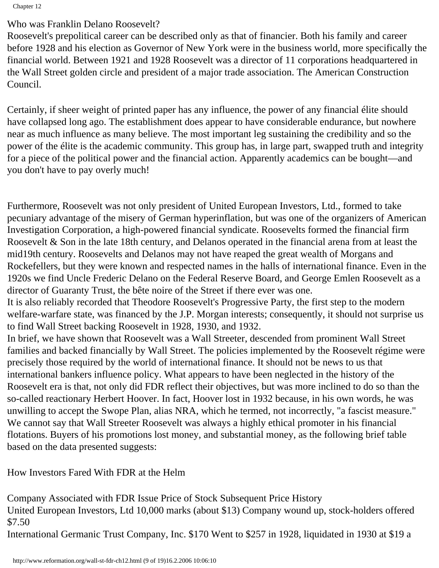Who was Franklin Delano Roosevelt?

Roosevelt's prepolitical career can be described only as that of financier. Both his family and career before 1928 and his election as Governor of New York were in the business world, more specifically the financial world. Between 1921 and 1928 Roosevelt was a director of 11 corporations headquartered in the Wall Street golden circle and president of a major trade association. The American Construction Council.

Certainly, if sheer weight of printed paper has any influence, the power of any financial élite should have collapsed long ago. The establishment does appear to have considerable endurance, but nowhere near as much influence as many believe. The most important leg sustaining the credibility and so the power of the élite is the academic community. This group has, in large part, swapped truth and integrity for a piece of the political power and the financial action. Apparently academics can be bought—and you don't have to pay overly much!

Furthermore, Roosevelt was not only president of United European Investors, Ltd., formed to take pecuniary advantage of the misery of German hyperinflation, but was one of the organizers of American Investigation Corporation, a high-powered financial syndicate. Roosevelts formed the financial firm Roosevelt & Son in the late 18th century, and Delanos operated in the financial arena from at least the mid19th century. Roosevelts and Delanos may not have reaped the great wealth of Morgans and Rockefellers, but they were known and respected names in the halls of international finance. Even in the 1920s we find Uncle Frederic Delano on the Federal Reserve Board, and George Emlen Roosevelt as a director of Guaranty Trust, the bête noire of the Street if there ever was one.

It is also reliably recorded that Theodore Roosevelt's Progressive Party, the first step to the modern welfare-warfare state, was financed by the J.P. Morgan interests; consequently, it should not surprise us to find Wall Street backing Roosevelt in 1928, 1930, and 1932.

In brief, we have shown that Roosevelt was a Wall Streeter, descended from prominent Wall Street families and backed financially by Wall Street. The policies implemented by the Roosevelt régime were precisely those required by the world of international finance. It should not be news to us that international bankers influence policy. What appears to have been neglected in the history of the Roosevelt era is that, not only did FDR reflect their objectives, but was more inclined to do so than the so-called reactionary Herbert Hoover. In fact, Hoover lost in 1932 because, in his own words, he was unwilling to accept the Swope Plan, alias NRA, which he termed, not incorrectly, "a fascist measure." We cannot say that Wall Streeter Roosevelt was always a highly ethical promoter in his financial flotations. Buyers of his promotions lost money, and substantial money, as the following brief table based on the data presented suggests:

How Investors Fared With FDR at the Helm

Company Associated with FDR Issue Price of Stock Subsequent Price History United European Investors, Ltd 10,000 marks (about \$13) Company wound up, stock-holders offered \$7.50

International Germanic Trust Company, Inc. \$170 Went to \$257 in 1928, liquidated in 1930 at \$19 a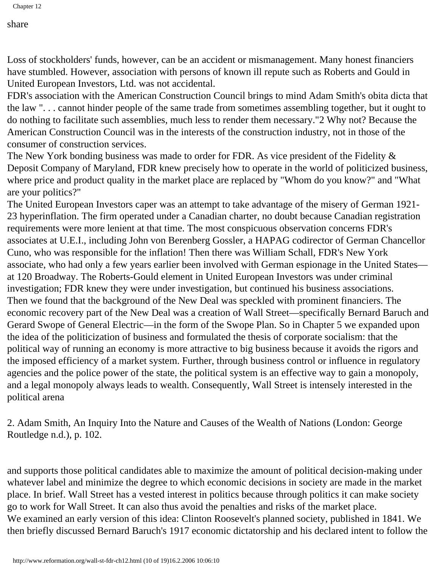share

Loss of stockholders' funds, however, can be an accident or mismanagement. Many honest financiers have stumbled. However, association with persons of known ill repute such as Roberts and Gould in United European Investors, Ltd. was not accidental.

FDR's association with the American Construction Council brings to mind Adam Smith's obita dicta that the law ". . . cannot hinder people of the same trade from sometimes assembling together, but it ought to do nothing to facilitate such assemblies, much less to render them necessary."2 Why not? Because the American Construction Council was in the interests of the construction industry, not in those of the consumer of construction services.

The New York bonding business was made to order for FDR. As vice president of the Fidelity & Deposit Company of Maryland, FDR knew precisely how to operate in the world of politicized business, where price and product quality in the market place are replaced by "Whom do you know?" and "What are your politics?"

The United European Investors caper was an attempt to take advantage of the misery of German 1921- 23 hyperinflation. The firm operated under a Canadian charter, no doubt because Canadian registration requirements were more lenient at that time. The most conspicuous observation concerns FDR's associates at U.E.I., including John von Berenberg Gossler, a HAPAG codirector of German Chancellor Cuno, who was responsible for the inflation! Then there was William Schall, FDR's New York associate, who had only a few years earlier been involved with German espionage in the United States at 120 Broadway. The Roberts-Gould element in United European Investors was under criminal investigation; FDR knew they were under investigation, but continued his business associations. Then we found that the background of the New Deal was speckled with prominent financiers. The economic recovery part of the New Deal was a creation of Wall Street—specifically Bernard Baruch and Gerard Swope of General Electric—in the form of the Swope Plan. So in Chapter 5 we expanded upon the idea of the politicization of business and formulated the thesis of corporate socialism: that the political way of running an economy is more attractive to big business because it avoids the rigors and the imposed efficiency of a market system. Further, through business control or influence in regulatory agencies and the police power of the state, the political system is an effective way to gain a monopoly, and a legal monopoly always leads to wealth. Consequently, Wall Street is intensely interested in the political arena

2. Adam Smith, An Inquiry Into the Nature and Causes of the Wealth of Nations (London: George Routledge n.d.), p. 102.

and supports those political candidates able to maximize the amount of political decision-making under whatever label and minimize the degree to which economic decisions in society are made in the market place. In brief. Wall Street has a vested interest in politics because through politics it can make society go to work for Wall Street. It can also thus avoid the penalties and risks of the market place. We examined an early version of this idea: Clinton Roosevelt's planned society, published in 1841. We then briefly discussed Bernard Baruch's 1917 economic dictatorship and his declared intent to follow the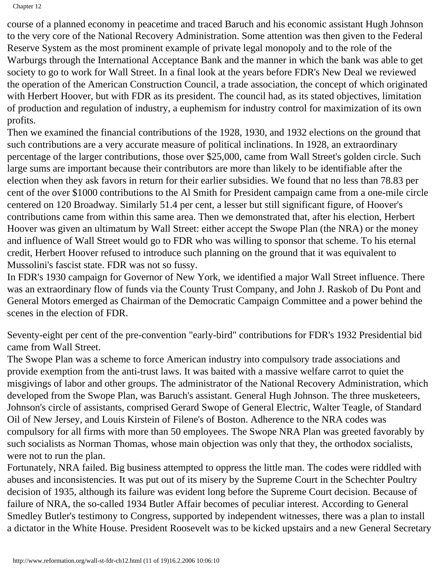course of a planned economy in peacetime and traced Baruch and his economic assistant Hugh Johnson to the very core of the National Recovery Administration. Some attention was then given to the Federal Reserve System as the most prominent example of private legal monopoly and to the role of the Warburgs through the International Acceptance Bank and the manner in which the bank was able to get society to go to work for Wall Street. In a final look at the years before FDR's New Deal we reviewed the operation of the American Construction Council, a trade association, the concept of which originated with Herbert Hoover, but with FDR as its president. The council had, as its stated objectives, limitation of production and regulation of industry, a euphemism for industry control for maximization of its own profits.

Then we examined the financial contributions of the 1928, 1930, and 1932 elections on the ground that such contributions are a very accurate measure of political inclinations. In 1928, an extraordinary percentage of the larger contributions, those over \$25,000, came from Wall Street's golden circle. Such large sums are important because their contributors are more than likely to be identifiable after the election when they ask favors in return for their earlier subsidies. We found that no less than 78.83 per cent of the over \$1000 contributions to the Al Smith for President campaign came from a one-mile circle centered on 120 Broadway. Similarly 51.4 per cent, a lesser but still significant figure, of Hoover's contributions came from within this same area. Then we demonstrated that, after his election, Herbert Hoover was given an ultimatum by Wall Street: either accept the Swope Plan (the NRA) or the money and influence of Wall Street would go to FDR who was willing to sponsor that scheme. To his eternal credit, Herbert Hoover refused to introduce such planning on the ground that it was equivalent to Mussolini's fascist state. FDR was not so fussy.

In FDR's 1930 campaign for Governor of New York, we identified a major Wall Street influence. There was an extraordinary flow of funds via the County Trust Company, and John J. Raskob of Du Pont and General Motors emerged as Chairman of the Democratic Campaign Committee and a power behind the scenes in the election of FDR.

Seventy-eight per cent of the pre-convention "early-bird" contributions for FDR's 1932 Presidential bid came from Wall Street.

The Swope Plan was a scheme to force American industry into compulsory trade associations and provide exemption from the anti-trust laws. It was baited with a massive welfare carrot to quiet the misgivings of labor and other groups. The administrator of the National Recovery Administration, which developed from the Swope Plan, was Baruch's assistant. General Hugh Johnson. The three musketeers, Johnson's circle of assistants, comprised Gerard Swope of General Electric, Walter Teagle, of Standard Oil of New Jersey, and Louis Kirstein of Filene's of Boston. Adherence to the NRA codes was compulsory for all firms with more than 50 employees. The Swope NRA Plan was greeted favorably by such socialists as Norman Thomas, whose main objection was only that they, the orthodox socialists, were not to run the plan.

Fortunately, NRA failed. Big business attempted to oppress the little man. The codes were riddled with abuses and inconsistencies. It was put out of its misery by the Supreme Court in the Schechter Poultry decision of 1935, although its failure was evident long before the Supreme Court decision. Because of failure of NRA, the so-called 1934 Butler Affair becomes of peculiar interest. According to General Smedley Butler's testimony to Congress, supported by independent witnesses, there was a plan to install a dictator in the White House. President Roosevelt was to be kicked upstairs and a new General Secretary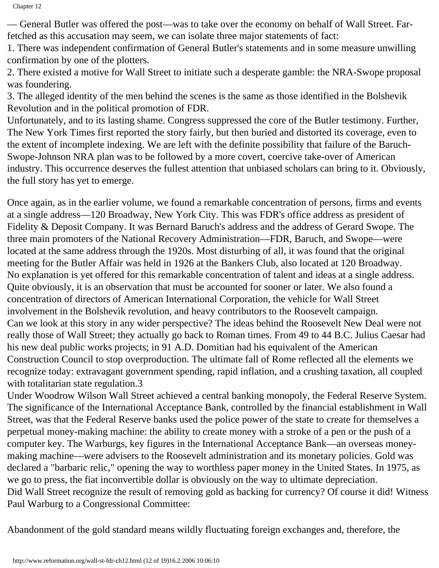— General Butler was offered the post—was to take over the economy on behalf of Wall Street. Farfetched as this accusation may seem, we can isolate three major statements of fact:

1. There was independent confirmation of General Butler's statements and in some measure unwilling confirmation by one of the plotters.

2. There existed a motive for Wall Street to initiate such a desperate gamble: the NRA-Swope proposal was foundering.

3. The alleged identity of the men behind the scenes is the same as those identified in the Bolshevik Revolution and in the political promotion of FDR.

Unfortunately, and to its lasting shame. Congress suppressed the core of the Butler testimony. Further, The New York Times first reported the story fairly, but then buried and distorted its coverage, even to the extent of incomplete indexing. We are left with the definite possibility that failure of the Baruch-Swope-Johnson NRA plan was to be followed by a more covert, coercive take-over of American industry. This occurrence deserves the fullest attention that unbiased scholars can bring to it. Obviously, the full story has yet to emerge.

Once again, as in the earlier volume, we found a remarkable concentration of persons, firms and events at a single address—120 Broadway, New York City. This was FDR's office address as president of Fidelity & Deposit Company. It was Bernard Baruch's address and the address of Gerard Swope. The three main promoters of the National Recovery Administration—FDR, Baruch, and Swope—were located at the same address through the 1920s. Most disturbing of all, it was found that the original meeting for the Butler Affair was held in 1926 at the Bankers Club, also located at 120 Broadway. No explanation is yet offered for this remarkable concentration of talent and ideas at a single address. Quite obviously, it is an observation that must be accounted for sooner or later. We also found a concentration of directors of American International Corporation, the vehicle for Wall Street involvement in the Bolshevik revolution, and heavy contributors to the Roosevelt campaign. Can we look at this story in any wider perspective? The ideas behind the Roosevelt New Deal were not really those of Wall Street; they actually go back to Roman times. From 49 to 44 B.C. Julius Caesar had his new deal public works projects; in 91 A.D. Domitian had his equivalent of the American Construction Council to stop overproduction. The ultimate fall of Rome reflected all the elements we recognize today: extravagant government spending, rapid inflation, and a crushing taxation, all coupled with totalitarian state regulation.3

Under Woodrow Wilson Wall Street achieved a central banking monopoly, the Federal Reserve System. The significance of the International Acceptance Bank, controlled by the financial establishment in Wall Street, was that the Federal Reserve banks used the police power of the state to create for themselves a perpetual money-making machine: the ability to create money with a stroke of a pen or the push of a computer key. The Warburgs, key figures in the International Acceptance Bank—an overseas moneymaking machine—were advisers to the Roosevelt administration and its monetary policies. Gold was declared a "barbaric relic," opening the way to worthless paper money in the United States. In 1975, as we go to press, the fiat inconvertible dollar is obviously on the way to ultimate depreciation. Did Wall Street recognize the result of removing gold as backing for currency? Of course it did! Witness Paul Warburg to a Congressional Committee:

Abandonment of the gold standard means wildly fluctuating foreign exchanges and, therefore, the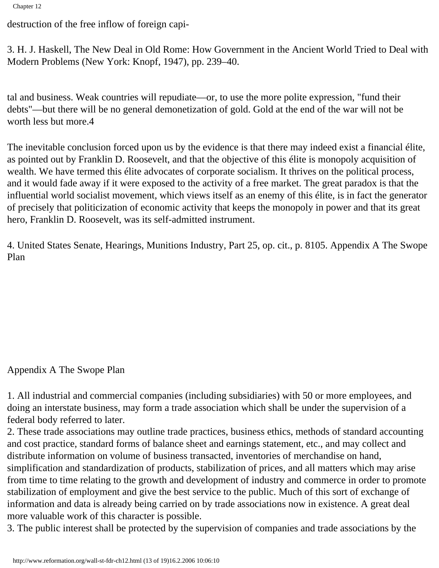destruction of the free inflow of foreign capi-

3. H. J. Haskell, The New Deal in Old Rome: How Government in the Ancient World Tried to Deal with Modern Problems (New York: Knopf, 1947), pp. 239–40.

tal and business. Weak countries will repudiate—or, to use the more polite expression, "fund their debts"—but there will be no general demonetization of gold. Gold at the end of the war will not be worth less but more.4

The inevitable conclusion forced upon us by the evidence is that there may indeed exist a financial élite, as pointed out by Franklin D. Roosevelt, and that the objective of this élite is monopoly acquisition of wealth. We have termed this élite advocates of corporate socialism. It thrives on the political process, and it would fade away if it were exposed to the activity of a free market. The great paradox is that the influential world socialist movement, which views itself as an enemy of this élite, is in fact the generator of precisely that politicization of economic activity that keeps the monopoly in power and that its great hero, Franklin D. Roosevelt, was its self-admitted instrument.

4. United States Senate, Hearings, Munitions Industry, Part 25, op. cit., p. 8105. Appendix A The Swope Plan

Appendix A The Swope Plan

1. All industrial and commercial companies (including subsidiaries) with 50 or more employees, and doing an interstate business, may form a trade association which shall be under the supervision of a federal body referred to later.

2. These trade associations may outline trade practices, business ethics, methods of standard accounting and cost practice, standard forms of balance sheet and earnings statement, etc., and may collect and distribute information on volume of business transacted, inventories of merchandise on hand, simplification and standardization of products, stabilization of prices, and all matters which may arise from time to time relating to the growth and development of industry and commerce in order to promote stabilization of employment and give the best service to the public. Much of this sort of exchange of information and data is already being carried on by trade associations now in existence. A great deal more valuable work of this character is possible.

3. The public interest shall be protected by the supervision of companies and trade associations by the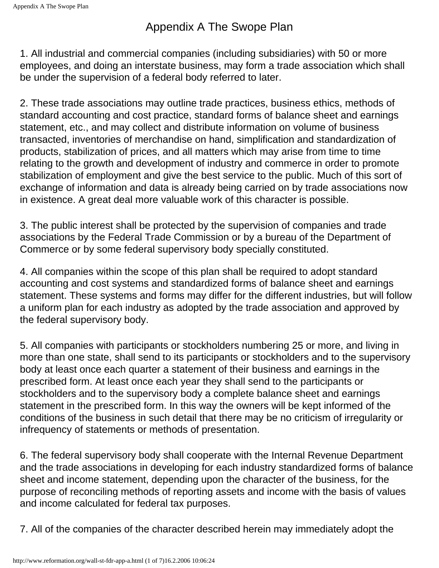# Appendix A The Swope Plan

1. All industrial and commercial companies (including subsidiaries) with 50 or more employees, and doing an interstate business, may form a trade association which shall be under the supervision of a federal body referred to later.

2. These trade associations may outline trade practices, business ethics, methods of standard accounting and cost practice, standard forms of balance sheet and earnings statement, etc., and may collect and distribute information on volume of business transacted, inventories of merchandise on hand, simplification and standardization of products, stabilization of prices, and all matters which may arise from time to time relating to the growth and development of industry and commerce in order to promote stabilization of employment and give the best service to the public. Much of this sort of exchange of information and data is already being carried on by trade associations now in existence. A great deal more valuable work of this character is possible.

3. The public interest shall be protected by the supervision of companies and trade associations by the Federal Trade Commission or by a bureau of the Department of Commerce or by some federal supervisory body specially constituted.

4. All companies within the scope of this plan shall be required to adopt standard accounting and cost systems and standardized forms of balance sheet and earnings statement. These systems and forms may differ for the different industries, but will follow a uniform plan for each industry as adopted by the trade association and approved by the federal supervisory body.

5. All companies with participants or stockholders numbering 25 or more, and living in more than one state, shall send to its participants or stockholders and to the supervisory body at least once each quarter a statement of their business and earnings in the prescribed form. At least once each year they shall send to the participants or stockholders and to the supervisory body a complete balance sheet and earnings statement in the prescribed form. In this way the owners will be kept informed of the conditions of the business in such detail that there may be no criticism of irregularity or infrequency of statements or methods of presentation.

6. The federal supervisory body shall cooperate with the Internal Revenue Department and the trade associations in developing for each industry standardized forms of balance sheet and income statement, depending upon the character of the business, for the purpose of reconciling methods of reporting assets and income with the basis of values and income calculated for federal tax purposes.

7. All of the companies of the character described herein may immediately adopt the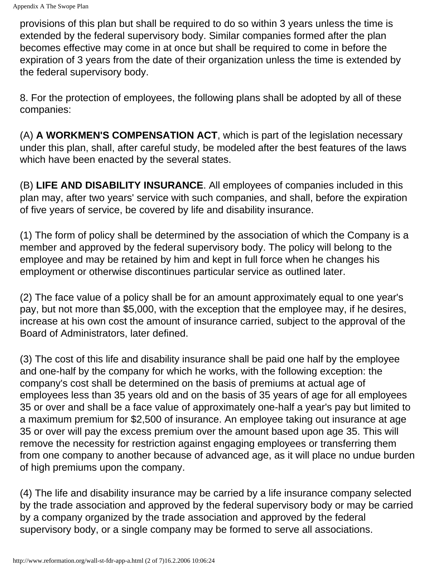provisions of this plan but shall be required to do so within 3 years unless the time is extended by the federal supervisory body. Similar companies formed after the plan becomes effective may come in at once but shall be required to come in before the expiration of 3 years from the date of their organization unless the time is extended by the federal supervisory body.

8. For the protection of employees, the following plans shall be adopted by all of these companies:

(A) **A WORKMEN'S COMPENSATION ACT**, which is part of the legislation necessary under this plan, shall, after careful study, be modeled after the best features of the laws which have been enacted by the several states.

(B) **LIFE AND DISABILITY INSURANCE**. All employees of companies included in this plan may, after two years' service with such companies, and shall, before the expiration of five years of service, be covered by life and disability insurance.

(1) The form of policy shall be determined by the association of which the Company is a member and approved by the federal supervisory body. The policy will belong to the employee and may be retained by him and kept in full force when he changes his employment or otherwise discontinues particular service as outlined later.

(2) The face value of a policy shall be for an amount approximately equal to one year's pay, but not more than \$5,000, with the exception that the employee may, if he desires, increase at his own cost the amount of insurance carried, subject to the approval of the Board of Administrators, later defined.

(3) The cost of this life and disability insurance shall be paid one half by the employee and one-half by the company for which he works, with the following exception: the company's cost shall be determined on the basis of premiums at actual age of employees less than 35 years old and on the basis of 35 years of age for all employees 35 or over and shall be a face value of approximately one-half a year's pay but limited to a maximum premium for \$2,500 of insurance. An employee taking out insurance at age 35 or over will pay the excess premium over the amount based upon age 35. This will remove the necessity for restriction against engaging employees or transferring them from one company to another because of advanced age, as it will place no undue burden of high premiums upon the company.

(4) The life and disability insurance may be carried by a life insurance company selected by the trade association and approved by the federal supervisory body or may be carried by a company organized by the trade association and approved by the federal supervisory body, or a single company may be formed to serve all associations.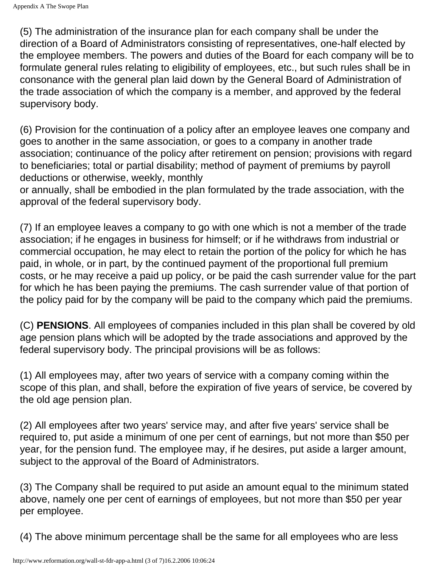(5) The administration of the insurance plan for each company shall be under the direction of a Board of Administrators consisting of representatives, one-half elected by the employee members. The powers and duties of the Board for each company will be to formulate general rules relating to eligibility of employees, etc., but such rules shall be in consonance with the general plan laid down by the General Board of Administration of the trade association of which the company is a member, and approved by the federal supervisory body.

(6) Provision for the continuation of a policy after an employee leaves one company and goes to another in the same association, or goes to a company in another trade association; continuance of the policy after retirement on pension; provisions with regard to beneficiaries; total or partial disability; method of payment of premiums by payroll deductions or otherwise, weekly, monthly

or annually, shall be embodied in the plan formulated by the trade association, with the approval of the federal supervisory body.

(7) If an employee leaves a company to go with one which is not a member of the trade association; if he engages in business for himself; or if he withdraws from industrial or commercial occupation, he may elect to retain the portion of the policy for which he has paid, in whole, or in part, by the continued payment of the proportional full premium costs, or he may receive a paid up policy, or be paid the cash surrender value for the part for which he has been paying the premiums. The cash surrender value of that portion of the policy paid for by the company will be paid to the company which paid the premiums.

(C) **PENSIONS**. All employees of companies included in this plan shall be covered by old age pension plans which will be adopted by the trade associations and approved by the federal supervisory body. The principal provisions will be as follows:

(1) All employees may, after two years of service with a company coming within the scope of this plan, and shall, before the expiration of five years of service, be covered by the old age pension plan.

(2) All employees after two years' service may, and after five years' service shall be required to, put aside a minimum of one per cent of earnings, but not more than \$50 per year, for the pension fund. The employee may, if he desires, put aside a larger amount, subject to the approval of the Board of Administrators.

(3) The Company shall be required to put aside an amount equal to the minimum stated above, namely one per cent of earnings of employees, but not more than \$50 per year per employee.

(4) The above minimum percentage shall be the same for all employees who are less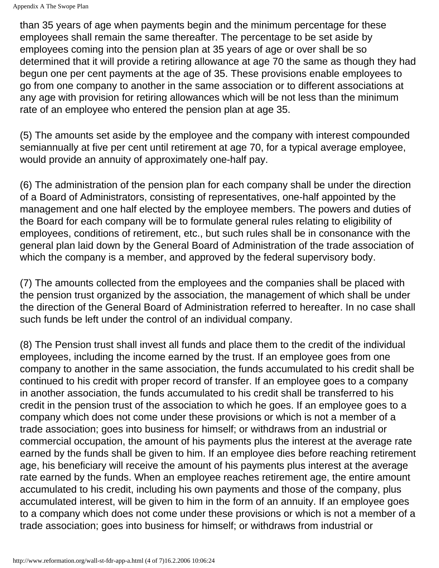than 35 years of age when payments begin and the minimum percentage for these employees shall remain the same thereafter. The percentage to be set aside by employees coming into the pension plan at 35 years of age or over shall be so determined that it will provide a retiring allowance at age 70 the same as though they had begun one per cent payments at the age of 35. These provisions enable employees to go from one company to another in the same association or to different associations at any age with provision for retiring allowances which will be not less than the minimum rate of an employee who entered the pension plan at age 35.

(5) The amounts set aside by the employee and the company with interest compounded semiannually at five per cent until retirement at age 70, for a typical average employee, would provide an annuity of approximately one-half pay.

(6) The administration of the pension plan for each company shall be under the direction of a Board of Administrators, consisting of representatives, one-half appointed by the management and one half elected by the employee members. The powers and duties of the Board for each company will be to formulate general rules relating to eligibility of employees, conditions of retirement, etc., but such rules shall be in consonance with the general plan laid down by the General Board of Administration of the trade association of which the company is a member, and approved by the federal supervisory body.

(7) The amounts collected from the employees and the companies shall be placed with the pension trust organized by the association, the management of which shall be under the direction of the General Board of Administration referred to hereafter. In no case shall such funds be left under the control of an individual company.

(8) The Pension trust shall invest all funds and place them to the credit of the individual employees, including the income earned by the trust. If an employee goes from one company to another in the same association, the funds accumulated to his credit shall be continued to his credit with proper record of transfer. If an employee goes to a company in another association, the funds accumulated to his credit shall be transferred to his credit in the pension trust of the association to which he goes. If an employee goes to a company which does not come under these provisions or which is not a member of a trade association; goes into business for himself; or withdraws from an industrial or commercial occupation, the amount of his payments plus the interest at the average rate earned by the funds shall be given to him. If an employee dies before reaching retirement age, his beneficiary will receive the amount of his payments plus interest at the average rate earned by the funds. When an employee reaches retirement age, the entire amount accumulated to his credit, including his own payments and those of the company, plus accumulated interest, will be given to him in the form of an annuity. If an employee goes to a company which does not come under these provisions or which is not a member of a trade association; goes into business for himself; or withdraws from industrial or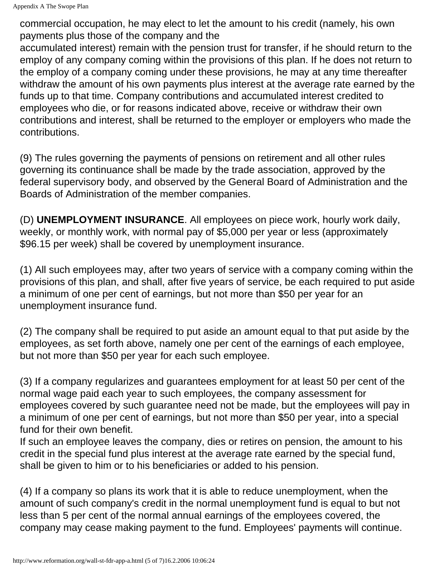commercial occupation, he may elect to let the amount to his credit (namely, his own payments plus those of the company and the

accumulated interest) remain with the pension trust for transfer, if he should return to the employ of any company coming within the provisions of this plan. If he does not return to the employ of a company coming under these provisions, he may at any time thereafter withdraw the amount of his own payments plus interest at the average rate earned by the funds up to that time. Company contributions and accumulated interest credited to employees who die, or for reasons indicated above, receive or withdraw their own contributions and interest, shall be returned to the employer or employers who made the contributions.

(9) The rules governing the payments of pensions on retirement and all other rules governing its continuance shall be made by the trade association, approved by the federal supervisory body, and observed by the General Board of Administration and the Boards of Administration of the member companies.

(D) **UNEMPLOYMENT INSURANCE**. All employees on piece work, hourly work daily, weekly, or monthly work, with normal pay of \$5,000 per year or less (approximately \$96.15 per week) shall be covered by unemployment insurance.

(1) All such employees may, after two years of service with a company coming within the provisions of this plan, and shall, after five years of service, be each required to put aside a minimum of one per cent of earnings, but not more than \$50 per year for an unemployment insurance fund.

(2) The company shall be required to put aside an amount equal to that put aside by the employees, as set forth above, namely one per cent of the earnings of each employee, but not more than \$50 per year for each such employee.

(3) If a company regularizes and guarantees employment for at least 50 per cent of the normal wage paid each year to such employees, the company assessment for employees covered by such guarantee need not be made, but the employees will pay in a minimum of one per cent of earnings, but not more than \$50 per year, into a special fund for their own benefit.

If such an employee leaves the company, dies or retires on pension, the amount to his credit in the special fund plus interest at the average rate earned by the special fund, shall be given to him or to his beneficiaries or added to his pension.

(4) If a company so plans its work that it is able to reduce unemployment, when the amount of such company's credit in the normal unemployment fund is equal to but not less than 5 per cent of the normal annual earnings of the employees covered, the company may cease making payment to the fund. Employees' payments will continue.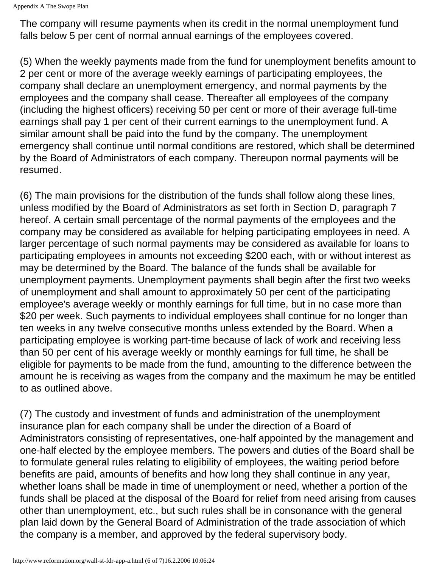The company will resume payments when its credit in the normal unemployment fund falls below 5 per cent of normal annual earnings of the employees covered.

(5) When the weekly payments made from the fund for unemployment benefits amount to 2 per cent or more of the average weekly earnings of participating employees, the company shall declare an unemployment emergency, and normal payments by the employees and the company shall cease. Thereafter all employees of the company (including the highest officers) receiving 50 per cent or more of their average full-time earnings shall pay 1 per cent of their current earnings to the unemployment fund. A similar amount shall be paid into the fund by the company. The unemployment emergency shall continue until normal conditions are restored, which shall be determined by the Board of Administrators of each company. Thereupon normal payments will be resumed.

(6) The main provisions for the distribution of the funds shall follow along these lines, unless modified by the Board of Administrators as set forth in Section D, paragraph 7 hereof. A certain small percentage of the normal payments of the employees and the company may be considered as available for helping participating employees in need. A larger percentage of such normal payments may be considered as available for loans to participating employees in amounts not exceeding \$200 each, with or without interest as may be determined by the Board. The balance of the funds shall be available for unemployment payments. Unemployment payments shall begin after the first two weeks of unemployment and shall amount to approximately 50 per cent of the participating employee's average weekly or monthly earnings for full time, but in no case more than \$20 per week. Such payments to individual employees shall continue for no longer than ten weeks in any twelve consecutive months unless extended by the Board. When a participating employee is working part-time because of lack of work and receiving less than 50 per cent of his average weekly or monthly earnings for full time, he shall be eligible for payments to be made from the fund, amounting to the difference between the amount he is receiving as wages from the company and the maximum he may be entitled to as outlined above.

(7) The custody and investment of funds and administration of the unemployment insurance plan for each company shall be under the direction of a Board of Administrators consisting of representatives, one-half appointed by the management and one-half elected by the employee members. The powers and duties of the Board shall be to formulate general rules relating to eligibility of employees, the waiting period before benefits are paid, amounts of benefits and how long they shall continue in any year, whether loans shall be made in time of unemployment or need, whether a portion of the funds shall be placed at the disposal of the Board for relief from need arising from causes other than unemployment, etc., but such rules shall be in consonance with the general plan laid down by the General Board of Administration of the trade association of which the company is a member, and approved by the federal supervisory body.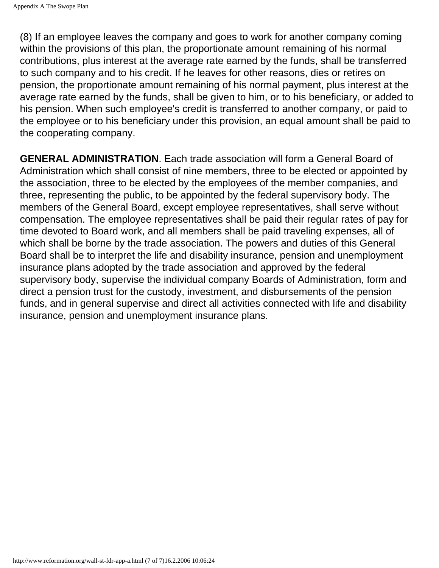(8) If an employee leaves the company and goes to work for another company coming within the provisions of this plan, the proportionate amount remaining of his normal contributions, plus interest at the average rate earned by the funds, shall be transferred to such company and to his credit. If he leaves for other reasons, dies or retires on pension, the proportionate amount remaining of his normal payment, plus interest at the average rate earned by the funds, shall be given to him, or to his beneficiary, or added to his pension. When such employee's credit is transferred to another company, or paid to the employee or to his beneficiary under this provision, an equal amount shall be paid to the cooperating company.

**GENERAL ADMINISTRATION**. Each trade association will form a General Board of Administration which shall consist of nine members, three to be elected or appointed by the association, three to be elected by the employees of the member companies, and three, representing the public, to be appointed by the federal supervisory body. The members of the General Board, except employee representatives, shall serve without compensation. The employee representatives shall be paid their regular rates of pay for time devoted to Board work, and all members shall be paid traveling expenses, all of which shall be borne by the trade association. The powers and duties of this General Board shall be to interpret the life and disability insurance, pension and unemployment insurance plans adopted by the trade association and approved by the federal supervisory body, supervise the individual company Boards of Administration, form and direct a pension trust for the custody, investment, and disbursements of the pension funds, and in general supervise and direct all activities connected with life and disability insurance, pension and unemployment insurance plans.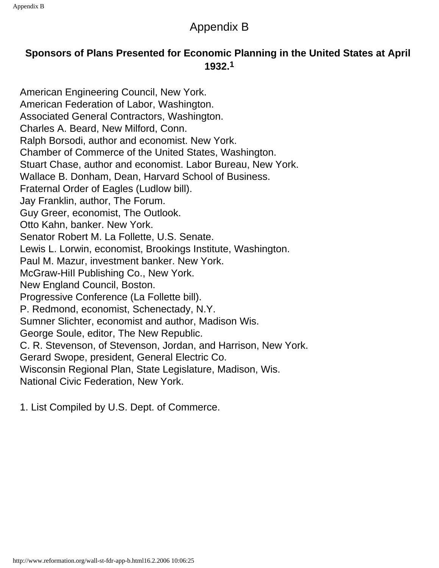# Appendix B

## **Sponsors of Plans Presented for Economic Planning in the United States at April 1932.1**

American Engineering Council, New York. American Federation of Labor, Washington. Associated General Contractors, Washington. Charles A. Beard, New Milford, Conn. Ralph Borsodi, author and economist. New York. Chamber of Commerce of the United States, Washington. Stuart Chase, author and economist. Labor Bureau, New York. Wallace B. Donham, Dean, Harvard School of Business. Fraternal Order of Eagles (Ludlow bill). Jay Franklin, author, The Forum. Guy Greer, economist, The Outlook. Otto Kahn, banker. New York. Senator Robert M. La Follette, U.S. Senate. Lewis L. Lorwin, economist, Brookings Institute, Washington. Paul M. Mazur, investment banker. New York. McGraw-HiIl Publishing Co., New York. New England Council, Boston. Progressive Conference (La Follette bill). P. Redmond, economist, Schenectady, N.Y. Sumner Slichter, economist and author, Madison Wis. George Soule, editor, The New Republic. C. R. Stevenson, of Stevenson, Jordan, and Harrison, New York. Gerard Swope, president, General Electric Co. Wisconsin Regional Plan, State Legislature, Madison, Wis. National Civic Federation, New York.

1. List Compiled by U.S. Dept. of Commerce.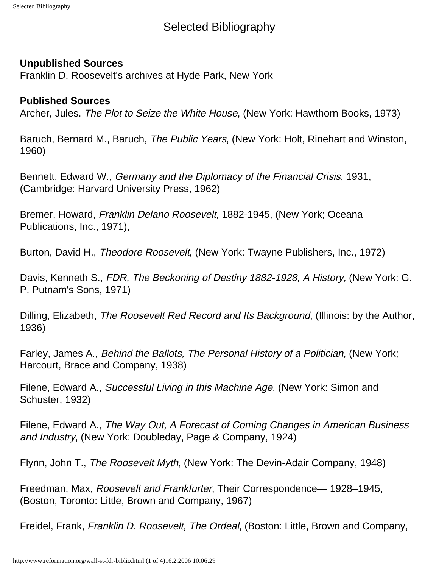# Selected Bibliography

#### **Unpublished Sources**

Franklin D. Roosevelt's archives at Hyde Park, New York

#### **Published Sources**

Archer, Jules. The Plot to Seize the White House, (New York: Hawthorn Books, 1973)

Baruch, Bernard M., Baruch, The Public Years, (New York: Holt, Rinehart and Winston, 1960)

Bennett, Edward W., Germany and the Diplomacy of the Financial Crisis, 1931, (Cambridge: Harvard University Press, 1962)

Bremer, Howard, Franklin Delano Roosevelt, 1882-1945, (New York; Oceana Publications, Inc., 1971),

Burton, David H., Theodore Roosevelt, (New York: Twayne Publishers, Inc., 1972)

Davis, Kenneth S., FDR, The Beckoning of Destiny 1882-1928, A History, (New York: G. P. Putnam's Sons, 1971)

Dilling, Elizabeth, The Roosevelt Red Record and Its Background, (Illinois: by the Author, 1936)

Farley, James A., Behind the Ballots, The Personal History of a Politician, (New York; Harcourt, Brace and Company, 1938)

Filene, Edward A., Successful Living in this Machine Age, (New York: Simon and Schuster, 1932)

Filene, Edward A., The Way Out, A Forecast of Coming Changes in American Business and Industry, (New York: Doubleday, Page & Company, 1924)

Flynn, John T., The Roosevelt Myth, (New York: The Devin-Adair Company, 1948)

Freedman, Max, Roosevelt and Frankfurter, Their Correspondence— 1928–1945, (Boston, Toronto: Little, Brown and Company, 1967)

Freidel, Frank, Franklin D. Roosevelt, The Ordeal, (Boston: Little, Brown and Company,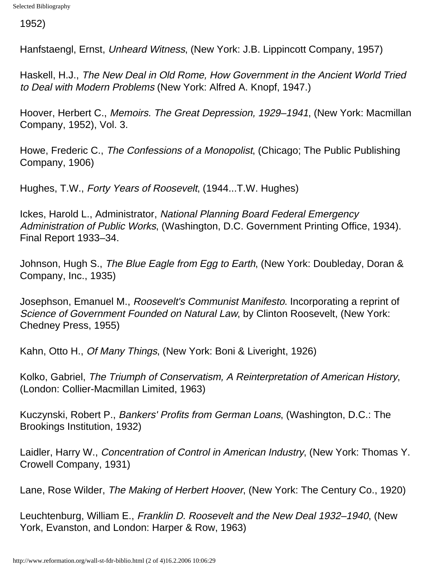1952)

Hanfstaengl, Ernst, Unheard Witness, (New York: J.B. Lippincott Company, 1957)

Haskell, H.J., The New Deal in Old Rome, How Government in the Ancient World Tried to Deal with Modern Problems (New York: Alfred A. Knopf, 1947.)

Hoover, Herbert C., Memoirs. The Great Depression, 1929–1941, (New York: Macmillan Company, 1952), Vol. 3.

Howe, Frederic C., The Confessions of a Monopolist, (Chicago; The Public Publishing Company, 1906)

Hughes, T.W., Forty Years of Roosevelt, (1944...T.W. Hughes)

Ickes, Harold L., Administrator, National Planning Board Federal Emergency Administration of Public Works, (Washington, D.C. Government Printing Office, 1934). Final Report 1933–34.

Johnson, Hugh S., The Blue Eagle from Egg to Earth, (New York: Doubleday, Doran & Company, Inc., 1935)

Josephson, Emanuel M., Roosevelt's Communist Manifesto. Incorporating a reprint of Science of Government Founded on Natural Law, by Clinton Roosevelt, (New York: Chedney Press, 1955)

Kahn, Otto H., Of Many Things, (New York: Boni & Liveright, 1926)

Kolko, Gabriel, The Triumph of Conservatism, A Reinterpretation of American History, (London: Collier-Macmillan Limited, 1963)

Kuczynski, Robert P., Bankers' Profits from German Loans, (Washington, D.C.: The Brookings Institution, 1932)

Laidler, Harry W., Concentration of Control in American Industry, (New York: Thomas Y. Crowell Company, 1931)

Lane, Rose Wilder, The Making of Herbert Hoover, (New York: The Century Co., 1920)

Leuchtenburg, William E., Franklin D. Roosevelt and the New Deal 1932–1940, (New York, Evanston, and London: Harper & Row, 1963)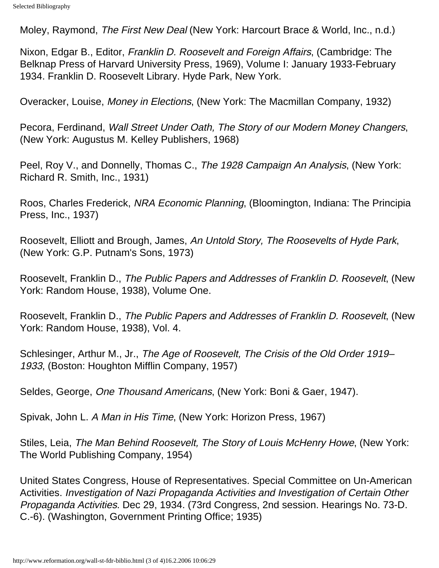Moley, Raymond, The First New Deal (New York: Harcourt Brace & World, Inc., n.d.)

Nixon, Edgar B., Editor, Franklin D. Roosevelt and Foreign Affairs, (Cambridge: The Belknap Press of Harvard University Press, 1969), Volume I: January 1933-February 1934. Franklin D. Roosevelt Library. Hyde Park, New York.

Overacker, Louise, Money in Elections, (New York: The Macmillan Company, 1932)

Pecora, Ferdinand, Wall Street Under Oath, The Story of our Modern Money Changers, (New York: Augustus M. Kelley Publishers, 1968)

Peel, Roy V., and Donnelly, Thomas C., The 1928 Campaign An Analysis, (New York: Richard R. Smith, Inc., 1931)

Roos, Charles Frederick, NRA Economic Planning, (Bloomington, Indiana: The Principia Press, Inc., 1937)

Roosevelt, Elliott and Brough, James, An Untold Story, The Roosevelts of Hyde Park, (New York: G.P. Putnam's Sons, 1973)

Roosevelt, Franklin D., The Public Papers and Addresses of Franklin D. Roosevelt, (New York: Random House, 1938), Volume One.

Roosevelt, Franklin D., The Public Papers and Addresses of Franklin D. Roosevelt, (New York: Random House, 1938), Vol. 4.

Schlesinger, Arthur M., Jr., The Age of Roosevelt, The Crisis of the Old Order 1919– 1933, (Boston: Houghton Mifflin Company, 1957)

Seldes, George, One Thousand Americans, (New York: Boni & Gaer, 1947).

Spivak, John L. A Man in His Time, (New York: Horizon Press, 1967)

Stiles, Leia, The Man Behind Roosevelt, The Story of Louis McHenry Howe, (New York: The World Publishing Company, 1954)

United States Congress, House of Representatives. Special Committee on Un-American Activities. Investigation of Nazi Propaganda Activities and Investigation of Certain Other Propaganda Activities. Dec 29, 1934. (73rd Congress, 2nd session. Hearings No. 73-D. C.-6). (Washington, Government Printing Office; 1935)